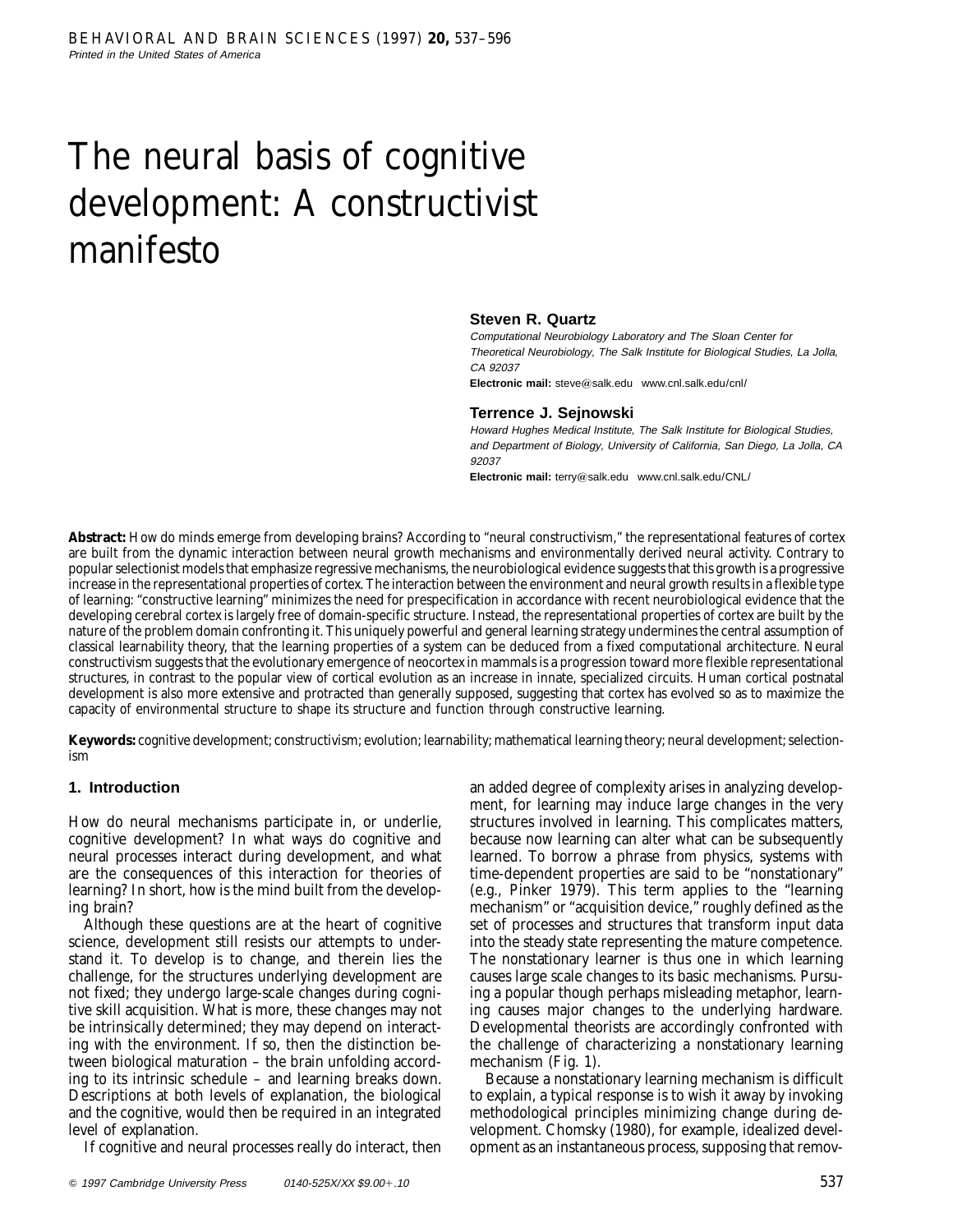# The neural basis of cognitive development: A constructivist manifesto

# **Steven R. Quartz**

Computational Neurobiology Laboratory and The Sloan Center for Theoretical Neurobiology, The Salk Institute for Biological Studies, La Jolla, CA 92037 Electronic mail: steve@salk.edu www.cnl.salk.edu/cnl/

# **Terrence J. Sejnowski**

Howard Hughes Medical Institute, The Salk Institute for Biological Studies, and Department of Biology, University of California, San Diego, La Jolla, CA 92037

Electronic mail: terry@salk.edu www.cnl.salk.edu/CNL/

**Abstract:** How do minds emerge from developing brains? According to "neural constructivism," the representational features of cortex are built from the dynamic interaction between neural growth mechanisms and environmentally derived neural activity. Contrary to popular selectionist models that emphasize regressive mechanisms, the neurobiological evidence suggests that this growth is a progressive increase in the representational properties of cortex. The interaction between the environment and neural growth results in a flexible type of learning: "constructive learning" minimizes the need for prespecification in accordance with recent neurobiological evidence that the developing cerebral cortex is largely free of domain-specific structure. Instead, the representational properties of cortex are built by the nature of the problem domain confronting it. This uniquely powerful and general learning strategy undermines the central assumption of classical learnability theory, that the learning properties of a system can be deduced from a fixed computational architecture. Neural constructivism suggests that the evolutionary emergence of neocortex in mammals is a progression toward more flexible representational structures, in contrast to the popular view of cortical evolution as an increase in innate, specialized circuits. Human cortical postnatal development is also more extensive and protracted than generally supposed, suggesting that cortex has evolved so as to maximize the capacity of environmental structure to shape its structure and function through constructive learning.

**Keywords:** cognitive development; constructivism; evolution; learnability; mathematical learning theory; neural development; selectionism

# **1. Introduction**

How do neural mechanisms participate in, or underlie, cognitive development? In what ways do cognitive and neural processes interact during development, and what are the consequences of this interaction for theories of learning? In short, how is the mind built from the developing brain?

Although these questions are at the heart of cognitive science, development still resists our attempts to understand it. To develop is to change, and therein lies the challenge, for the structures underlying development are not fixed; they undergo large-scale changes during cognitive skill acquisition. What is more, these changes may not be intrinsically determined; they may depend on interacting with the environment. If so, then the distinction between biological maturation – the brain unfolding according to its intrinsic schedule – and learning breaks down. Descriptions at both levels of explanation, the biological and the cognitive, would then be required in an integrated level of explanation.

If cognitive and neural processes really do interact, then

an added degree of complexity arises in analyzing development, for learning may induce large changes in the very structures involved in learning. This complicates matters, because now learning can alter what can be subsequently learned. To borrow a phrase from physics, systems with time-dependent properties are said to be "nonstationary" (e.g., Pinker 1979). This term applies to the "learning mechanism" or "acquisition device," roughly defined as the set of processes and structures that transform input data into the steady state representing the mature competence. The nonstationary learner is thus one in which learning causes large scale changes to its basic mechanisms. Pursuing a popular though perhaps misleading metaphor, learning causes major changes to the underlying hardware. Developmental theorists are accordingly confronted with the challenge of characterizing a nonstationary learning mechanism (Fig. 1).

Because a nonstationary learning mechanism is difficult to explain, a typical response is to wish it away by invoking methodological principles minimizing change during development. Chomsky (1980), for example, idealized development as an instantaneous process, supposing that remov-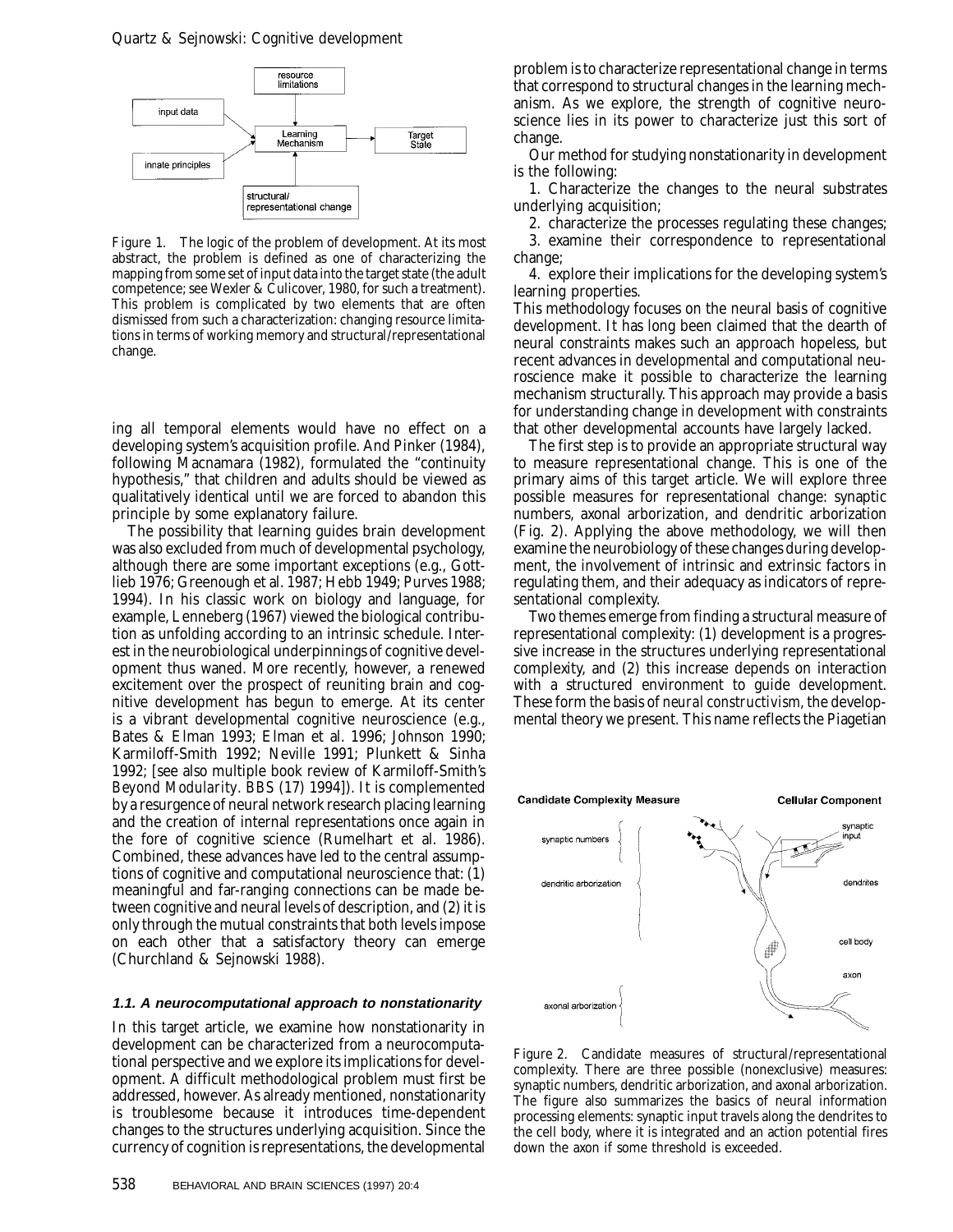

Figure 1. The logic of the problem of development. At its most abstract, the problem is defined as one of characterizing the mapping from some set of input data into the target state (the adult competence; see Wexler & Culicover, 1980, for such a treatment). This problem is complicated by two elements that are often dismissed from such a characterization: changing resource limitations in terms of working memory and structural/representational change.

ing all temporal elements would have no effect on a developing system's acquisition profile. And Pinker (1984), following Macnamara (1982), formulated the "continuity hypothesis," that children and adults should be viewed as qualitatively identical until we are forced to abandon this principle by some explanatory failure.

The possibility that learning guides brain development was also excluded from much of developmental psychology, although there are some important exceptions (e.g., Gottlieb 1976; Greenough et al. 1987; Hebb 1949; Purves 1988; 1994). In his classic work on biology and language, for example, Lenneberg (1967) viewed the biological contribution as unfolding according to an intrinsic schedule. Interest in the neurobiological underpinnings of cognitive development thus waned. More recently, however, a renewed excitement over the prospect of reuniting brain and cognitive development has begun to emerge. At its center is a vibrant developmental cognitive neuroscience (e.g., Bates & Elman 1993; Elman et al. 1996; Johnson 1990; Karmiloff-Smith 1992; Neville 1991; Plunkett & Sinha 1992; [see also multiple book review of Karmiloff-Smith's *Beyond Modularity. BBS* (17) 1994]). It is complemented by a resurgence of neural network research placing learning and the creation of internal representations once again in the fore of cognitive science (Rumelhart et al. 1986). Combined, these advances have led to the central assumptions of cognitive and computational neuroscience that: (1) meaningful and far-ranging connections can be made between cognitive and neural levels of description, and (2) it is only through the mutual constraints that both levels impose on each other that a satisfactory theory can emerge (Churchland & Sejnowski 1988).

### **1.1. A neurocomputational approach to nonstationarity**

In this target article, we examine how nonstationarity in development can be characterized from a neurocomputational perspective and we explore its implications for development. A difficult methodological problem must first be addressed, however. As already mentioned, nonstationarity is troublesome because it introduces time-dependent changes to the structures underlying acquisition. Since the currency of cognition is representations, the developmental

problem is to characterize representational change in terms that correspond to structural changes in the learning mechanism. As we explore, the strength of cognitive neuroscience lies in its power to characterize just this sort of change.

Our method for studying nonstationarity in development is the following:

1. Characterize the changes to the neural substrates underlying acquisition;

2. characterize the processes regulating these changes; 3. examine their correspondence to representational change;

4. explore their implications for the developing system's learning properties.

This methodology focuses on the neural basis of cognitive development. It has long been claimed that the dearth of neural constraints makes such an approach hopeless, but recent advances in developmental and computational neuroscience make it possible to characterize the learning mechanism structurally. This approach may provide a basis for understanding change in development with constraints that other developmental accounts have largely lacked.

The first step is to provide an appropriate structural way to measure representational change. This is one of the primary aims of this target article. We will explore three possible measures for representational change: synaptic numbers, axonal arborization, and dendritic arborization (Fig. 2). Applying the above methodology, we will then examine the neurobiology of these changes during development, the involvement of intrinsic and extrinsic factors in regulating them, and their adequacy as indicators of representational complexity.

Two themes emerge from finding a structural measure of representational complexity: (1) development is a progressive increase in the structures underlying representational complexity, and (2) this increase depends on interaction with a structured environment to guide development. These form the basis of *neural constructivism,* the developmental theory we present. This name reflects the Piagetian



Figure 2. Candidate measures of structural/representational complexity. There are three possible (nonexclusive) measures: synaptic numbers, dendritic arborization, and axonal arborization. The figure also summarizes the basics of neural information processing elements: synaptic input travels along the dendrites to the cell body, where it is integrated and an action potential fires down the axon if some threshold is exceeded.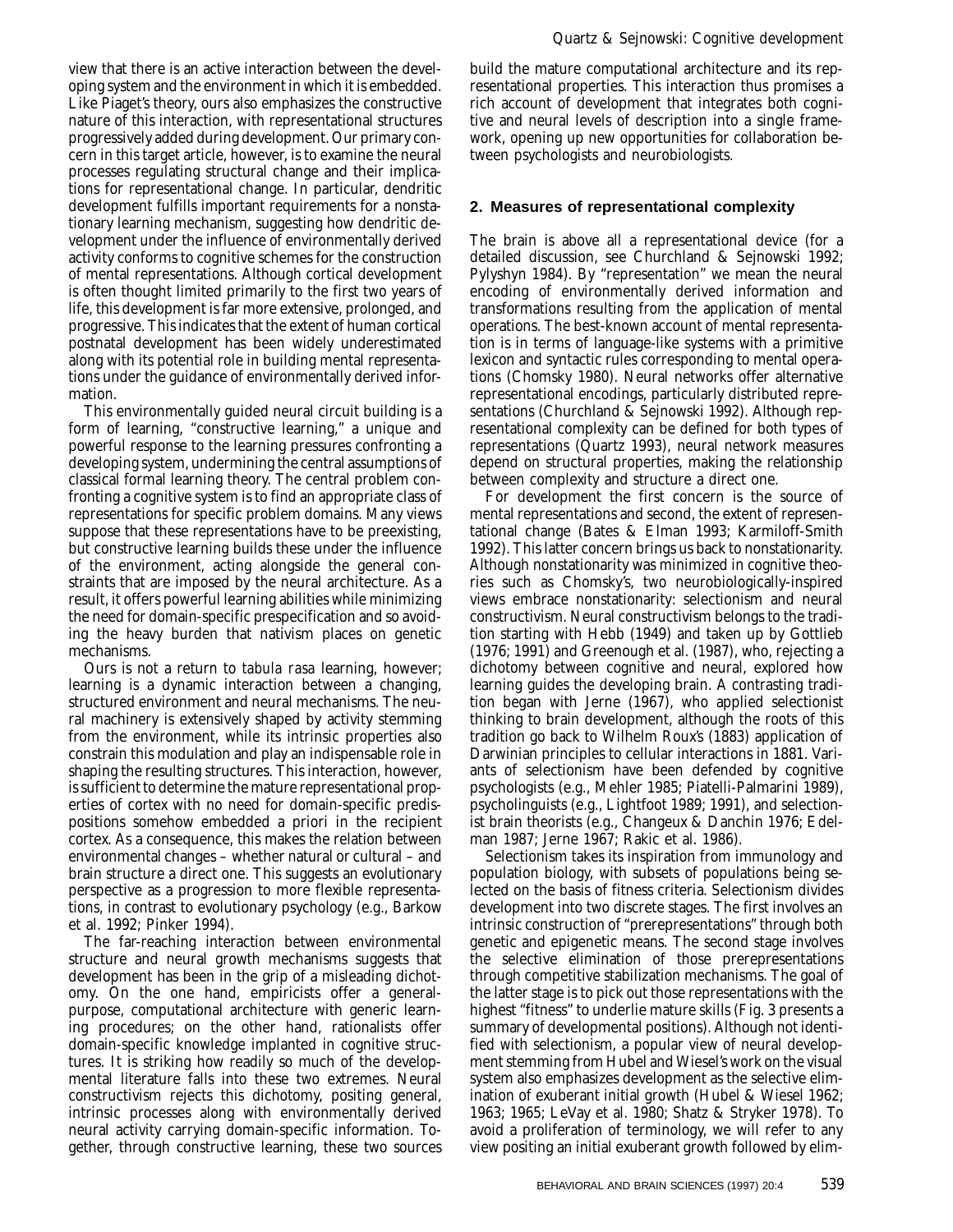view that there is an active interaction between the developing system and the environment in which it is embedded. Like Piaget's theory, ours also emphasizes the constructive nature of this interaction, with representational structures progressively added during development. Our primary concern in this target article, however, is to examine the neural processes regulating structural change and their implications for representational change. In particular, dendritic development fulfills important requirements for a nonstationary learning mechanism, suggesting how dendritic development under the influence of environmentally derived activity conforms to cognitive schemes for the construction of mental representations. Although cortical development is often thought limited primarily to the first two years of life, this development is far more extensive, prolonged, and progressive. This indicates that the extent of human cortical postnatal development has been widely underestimated along with its potential role in building mental representations under the guidance of environmentally derived information.

This environmentally guided neural circuit building is a form of learning, "constructive learning," a unique and powerful response to the learning pressures confronting a developing system, undermining the central assumptions of classical formal learning theory. The central problem confronting a cognitive system is to find an appropriate class of representations for specific problem domains. Many views suppose that these representations have to be preexisting, but constructive learning builds these under the influence of the environment, acting alongside the general constraints that are imposed by the neural architecture. As a result, it offers powerful learning abilities while minimizing the need for domain-specific prespecification and so avoiding the heavy burden that nativism places on genetic mechanisms.

Ours is not a return to *tabula rasa* learning, however; learning is a dynamic interaction between a changing, structured environment and neural mechanisms. The neural machinery is extensively shaped by activity stemming from the environment, while its intrinsic properties also constrain this modulation and play an indispensable role in shaping the resulting structures. This interaction, however, is sufficient to determine the mature representational properties of cortex with no need for domain-specific predispositions somehow embedded a priori in the recipient cortex. As a consequence, this makes the relation between environmental changes – whether natural or cultural – and brain structure a direct one. This suggests an evolutionary perspective as a progression to more flexible representations, in contrast to evolutionary psychology (e.g., Barkow et al. 1992; Pinker 1994).

The far-reaching interaction between environmental structure and neural growth mechanisms suggests that development has been in the grip of a misleading dichotomy. On the one hand, empiricists offer a generalpurpose, computational architecture with generic learning procedures; on the other hand, rationalists offer domain-specific knowledge implanted in cognitive structures. It is striking how readily so much of the developmental literature falls into these two extremes. Neural constructivism rejects this dichotomy, positing general, intrinsic processes along with environmentally derived neural activity carrying domain-specific information. Together, through constructive learning, these two sources build the mature computational architecture and its representational properties. This interaction thus promises a rich account of development that integrates both cognitive and neural levels of description into a single framework, opening up new opportunities for collaboration between psychologists and neurobiologists.

# **2. Measures of representational complexity**

The brain is above all a representational device (for a detailed discussion, see Churchland & Sejnowski 1992; Pylyshyn 1984). By "representation" we mean the neural encoding of environmentally derived information and transformations resulting from the application of mental operations. The best-known account of mental representation is in terms of language-like systems with a primitive lexicon and syntactic rules corresponding to mental operations (Chomsky 1980). Neural networks offer alternative representational encodings, particularly distributed representations (Churchland & Sejnowski 1992). Although representational complexity can be defined for both types of representations (Quartz 1993), neural network measures depend on structural properties, making the relationship between complexity and structure a direct one.

For development the first concern is the source of mental representations and second, the extent of representational change (Bates & Elman 1993; Karmiloff-Smith 1992). This latter concern brings us back to nonstationarity. Although nonstationarity was minimized in cognitive theories such as Chomsky's, two neurobiologically-inspired views embrace nonstationarity: selectionism and neural constructivism. Neural constructivism belongs to the tradition starting with Hebb (1949) and taken up by Gottlieb (1976; 1991) and Greenough et al. (1987), who, rejecting a dichotomy between cognitive and neural, explored how learning guides the developing brain. A contrasting tradition began with Jerne (1967), who applied selectionist thinking to brain development, although the roots of this tradition go back to Wilhelm Roux's (1883) application of Darwinian principles to cellular interactions in 1881. Variants of selectionism have been defended by cognitive psychologists (e.g., Mehler 1985; Piatelli-Palmarini 1989), psycholinguists (e.g., Lightfoot 1989; 1991), and selectionist brain theorists (e.g., Changeux & Danchin 1976; Edelman 1987; Jerne 1967; Rakic et al. 1986).

Selectionism takes its inspiration from immunology and population biology, with subsets of populations being selected on the basis of fitness criteria. Selectionism divides development into two discrete stages. The first involves an intrinsic construction of "prerepresentations" through both genetic and epigenetic means. The second stage involves the selective elimination of those prerepresentations through competitive stabilization mechanisms. The goal of the latter stage is to pick out those representations with the highest "fitness" to underlie mature skills (Fig. 3 presents a summary of developmental positions). Although not identified with selectionism, a popular view of neural development stemming from Hubel and Wiesel's work on the visual system also emphasizes development as the selective elimination of exuberant initial growth (Hubel & Wiesel 1962; 1963; 1965; LeVay et al. 1980; Shatz & Stryker 1978). To avoid a proliferation of terminology, we will refer to any view positing an initial exuberant growth followed by elim-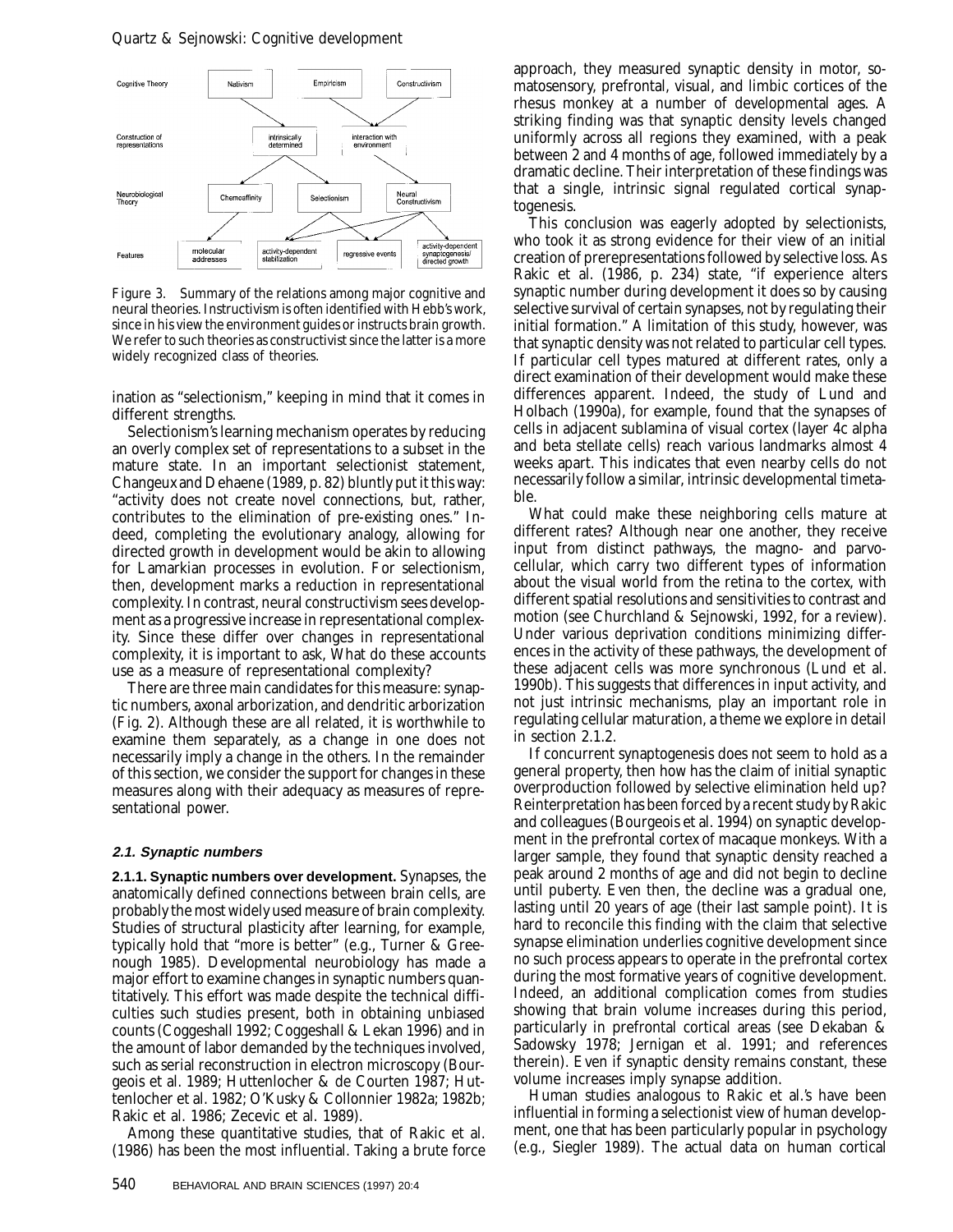### Quartz & Sejnowski: Cognitive development



Figure 3. Summary of the relations among major cognitive and neural theories. Instructivism is often identified with Hebb's work, since in his view the environment guides or instructs brain growth. We refer to such theories as constructivist since the latter is a more widely recognized class of theories.

ination as "selectionism," keeping in mind that it comes in different strengths.

Selectionism's learning mechanism operates by reducing an overly complex set of representations to a subset in the mature state. In an important selectionist statement, Changeux and Dehaene (1989, p. 82) bluntly put it this way: "activity does not create novel connections, but, rather, contributes to the elimination of pre-existing ones." Indeed, completing the evolutionary analogy, allowing for directed growth in development would be akin to allowing for Lamarkian processes in evolution. For selectionism, then, development marks a reduction in representational complexity. In contrast, neural constructivism sees development as a progressive increase in representational complexity. Since these differ over changes in representational complexity, it is important to ask, What do these accounts use as a measure of representational complexity?

There are three main candidates for this measure: synaptic numbers, axonal arborization, and dendritic arborization (Fig. 2). Although these are all related, it is worthwhile to examine them separately, as a change in one does not necessarily imply a change in the others. In the remainder of this section, we consider the support for changes in these measures along with their adequacy as measures of representational power.

### **2.1. Synaptic numbers**

**2.1.1. Synaptic numbers over development.** Synapses, the anatomically defined connections between brain cells, are probably the most widely used measure of brain complexity. Studies of structural plasticity after learning, for example, typically hold that "more is better" (e.g., Turner & Greenough 1985). Developmental neurobiology has made a major effort to examine changes in synaptic numbers quantitatively. This effort was made despite the technical difficulties such studies present, both in obtaining unbiased counts (Coggeshall 1992; Coggeshall & Lekan 1996) and in the amount of labor demanded by the techniques involved, such as serial reconstruction in electron microscopy (Bourgeois et al. 1989; Huttenlocher & de Courten 1987; Huttenlocher et al. 1982; O'Kusky & Collonnier 1982a; 1982b; Rakic et al. 1986; Zecevic et al. 1989).

Among these quantitative studies, that of Rakic et al. (1986) has been the most influential. Taking a brute force

approach, they measured synaptic density in motor, somatosensory, prefrontal, visual, and limbic cortices of the rhesus monkey at a number of developmental ages. A striking finding was that synaptic density levels changed uniformly across all regions they examined, with a peak between 2 and 4 months of age, followed immediately by a dramatic decline. Their interpretation of these findings was that a single, intrinsic signal regulated cortical synaptogenesis.

This conclusion was eagerly adopted by selectionists, who took it as strong evidence for their view of an initial creation of prerepresentations followed by selective loss. As Rakic et al. (1986, p. 234) state, "if experience alters synaptic number during development it does so by causing selective survival of certain synapses, not by regulating their initial formation." A limitation of this study, however, was that synaptic density was not related to particular cell types. If particular cell types matured at different rates, only a direct examination of their development would make these differences apparent. Indeed, the study of Lund and Holbach (1990a), for example, found that the synapses of cells in adjacent sublamina of visual cortex (layer 4c alpha and beta stellate cells) reach various landmarks almost 4 weeks apart. This indicates that even nearby cells do not necessarily follow a similar, intrinsic developmental timetable.

What could make these neighboring cells mature at different rates? Although near one another, they receive input from distinct pathways, the magno- and parvocellular, which carry two different types of information about the visual world from the retina to the cortex, with different spatial resolutions and sensitivities to contrast and motion (see Churchland & Sejnowski, 1992, for a review). Under various deprivation conditions minimizing differences in the activity of these pathways, the development of these adjacent cells was more synchronous (Lund et al. 1990b). This suggests that differences in input activity, and not just intrinsic mechanisms, play an important role in regulating cellular maturation, a theme we explore in detail in section 2.1.2.

If concurrent synaptogenesis does not seem to hold as a general property, then how has the claim of initial synaptic overproduction followed by selective elimination held up? Reinterpretation has been forced by a recent study by Rakic and colleagues (Bourgeois et al. 1994) on synaptic development in the prefrontal cortex of macaque monkeys. With a larger sample, they found that synaptic density reached a peak around 2 months of age and did not begin to decline until puberty. Even then, the decline was a gradual one, lasting until 20 years of age (their last sample point). It is hard to reconcile this finding with the claim that selective synapse elimination underlies cognitive development since no such process appears to operate in the prefrontal cortex during the most formative years of cognitive development. Indeed, an additional complication comes from studies showing that brain volume increases during this period, particularly in prefrontal cortical areas (see Dekaban & Sadowsky 1978; Jernigan et al. 1991; and references therein). Even if synaptic density remains constant, these volume increases imply synapse addition.

Human studies analogous to Rakic et al.'s have been influential in forming a selectionist view of human development, one that has been particularly popular in psychology (e.g., Siegler 1989). The actual data on human cortical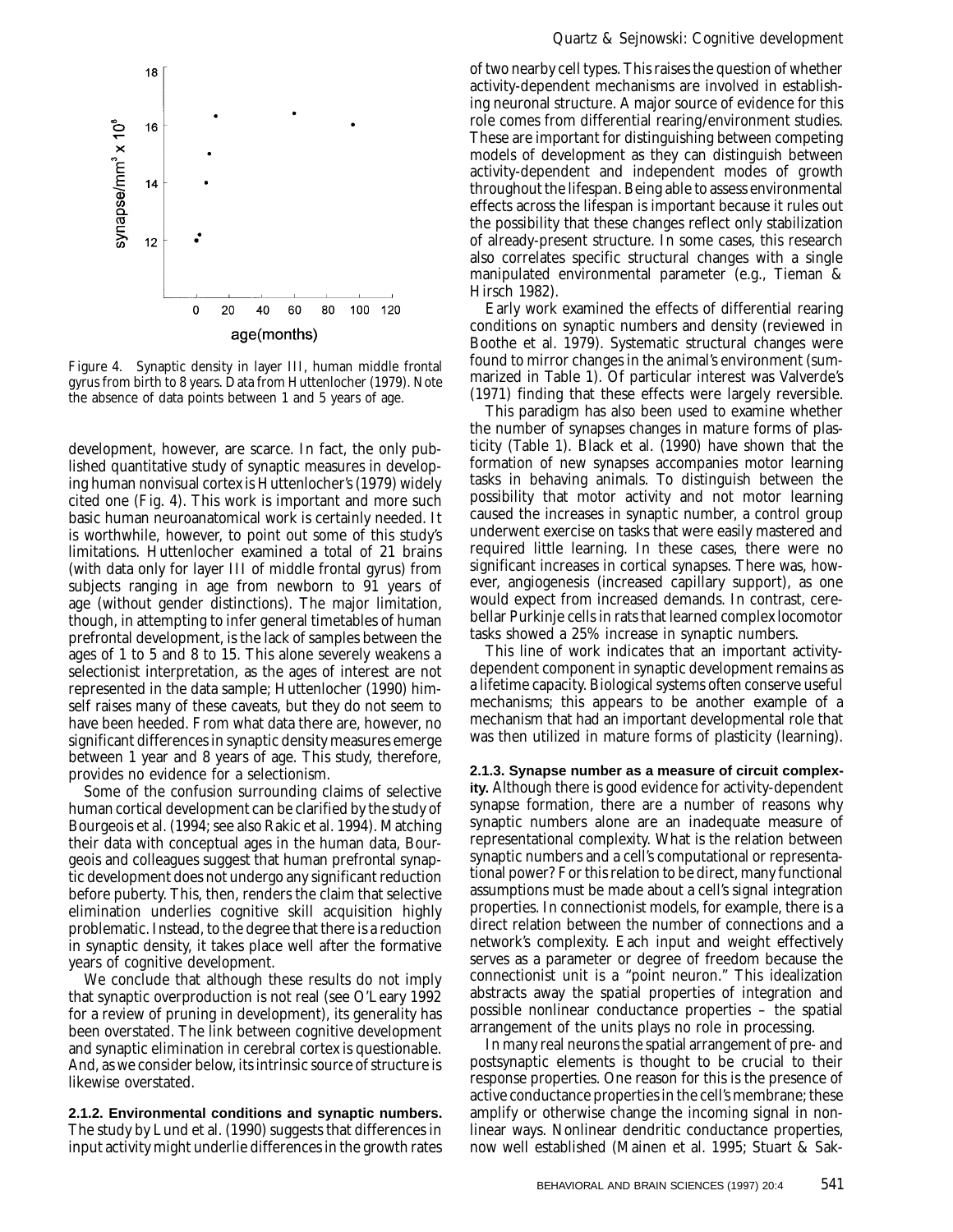

Figure 4. Synaptic density in layer III, human middle frontal gyrus from birth to 8 years. Data from Huttenlocher (1979). Note the absence of data points between 1 and 5 years of age.

development, however, are scarce. In fact, the only published quantitative study of synaptic measures in developing human nonvisual cortex is Huttenlocher's (1979) widely cited one (Fig. 4). This work is important and more such basic human neuroanatomical work is certainly needed. It is worthwhile, however, to point out some of this study's limitations. Huttenlocher examined a total of 21 brains (with data only for layer III of middle frontal gyrus) from subjects ranging in age from newborn to 91 years of age (without gender distinctions). The major limitation, though, in attempting to infer general timetables of human prefrontal development, is the lack of samples between the ages of 1 to 5 and 8 to 15. This alone severely weakens a selectionist interpretation, as the ages of interest are not represented in the data sample; Huttenlocher (1990) himself raises many of these caveats, but they do not seem to have been heeded. From what data there are, however, no significant differences in synaptic density measures emerge between 1 year and 8 years of age. This study, therefore, provides no evidence for a selectionism.

Some of the confusion surrounding claims of selective human cortical development can be clarified by the study of Bourgeois et al. (1994; see also Rakic et al. 1994). Matching their data with conceptual ages in the human data, Bourgeois and colleagues suggest that human prefrontal synaptic development does not undergo any significant reduction before puberty. This, then, renders the claim that selective elimination underlies cognitive skill acquisition highly problematic. Instead, to the degree that there is a reduction in synaptic density, it takes place well after the formative years of cognitive development.

We conclude that although these results do not imply that synaptic overproduction is not real (see O'Leary 1992 for a review of pruning in development), its generality has been overstated. The link between cognitive development and synaptic elimination in cerebral cortex is questionable. And, as we consider below, its intrinsic source of structure is likewise overstated.

**2.1.2. Environmental conditions and synaptic numbers.** The study by Lund et al. (1990) suggests that differences in input activity might underlie differences in the growth rates of two nearby cell types. This raises the question of whether activity-dependent mechanisms are involved in establishing neuronal structure. A major source of evidence for this role comes from differential rearing/environment studies. These are important for distinguishing between competing models of development as they can distinguish between activity-dependent and independent modes of growth throughout the lifespan. Being able to assess environmental effects across the lifespan is important because it rules out the possibility that these changes reflect only stabilization of already-present structure. In some cases, this research also correlates specific structural changes with a single manipulated environmental parameter (e.g., Tieman & Hirsch 1982).

Early work examined the effects of differential rearing conditions on synaptic numbers and density (reviewed in Boothe et al. 1979). Systematic structural changes were found to mirror changes in the animal's environment (summarized in Table 1). Of particular interest was Valverde's (1971) finding that these effects were largely reversible.

This paradigm has also been used to examine whether the number of synapses changes in mature forms of plasticity (Table 1). Black et al. (1990) have shown that the formation of new synapses accompanies motor learning tasks in behaving animals. To distinguish between the possibility that motor activity and not motor learning caused the increases in synaptic number, a control group underwent exercise on tasks that were easily mastered and required little learning. In these cases, there were no significant increases in cortical synapses. There was, however, angiogenesis (increased capillary support), as one would expect from increased demands. In contrast, cerebellar Purkinje cells in rats that learned complex locomotor tasks showed a 25% increase in synaptic numbers.

This line of work indicates that an important activitydependent component in synaptic development remains as a lifetime capacity. Biological systems often conserve useful mechanisms; this appears to be another example of a mechanism that had an important developmental role that was then utilized in mature forms of plasticity (learning).

**2.1.3. Synapse number as a measure of circuit complexity.** Although there is good evidence for activity-dependent synapse formation, there are a number of reasons why synaptic numbers alone are an inadequate measure of representational complexity. What is the relation between synaptic numbers and a cell's computational or representational power? For this relation to be direct, many functional assumptions must be made about a cell's signal integration properties. In connectionist models, for example, there is a direct relation between the number of connections and a network's complexity. Each input and weight effectively serves as a parameter or degree of freedom because the connectionist unit is a "point neuron." This idealization abstracts away the spatial properties of integration and possible nonlinear conductance properties – the spatial arrangement of the units plays no role in processing.

In many real neurons the spatial arrangement of pre- and postsynaptic elements is thought to be crucial to their response properties. One reason for this is the presence of active conductance properties in the cell's membrane; these amplify or otherwise change the incoming signal in nonlinear ways. Nonlinear dendritic conductance properties, now well established (Mainen et al. 1995; Stuart & Sak-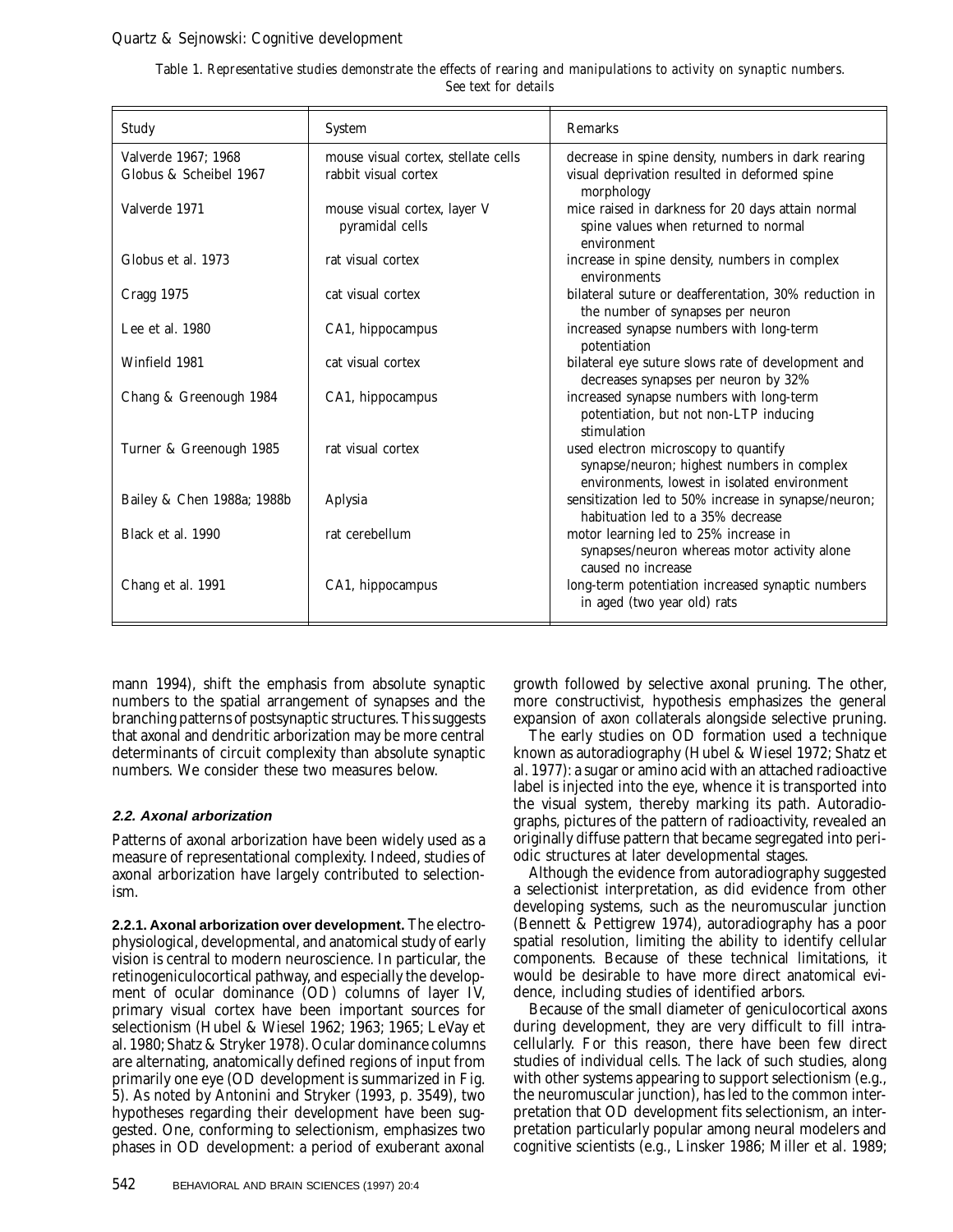| Study                                         | System                                                      | Remarks                                                                                                                            |
|-----------------------------------------------|-------------------------------------------------------------|------------------------------------------------------------------------------------------------------------------------------------|
| Valverde 1967; 1968<br>Globus & Scheibel 1967 | mouse visual cortex, stellate cells<br>rabbit visual cortex | decrease in spine density, numbers in dark rearing<br>visual deprivation resulted in deformed spine<br>morphology                  |
| Valverde 1971                                 | mouse visual cortex, layer V<br>pyramidal cells             | mice raised in darkness for 20 days attain normal<br>spine values when returned to normal<br>environment                           |
| Globus et al. 1973                            | rat visual cortex                                           | increase in spine density, numbers in complex<br>environments                                                                      |
| Cragg 1975                                    | cat visual cortex                                           | bilateral suture or deafferentation, 30% reduction in<br>the number of synapses per neuron                                         |
| Lee et al. 1980                               | CA1, hippocampus                                            | increased synapse numbers with long-term<br>potentiation                                                                           |
| Winfield 1981                                 | cat visual cortex                                           | bilateral eye suture slows rate of development and<br>decreases synapses per neuron by 32%                                         |
| Chang & Greenough 1984                        | CA1, hippocampus                                            | increased synapse numbers with long-term<br>potentiation, but not non-LTP inducing<br>stimulation                                  |
| Turner & Greenough 1985                       | rat visual cortex                                           | used electron microscopy to quantify<br>synapse/neuron; highest numbers in complex<br>environments, lowest in isolated environment |
| Bailey & Chen 1988a; 1988b                    | Aplysia                                                     | sensitization led to 50% increase in synapse/neuron;<br>habituation led to a 35% decrease                                          |
| Black et al. 1990                             | rat cerebellum                                              | motor learning led to 25% increase in<br>synapses/neuron whereas motor activity alone<br>caused no increase                        |
| Chang et al. 1991                             | CA1, hippocampus                                            | long-term potentiation increased synaptic numbers<br>in aged (two year old) rats                                                   |

Table 1. *Representative studies demonstrate the effects of rearing and manipulations to activity on synaptic numbers. See text for details*

mann 1994), shift the emphasis from absolute synaptic numbers to the spatial arrangement of synapses and the branching patterns of postsynaptic structures. This suggests that axonal and dendritic arborization may be more central determinants of circuit complexity than absolute synaptic numbers. We consider these two measures below.

# **2.2. Axonal arborization**

Patterns of axonal arborization have been widely used as a measure of representational complexity. Indeed, studies of axonal arborization have largely contributed to selectionism.

**2.2.1. Axonal arborization over development.** The electrophysiological, developmental, and anatomical study of early vision is central to modern neuroscience. In particular, the retinogeniculocortical pathway, and especially the development of ocular dominance (OD) columns of layer IV, primary visual cortex have been important sources for selectionism (Hubel & Wiesel 1962; 1963; 1965; LeVay et al. 1980; Shatz & Stryker 1978). Ocular dominance columns are alternating, anatomically defined regions of input from primarily one eye (OD development is summarized in Fig. 5). As noted by Antonini and Stryker (1993, p. 3549), two hypotheses regarding their development have been suggested. One, conforming to selectionism, emphasizes two phases in OD development: a period of exuberant axonal

growth followed by selective axonal pruning. The other, more constructivist, hypothesis emphasizes the general expansion of axon collaterals alongside selective pruning.

The early studies on OD formation used a technique known as autoradiography (Hubel & Wiesel 1972; Shatz et al. 1977): a sugar or amino acid with an attached radioactive label is injected into the eye, whence it is transported into the visual system, thereby marking its path. Autoradiographs, pictures of the pattern of radioactivity, revealed an originally diffuse pattern that became segregated into periodic structures at later developmental stages.

Although the evidence from autoradiography suggested a selectionist interpretation, as did evidence from other developing systems, such as the neuromuscular junction (Bennett & Pettigrew 1974), autoradiography has a poor spatial resolution, limiting the ability to identify cellular components. Because of these technical limitations, it would be desirable to have more direct anatomical evidence, including studies of identified arbors.

Because of the small diameter of geniculocortical axons during development, they are very difficult to fill intracellularly. For this reason, there have been few direct studies of individual cells. The lack of such studies, along with other systems appearing to support selectionism (e.g., the neuromuscular junction), has led to the common interpretation that OD development fits selectionism, an interpretation particularly popular among neural modelers and cognitive scientists (e.g., Linsker 1986; Miller et al. 1989;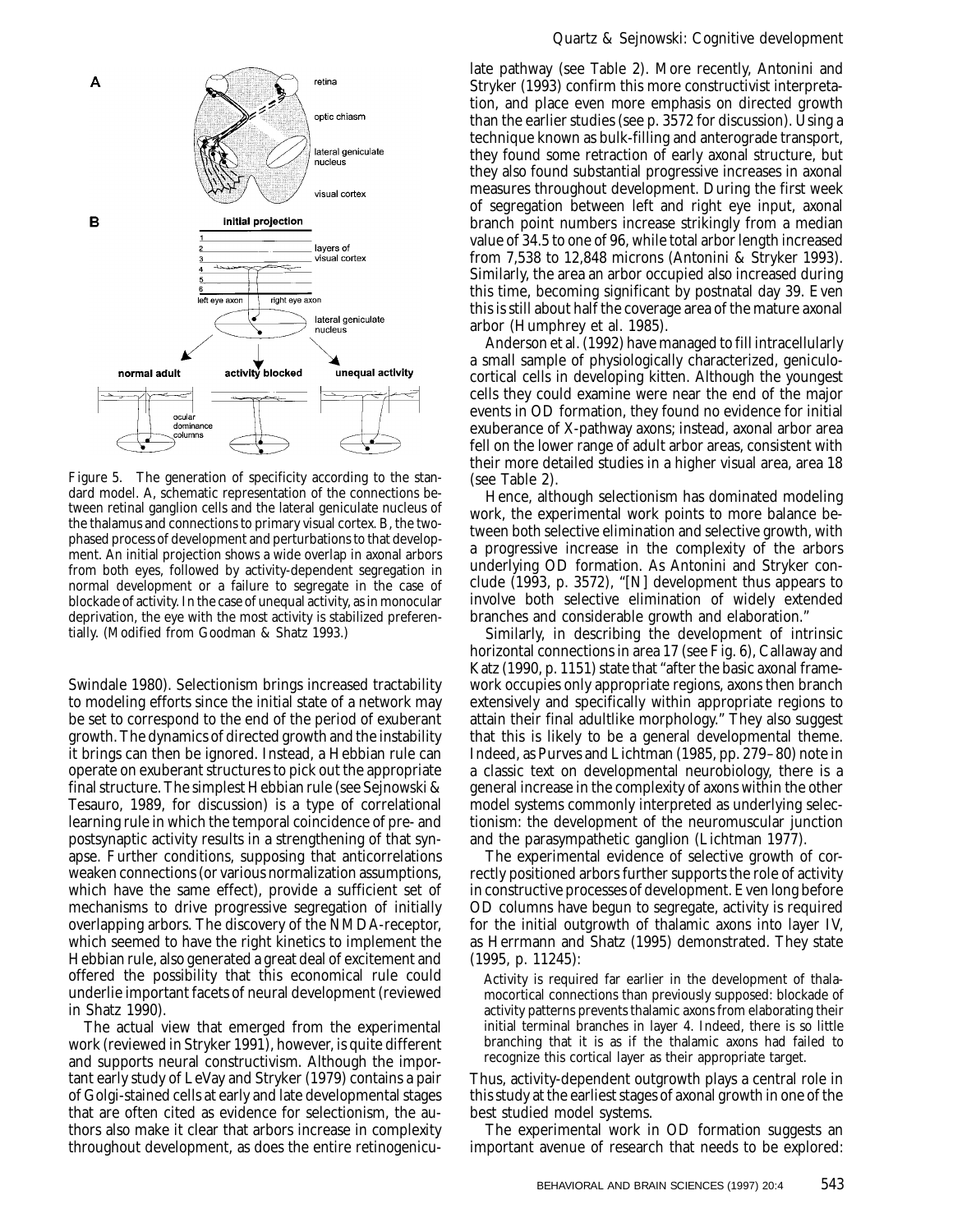

Figure 5. The generation of specificity according to the standard model. A, schematic representation of the connections between retinal ganglion cells and the lateral geniculate nucleus of the thalamus and connections to primary visual cortex. B, the twophased process of development and perturbations to that development. An initial projection shows a wide overlap in axonal arbors from both eyes, followed by activity-dependent segregation in normal development or a failure to segregate in the case of blockade of activity. In the case of unequal activity, as in monocular deprivation, the eye with the most activity is stabilized preferentially. (Modified from Goodman & Shatz 1993.)

Swindale 1980). Selectionism brings increased tractability to modeling efforts since the initial state of a network may be set to correspond to the end of the period of exuberant growth. The dynamics of directed growth and the instability it brings can then be ignored. Instead, a Hebbian rule can operate on exuberant structures to pick out the appropriate final structure. The simplest Hebbian rule (see Sejnowski & Tesauro, 1989, for discussion) is a type of correlational learning rule in which the temporal coincidence of pre- and postsynaptic activity results in a strengthening of that synapse. Further conditions, supposing that anticorrelations weaken connections (or various normalization assumptions, which have the same effect), provide a sufficient set of mechanisms to drive progressive segregation of initially overlapping arbors. The discovery of the NMDA-receptor, which seemed to have the right kinetics to implement the Hebbian rule, also generated a great deal of excitement and offered the possibility that this economical rule could underlie important facets of neural development (reviewed in Shatz 1990).

The actual view that emerged from the experimental work (reviewed in Stryker 1991), however, is quite different and supports neural constructivism. Although the important early study of LeVay and Stryker (1979) contains a pair of Golgi-stained cells at early and late developmental stages that are often cited as evidence for selectionism, the authors also make it clear that arbors increase in complexity throughout development, as does the entire retinogeniculate pathway (see Table 2). More recently, Antonini and Stryker (1993) confirm this more constructivist interpretation, and place even more emphasis on directed growth than the earlier studies (see p. 3572 for discussion). Using a technique known as bulk-filling and anterograde transport, they found some retraction of early axonal structure, but they also found substantial progressive increases in axonal measures throughout development. During the first week of segregation between left and right eye input, axonal branch point numbers increase strikingly from a median value of 34.5 to one of 96, while total arbor length increased from 7,538 to 12,848 microns (Antonini & Stryker 1993). Similarly, the area an arbor occupied also increased during this time, becoming significant by postnatal day 39. Even this is still about half the coverage area of the mature axonal arbor (Humphrey et al. 1985).

Anderson et al. (1992) have managed to fill intracellularly a small sample of physiologically characterized, geniculocortical cells in developing kitten. Although the youngest cells they could examine were near the end of the major events in OD formation, they found no evidence for initial exuberance of X-pathway axons; instead, axonal arbor area fell on the lower range of adult arbor areas, consistent with their more detailed studies in a higher visual area, area 18 (see Table 2).

Hence, although selectionism has dominated modeling work, the experimental work points to more balance between both selective elimination and selective growth, with a progressive increase in the complexity of the arbors underlying OD formation. As Antonini and Stryker conclude (1993, p. 3572), "[N] development thus appears to involve both selective elimination of widely extended branches and considerable growth and elaboration."

Similarly, in describing the development of intrinsic horizontal connections in area 17 (see Fig. 6), Callaway and Katz (1990, p. 1151) state that "after the basic axonal framework occupies only appropriate regions, axons then branch extensively and specifically within appropriate regions to attain their final adultlike morphology." They also suggest that this is likely to be a general developmental theme. Indeed, as Purves and Lichtman (1985, pp. 279–80) note in a classic text on developmental neurobiology, there is a general increase in the complexity of axons within the other model systems commonly interpreted as underlying selectionism: the development of the neuromuscular junction and the parasympathetic ganglion (Lichtman 1977).

The experimental evidence of selective growth of correctly positioned arbors further supports the role of activity in constructive processes of development. Even long before OD columns have begun to segregate, activity is required for the initial outgrowth of thalamic axons into layer IV, as Herrmann and Shatz (1995) demonstrated. They state (1995, p. 11245):

Activity is required far earlier in the development of thalamocortical connections than previously supposed: blockade of activity patterns prevents thalamic axons from elaborating their initial terminal branches in layer 4. Indeed, there is so little branching that it is as if the thalamic axons had failed to recognize this cortical layer as their appropriate target.

Thus, activity-dependent outgrowth plays a central role in this study at the earliest stages of axonal growth in one of the best studied model systems.

The experimental work in OD formation suggests an important avenue of research that needs to be explored: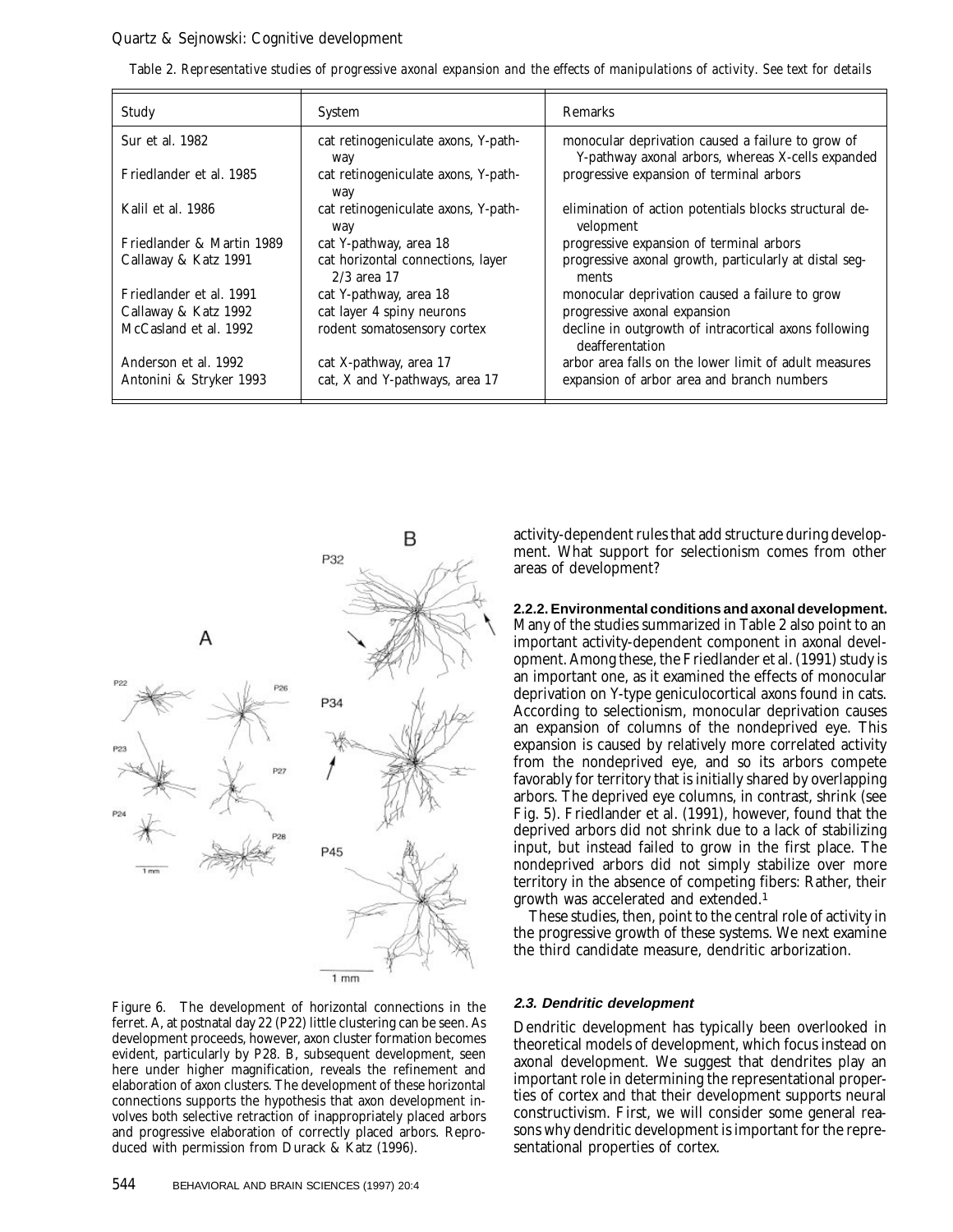### Quartz & Sejnowski: Cognitive development

| Table 2. Representative studies of progressive axonal expansion and the effects of manipulations of activity. See text for details |  |  |
|------------------------------------------------------------------------------------------------------------------------------------|--|--|
|                                                                                                                                    |  |  |

| Study                     | System                                             | Remarks                                                                                                |
|---------------------------|----------------------------------------------------|--------------------------------------------------------------------------------------------------------|
| Sur et al. 1982           | cat retinogeniculate axons, Y-path-<br>way         | monocular deprivation caused a failure to grow of<br>Y-pathway axonal arbors, whereas X-cells expanded |
| Friedlander et al. 1985   | cat retinogeniculate axons, Y-path-<br>way         | progressive expansion of terminal arbors                                                               |
| Kalil et al. 1986         | cat retinogeniculate axons, Y-path-<br>way         | elimination of action potentials blocks structural de-<br>velopment                                    |
| Friedlander & Martin 1989 | cat Y-pathway, area 18                             | progressive expansion of terminal arbors                                                               |
| Callaway & Katz 1991      | cat horizontal connections, layer<br>$2/3$ area 17 | progressive axonal growth, particularly at distal seg-<br>ments                                        |
| Friedlander et al. 1991   | cat Y-pathway, area 18                             | monocular deprivation caused a failure to grow                                                         |
| Callaway & Katz 1992      | cat layer 4 spiny neurons                          | progressive axonal expansion                                                                           |
| McCasland et al. 1992     | rodent somatosensory cortex                        | decline in outgrowth of intracortical axons following<br>deafferentation                               |
| Anderson et al. 1992      | cat X-pathway, area 17                             | arbor area falls on the lower limit of adult measures                                                  |
| Antonini & Stryker 1993   | cat, X and Y-pathways, area 17                     | expansion of arbor area and branch numbers                                                             |
|                           |                                                    |                                                                                                        |



Figure 6. The development of horizontal connections in the ferret. A, at postnatal day 22 (P22) little clustering can be seen. As development proceeds, however, axon cluster formation becomes evident, particularly by P28. B, subsequent development, seen here under higher magnification, reveals the refinement and elaboration of axon clusters. The development of these horizontal connections supports the hypothesis that axon development involves both selective retraction of inappropriately placed arbors and progressive elaboration of correctly placed arbors. Reproduced with permission from Durack & Katz (1996).

activity-dependent rules that add structure during development. What support for selectionism comes from other areas of development?

**2.2.2. Environmental conditions and axonal development.** Many of the studies summarized in Table 2 also point to an important activity-dependent component in axonal development. Among these, the Friedlander et al. (1991) study is an important one, as it examined the effects of monocular deprivation on Y-type geniculocortical axons found in cats. According to selectionism, monocular deprivation causes an expansion of columns of the nondeprived eye. This expansion is caused by relatively more correlated activity from the nondeprived eye, and so its arbors compete favorably for territory that is initially shared by overlapping arbors. The deprived eye columns, in contrast, shrink (see Fig. 5). Friedlander et al. (1991), however, found that the deprived arbors did not shrink due to a lack of stabilizing input, but instead failed to grow in the first place. The nondeprived arbors did not simply stabilize over more territory in the absence of competing fibers: Rather, their growth was accelerated and extended.1

These studies, then, point to the central role of activity in the progressive growth of these systems. We next examine the third candidate measure, dendritic arborization.

### **2.3. Dendritic development**

Dendritic development has typically been overlooked in theoretical models of development, which focus instead on axonal development. We suggest that dendrites play an important role in determining the representational properties of cortex and that their development supports neural constructivism. First, we will consider some general reasons why dendritic development is important for the representational properties of cortex.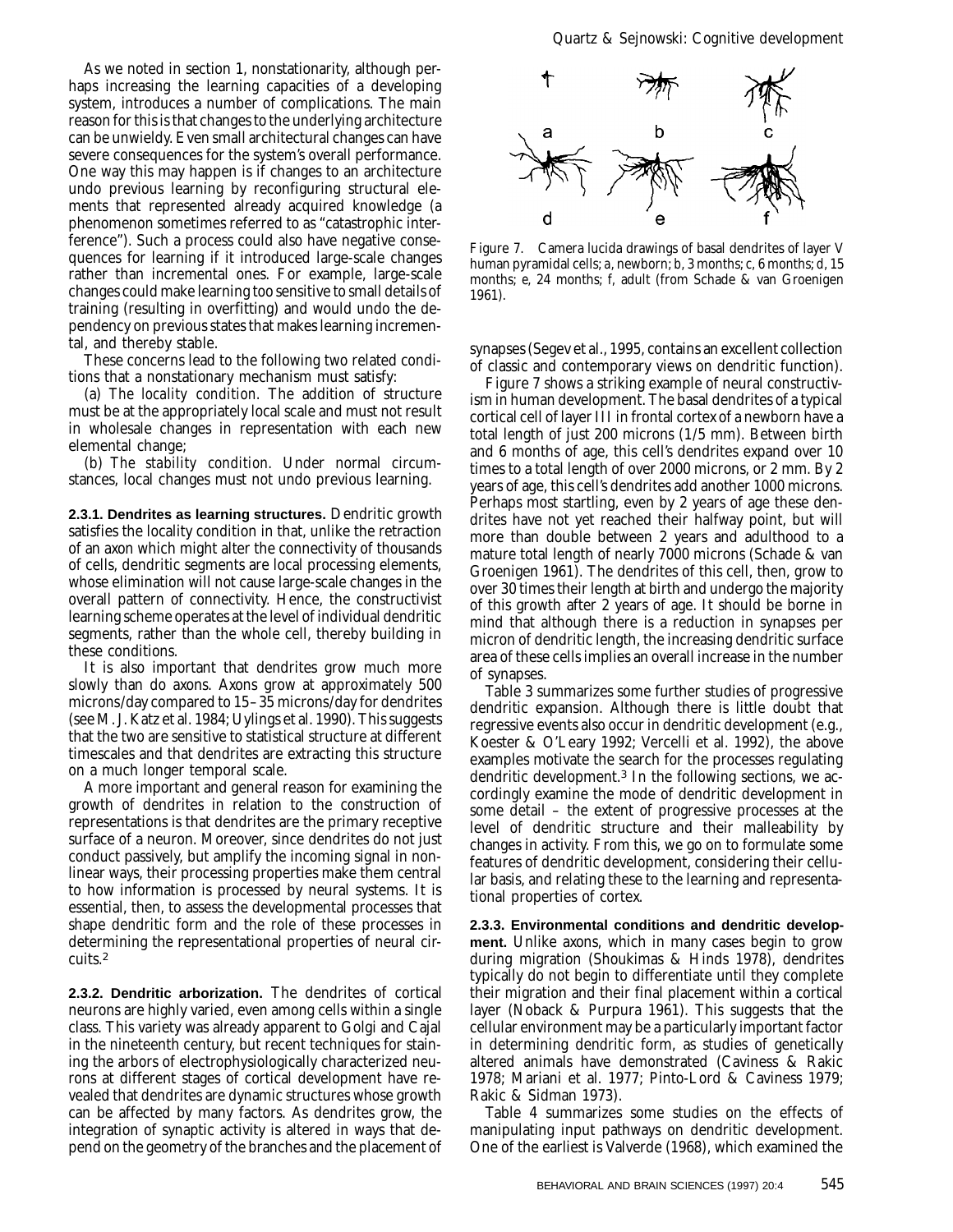As we noted in section 1, nonstationarity, although perhaps increasing the learning capacities of a developing system, introduces a number of complications. The main reason for this is that changes to the underlying architecture can be unwieldy. Even small architectural changes can have severe consequences for the system's overall performance. One way this may happen is if changes to an architecture undo previous learning by reconfiguring structural elements that represented already acquired knowledge (a phenomenon sometimes referred to as "catastrophic interference"). Such a process could also have negative consequences for learning if it introduced large-scale changes rather than incremental ones. For example, large-scale changes could make learning too sensitive to small details of training (resulting in overfitting) and would undo the dependency on previous states that makes learning incremental, and thereby stable.

These concerns lead to the following two related conditions that a nonstationary mechanism must satisfy:

(a) *The locality condition.* The addition of structure must be at the appropriately local scale and must not result in wholesale changes in representation with each new elemental change;

(b) *The stability condition.* Under normal circumstances, local changes must not undo previous learning.

**2.3.1. Dendrites as learning structures.** Dendritic growth satisfies the locality condition in that, unlike the retraction of an axon which might alter the connectivity of thousands of cells, dendritic segments are local processing elements, whose elimination will not cause large-scale changes in the overall pattern of connectivity. Hence, the constructivist learning scheme operates at the level of individual dendritic segments, rather than the whole cell, thereby building in these conditions.

It is also important that dendrites grow much more slowly than do axons. Axons grow at approximately 500 microns/day compared to 15–35 microns/day for dendrites (see M. J. Katz et al. 1984; Uylings et al. 1990). This suggests that the two are sensitive to statistical structure at different timescales and that dendrites are extracting this structure on a much longer temporal scale.

A more important and general reason for examining the growth of dendrites in relation to the construction of representations is that dendrites are the primary receptive surface of a neuron. Moreover, since dendrites do not just conduct passively, but amplify the incoming signal in nonlinear ways, their processing properties make them central to how information is processed by neural systems. It is essential, then, to assess the developmental processes that shape dendritic form and the role of these processes in determining the representational properties of neural circuits.2

**2.3.2. Dendritic arborization.** The dendrites of cortical neurons are highly varied, even among cells within a single class. This variety was already apparent to Golgi and Cajal in the nineteenth century, but recent techniques for staining the arbors of electrophysiologically characterized neurons at different stages of cortical development have revealed that dendrites are dynamic structures whose growth can be affected by many factors. As dendrites grow, the integration of synaptic activity is altered in ways that depend on the geometry of the branches and the placement of



Figure 7. Camera lucida drawings of basal dendrites of layer V human pyramidal cells; *a,* newborn; *b,* 3 months; *c,* 6 months; *d,* 15 months; *e,* 24 months; *f,* adult (from Schade & van Groenigen 1961).

synapses (Segev et al., 1995, contains an excellent collection of classic and contemporary views on dendritic function).

Figure 7 shows a striking example of neural constructivism in human development. The basal dendrites of a typical cortical cell of layer III in frontal cortex of a newborn have a total length of just 200 microns (1/5 mm). Between birth and 6 months of age, this cell's dendrites expand over 10 times to a total length of over 2000 microns, or 2 mm. By 2 years of age, this cell's dendrites add another 1000 microns. Perhaps most startling, even by 2 years of age these dendrites have not yet reached their halfway point, but will more than double between 2 years and adulthood to a mature total length of nearly 7000 microns (Schade & van Groenigen 1961). The dendrites of this cell, then, grow to over 30 times their length at birth and undergo the majority of this growth after 2 years of age. It should be borne in mind that although there is a reduction in synapses per micron of dendritic length, the increasing dendritic surface area of these cells implies an overall increase in the number of synapses.

Table 3 summarizes some further studies of progressive dendritic expansion. Although there is little doubt that regressive events also occur in dendritic development (e.g., Koester & O'Leary 1992; Vercelli et al. 1992), the above examples motivate the search for the processes regulating dendritic development.3 In the following sections, we accordingly examine the mode of dendritic development in some detail – the extent of progressive processes at the level of dendritic structure and their malleability by changes in activity. From this, we go on to formulate some features of dendritic development, considering their cellular basis, and relating these to the learning and representational properties of cortex.

**2.3.3. Environmental conditions and dendritic development.** Unlike axons, which in many cases begin to grow during migration (Shoukimas & Hinds 1978), dendrites typically do not begin to differentiate until they complete their migration and their final placement within a cortical layer (Noback & Purpura 1961). This suggests that the cellular environment may be a particularly important factor in determining dendritic form, as studies of genetically altered animals have demonstrated (Caviness & Rakic 1978; Mariani et al. 1977; Pinto-Lord & Caviness 1979; Rakic & Sidman 1973).

Table 4 summarizes some studies on the effects of manipulating input pathways on dendritic development. One of the earliest is Valverde (1968), which examined the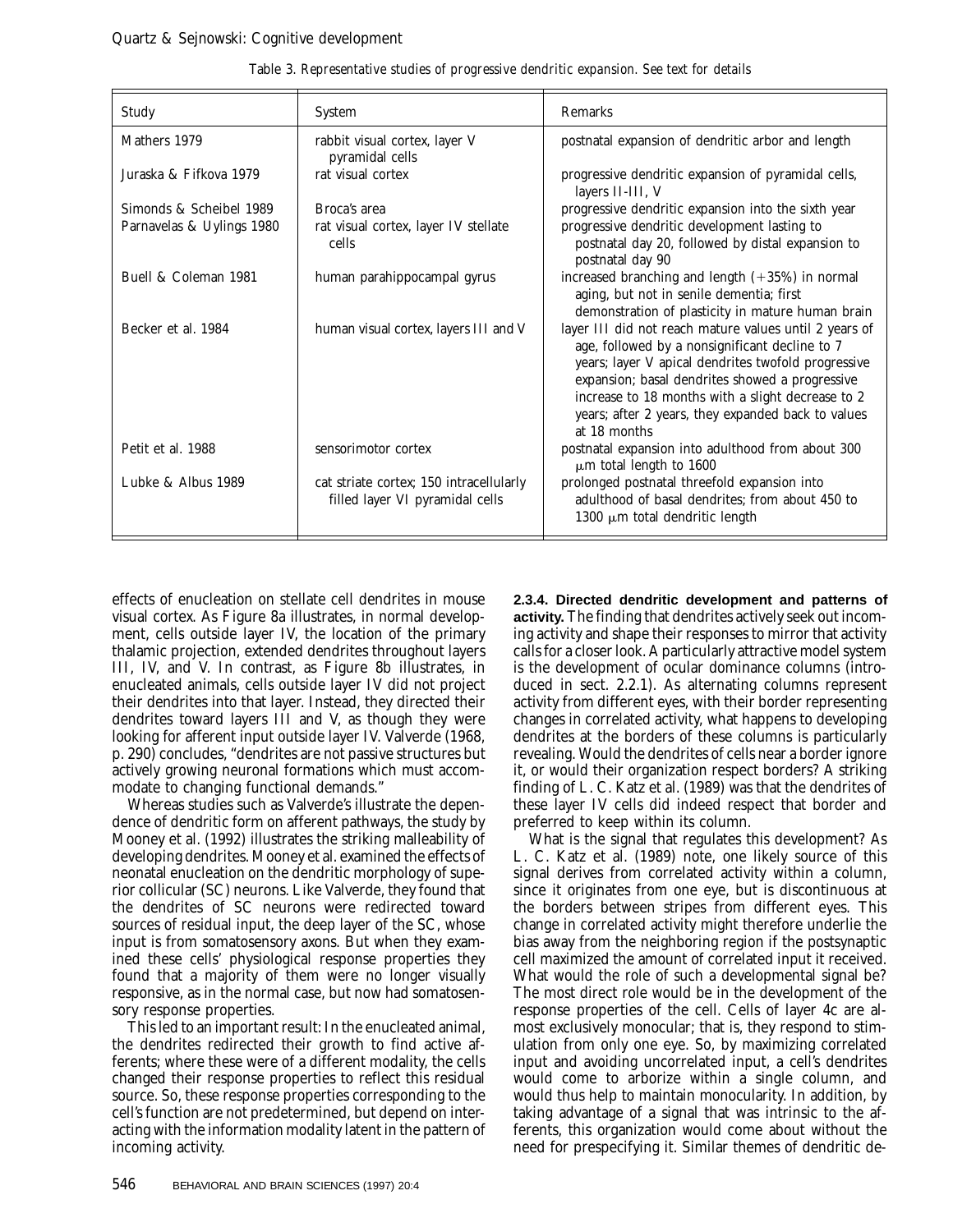| Study                     | System                                                                     | Remarks                                                                                                                                                                                                                                                                                                                                       |  |  |
|---------------------------|----------------------------------------------------------------------------|-----------------------------------------------------------------------------------------------------------------------------------------------------------------------------------------------------------------------------------------------------------------------------------------------------------------------------------------------|--|--|
| Mathers 1979              | rabbit visual cortex, layer V<br>pyramidal cells                           | postnatal expansion of dendritic arbor and length                                                                                                                                                                                                                                                                                             |  |  |
| Juraska & Fifkova 1979    | rat visual cortex                                                          | progressive dendritic expansion of pyramidal cells,<br>layers II-III, V                                                                                                                                                                                                                                                                       |  |  |
| Simonds & Scheibel 1989   | Broca's area                                                               | progressive dendritic expansion into the sixth year                                                                                                                                                                                                                                                                                           |  |  |
| Parnavelas & Uylings 1980 | rat visual cortex, layer IV stellate<br>cells                              | progressive dendritic development lasting to<br>postnatal day 20, followed by distal expansion to<br>postnatal day 90                                                                                                                                                                                                                         |  |  |
| Buell & Coleman 1981      | human parahippocampal gyrus                                                | increased branching and length $(+35%)$ in normal<br>aging, but not in senile dementia; first<br>demonstration of plasticity in mature human brain                                                                                                                                                                                            |  |  |
| Becker et al. 1984        | human visual cortex, layers III and V                                      | layer III did not reach mature values until 2 years of<br>age, followed by a nonsignificant decline to 7<br>years; layer V apical dendrites twofold progressive<br>expansion; basal dendrites showed a progressive<br>increase to 18 months with a slight decrease to 2<br>years; after 2 years, they expanded back to values<br>at 18 months |  |  |
| Petit et al. 1988         | sensorimotor cortex                                                        | postnatal expansion into adulthood from about 300<br>$\mu$ m total length to 1600                                                                                                                                                                                                                                                             |  |  |
| Lubke & Albus 1989        | cat striate cortex; 150 intracellularly<br>filled layer VI pyramidal cells | prolonged postnatal threefold expansion into<br>adulthood of basal dendrites; from about 450 to<br>1300 $\mu$ m total dendritic length                                                                                                                                                                                                        |  |  |
|                           |                                                                            |                                                                                                                                                                                                                                                                                                                                               |  |  |

Table 3. *Representative studies of progressive dendritic expansion. See text for details*

effects of enucleation on stellate cell dendrites in mouse visual cortex. As Figure 8a illustrates, in normal development, cells outside layer IV, the location of the primary thalamic projection, extended dendrites throughout layers III, IV, and V. In contrast, as Figure 8b illustrates, in enucleated animals, cells outside layer IV did not project their dendrites into that layer. Instead, they directed their dendrites toward layers III and V, as though they were looking for afferent input outside layer IV. Valverde (1968, p. 290) concludes, "dendrites are not passive structures but actively growing neuronal formations which must accommodate to changing functional demands."

Whereas studies such as Valverde's illustrate the dependence of dendritic form on afferent pathways, the study by Mooney et al. (1992) illustrates the striking malleability of developing dendrites. Mooney et al. examined the effects of neonatal enucleation on the dendritic morphology of superior collicular (SC) neurons. Like Valverde, they found that the dendrites of SC neurons were redirected toward sources of residual input, the deep layer of the SC, whose input is from somatosensory axons. But when they examined these cells' physiological response properties they found that a majority of them were no longer visually responsive, as in the normal case, but now had somatosensory response properties.

This led to an important result: In the enucleated animal, the dendrites redirected their growth to find active afferents; where these were of a different modality, the cells changed their response properties to reflect this residual source. So, these response properties corresponding to the cell's function are not predetermined, but depend on interacting with the information modality latent in the pattern of incoming activity.

**2.3.4. Directed dendritic development and patterns of activity.** The finding that dendrites actively seek out incoming activity and shape their responses to mirror that activity calls for a closer look. A particularly attractive model system is the development of ocular dominance columns (introduced in sect. 2.2.1). As alternating columns represent activity from different eyes, with their border representing changes in correlated activity, what happens to developing dendrites at the borders of these columns is particularly revealing. Would the dendrites of cells near a border ignore it, or would their organization respect borders? A striking finding of L. C. Katz et al. (1989) was that the dendrites of these layer IV cells did indeed respect that border and preferred to keep within its column.

What is the signal that regulates this development? As L. C. Katz et al. (1989) note, one likely source of this signal derives from correlated activity within a column, since it originates from one eye, but is discontinuous at the borders between stripes from different eyes. This change in correlated activity might therefore underlie the bias away from the neighboring region if the postsynaptic cell maximized the amount of correlated input it received. What would the role of such a developmental signal be? The most direct role would be in the development of the response properties of the cell. Cells of layer 4c are almost exclusively monocular; that is, they respond to stimulation from only one eye. So, by maximizing correlated input and avoiding uncorrelated input, a cell's dendrites would come to arborize within a single column, and would thus help to maintain monocularity. In addition, by taking advantage of a signal that was intrinsic to the afferents, this organization would come about without the need for prespecifying it. Similar themes of dendritic de-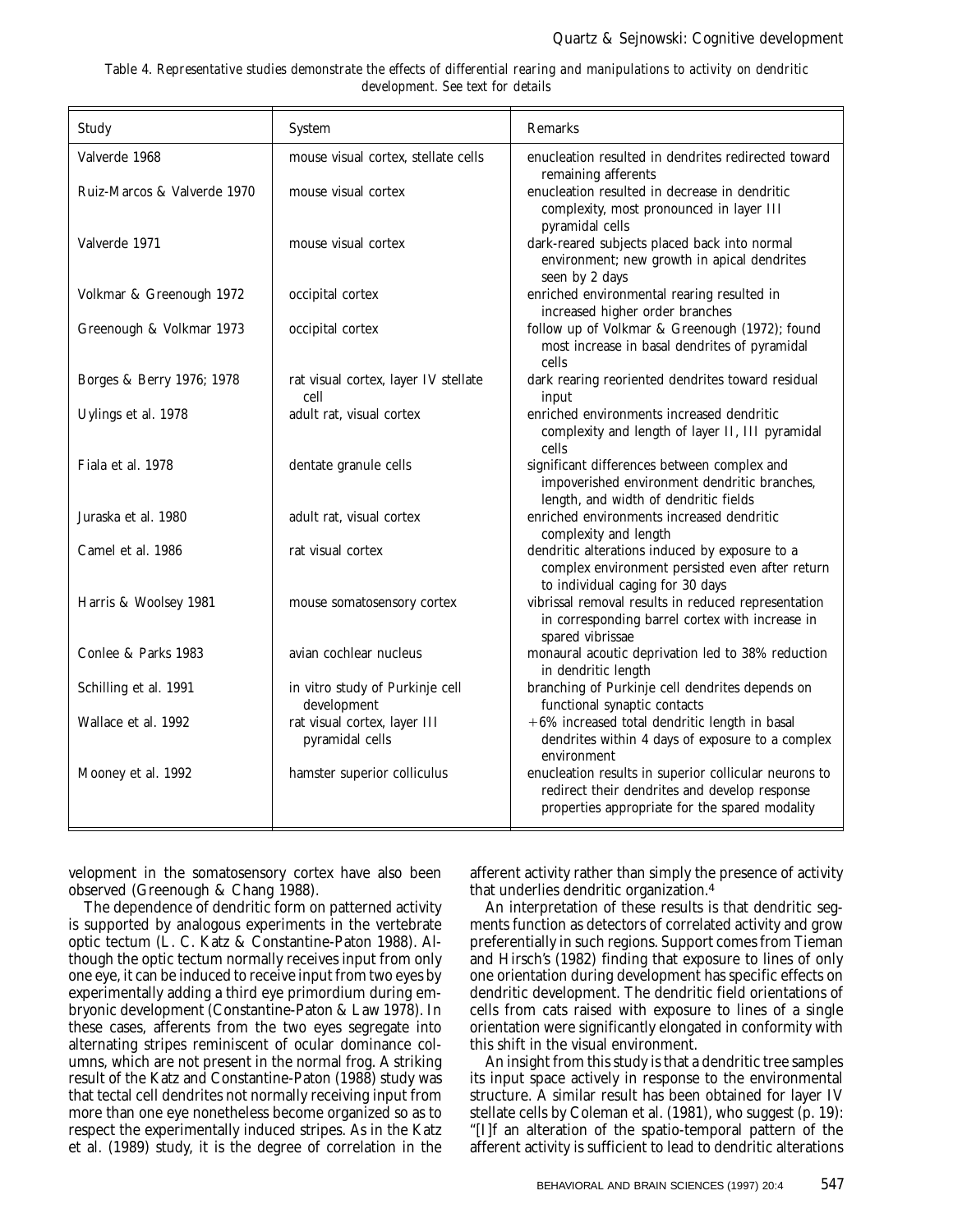# Table 4. *Representative studies demonstrate the effects of differential rearing and manipulations to activity on dendritic development. See text for details*

| Study                       | System                                          | <b>Remarks</b>                                                                                                                                           |  |  |
|-----------------------------|-------------------------------------------------|----------------------------------------------------------------------------------------------------------------------------------------------------------|--|--|
| Valverde 1968               | mouse visual cortex, stellate cells             | enucleation resulted in dendrites redirected toward<br>remaining afferents                                                                               |  |  |
| Ruiz-Marcos & Valverde 1970 | mouse visual cortex                             | enucleation resulted in decrease in dendritic<br>complexity, most pronounced in layer III<br>pyramidal cells                                             |  |  |
| Valverde 1971               | mouse visual cortex                             | dark-reared subjects placed back into normal<br>environment; new growth in apical dendrites<br>seen by 2 days                                            |  |  |
| Volkmar & Greenough 1972    | occipital cortex                                | enriched environmental rearing resulted in<br>increased higher order branches                                                                            |  |  |
| Greenough & Volkmar 1973    | occipital cortex                                | follow up of Volkmar & Greenough (1972); found<br>most increase in basal dendrites of pyramidal<br>cells                                                 |  |  |
| Borges & Berry 1976; 1978   | rat visual cortex, layer IV stellate<br>cell    | dark rearing reoriented dendrites toward residual<br>input                                                                                               |  |  |
| Uylings et al. 1978         | adult rat, visual cortex                        | enriched environments increased dendritic<br>complexity and length of layer II, III pyramidal<br>cells                                                   |  |  |
| Fiala et al. 1978           | dentate granule cells                           | significant differences between complex and<br>impoverished environment dendritic branches,<br>length, and width of dendritic fields                     |  |  |
| Juraska et al. 1980         | adult rat, visual cortex                        | enriched environments increased dendritic<br>complexity and length                                                                                       |  |  |
| Camel et al. 1986           | rat visual cortex                               | dendritic alterations induced by exposure to a<br>complex environment persisted even after return<br>to individual caging for 30 days                    |  |  |
| Harris & Woolsey 1981       | mouse somatosensory cortex                      | vibrissal removal results in reduced representation<br>in corresponding barrel cortex with increase in<br>spared vibrissae                               |  |  |
| Conlee & Parks 1983         | avian cochlear nucleus                          | monaural acoutic deprivation led to 38% reduction<br>in dendritic length                                                                                 |  |  |
| Schilling et al. 1991       | in vitro study of Purkinje cell<br>development  | branching of Purkinje cell dendrites depends on<br>functional synaptic contacts                                                                          |  |  |
| Wallace et al. 1992         | rat visual cortex, layer III<br>pyramidal cells | $+6\%$ increased total dendritic length in basal<br>dendrites within 4 days of exposure to a complex<br>environment                                      |  |  |
| Mooney et al. 1992          | hamster superior colliculus                     | enucleation results in superior collicular neurons to<br>redirect their dendrites and develop response<br>properties appropriate for the spared modality |  |  |

velopment in the somatosensory cortex have also been observed (Greenough & Chang 1988).

The dependence of dendritic form on patterned activity is supported by analogous experiments in the vertebrate optic tectum (L. C. Katz & Constantine-Paton 1988). Although the optic tectum normally receives input from only one eye, it can be induced to receive input from two eyes by experimentally adding a third eye primordium during embryonic development (Constantine-Paton & Law 1978). In these cases, afferents from the two eyes segregate into alternating stripes reminiscent of ocular dominance columns, which are not present in the normal frog. A striking result of the Katz and Constantine-Paton (1988) study was that tectal cell dendrites not normally receiving input from more than one eye nonetheless become organized so as to respect the experimentally induced stripes. As in the Katz et al. (1989) study, it is the degree of correlation in the afferent activity rather than simply the presence of activity that underlies dendritic organization.4

An interpretation of these results is that dendritic segments function as detectors of correlated activity and grow preferentially in such regions. Support comes from Tieman and Hirsch's (1982) finding that exposure to lines of only one orientation during development has specific effects on dendritic development. The dendritic field orientations of cells from cats raised with exposure to lines of a single orientation were significantly elongated in conformity with this shift in the visual environment.

An insight from this study is that a dendritic tree samples its input space actively in response to the environmental structure. A similar result has been obtained for layer IV stellate cells by Coleman et al. (1981), who suggest (p. 19): "[I]f an alteration of the spatio-temporal pattern of the afferent activity is sufficient to lead to dendritic alterations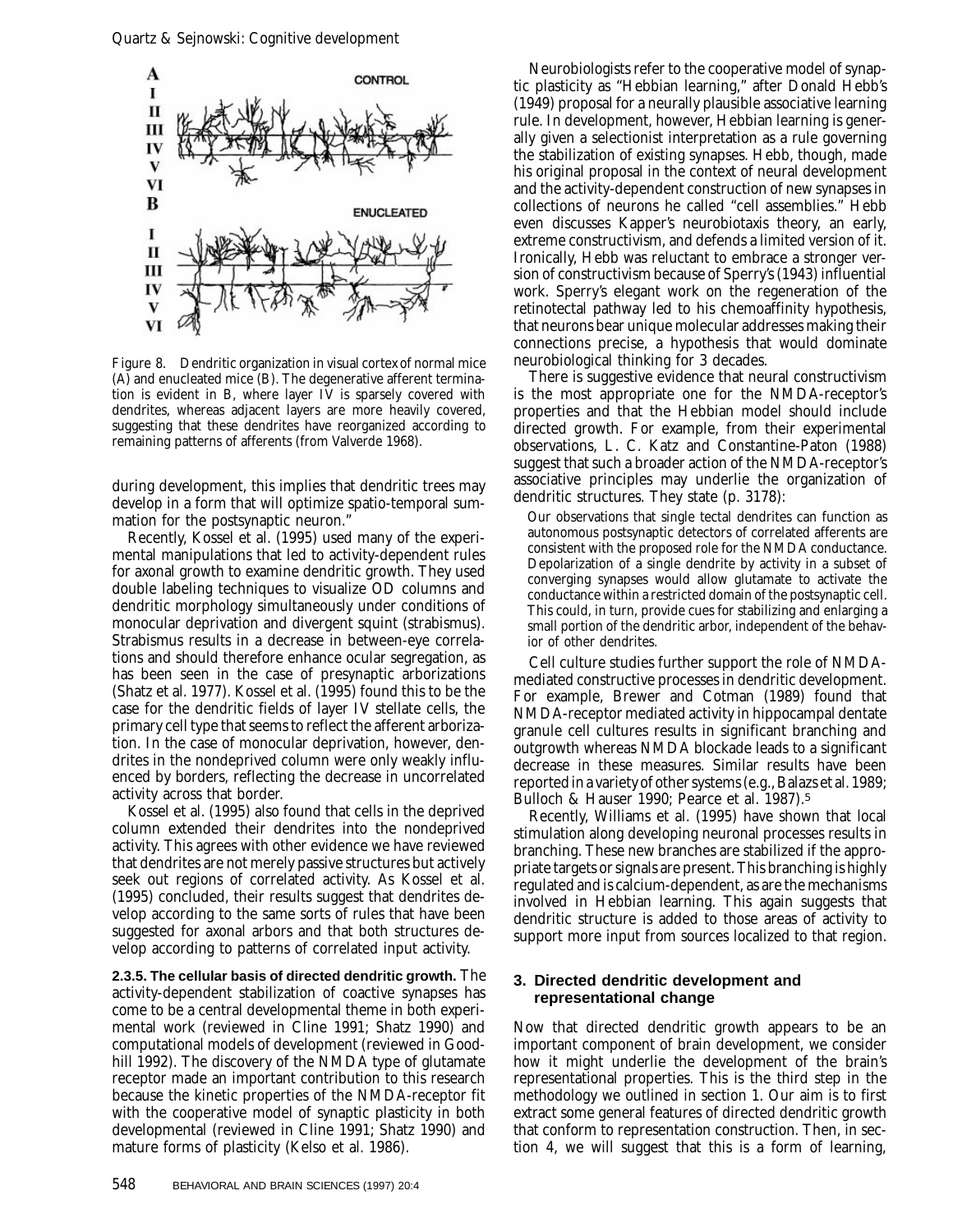

Figure 8. Dendritic organization in visual cortex of normal mice (A) and enucleated mice (B). The degenerative afferent termination is evident in B, where layer IV is sparsely covered with dendrites, whereas adjacent layers are more heavily covered, suggesting that these dendrites have reorganized according to remaining patterns of afferents (from Valverde 1968).

during development, this implies that dendritic trees may develop in a form that will optimize spatio-temporal summation for the postsynaptic neuron."

Recently, Kossel et al. (1995) used many of the experimental manipulations that led to activity-dependent rules for axonal growth to examine dendritic growth. They used double labeling techniques to visualize OD columns and dendritic morphology simultaneously under conditions of monocular deprivation and divergent squint (strabismus). Strabismus results in a decrease in between-eye correlations and should therefore enhance ocular segregation, as has been seen in the case of presynaptic arborizations (Shatz et al. 1977). Kossel et al. (1995) found this to be the case for the dendritic fields of layer IV stellate cells, the primary cell type that seems to reflect the afferent arborization. In the case of monocular deprivation, however, dendrites in the nondeprived column were only weakly influenced by borders, reflecting the decrease in uncorrelated activity across that border.

Kossel et al. (1995) also found that cells in the deprived column extended their dendrites into the nondeprived activity. This agrees with other evidence we have reviewed that dendrites are not merely passive structures but actively seek out regions of correlated activity. As Kossel et al. (1995) concluded, their results suggest that dendrites develop according to the same sorts of rules that have been suggested for axonal arbors and that both structures develop according to patterns of correlated input activity.

**2.3.5. The cellular basis of directed dendritic growth.** The activity-dependent stabilization of coactive synapses has come to be a central developmental theme in both experimental work (reviewed in Cline 1991; Shatz 1990) and computational models of development (reviewed in Goodhill 1992). The discovery of the NMDA type of glutamate receptor made an important contribution to this research because the kinetic properties of the NMDA-receptor fit with the cooperative model of synaptic plasticity in both developmental (reviewed in Cline 1991; Shatz 1990) and mature forms of plasticity (Kelso et al. 1986).

Neurobiologists refer to the cooperative model of synaptic plasticity as "Hebbian learning," after Donald Hebb's (1949) proposal for a neurally plausible associative learning rule. In development, however, Hebbian learning is generally given a selectionist interpretation as a rule governing the stabilization of existing synapses. Hebb, though, made his original proposal in the context of neural development and the activity-dependent construction of new synapses in collections of neurons he called "cell assemblies." Hebb even discusses Kapper's neurobiotaxis theory, an early, extreme constructivism, and defends a limited version of it. Ironically, Hebb was reluctant to embrace a stronger version of constructivism because of Sperry's (1943) influential work. Sperry's elegant work on the regeneration of the retinotectal pathway led to his chemoaffinity hypothesis, that neurons bear unique molecular addresses making their connections precise, a hypothesis that would dominate neurobiological thinking for 3 decades.

There is suggestive evidence that neural constructivism is the most appropriate one for the NMDA-receptor's properties and that the Hebbian model should include directed growth. For example, from their experimental observations, L. C. Katz and Constantine-Paton (1988) suggest that such a broader action of the NMDA-receptor's associative principles may underlie the organization of dendritic structures. They state (p. 3178):

Our observations that single tectal dendrites can function as autonomous postsynaptic detectors of correlated afferents are consistent with the proposed role for the NMDA conductance. Depolarization of a single dendrite by activity in a subset of converging synapses would allow glutamate to activate the conductance within a restricted domain of the postsynaptic cell. This could, in turn, provide cues for stabilizing and enlarging a small portion of the dendritic arbor, independent of the behavior of other dendrites.

Cell culture studies further support the role of NMDAmediated constructive processes in dendritic development. For example, Brewer and Cotman (1989) found that NMDA-receptor mediated activity in hippocampal dentate granule cell cultures results in significant branching and outgrowth whereas NMDA blockade leads to a significant decrease in these measures. Similar results have been reported in a variety of other systems (e.g., Balazs et al. 1989; Bulloch & Hauser 1990; Pearce et al. 1987).5

Recently, Williams et al. (1995) have shown that local stimulation along developing neuronal processes results in branching. These new branches are stabilized if the appropriate targets or signals are present. This branching is highly regulated and is calcium-dependent, as are the mechanisms involved in Hebbian learning. This again suggests that dendritic structure is added to those areas of activity to support more input from sources localized to that region.

### **3. Directed dendritic development and representational change**

Now that directed dendritic growth appears to be an important component of brain development, we consider how it might underlie the development of the brain's representational properties. This is the third step in the methodology we outlined in section 1. Our aim is to first extract some general features of directed dendritic growth that conform to representation construction. Then, in section 4, we will suggest that this is a form of learning,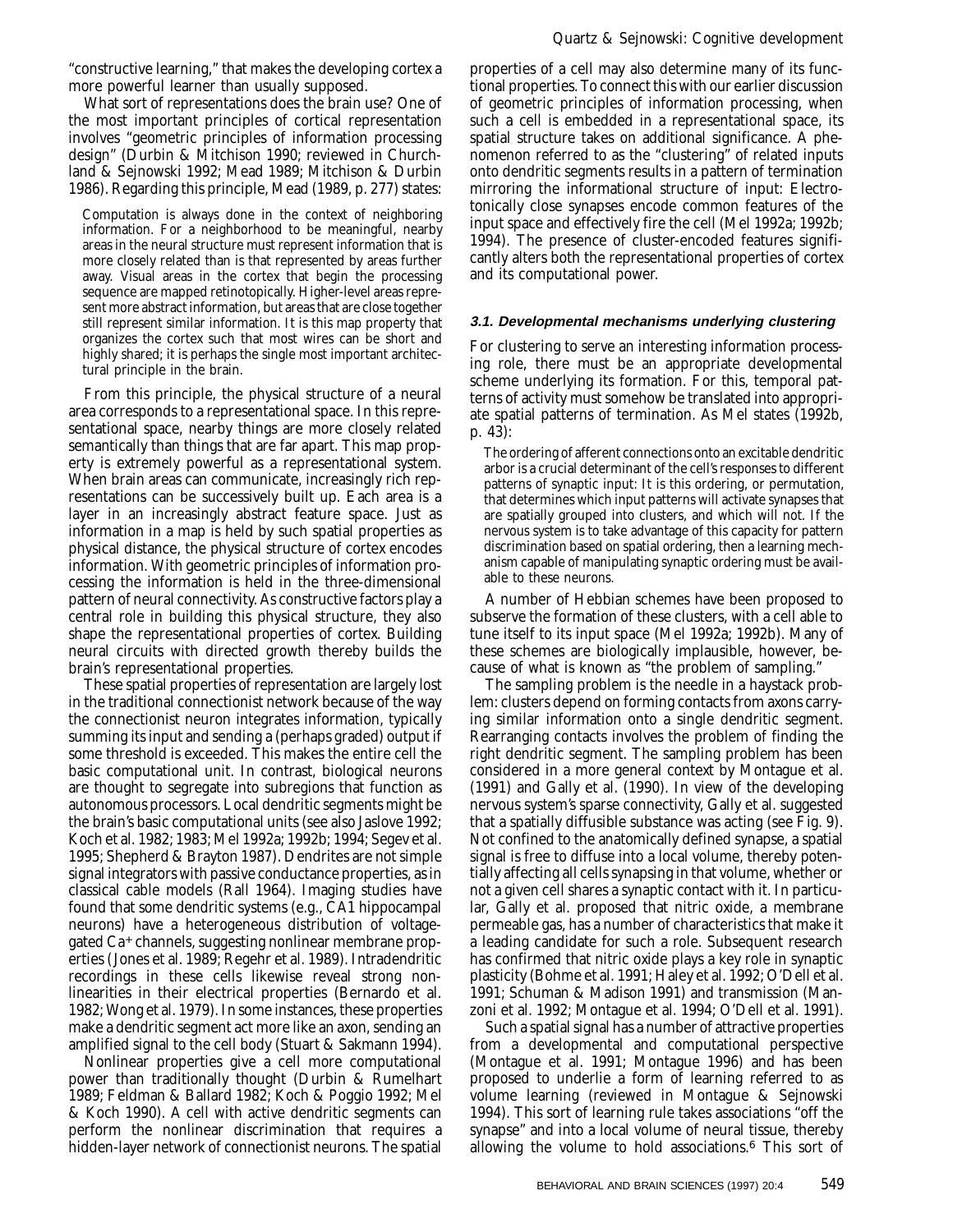"constructive learning," that makes the developing cortex a more powerful learner than usually supposed.

What sort of representations does the brain use? One of the most important principles of cortical representation involves "geometric principles of information processing design" (Durbin & Mitchison 1990; reviewed in Churchland & Sejnowski 1992; Mead 1989; Mitchison & Durbin 1986). Regarding this principle, Mead (1989, p. 277) states:

Computation is always done in the context of neighboring information. For a neighborhood to be meaningful, nearby areas in the neural structure must represent information that is more closely related than is that represented by areas further away. Visual areas in the cortex that begin the processing sequence are mapped retinotopically. Higher-level areas represent more abstract information, but areas that are close together still represent similar information. It is this map property that organizes the cortex such that most wires can be short and highly shared; it is perhaps the single most important architectural principle in the brain.

From this principle, the physical structure of a neural area corresponds to a representational space. In this representational space, nearby things are more closely related semantically than things that are far apart. This map property is extremely powerful as a representational system. When brain areas can communicate, increasingly rich representations can be successively built up. Each area is a layer in an increasingly abstract feature space. Just as information in a map is held by such spatial properties as physical distance, the physical structure of cortex encodes information. With geometric principles of information processing the information is held in the three-dimensional pattern of neural connectivity. As constructive factors play a central role in building this physical structure, they also shape the representational properties of cortex. Building neural circuits with directed growth thereby builds the brain's representational properties.

These spatial properties of representation are largely lost in the traditional connectionist network because of the way the connectionist neuron integrates information, typically summing its input and sending a (perhaps graded) output if some threshold is exceeded. This makes the entire cell the basic computational unit. In contrast, biological neurons are thought to segregate into subregions that function as autonomous processors. Local dendritic segments might be the brain's basic computational units (see also Jaslove 1992; Koch et al. 1982; 1983; Mel 1992a; 1992b; 1994; Segev et al. 1995; Shepherd & Brayton 1987). Dendrites are not simple signal integrators with passive conductance properties, as in classical cable models (Rall 1964). Imaging studies have found that some dendritic systems (e.g., CA1 hippocampal neurons) have a heterogeneous distribution of voltagegated Ca+ channels, suggesting nonlinear membrane properties (Jones et al. 1989; Regehr et al. 1989). Intradendritic recordings in these cells likewise reveal strong nonlinearities in their electrical properties (Bernardo et al. 1982; Wong et al. 1979). In some instances, these properties make a dendritic segment act more like an axon, sending an amplified signal to the cell body (Stuart & Sakmann 1994).

Nonlinear properties give a cell more computational power than traditionally thought (Durbin & Rumelhart 1989; Feldman & Ballard 1982; Koch & Poggio 1992; Mel & Koch 1990). A cell with active dendritic segments can perform the nonlinear discrimination that requires a hidden-layer network of connectionist neurons. The spatial properties of a cell may also determine many of its functional properties. To connect this with our earlier discussion of geometric principles of information processing, when such a cell is embedded in a representational space, its spatial structure takes on additional significance. A phenomenon referred to as the "clustering" of related inputs onto dendritic segments results in a pattern of termination mirroring the informational structure of input: Electrotonically close synapses encode common features of the input space and effectively fire the cell (Mel 1992a; 1992b; 1994). The presence of cluster-encoded features significantly alters both the representational properties of cortex and its computational power.

### **3.1. Developmental mechanisms underlying clustering**

For clustering to serve an interesting information processing role, there must be an appropriate developmental scheme underlying its formation. For this, temporal patterns of activity must somehow be translated into appropriate spatial patterns of termination. As Mel states (1992b, p. 43):

The ordering of afferent connections onto an excitable dendritic arbor is a crucial determinant of the cell's responses to different patterns of synaptic input: It is this ordering, or permutation, that determines which input patterns will activate synapses that are spatially grouped into clusters, and which will not. If the nervous system is to take advantage of this capacity for pattern discrimination based on spatial ordering, then a learning mechanism capable of manipulating synaptic ordering must be available to these neurons.

A number of Hebbian schemes have been proposed to subserve the formation of these clusters, with a cell able to tune itself to its input space (Mel 1992a; 1992b). Many of these schemes are biologically implausible, however, because of what is known as "the problem of sampling."

The sampling problem is the needle in a haystack problem: clusters depend on forming contacts from axons carrying similar information onto a single dendritic segment. Rearranging contacts involves the problem of finding the right dendritic segment. The sampling problem has been considered in a more general context by Montague et al. (1991) and Gally et al. (1990). In view of the developing nervous system's sparse connectivity, Gally et al. suggested that a spatially diffusible substance was acting (see Fig. 9). Not confined to the anatomically defined synapse, a spatial signal is free to diffuse into a local volume, thereby potentially affecting all cells synapsing in that volume, whether or not a given cell shares a synaptic contact with it. In particular, Gally et al. proposed that nitric oxide, a membrane permeable gas, has a number of characteristics that make it a leading candidate for such a role. Subsequent research has confirmed that nitric oxide plays a key role in synaptic plasticity (Bohme et al. 1991; Haley et al. 1992; O'Dell et al. 1991; Schuman & Madison 1991) and transmission (Manzoni et al. 1992; Montague et al. 1994; O'Dell et al. 1991).

Such a spatial signal has a number of attractive properties from a developmental and computational perspective (Montague et al. 1991; Montague 1996) and has been proposed to underlie a form of learning referred to as volume learning (reviewed in Montague & Sejnowski 1994). This sort of learning rule takes associations "off the synapse" and into a local volume of neural tissue, thereby allowing the volume to hold associations.6 This sort of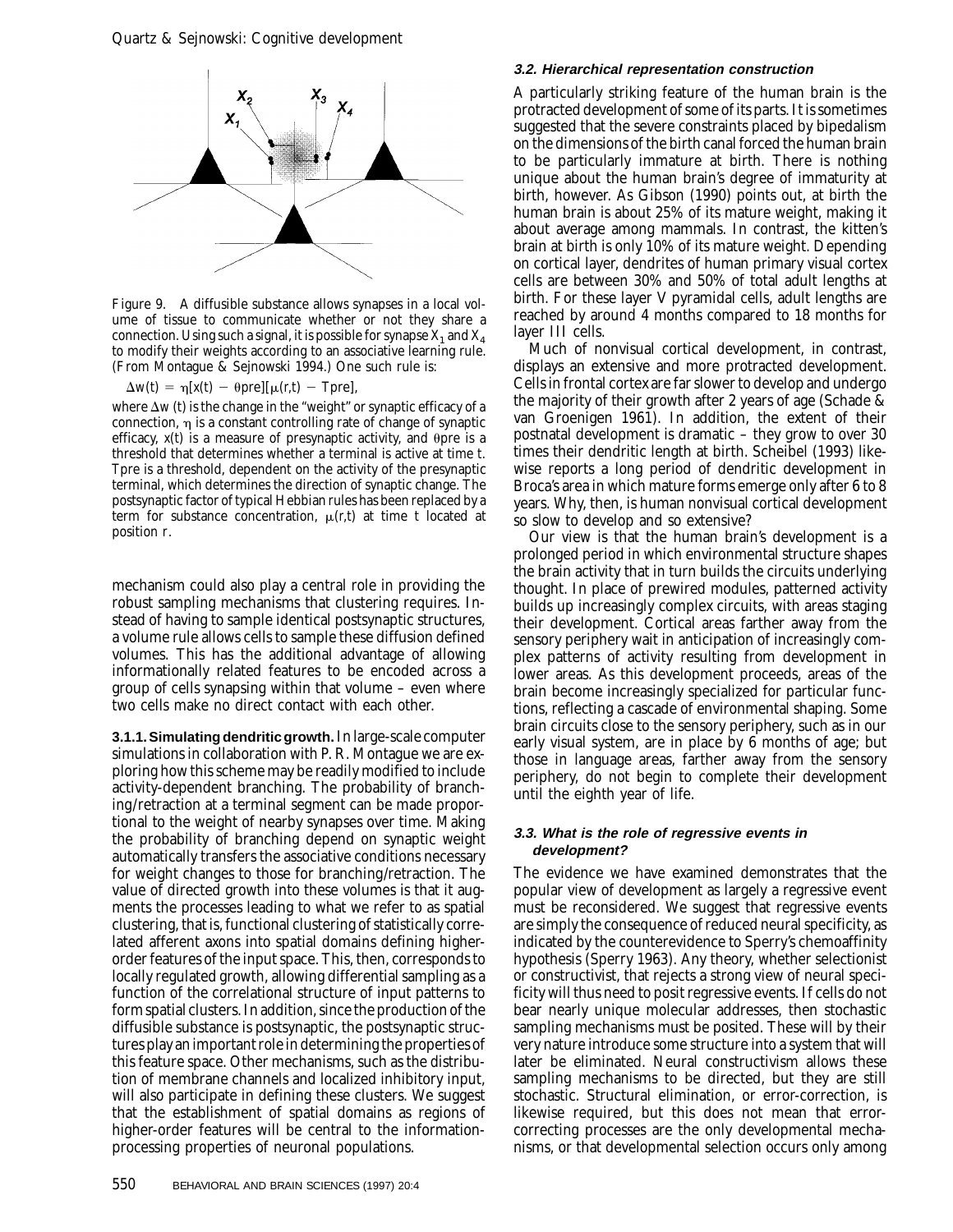

Figure 9. A diffusible substance allows synapses in a local volume of tissue to communicate whether or not they share a connection. Using such a signal, it is possible for synapse  $X_1$  and  $X_4$ to modify their weights according to an associative learning rule. (From Montague & Sejnowski 1994.) One such rule is:

 $\Delta w(t) = \eta[x(t) - \theta \text{pre}][\mu(r,t) - \text{Tpre}],$ 

where  $\Delta w$  (*t*) is the change in the "weight" or synaptic efficacy of a connection,  $\eta$  is a constant controlling rate of change of synaptic efficacy,  $x(t)$  is a measure of presynaptic activity, and  $\theta$ pre is a threshold that determines whether a terminal is active at time *t*. *T*pre is a threshold, dependent on the activity of the presynaptic terminal, which determines the direction of synaptic change. The postsynaptic factor of typical Hebbian rules has been replaced by a term for substance concentration,  $\mu(r,t)$  at time *t* located at position *r*.

mechanism could also play a central role in providing the robust sampling mechanisms that clustering requires. Instead of having to sample identical postsynaptic structures, a volume rule allows cells to sample these diffusion defined volumes. This has the additional advantage of allowing informationally related features to be encoded across a group of cells synapsing within that volume – even where two cells make no direct contact with each other.

**3.1.1. Simulating dendritic growth.** In large-scale computer simulations in collaboration with P. R. Montague we are exploring how this scheme may be readily modified to include activity-dependent branching. The probability of branching/retraction at a terminal segment can be made proportional to the weight of nearby synapses over time. Making the probability of branching depend on synaptic weight automatically transfers the associative conditions necessary for weight changes to those for branching/retraction. The value of directed growth into these volumes is that it augments the processes leading to what we refer to as spatial clustering, that is, functional clustering of statistically correlated afferent axons into spatial domains defining higherorder features of the input space. This, then, corresponds to locally regulated growth, allowing differential sampling as a function of the correlational structure of input patterns to form spatial clusters. In addition, since the production of the diffusible substance is postsynaptic, the postsynaptic structures play an important role in determining the properties of this feature space. Other mechanisms, such as the distribution of membrane channels and localized inhibitory input, will also participate in defining these clusters. We suggest that the establishment of spatial domains as regions of higher-order features will be central to the informationprocessing properties of neuronal populations.

A particularly striking feature of the human brain is the protracted development of some of its parts. It is sometimes suggested that the severe constraints placed by bipedalism on the dimensions of the birth canal forced the human brain to be particularly immature at birth. There is nothing unique about the human brain's degree of immaturity at birth, however. As Gibson (1990) points out, at birth the human brain is about 25% of its mature weight, making it about average among mammals. In contrast, the kitten's brain at birth is only 10% of its mature weight. Depending on cortical layer, dendrites of human primary visual cortex cells are between 30% and 50% of total adult lengths at birth. For these layer V pyramidal cells, adult lengths are reached by around 4 months compared to 18 months for layer III cells.

Much of nonvisual cortical development, in contrast, displays an extensive and more protracted development. Cells in frontal cortex are far slower to develop and undergo the majority of their growth after 2 years of age (Schade & van Groenigen 1961). In addition, the extent of their postnatal development is dramatic – they grow to over 30 times their dendritic length at birth. Scheibel (1993) likewise reports a long period of dendritic development in Broca's area in which mature forms emerge only after 6 to 8 years. Why, then, is human nonvisual cortical development so slow to develop and so extensive?

Our view is that the human brain's development is a prolonged period in which environmental structure shapes the brain activity that in turn builds the circuits underlying thought. In place of prewired modules, patterned activity builds up increasingly complex circuits, with areas staging their development. Cortical areas farther away from the sensory periphery wait in anticipation of increasingly complex patterns of activity resulting from development in lower areas. As this development proceeds, areas of the brain become increasingly specialized for particular functions, reflecting a cascade of environmental shaping. Some brain circuits close to the sensory periphery, such as in our early visual system, are in place by 6 months of age; but those in language areas, farther away from the sensory periphery, do not begin to complete their development until the eighth year of life.

### **3.3. What is the role of regressive events in development?**

The evidence we have examined demonstrates that the popular view of development as largely a regressive event must be reconsidered. We suggest that regressive events are simply the consequence of reduced neural specificity, as indicated by the counterevidence to Sperry's chemoaffinity hypothesis (Sperry 1963). Any theory, whether selectionist or constructivist, that rejects a strong view of neural specificity will thus need to posit regressive events. If cells do not bear nearly unique molecular addresses, then stochastic sampling mechanisms must be posited. These will by their very nature introduce some structure into a system that will later be eliminated. Neural constructivism allows these sampling mechanisms to be directed, but they are still stochastic. Structural elimination, or error-correction, is likewise required, but this does not mean that errorcorrecting processes are the only developmental mechanisms, or that developmental selection occurs only among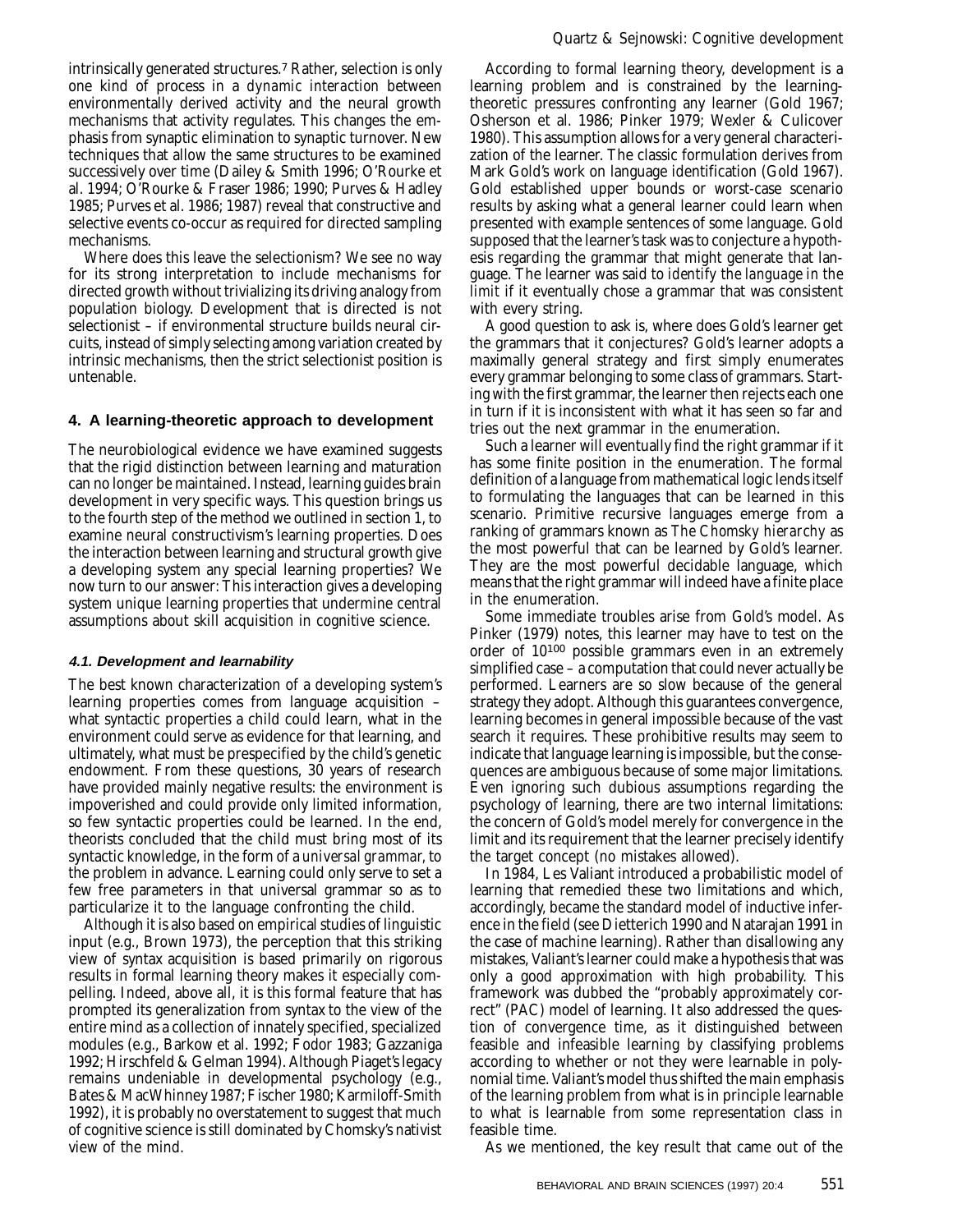intrinsically generated structures.7 Rather, selection is only one kind of process in a *dynamic interaction* between environmentally derived activity and the neural growth mechanisms that activity regulates. This changes the emphasis from synaptic elimination to synaptic turnover. New techniques that allow the same structures to be examined successively over time (Dailey & Smith 1996; O'Rourke et al. 1994; O'Rourke & Fraser 1986; 1990; Purves & Hadley 1985; Purves et al. 1986; 1987) reveal that constructive and selective events co-occur as required for directed sampling mechanisms.

Where does this leave the selectionism? We see no way for its strong interpretation to include mechanisms for directed growth without trivializing its driving analogy from population biology. Development that is directed is not selectionist – if environmental structure builds neural circuits, instead of simply selecting among variation created by intrinsic mechanisms, then the strict selectionist position is untenable.

# **4. A learning-theoretic approach to development**

The neurobiological evidence we have examined suggests that the rigid distinction between learning and maturation can no longer be maintained. Instead, learning guides brain development in very specific ways. This question brings us to the fourth step of the method we outlined in section 1, to examine neural constructivism's learning properties. Does the interaction between learning and structural growth give a developing system any special learning properties? We now turn to our answer: This interaction gives a developing system unique learning properties that undermine central assumptions about skill acquisition in cognitive science.

### **4.1. Development and learnability**

The best known characterization of a developing system's learning properties comes from language acquisition – what syntactic properties a child could learn, what in the environment could serve as evidence for that learning, and ultimately, what must be prespecified by the child's genetic endowment. From these questions, 30 years of research have provided mainly negative results: the environment is impoverished and could provide only limited information, so few syntactic properties could be learned. In the end, theorists concluded that the child must bring most of its syntactic knowledge, in the form of a *universal grammar,* to the problem in advance. Learning could only serve to set a few free parameters in that universal grammar so as to particularize it to the language confronting the child.

Although it is also based on empirical studies of linguistic input (e.g., Brown 1973), the perception that this striking view of syntax acquisition is based primarily on rigorous results in formal learning theory makes it especially compelling. Indeed, above all, it is this formal feature that has prompted its generalization from syntax to the view of the entire mind as a collection of innately specified, specialized modules (e.g., Barkow et al. 1992; Fodor 1983; Gazzaniga 1992; Hirschfeld & Gelman 1994). Although Piaget's legacy remains undeniable in developmental psychology (e.g., Bates & MacWhinney 1987; Fischer 1980; Karmiloff-Smith 1992), it is probably no overstatement to suggest that much of cognitive science is still dominated by Chomsky's nativist view of the mind.

According to formal learning theory, development is a learning problem and is constrained by the learningtheoretic pressures confronting any learner (Gold 1967; Osherson et al. 1986; Pinker 1979; Wexler & Culicover 1980). This assumption allows for a very general characterization of the learner. The classic formulation derives from Mark Gold's work on language identification (Gold 1967). Gold established upper bounds or worst-case scenario results by asking what a general learner could learn when presented with example sentences of some language. Gold supposed that the learner's task was to conjecture a hypothesis regarding the grammar that might generate that language. The learner was said to *identify the language in the limit* if it eventually chose a grammar that was consistent with every string.

A good question to ask is, where does Gold's learner get the grammars that it conjectures? Gold's learner adopts a maximally general strategy and first simply enumerates every grammar belonging to some class of grammars. Starting with the first grammar, the learner then rejects each one in turn if it is inconsistent with what it has seen so far and tries out the next grammar in the enumeration.

Such a learner will eventually find the right grammar if it has some finite position in the enumeration. The formal definition of a language from mathematical logic lends itself to formulating the languages that can be learned in this scenario. Primitive recursive languages emerge from a ranking of grammars known as *The Chomsky hierarchy* as the most powerful that can be learned by Gold's learner. They are the most powerful decidable language, which means that the right grammar will indeed have a finite place in the enumeration.

Some immediate troubles arise from Gold's model. As Pinker (1979) notes, this learner may have to test on the order of 10100 possible grammars even in an extremely simplified case – a computation that could never actually be performed. Learners are so slow because of the general strategy they adopt. Although this guarantees convergence, learning becomes in general impossible because of the vast search it requires. These prohibitive results may seem to indicate that language learning is impossible, but the consequences are ambiguous because of some major limitations. Even ignoring such dubious assumptions regarding the psychology of learning, there are two internal limitations: the concern of Gold's model merely for convergence in the limit and its requirement that the learner precisely identify the target concept (no mistakes allowed).

In 1984, Les Valiant introduced a probabilistic model of learning that remedied these two limitations and which, accordingly, became the standard model of inductive inference in the field (see Dietterich 1990 and Natarajan 1991 in the case of machine learning). Rather than disallowing any mistakes, Valiant's learner could make a hypothesis that was only a good approximation with high probability. This framework was dubbed the "probably approximately correct" (PAC) model of learning. It also addressed the question of convergence time, as it distinguished between feasible and infeasible learning by classifying problems according to whether or not they were learnable in polynomial time. Valiant's model thus shifted the main emphasis of the learning problem from what is in principle learnable to what is learnable from some representation class in feasible time.

As we mentioned, the key result that came out of the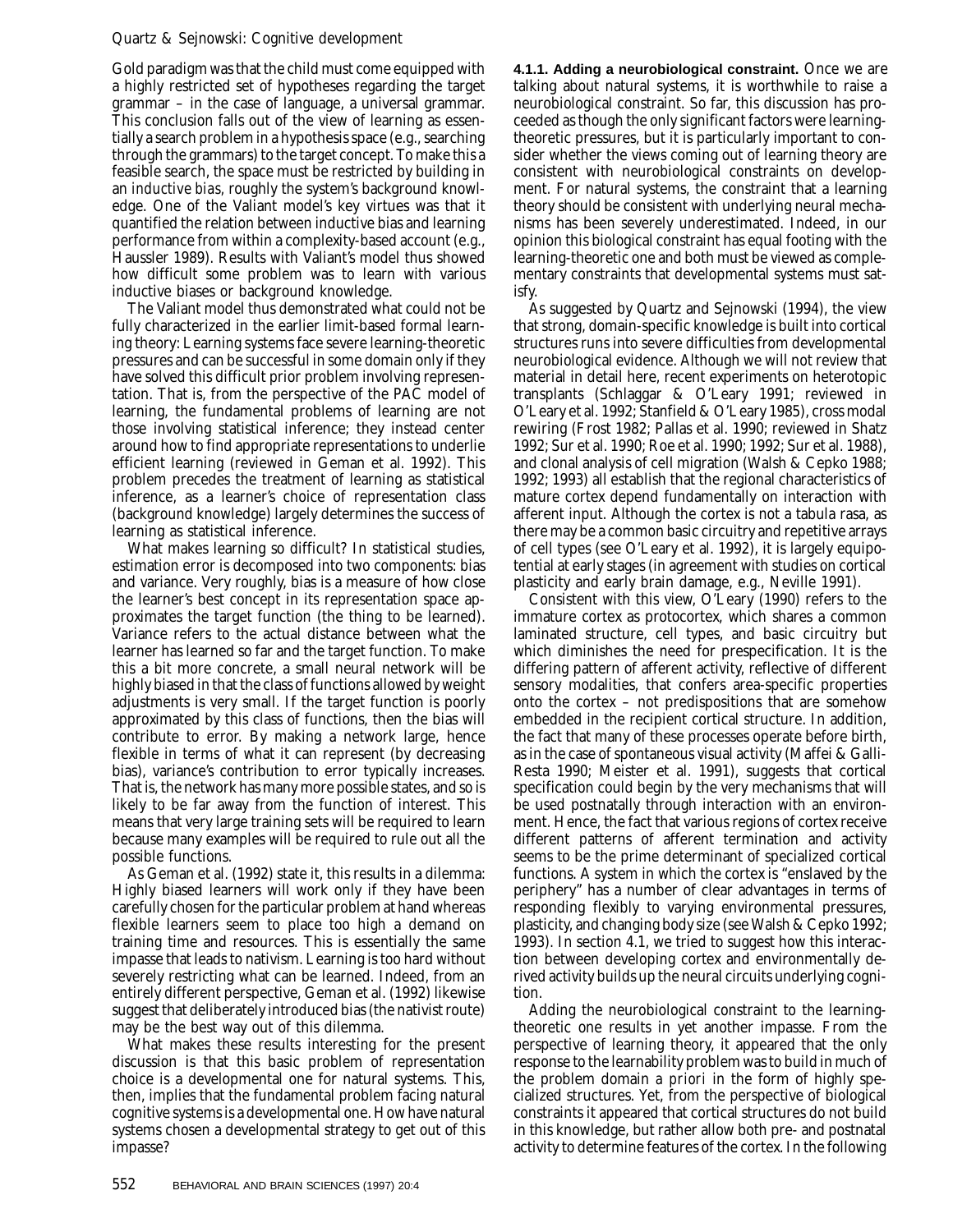### Quartz & Sejnowski: Cognitive development

Gold paradigm was that the child must come equipped with a highly restricted set of hypotheses regarding the target grammar – in the case of language, a universal grammar. This conclusion falls out of the view of learning as essentially a search problem in a hypothesis space (e.g., searching through the grammars) to the target concept. To make this a feasible search, the space must be restricted by building in an *inductive bias,* roughly the system's background knowledge. One of the Valiant model's key virtues was that it quantified the relation between inductive bias and learning performance from within a complexity-based account (e.g., Haussler 1989). Results with Valiant's model thus showed how difficult some problem was to learn with various inductive biases or background knowledge.

The Valiant model thus demonstrated what could not be fully characterized in the earlier limit-based formal learning theory: Learning systems face severe learning-theoretic pressures and can be successful in some domain only if they have solved this difficult prior problem involving representation. That is, from the perspective of the PAC model of learning, the fundamental problems of learning are not those involving statistical inference; they instead center around how to find appropriate representations to underlie efficient learning (reviewed in Geman et al. 1992). This problem precedes the treatment of learning as statistical inference, as a learner's choice of representation class (background knowledge) largely determines the success of learning as statistical inference.

What makes learning so difficult? In statistical studies, estimation error is decomposed into two components: bias and variance. Very roughly, bias is a measure of how close the learner's best concept in its representation space approximates the target function (the thing to be learned). Variance refers to the actual distance between what the learner has learned so far and the target function. To make this a bit more concrete, a small neural network will be highly biased in that the class of functions allowed by weight adjustments is very small. If the target function is poorly approximated by this class of functions, then the bias will contribute to error. By making a network large, hence flexible in terms of what it can represent (by decreasing bias), variance's contribution to error typically increases. That is, the network has many more possible states, and so is likely to be far away from the function of interest. This means that very large training sets will be required to learn because many examples will be required to rule out all the possible functions.

As Geman et al. (1992) state it, this results in a dilemma: Highly biased learners will work only if they have been carefully chosen for the particular problem at hand whereas flexible learners seem to place too high a demand on training time and resources. This is essentially the same impasse that leads to nativism. Learning is too hard without severely restricting what can be learned. Indeed, from an entirely different perspective, Geman et al. (1992) likewise suggest that deliberately introduced bias (the nativist route) may be the best way out of this dilemma.

What makes these results interesting for the present discussion is that this basic problem of representation choice is a developmental one for natural systems. This, then, implies that the fundamental problem facing natural cognitive systems is a developmental one. How have natural systems chosen a developmental strategy to get out of this impasse?

**4.1.1. Adding a neurobiological constraint.** Once we are talking about natural systems, it is worthwhile to raise a neurobiological constraint. So far, this discussion has proceeded as though the only significant factors were learningtheoretic pressures, but it is particularly important to consider whether the views coming out of learning theory are consistent with neurobiological constraints on development. For natural systems, the constraint that a learning theory should be consistent with underlying neural mechanisms has been severely underestimated. Indeed, in our opinion this biological constraint has equal footing with the learning-theoretic one and both must be viewed as complementary constraints that developmental systems must satisfy.

As suggested by Quartz and Sejnowski (1994), the view that strong, domain-specific knowledge is built into cortical structures runs into severe difficulties from developmental neurobiological evidence. Although we will not review that material in detail here, recent experiments on heterotopic transplants (Schlaggar & O'Leary 1991; reviewed in O'Leary et al. 1992; Stanfield & O'Leary 1985), cross modal rewiring (Frost 1982; Pallas et al. 1990; reviewed in Shatz 1992; Sur et al. 1990; Roe et al. 1990; 1992; Sur et al. 1988), and clonal analysis of cell migration (Walsh & Cepko 1988; 1992; 1993) all establish that the regional characteristics of mature cortex depend fundamentally on interaction with afferent input. Although the cortex is not a tabula rasa, as there may be a common basic circuitry and repetitive arrays of cell types (see O'Leary et al. 1992), it is largely equipotential at early stages (in agreement with studies on cortical plasticity and early brain damage, e.g., Neville 1991).

Consistent with this view, O'Leary (1990) refers to the immature cortex as protocortex, which shares a common laminated structure, cell types, and basic circuitry but which diminishes the need for prespecification. It is the differing pattern of afferent activity, reflective of different sensory modalities, that confers area-specific properties onto the cortex – not predispositions that are somehow embedded in the recipient cortical structure. In addition, the fact that many of these processes operate before birth, as in the case of spontaneous visual activity (Maffei & Galli-Resta 1990; Meister et al. 1991), suggests that cortical specification could begin by the very mechanisms that will be used postnatally through interaction with an environment. Hence, the fact that various regions of cortex receive different patterns of afferent termination and activity seems to be the prime determinant of specialized cortical functions. A system in which the cortex is "enslaved by the periphery" has a number of clear advantages in terms of responding flexibly to varying environmental pressures, plasticity, and changing body size (see Walsh & Cepko 1992; 1993). In section 4.1, we tried to suggest how this interaction between developing cortex and environmentally derived activity builds up the neural circuits underlying cognition.

Adding the neurobiological constraint to the learningtheoretic one results in yet another impasse. From the perspective of learning theory, it appeared that the only response to the learnability problem was to build in much of the problem domain *a priori* in the form of highly specialized structures. Yet, from the perspective of biological constraints it appeared that cortical structures do not build in this knowledge, but rather allow both pre- and postnatal activity to determine features of the cortex. In the following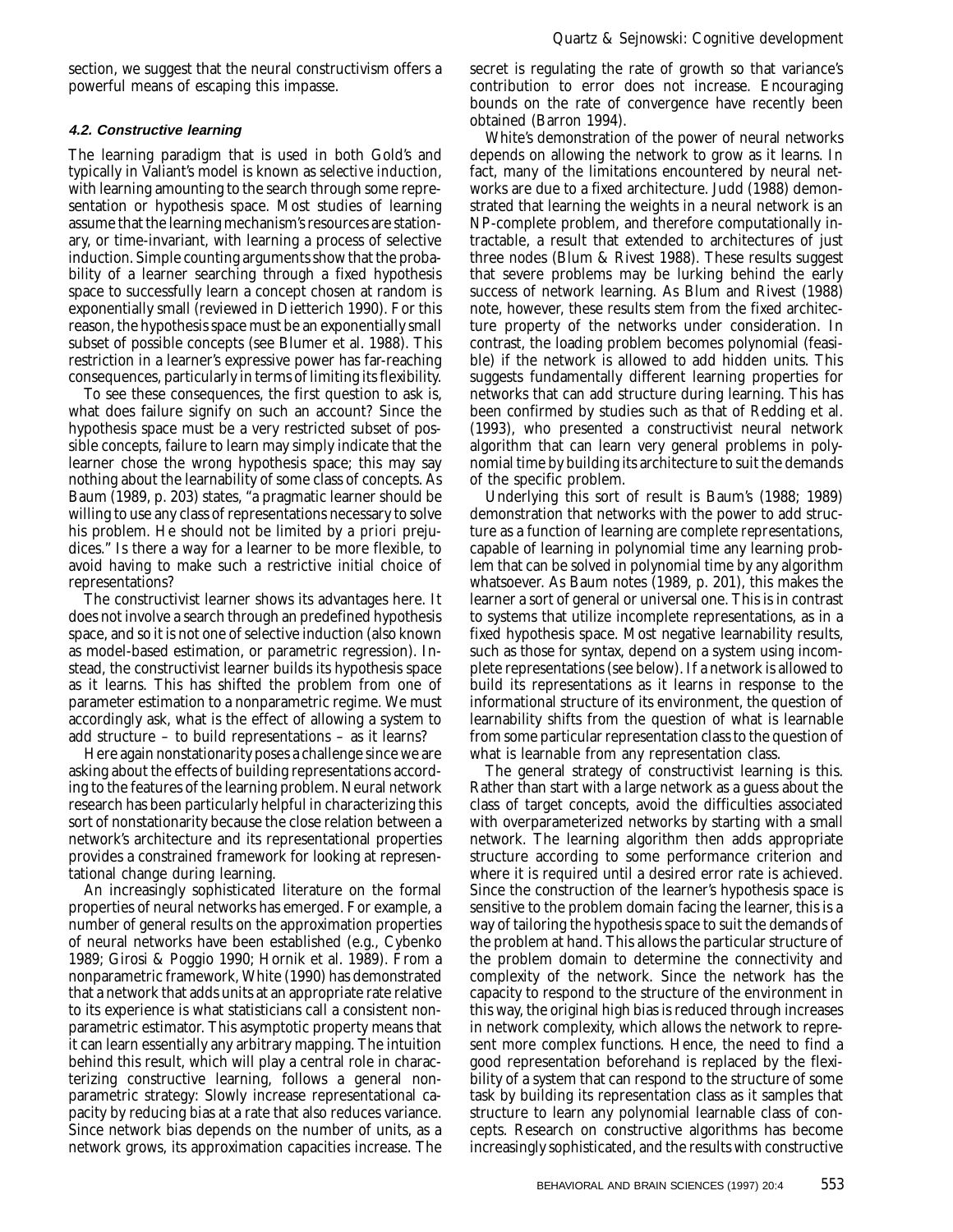section, we suggest that the neural constructivism offers a powerful means of escaping this impasse.

# **4.2. Constructive learning**

The learning paradigm that is used in both Gold's and typically in Valiant's model is known as *selective induction,* with learning amounting to the search through some representation or hypothesis space. Most studies of learning assume that the learning mechanism's resources are stationary, or time-invariant, with learning a process of selective induction. Simple counting arguments show that the probability of a learner searching through a fixed hypothesis space to successfully learn a concept chosen at random is exponentially small (reviewed in Dietterich 1990). For this reason, the hypothesis space must be an exponentially small subset of possible concepts (see Blumer et al. 1988). This restriction in a learner's expressive power has far-reaching consequences, particularly in terms of limiting its flexibility.

To see these consequences, the first question to ask is, what does failure signify on such an account? Since the hypothesis space must be a very restricted subset of possible concepts, failure to learn may simply indicate that the learner chose the wrong hypothesis space; this may say nothing about the learnability of some class of concepts. As Baum (1989, p. 203) states, "a pragmatic learner should be willing to use any class of representations necessary to solve his problem. He should not be limited by *a priori* prejudices." Is there a way for a learner to be more flexible, to avoid having to make such a restrictive initial choice of representations?

The constructivist learner shows its advantages here. It does not involve a search through an predefined hypothesis space, and so it is not one of selective induction (also known as model-based estimation, or parametric regression). Instead, the constructivist learner builds its hypothesis space as it learns. This has shifted the problem from one of parameter estimation to a nonparametric regime. We must accordingly ask, what is the effect of allowing a system to add structure – to build representations – as it learns?

Here again nonstationarity poses a challenge since we are asking about the effects of building representations according to the features of the learning problem. Neural network research has been particularly helpful in characterizing this sort of nonstationarity because the close relation between a network's architecture and its representational properties provides a constrained framework for looking at representational change during learning.

An increasingly sophisticated literature on the formal properties of neural networks has emerged. For example, a number of general results on the approximation properties of neural networks have been established (e.g., Cybenko 1989; Girosi & Poggio 1990; Hornik et al. 1989). From a nonparametric framework, White (1990) has demonstrated that a network that adds units at an appropriate rate relative to its experience is what statisticians call a consistent nonparametric estimator. This asymptotic property means that it can learn essentially any arbitrary mapping. The intuition behind this result, which will play a central role in characterizing constructive learning, follows a general nonparametric strategy: Slowly increase representational capacity by reducing bias at a rate that also reduces variance. Since network bias depends on the number of units, as a network grows, its approximation capacities increase. The secret is regulating the rate of growth so that variance's contribution to error does not increase. Encouraging bounds on the rate of convergence have recently been obtained (Barron 1994).

White's demonstration of the power of neural networks depends on allowing the network to grow as it learns. In fact, many of the limitations encountered by neural networks are due to a fixed architecture. Judd (1988) demonstrated that learning the weights in a neural network is an NP-complete problem, and therefore computationally intractable, a result that extended to architectures of just three nodes (Blum & Rivest 1988). These results suggest that severe problems may be lurking behind the early success of network learning. As Blum and Rivest (1988) note, however, these results stem from the fixed architecture property of the networks under consideration. In contrast, the loading problem becomes polynomial (feasible) if the network is allowed to add hidden units. This suggests fundamentally different learning properties for networks that can add structure during learning. This has been confirmed by studies such as that of Redding et al. (1993), who presented a constructivist neural network algorithm that can learn very general problems in polynomial time by building its architecture to suit the demands of the specific problem.

Underlying this sort of result is Baum's (1988; 1989) demonstration that networks with the power to add structure as a function of learning are *complete representations,* capable of learning in polynomial time any learning problem that can be solved in polynomial time by any algorithm whatsoever. As Baum notes (1989, p. 201), this makes the learner a sort of general or universal one. This is in contrast to systems that utilize incomplete representations, as in a fixed hypothesis space. Most negative learnability results, such as those for syntax, depend on a system using incomplete representations (see below). If a network is allowed to build its representations as it learns in response to the informational structure of its environment, the question of learnability shifts from the question of what is learnable from some particular representation class to the question of what is learnable from any representation class.

The general strategy of constructivist learning is this. Rather than start with a large network as a guess about the class of target concepts, avoid the difficulties associated with overparameterized networks by starting with a small network. The learning algorithm then adds appropriate structure according to some performance criterion and where it is required until a desired error rate is achieved. Since the construction of the learner's hypothesis space is sensitive to the problem domain facing the learner, this is a way of tailoring the hypothesis space to suit the demands of the problem at hand. This allows the particular structure of the problem domain to determine the connectivity and complexity of the network. Since the network has the capacity to respond to the structure of the environment in this way, the original high bias is reduced through increases in network complexity, which allows the network to represent more complex functions. Hence, the need to find a good representation beforehand is replaced by the flexibility of a system that can respond to the structure of some task by building its representation class as it samples that structure to learn any polynomial learnable class of concepts. Research on constructive algorithms has become increasingly sophisticated, and the results with constructive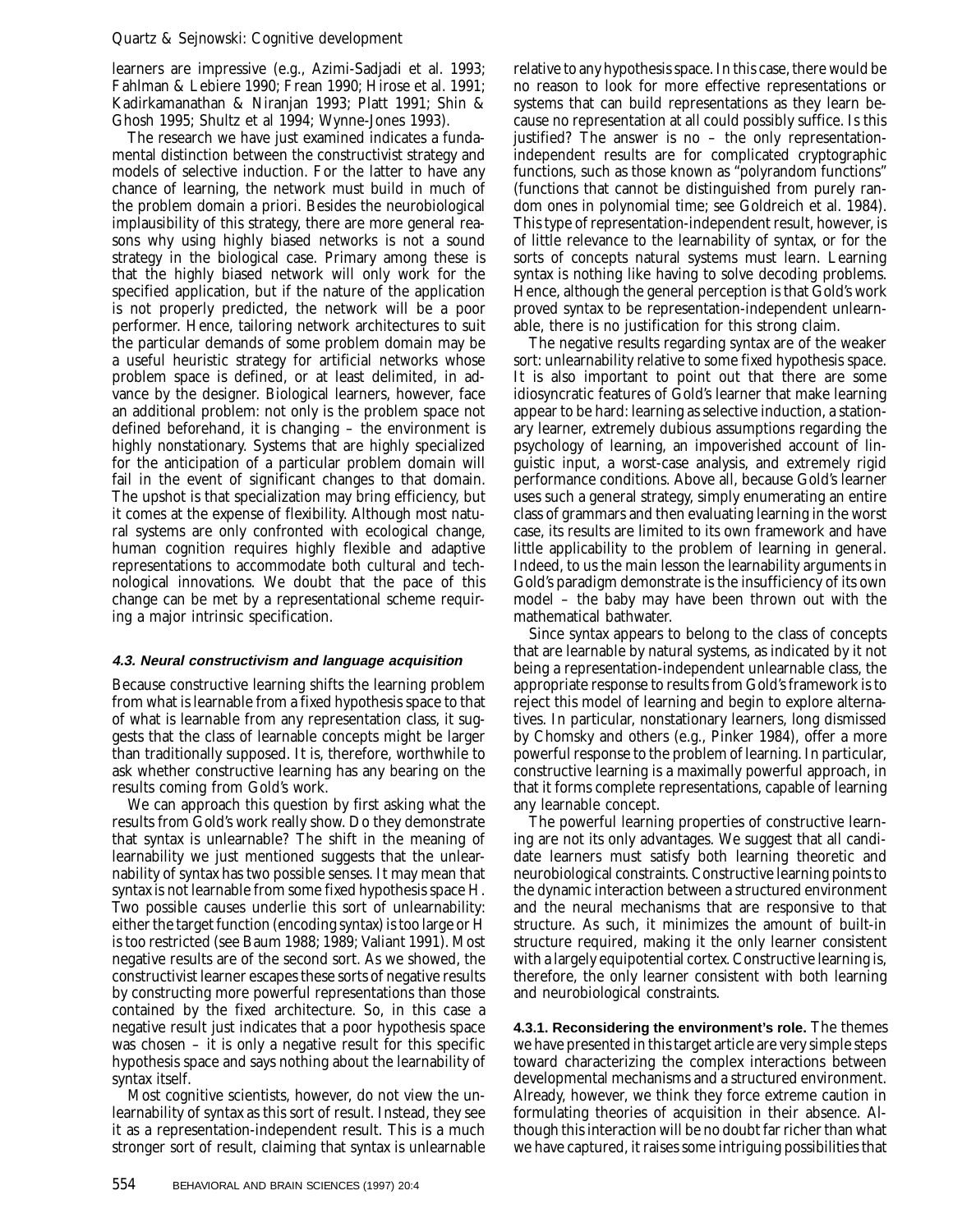learners are impressive (e.g., Azimi-Sadjadi et al. 1993; Fahlman & Lebiere 1990; Frean 1990; Hirose et al. 1991; Kadirkamanathan & Niranjan 1993; Platt 1991; Shin & Ghosh 1995; Shultz et al 1994; Wynne-Jones 1993).

The research we have just examined indicates a fundamental distinction between the constructivist strategy and models of selective induction. For the latter to have any chance of learning, the network must build in much of the problem domain a priori. Besides the neurobiological implausibility of this strategy, there are more general reasons why using highly biased networks is not a sound strategy in the biological case. Primary among these is that the highly biased network will only work for the specified application, but if the nature of the application is not properly predicted, the network will be a poor performer. Hence, tailoring network architectures to suit the particular demands of some problem domain may be a useful heuristic strategy for artificial networks whose problem space is defined, or at least delimited, in advance by the designer. Biological learners, however, face an additional problem: not only is the problem space not defined beforehand, it is changing – the environment is highly nonstationary. Systems that are highly specialized for the anticipation of a particular problem domain will fail in the event of significant changes to that domain. The upshot is that specialization may bring efficiency, but it comes at the expense of flexibility. Although most natural systems are only confronted with ecological change, human cognition requires highly flexible and adaptive representations to accommodate both cultural and technological innovations. We doubt that the pace of this change can be met by a representational scheme requiring a major intrinsic specification.

# **4.3. Neural constructivism and language acquisition**

Because constructive learning shifts the learning problem from what is learnable from a fixed hypothesis space to that of what is learnable from any representation class, it suggests that the class of learnable concepts might be larger than traditionally supposed. It is, therefore, worthwhile to ask whether constructive learning has any bearing on the results coming from Gold's work.

We can approach this question by first asking what the results from Gold's work really show. Do they demonstrate that syntax is unlearnable? The shift in the meaning of learnability we just mentioned suggests that the unlearnability of syntax has two possible senses. It may mean that syntax is not learnable from some fixed hypothesis space H. Two possible causes underlie this sort of unlearnability: either the target function (encoding syntax) is too large or H is too restricted (see Baum 1988; 1989; Valiant 1991). Most negative results are of the second sort. As we showed, the constructivist learner escapes these sorts of negative results by constructing more powerful representations than those contained by the fixed architecture. So, in this case a negative result just indicates that a poor hypothesis space was chosen – it is only a negative result for this specific hypothesis space and says nothing about the learnability of syntax itself.

Most cognitive scientists, however, do not view the unlearnability of syntax as this sort of result. Instead, they see it as a representation-independent result. This is a much stronger sort of result, claiming that syntax is unlearnable

relative to any hypothesis space. In this case, there would be no reason to look for more effective representations or systems that can build representations as they learn because no representation at all could possibly suffice. Is this justified? The answer is no – the only representationindependent results are for complicated cryptographic functions, such as those known as "polyrandom functions" (functions that cannot be distinguished from purely random ones in polynomial time; see Goldreich et al. 1984). This type of representation-independent result, however, is of little relevance to the learnability of syntax, or for the sorts of concepts natural systems must learn. Learning syntax is nothing like having to solve decoding problems. Hence, although the general perception is that Gold's work proved syntax to be representation-independent unlearnable, there is no justification for this strong claim.

The negative results regarding syntax are of the weaker sort: unlearnability relative to some fixed hypothesis space. It is also important to point out that there are some idiosyncratic features of Gold's learner that make learning appear to be hard: learning as selective induction, a stationary learner, extremely dubious assumptions regarding the psychology of learning, an impoverished account of linguistic input, a worst-case analysis, and extremely rigid performance conditions. Above all, because Gold's learner uses such a general strategy, simply enumerating an entire class of grammars and then evaluating learning in the worst case, its results are limited to its own framework and have little applicability to the problem of learning in general. Indeed, to us the main lesson the learnability arguments in Gold's paradigm demonstrate is the insufficiency of its own model – the baby may have been thrown out with the mathematical bathwater.

Since syntax appears to belong to the class of concepts that are learnable by natural systems, as indicated by it not being a representation-independent unlearnable class, the appropriate response to results from Gold's framework is to reject this model of learning and begin to explore alternatives. In particular, nonstationary learners, long dismissed by Chomsky and others (e.g., Pinker 1984), offer a more powerful response to the problem of learning. In particular, constructive learning is a maximally powerful approach, in that it forms complete representations, capable of learning any learnable concept.

The powerful learning properties of constructive learning are not its only advantages. We suggest that all candidate learners must satisfy both learning theoretic and neurobiological constraints. Constructive learning points to the dynamic interaction between a structured environment and the neural mechanisms that are responsive to that structure. As such, it minimizes the amount of built-in structure required, making it the only learner consistent with a largely equipotential cortex. Constructive learning is, therefore, the only learner consistent with both learning and neurobiological constraints.

**4.3.1. Reconsidering the environment's role.** The themes we have presented in this target article are very simple steps toward characterizing the complex interactions between developmental mechanisms and a structured environment. Already, however, we think they force extreme caution in formulating theories of acquisition in their absence. Although this interaction will be no doubt far richer than what we have captured, it raises some intriguing possibilities that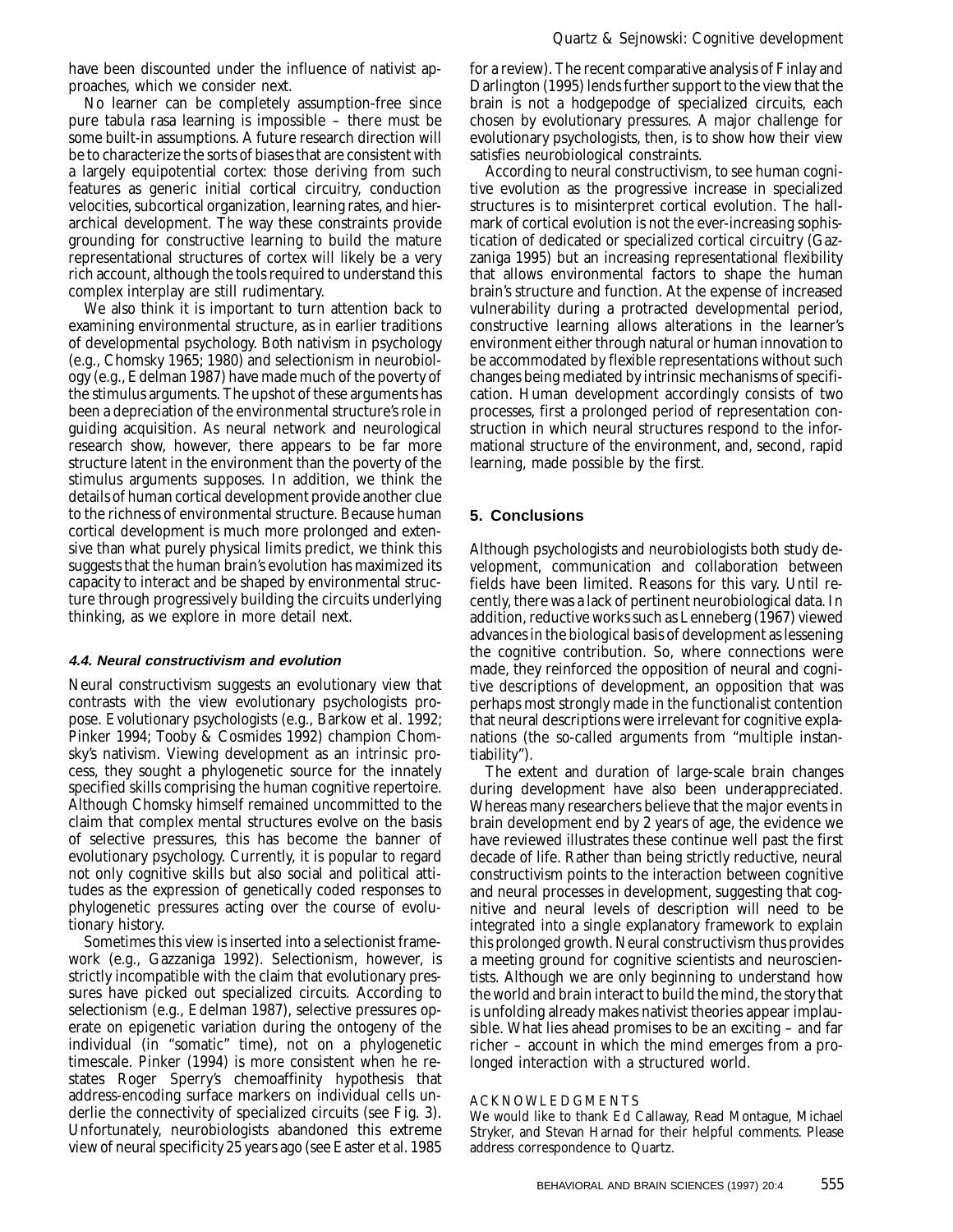have been discounted under the influence of nativist approaches, which we consider next.

No learner can be completely assumption-free since pure tabula rasa learning is impossible – there must be some built-in assumptions. A future research direction will be to characterize the sorts of biases that are consistent with a largely equipotential cortex: those deriving from such features as generic initial cortical circuitry, conduction velocities, subcortical organization, learning rates, and hierarchical development. The way these constraints provide grounding for constructive learning to build the mature representational structures of cortex will likely be a very rich account, although the tools required to understand this complex interplay are still rudimentary.

We also think it is important to turn attention back to examining environmental structure, as in earlier traditions of developmental psychology. Both nativism in psychology (e.g., Chomsky 1965; 1980) and selectionism in neurobiology (e.g., Edelman 1987) have made much of the poverty of the stimulus arguments. The upshot of these arguments has been a depreciation of the environmental structure's role in guiding acquisition. As neural network and neurological research show, however, there appears to be far more structure latent in the environment than the poverty of the stimulus arguments supposes. In addition, we think the details of human cortical development provide another clue to the richness of environmental structure. Because human cortical development is much more prolonged and extensive than what purely physical limits predict, we think this suggests that the human brain's evolution has maximized its capacity to interact and be shaped by environmental structure through progressively building the circuits underlying thinking, as we explore in more detail next.

### **4.4. Neural constructivism and evolution**

Neural constructivism suggests an evolutionary view that contrasts with the view evolutionary psychologists propose. Evolutionary psychologists (e.g., Barkow et al. 1992; Pinker 1994; Tooby & Cosmides 1992) champion Chomsky's nativism. Viewing development as an intrinsic process, they sought a phylogenetic source for the innately specified skills comprising the human cognitive repertoire. Although Chomsky himself remained uncommitted to the claim that complex mental structures evolve on the basis of selective pressures, this has become the banner of evolutionary psychology. Currently, it is popular to regard not only cognitive skills but also social and political attitudes as the expression of genetically coded responses to phylogenetic pressures acting over the course of evolutionary history.

Sometimes this view is inserted into a selectionist framework (e.g., Gazzaniga 1992). Selectionism, however, is strictly incompatible with the claim that evolutionary pressures have picked out specialized circuits. According to selectionism (e.g., Edelman 1987), selective pressures operate on epigenetic variation during the ontogeny of the individual (in "somatic" time), not on a phylogenetic timescale. Pinker (1994) is more consistent when he restates Roger Sperry's chemoaffinity hypothesis that address-encoding surface markers on individual cells underlie the connectivity of specialized circuits (see Fig. 3). Unfortunately, neurobiologists abandoned this extreme view of neural specificity 25 years ago (see Easter et al. 1985 for a review). The recent comparative analysis of Finlay and Darlington (1995) lends further support to the view that the brain is not a hodgepodge of specialized circuits, each chosen by evolutionary pressures. A major challenge for evolutionary psychologists, then, is to show how their view satisfies neurobiological constraints.

According to neural constructivism, to see human cognitive evolution as the progressive increase in specialized structures is to misinterpret cortical evolution. The hallmark of cortical evolution is not the ever-increasing sophistication of dedicated or specialized cortical circuitry (Gazzaniga 1995) but an increasing representational flexibility that allows environmental factors to shape the human brain's structure and function. At the expense of increased vulnerability during a protracted developmental period, constructive learning allows alterations in the learner's environment either through natural or human innovation to be accommodated by flexible representations without such changes being mediated by intrinsic mechanisms of specification. Human development accordingly consists of two processes, first a prolonged period of representation construction in which neural structures respond to the informational structure of the environment, and, second, rapid learning, made possible by the first.

### **5. Conclusions**

Although psychologists and neurobiologists both study development, communication and collaboration between fields have been limited. Reasons for this vary. Until recently, there was a lack of pertinent neurobiological data. In addition, reductive works such as Lenneberg (1967) viewed advances in the biological basis of development as lessening the cognitive contribution. So, where connections were made, they reinforced the opposition of neural and cognitive descriptions of development, an opposition that was perhaps most strongly made in the functionalist contention that neural descriptions were irrelevant for cognitive explanations (the so-called arguments from "multiple instantiability").

The extent and duration of large-scale brain changes during development have also been underappreciated. Whereas many researchers believe that the major events in brain development end by 2 years of age, the evidence we have reviewed illustrates these continue well past the first decade of life. Rather than being strictly reductive, neural constructivism points to the interaction between cognitive and neural processes in development, suggesting that cognitive and neural levels of description will need to be integrated into a single explanatory framework to explain this prolonged growth. Neural constructivism thus provides a meeting ground for cognitive scientists and neuroscientists. Although we are only beginning to understand how the world and brain interact to build the mind, the story that is unfolding already makes nativist theories appear implausible. What lies ahead promises to be an exciting – and far richer – account in which the mind emerges from a prolonged interaction with a structured world.

### ACKNOWLEDGMENTS

We would like to thank Ed Callaway, Read Montague, Michael Stryker, and Stevan Harnad for their helpful comments. Please address correspondence to Quartz.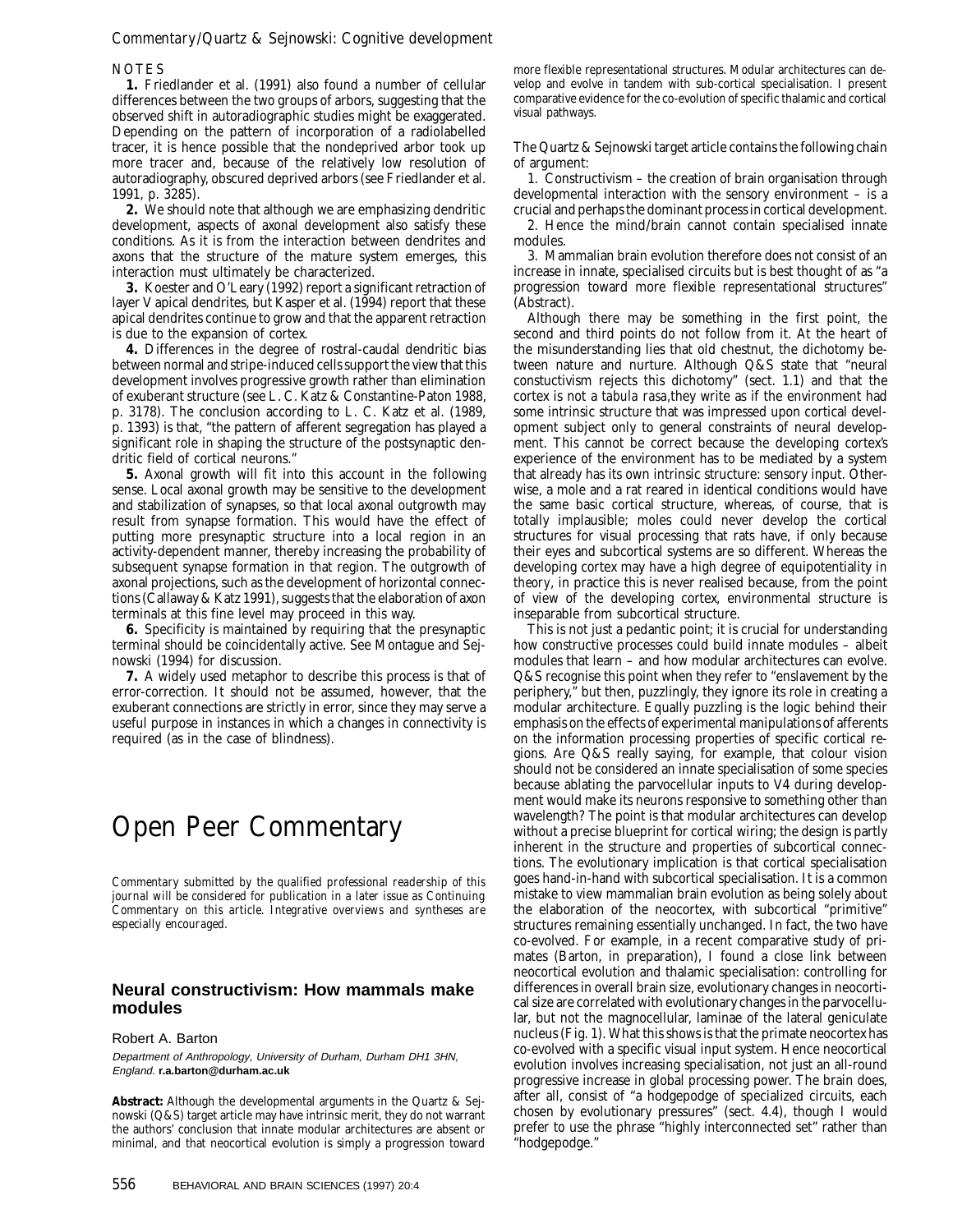### *Commentary/*Quartz & Sejnowski: Cognitive development

### NOTES

**1.** Friedlander et al. (1991) also found a number of cellular differences between the two groups of arbors, suggesting that the observed shift in autoradiographic studies might be exaggerated. Depending on the pattern of incorporation of a radiolabelled tracer, it is hence possible that the nondeprived arbor took up more tracer and, because of the relatively low resolution of autoradiography, obscured deprived arbors (see Friedlander et al. 1991, p. 3285).

**2.** We should note that although we are emphasizing dendritic development, aspects of axonal development also satisfy these conditions. As it is from the interaction between dendrites and axons that the structure of the mature system emerges, this interaction must ultimately be characterized.

**3.** Koester and O'Leary (1992) report a significant retraction of layer V apical dendrites, but Kasper et al. (1994) report that these apical dendrites continue to grow and that the apparent retraction is due to the expansion of cortex.

**4.** Differences in the degree of rostral-caudal dendritic bias between normal and stripe-induced cells support the view that this development involves progressive growth rather than elimination of exuberant structure (see L. C. Katz & Constantine-Paton 1988, p. 3178). The conclusion according to L. C. Katz et al. (1989, p. 1393) is that, "the pattern of afferent segregation has played a significant role in shaping the structure of the postsynaptic dendritic field of cortical neurons.'

**5.** Axonal growth will fit into this account in the following sense. Local axonal growth may be sensitive to the development and stabilization of synapses, so that local axonal outgrowth may result from synapse formation. This would have the effect of putting more presynaptic structure into a local region in an activity-dependent manner, thereby increasing the probability of subsequent synapse formation in that region. The outgrowth of axonal projections, such as the development of horizontal connections (Callaway & Katz 1991), suggests that the elaboration of axon terminals at this fine level may proceed in this way.

**6.** Specificity is maintained by requiring that the presynaptic terminal should be coincidentally active. See Montague and Sejnowski (1994) for discussion.

**7.** A widely used metaphor to describe this process is that of error-correction. It should not be assumed, however, that the exuberant connections are strictly in error, since they may serve a useful purpose in instances in which a changes in connectivity is required (as in the case of blindness).

# Open Peer Commentary

*Commentary submitted by the qualified professional readership of this journal will be considered for publication in a later issue as Continuing Commentary on this article. Integrative overviews and syntheses are especially encouraged.*

# **Neural constructivism: How mammals make modules**

### Robert A. Barton

Department of Anthropology, University of Durham, Durham DH1 3HN, England. **r.a.barton@durham.ac.uk**

**Abstract:** Although the developmental arguments in the Quartz & Sejnowski (Q&S) target article may have intrinsic merit, they do not warrant the authors' conclusion that innate modular architectures are absent or minimal, and that neocortical evolution is simply a progression toward more flexible representational structures. Modular architectures can develop and evolve in tandem with sub-cortical specialisation. I present comparative evidence for the co-evolution of specific thalamic and cortical visual pathways.

The Quartz & Sejnowski target article contains the following chain of argument:

1. Constructivism – the creation of brain organisation through developmental interaction with the sensory environment – is a

crucial and perhaps the dominant process in cortical development. 2. Hence the mind/brain cannot contain specialised innate modules.

3. Mammalian brain evolution therefore does not consist of an increase in innate, specialised circuits but is best thought of as "a progression toward more flexible representational structures" (Abstract).

Although there may be something in the first point, the second and third points do not follow from it. At the heart of the misunderstanding lies that old chestnut, the dichotomy between nature and nurture. Although Q&S state that "neural constuctivism rejects this dichotomy" (sect. 1.1) and that the cortex is not a *tabula rasa,*they write as if the environment had some intrinsic structure that was impressed upon cortical development subject only to general constraints of neural development. This cannot be correct because the developing cortex's experience of the environment has to be mediated by a system that already has its own intrinsic structure: sensory input. Otherwise, a mole and a rat reared in identical conditions would have the same basic cortical structure, whereas, of course, that is totally implausible; moles could never develop the cortical structures for visual processing that rats have, if only because their eyes and subcortical systems are so different. Whereas the developing cortex may have a high degree of equipotentiality *in theory,* in practice this is never realised because, from the point of view of the developing cortex, environmental structure is inseparable from subcortical structure.

This is not just a pedantic point; it is crucial for understanding how constructive processes could build innate modules – albeit modules that learn – and how modular architectures can evolve. Q&S recognise this point when they refer to "enslavement by the periphery," but then, puzzlingly, they ignore its role in creating a modular architecture. Equally puzzling is the logic behind their emphasis on the effects of experimental manipulations of afferents on the information processing properties of specific cortical regions. Are Q&S really saying, for example, that colour vision should not be considered an innate specialisation of some species because ablating the parvocellular inputs to V4 during development would make its neurons responsive to something other than wavelength? The point is that modular architectures can develop without a precise blueprint for cortical wiring; the design is partly inherent in the structure and properties of subcortical connections. The evolutionary implication is that cortical specialisation goes hand-in-hand with subcortical specialisation. It is a common mistake to view mammalian brain evolution as being solely about the elaboration of the neocortex, with subcortical "primitive" structures remaining essentially unchanged. In fact, the two have co-evolved. For example, in a recent comparative study of primates (Barton, in preparation), I found a close link between neocortical evolution and thalamic specialisation: controlling for differences in overall brain size, evolutionary changes in neocortical size are correlated with evolutionary changes in the parvocellular, but not the magnocellular, laminae of the lateral geniculate nucleus (Fig. 1). What this shows is that the primate neocortex has co-evolved with a specific visual input system. Hence neocortical evolution involves increasing specialisation, not just an all-round progressive increase in global processing power. The brain does, after all, consist of "a hodgepodge of specialized circuits, each chosen by evolutionary pressures" (sect. 4.4), though I would prefer to use the phrase "highly interconnected set" rather than "hodgepodge."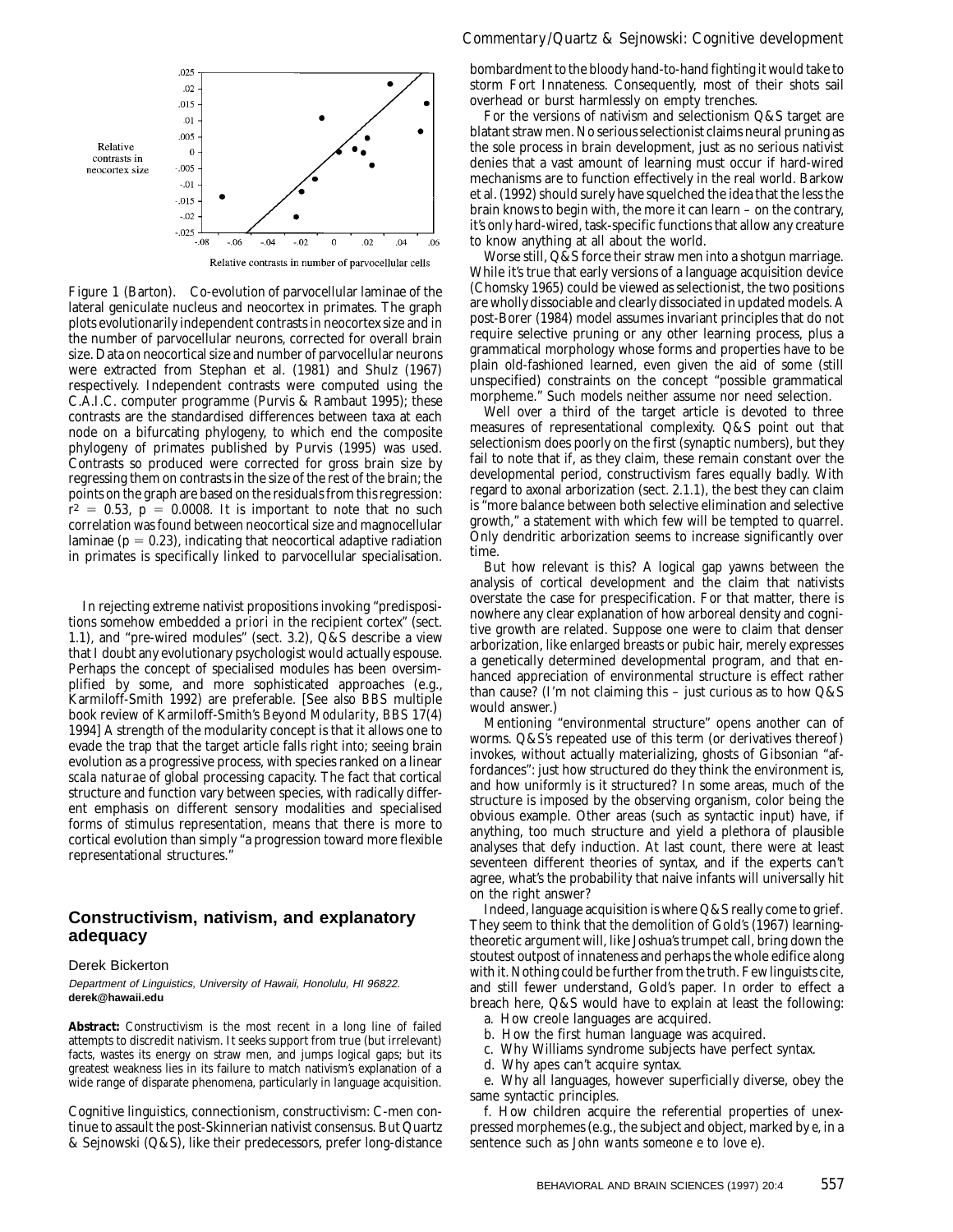

Relative contrasts in number of parvocellular cells

Figure 1 (Barton). Co-evolution of parvocellular laminae of the lateral geniculate nucleus and neocortex in primates. The graph plots evolutionarily independent contrasts in neocortex size and in the number of parvocellular neurons, corrected for overall brain size. Data on neocortical size and number of parvocellular neurons were extracted from Stephan et al. (1981) and Shulz (1967) respectively. Independent contrasts were computed using the C.A.I.C. computer programme (Purvis & Rambaut 1995); these contrasts are the standardised differences between taxa at each node on a bifurcating phylogeny, to which end the composite phylogeny of primates published by Purvis (1995) was used. Contrasts so produced were corrected for gross brain size by regressing them on contrasts in the size of the rest of the brain; the points on the graph are based on the residuals from this regression:  $r^2 = 0.53$ ,  $p = 0.0008$ . It is important to note that no such correlation was found between neocortical size and magnocellular laminae ( $p = 0.23$ ), indicating that neocortical adaptive radiation in primates is specifically linked to parvocellular specialisation.

In rejecting extreme nativist propositions invoking "predispositions somehow embedded *a priori* in the recipient cortex" (sect. 1.1), and "pre-wired modules" (sect. 3.2), Q&S describe a view that I doubt any evolutionary psychologist would actually espouse. Perhaps the concept of specialised modules has been oversimplified by some, and more sophisticated approaches (e.g., Karmiloff-Smith 1992) are preferable. [See also *BBS* multiple book review of Karmiloff-Smith's *Beyond Modularity, BBS* 17(4) 1994] A strength of the modularity concept is that it allows one to evade the trap that the target article falls right into; seeing brain evolution as a progressive process, with species ranked on a linear *scala naturae* of global processing capacity. The fact that cortical structure and function vary between species, with radically different emphasis on different sensory modalities and specialised forms of stimulus representation, means that there is more to cortical evolution than simply "a progression toward more flexible representational structures."

# **Constructivism, nativism, and explanatory adequacy**

Derek Bickerton

Department of Linguistics, University of Hawaii, Honolulu, HI 96822. **derek@hawaii.edu**

**Abstract:** Constructivism is the most recent in a long line of failed attempts to discredit nativism. It seeks support from true (but irrelevant) facts, wastes its energy on straw men, and jumps logical gaps; but its greatest weakness lies in its failure to match nativism's explanation of a wide range of disparate phenomena, particularly in language acquisition.

Cognitive linguistics, connectionism, constructivism: C-men continue to assault the post-Skinnerian nativist consensus. But Quartz & Sejnowski (Q&S), like their predecessors, prefer long-distance

### *Commentary/*Quartz & Sejnowski: Cognitive development

bombardment to the bloody hand-to-hand fighting it would take to storm Fort Innateness. Consequently, most of their shots sail overhead or burst harmlessly on empty trenches.

For the versions of nativism and selectionism Q&S target are blatant straw men. No serious selectionist claims neural pruning as the sole process in brain development, just as no serious nativist denies that a vast amount of learning must occur if hard-wired mechanisms are to function effectively in the real world. Barkow et al. (1992) should surely have squelched the idea that the less the brain knows to begin with, the more it can learn – on the contrary, it's only hard-wired, task-specific functions that allow any creature to know anything at all about the world.

Worse still, Q&S force their straw men into a shotgun marriage. While it's true that early versions of a language acquisition device (Chomsky 1965) could be viewed as selectionist, the two positions are wholly dissociable and clearly dissociated in updated models. A post-Borer (1984) model assumes invariant principles that do not require selective pruning or any other learning process, plus a grammatical morphology whose forms and properties have to be plain old-fashioned learned, even given the aid of some (still unspecified) constraints on the concept "possible grammatical morpheme." Such models neither assume nor need selection.

Well over a third of the target article is devoted to three measures of representational complexity. Q&S point out that selectionism does poorly on the first (synaptic numbers), but they fail to note that if, as they claim, these remain constant over the developmental period, constructivism fares equally badly. With regard to axonal arborization (sect. 2.1.1), the best they can claim is "more balance between both selective elimination and selective growth," a statement with which few will be tempted to quarrel. Only dendritic arborization seems to increase significantly over time.

But how relevant is this? A logical gap yawns between the analysis of cortical development and the claim that nativists overstate the case for prespecification. For that matter, there is nowhere any clear explanation of how arboreal density and cognitive growth are related. Suppose one were to claim that denser arborization, like enlarged breasts or pubic hair, merely expresses a genetically determined developmental program, and that enhanced appreciation of environmental structure is effect rather than cause? (I'm not claiming this – just curious as to how Q&S would answer.)

Mentioning "environmental structure" opens another can of worms. Q&S's repeated use of this term (or derivatives thereof) invokes, without actually materializing, ghosts of Gibsonian "affordances": just how structured do they think the environment is, and how uniformly is it structured? In some areas, much of the structure is imposed by the observing organism, color being the obvious example. Other areas (such as syntactic input) have, if anything, too much structure and yield a plethora of plausible analyses that defy induction. At last count, there were at least seventeen different theories of syntax, and if the experts can't agree, what's the probability that naive infants will universally hit on the right answer?

Indeed, language acquisition is where Q&S really come to grief. They seem to think that the demolition of Gold's (1967) learningtheoretic argument will, like Joshua's trumpet call, bring down the stoutest outpost of innateness and perhaps the whole edifice along with it. Nothing could be further from the truth. Few linguists cite, and still fewer understand, Gold's paper. In order to effect a breach here, Q&S would have to explain at least the following:

- a. How creole languages are acquired.
- b. How the first human language was acquired.
- c. Why Williams syndrome subjects have perfect syntax.
- d. Why apes can't acquire syntax.

e. Why all languages, however superficially diverse, obey the same syntactic principles.

f. How children acquire the referential properties of unexpressed morphemes (e.g., the subject and object, marked by *e,* in a sentence such as *John wants someone e to love e*).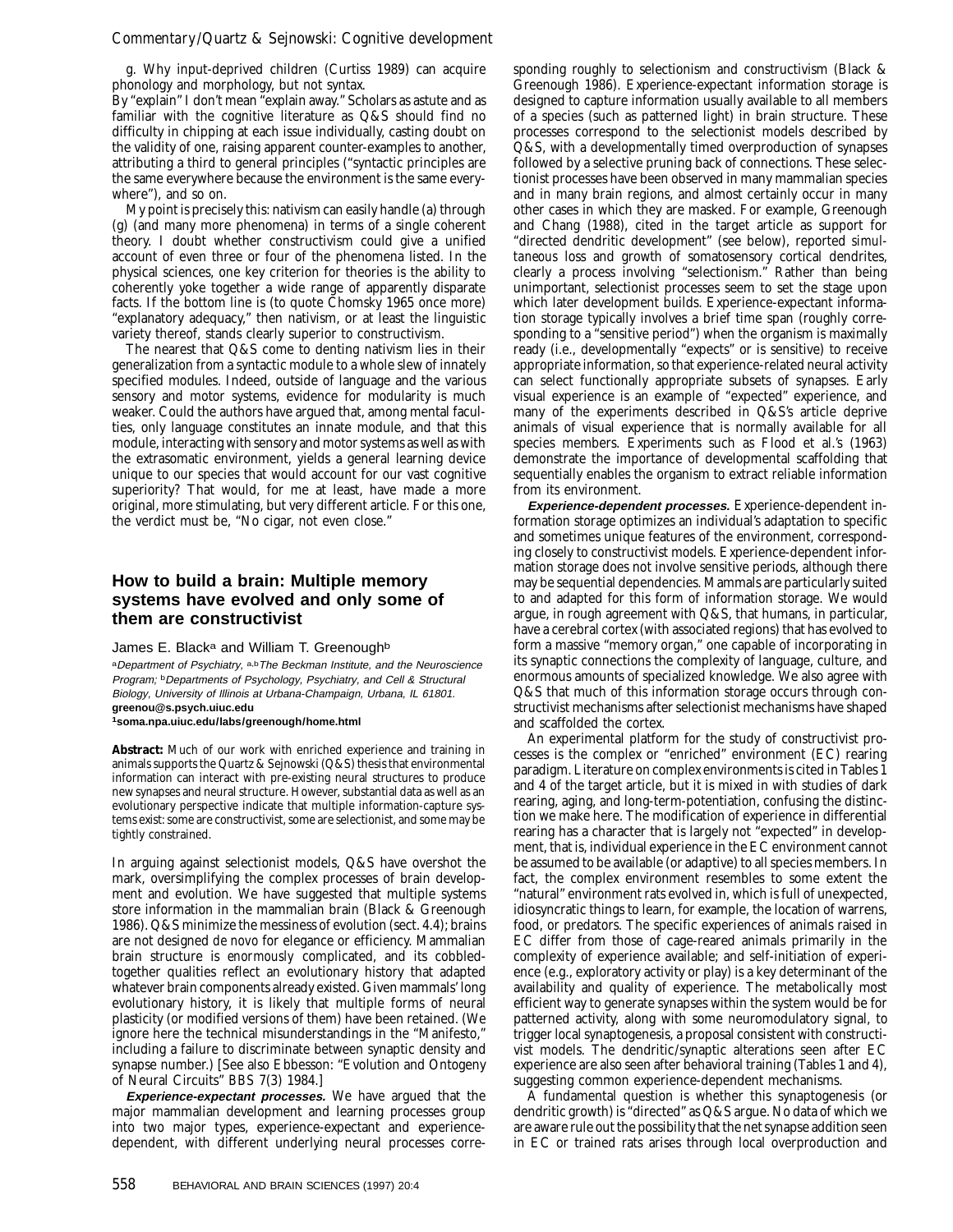### *Commentary/*Quartz & Sejnowski: Cognitive development

g. Why input-deprived children (Curtiss 1989) can acquire phonology and morphology, but not syntax.

By "explain" I don't mean "explain away." Scholars as astute and as familiar with the cognitive literature as Q&S should find no difficulty in chipping at each issue individually, casting doubt on the validity of one, raising apparent counter-examples to another, attributing a third to general principles ("syntactic principles are the same everywhere because the environment is the same everywhere"), and so on.

My point is precisely this: nativism can easily handle (a) through (g) (and many more phenomena) in terms of a single coherent theory. I doubt whether constructivism could give a unified account of even three or four of the phenomena listed. In the physical sciences, one key criterion for theories is the ability to coherently yoke together a wide range of apparently disparate facts. If the bottom line is (to quote Chomsky 1965 once more) "explanatory adequacy," then nativism, or at least the linguistic variety thereof, stands clearly superior to constructivism.

The nearest that Q&S come to denting nativism lies in their generalization from a syntactic module to a whole slew of innately specified modules. Indeed, outside of language and the various sensory and motor systems, evidence for modularity is much weaker. Could the authors have argued that, among mental faculties, only language constitutes an innate module, and that this module, interacting with sensory and motor systems as well as with the extrasomatic environment, yields a general learning device unique to our species that would account for our vast cognitive superiority? That would, for me at least, have made a more original, more stimulating, but very different article. For this one, the verdict must be, "No cigar, not even close."

# **How to build a brain: Multiple memory systems have evolved and only some of them are constructivist**

James E. Black<sup>a</sup> and William T. Greenough<sup>b</sup>

aDepartment of Psychiatry, a,bThe Beckman Institute, and the Neuroscience Program; bDepartments of Psychology, Psychiatry, and Cell & Structural Biology, University of Illinois at Urbana-Champaign, Urbana, IL 61801. **greenou@s.psych.uiuc.edu**

**1soma.npa.uiuc.edu/labs/greenough/home.html**

**Abstract:** Much of our work with enriched experience and training in animals supports the Quartz & Sejnowski (Q&S) thesis that environmental information can interact with pre-existing neural structures to produce new synapses and neural structure. However, substantial data as well as an evolutionary perspective indicate that multiple information-capture systems exist: some are constructivist, some are selectionist, and some may be tightly constrained.

In arguing against selectionist models, Q&S have overshot the mark, oversimplifying the complex processes of brain development and evolution. We have suggested that multiple systems store information in the mammalian brain (Black & Greenough 1986). Q&S minimize the messiness of evolution (sect. 4.4); brains are not designed *de novo* for elegance or efficiency. Mammalian brain structure is *enormously* complicated, and its cobbledtogether qualities reflect an evolutionary history that adapted whatever brain components already existed. Given mammals' long evolutionary history, it is likely that multiple forms of neural plasticity (or modified versions of them) have been retained. (We ignore here the technical misunderstandings in the "Manifesto," including a failure to discriminate between synaptic density and synapse number.) [See also Ebbesson: "Evolution and Ontogeny of Neural Circuits" *BBS* 7(3) 1984.]

**Experience-expectant processes.** We have argued that the major mammalian development and learning processes group into two major types, experience-expectant and experiencedependent, with different underlying neural processes corresponding roughly to selectionism and constructivism (Black & Greenough 1986). Experience-expectant information storage is designed to capture information usually available to all members of a species (such as patterned light) in brain structure. These processes correspond to the selectionist models described by Q&S, with a developmentally timed overproduction of synapses followed by a selective pruning back of connections. These selectionist processes have been observed in many mammalian species and in many brain regions, and almost certainly occur in many other cases in which they are masked. For example, Greenough and Chang (1988), cited in the target article as support for "directed dendritic development" (see below), reported *simultaneous* loss and growth of somatosensory cortical dendrites, clearly a process involving "selectionism." Rather than being unimportant, selectionist processes seem to set the stage upon which later development builds. Experience-expectant information storage typically involves a brief time span (roughly corresponding to a "sensitive period") when the organism is maximally ready (i.e., developmentally "expects" or is sensitive) to receive appropriate information, so that experience-related neural activity can select functionally appropriate subsets of synapses. Early visual experience is an example of "expected" experience, and many of the experiments described in Q&S's article deprive animals of visual experience that is normally available for all species members. Experiments such as Flood et al.'s (1963) demonstrate the importance of developmental scaffolding that sequentially enables the organism to extract reliable information from its environment.

**Experience-dependent processes.** Experience-dependent information storage optimizes an individual's adaptation to specific and sometimes unique features of the environment, corresponding closely to constructivist models. Experience-dependent information storage does not involve sensitive periods, although there may be sequential dependencies. Mammals are particularly suited to and adapted for this form of information storage. We would argue, in rough agreement with Q&S, that humans, in particular, have a cerebral cortex (with associated regions) that has evolved to form a massive "memory organ," one capable of incorporating in its synaptic connections the complexity of language, culture, and enormous amounts of specialized knowledge. We also agree with Q&S that much of this information storage occurs through constructivist mechanisms after selectionist mechanisms have shaped and scaffolded the cortex.

An experimental platform for the study of constructivist processes is the complex or "enriched" environment (EC) rearing paradigm. Literature on complex environments is cited in Tables 1 and 4 of the target article, but it is mixed in with studies of dark rearing, aging, and long-term-potentiation, confusing the distinction we make here. The modification of experience in differential rearing has a character that is largely not "expected" in development, that is, individual experience in the EC environment cannot be assumed to be available (or adaptive) to all species members. In fact, the complex environment resembles to some extent the "natural" environment rats evolved in, which is full of unexpected, idiosyncratic things to learn, for example, the location of warrens, food, or predators. The specific experiences of animals raised in EC differ from those of cage-reared animals primarily in the complexity of experience available; and self-initiation of experience (e.g., exploratory activity or play) is a key determinant of the availability and quality of experience. The metabolically most efficient way to generate synapses within the system would be for patterned activity, along with some neuromodulatory signal, to trigger local synaptogenesis, a proposal consistent with constructivist models. The dendritic/synaptic alterations seen after EC experience are also seen after behavioral training (Tables 1 and 4), suggesting common experience-dependent mechanisms.

A fundamental question is whether this synaptogenesis (or dendritic growth) is "directed" as Q&S argue. No data of which we are aware rule out the possibility that the net synapse addition seen in EC or trained rats arises through local overproduction and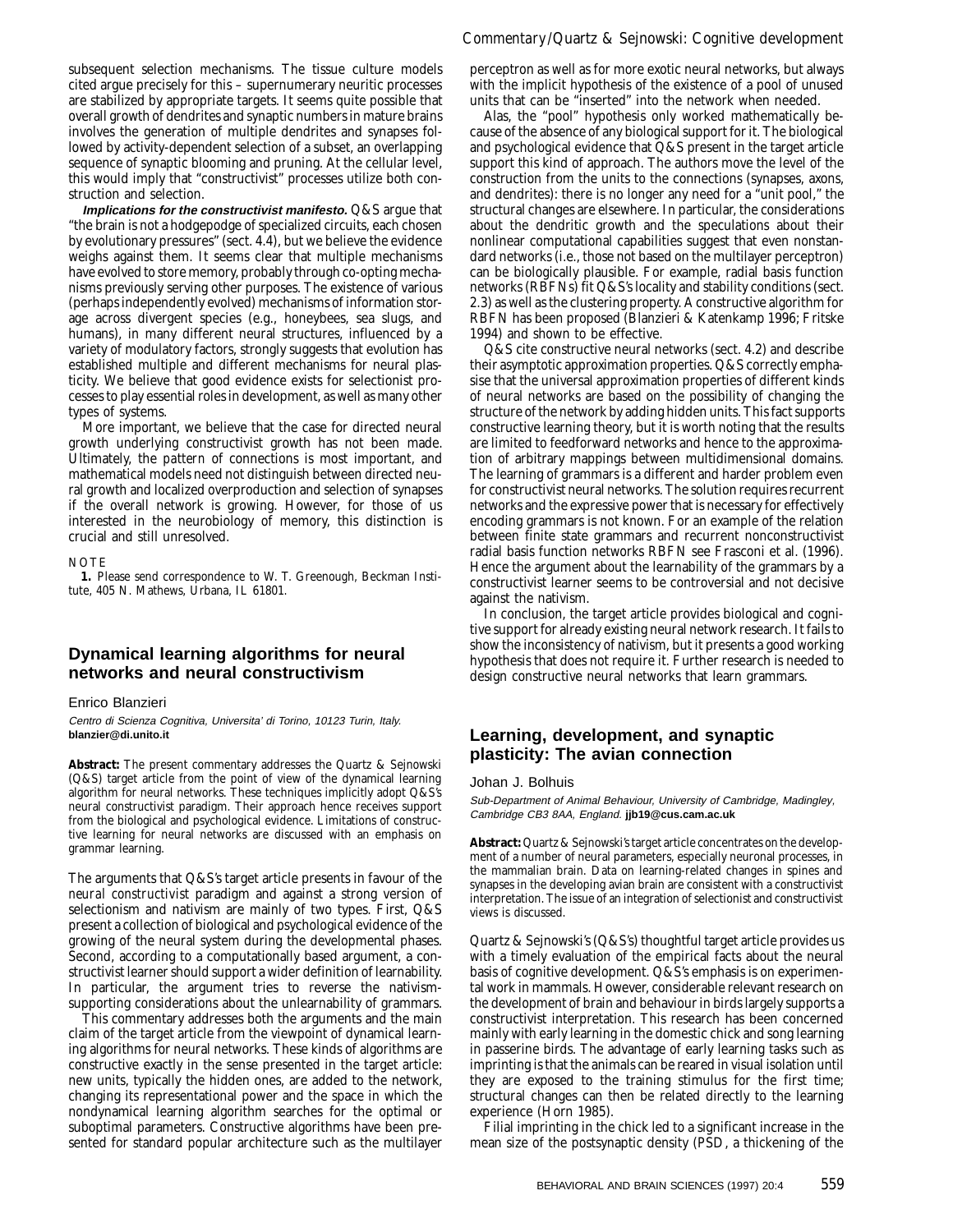subsequent selection mechanisms. The tissue culture models cited argue precisely for this – supernumerary neuritic processes are stabilized by appropriate targets. It seems quite possible that overall growth of dendrites and synaptic numbers in mature brains involves the generation of multiple dendrites and synapses followed by activity-dependent selection of a subset, an overlapping sequence of synaptic blooming and pruning. At the cellular level, this would imply that "constructivist" processes utilize both construction and selection.

**Implications for the constructivist manifesto.** Q&S argue that "the brain is not a hodgepodge of specialized circuits, each chosen by evolutionary pressures" (sect. 4.4), but we believe the evidence weighs against them. It seems clear that multiple mechanisms have evolved to store memory, probably through co-opting mechanisms previously serving other purposes. The existence of various (perhaps independently evolved) mechanisms of information storage across divergent species (e.g., honeybees, sea slugs, and humans), in many different neural structures, influenced by a variety of modulatory factors, strongly suggests that evolution has established multiple and different mechanisms for neural plasticity. We believe that good evidence exists for selectionist processes to play essential roles in development, as well as many other types of systems.

More important, we believe that the case for directed neural growth underlying constructivist growth has not been made. Ultimately, the *pattern* of connections is most important, and mathematical models need not distinguish between directed neural growth and localized overproduction and selection of synapses if the overall network is growing. However, for those of us interested in the neurobiology of memory, this distinction is crucial and still unresolved.

### **NOTE**

**1.** Please send correspondence to W. T. Greenough, Beckman Institute, 405 N. Mathews, Urbana, IL 61801.

# **Dynamical learning algorithms for neural networks and neural constructivism**

Enrico Blanzieri

Centro di Scienza Cognitiva, Universita' di Torino, 10123 Turin, Italy. **blanzier@di.unito.it**

**Abstract:** The present commentary addresses the Quartz & Sejnowski (Q&S) target article from the point of view of the dynamical learning algorithm for neural networks. These techniques implicitly adopt Q&S's neural constructivist paradigm. Their approach hence receives support from the biological and psychological evidence. Limitations of constructive learning for neural networks are discussed with an emphasis on grammar learning.

The arguments that Q&S's target article presents in favour of the *neural constructivist* paradigm and against a strong version of selectionism and nativism are mainly of two types. First, Q&S present a collection of biological and psychological evidence of the growing of the neural system during the developmental phases. Second, according to a computationally based argument, a constructivist learner should support a wider definition of learnability. In particular, the argument tries to reverse the nativismsupporting considerations about the unlearnability of grammars.

This commentary addresses both the arguments and the main claim of the target article from the viewpoint of dynamical learning algorithms for neural networks. These kinds of algorithms are constructive exactly in the sense presented in the target article: new units, typically the hidden ones, are added to the network, changing its representational power and the space in which the nondynamical learning algorithm searches for the optimal or suboptimal parameters. Constructive algorithms have been presented for standard popular architecture such as the multilayer perceptron as well as for more exotic neural networks, but always with the implicit hypothesis of the existence of a pool of unused units that can be "inserted" into the network when needed.

Alas, the "pool" hypothesis only worked mathematically because of the absence of any biological support for it. The biological and psychological evidence that Q&S present in the target article support this kind of approach. The authors move the level of the construction from the units to the connections (synapses, axons, and dendrites): there is no longer any need for a "unit pool," the structural changes are elsewhere. In particular, the considerations about the dendritic growth and the speculations about their nonlinear computational capabilities suggest that even nonstandard networks (i.e., those not based on the multilayer perceptron) can be biologically plausible. For example, radial basis function networks (RBFNs) fit Q&S's locality and stability conditions (sect. 2.3) as well as the clustering property. A constructive algorithm for RBFN has been proposed (Blanzieri & Katenkamp 1996; Fritske 1994) and shown to be effective.

Q&S cite constructive neural networks (sect. 4.2) and describe their asymptotic approximation properties. Q&S correctly emphasise that the universal approximation properties of different kinds of neural networks are based on the possibility of changing the structure of the network by adding hidden units. This fact supports constructive learning theory, but it is worth noting that the results are limited to feedforward networks and hence to the approximation of arbitrary mappings between multidimensional domains. The learning of grammars is a different and harder problem even for constructivist neural networks. The solution requires recurrent networks and the expressive power that is necessary for effectively encoding grammars is not known. For an example of the relation between finite state grammars and recurrent nonconstructivist radial basis function networks RBFN see Frasconi et al. (1996). Hence the argument about the learnability of the grammars by a constructivist learner seems to be controversial and not decisive against the nativism.

In conclusion, the target article provides biological and cognitive support for already existing neural network research. It fails to show the inconsistency of nativism, but it presents a good working hypothesis that does not require it. Further research is needed to design constructive neural networks that learn grammars.

# **Learning, development, and synaptic plasticity: The avian connection**

### Johan J. Bolhuis

Sub-Department of Animal Behaviour, University of Cambridge, Madingley, Cambridge CB3 8AA, England. **jjb19@cus.cam.ac.uk**

**Abstract:** Quartz & Sejnowski's target article concentrates on the development of a number of neural parameters, especially neuronal processes, in the mammalian brain. Data on learning-related changes in spines and synapses in the developing avian brain are consistent with a constructivist interpretation. The issue of an integration of selectionist and constructivist views is discussed.

Quartz & Sejnowski's (Q&S's) thoughtful target article provides us with a timely evaluation of the empirical facts about the neural basis of cognitive development. Q&S's emphasis is on experimental work in mammals. However, considerable relevant research on the development of brain and behaviour in birds largely supports a constructivist interpretation. This research has been concerned mainly with early learning in the domestic chick and song learning in passerine birds. The advantage of early learning tasks such as imprinting is that the animals can be reared in visual isolation until they are exposed to the training stimulus for the first time; structural changes can then be related directly to the learning experience (Horn 1985).

Filial imprinting in the chick led to a significant increase in the mean size of the postsynaptic density (PSD, a thickening of the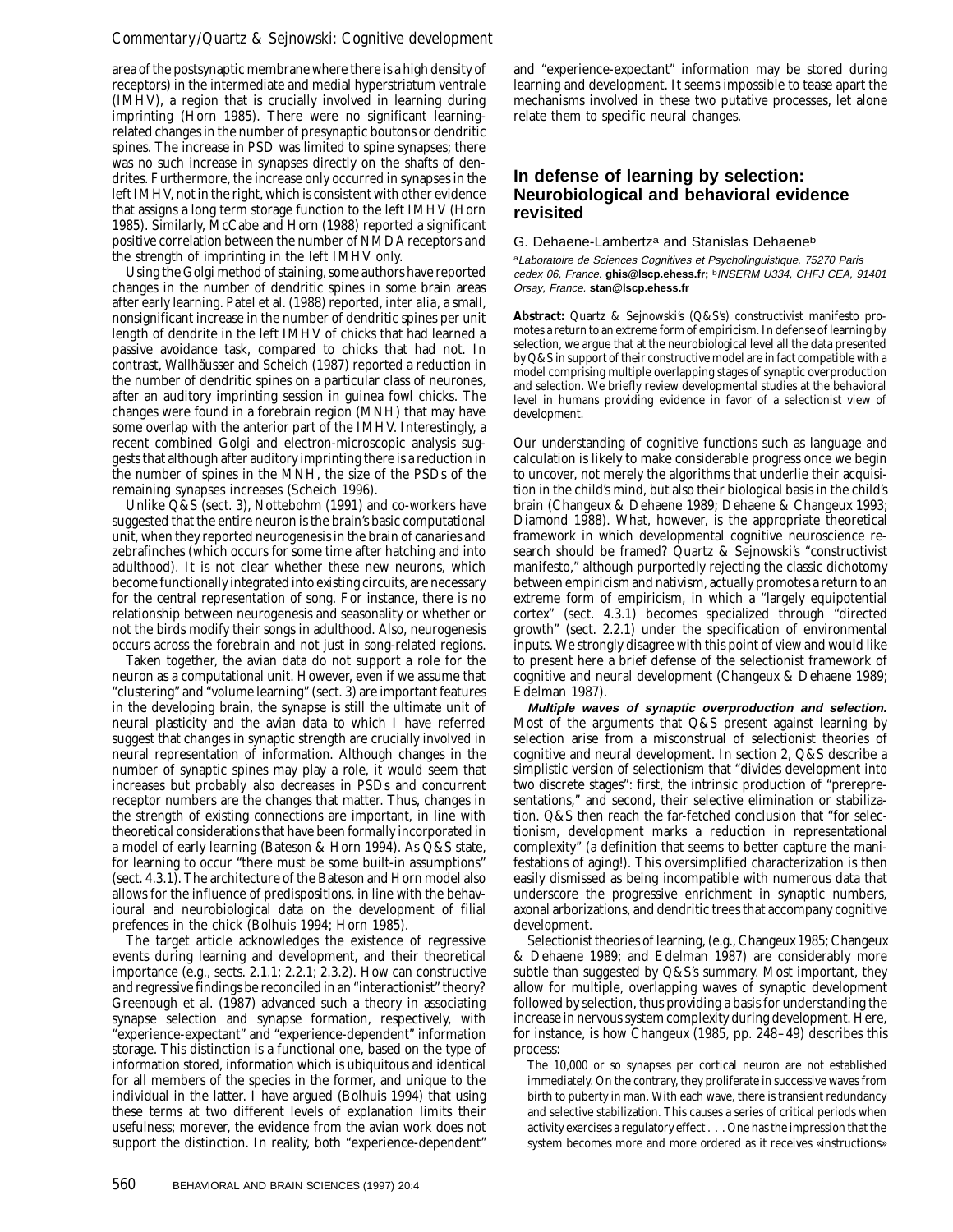# *Commentary/*Quartz & Sejnowski: Cognitive development

area of the postsynaptic membrane where there is a high density of receptors) in the intermediate and medial hyperstriatum ventrale (IMHV), a region that is crucially involved in learning during imprinting (Horn 1985). There were no significant learningrelated changes in the number of presynaptic boutons or dendritic spines. The increase in PSD was limited to spine synapses; there was no such increase in synapses directly on the shafts of dendrites. Furthermore, the increase only occurred in synapses in the left IMHV, not in the right, which is consistent with other evidence that assigns a long term storage function to the left IMHV (Horn 1985). Similarly, McCabe and Horn (1988) reported a significant positive correlation between the number of NMDA receptors and the strength of imprinting in the left IMHV only.

Using the Golgi method of staining, some authors have reported changes in the number of dendritic spines in some brain areas after early learning. Patel et al. (1988) reported, *inter alia,* a small, nonsignificant increase in the number of dendritic spines per unit length of dendrite in the left IMHV of chicks that had learned a passive avoidance task, compared to chicks that had not. In contrast, Wallhäusser and Scheich (1987) reported a *reduction* in the number of dendritic spines on a particular class of neurones, after an auditory imprinting session in guinea fowl chicks. The changes were found in a forebrain region (MNH) that may have some overlap with the anterior part of the IMHV. Interestingly, a recent combined Golgi and electron-microscopic analysis suggests that although after auditory imprinting there is a reduction in the number of spines in the MNH, the size of the PSDs of the remaining synapses increases (Scheich 1996).

Unlike Q&S (sect. 3), Nottebohm (1991) and co-workers have suggested that the entire neuron is the brain's basic computational unit, when they reported neurogenesis in the brain of canaries and zebrafinches (which occurs for some time after hatching and into adulthood). It is not clear whether these new neurons, which become functionally integrated into existing circuits, are necessary for the central representation of song. For instance, there is no relationship between neurogenesis and seasonality or whether or not the birds modify their songs in adulthood. Also, neurogenesis occurs across the forebrain and not just in song-related regions.

Taken together, the avian data do not support a role for the neuron as a computational unit. However, even if we assume that "clustering" and "volume learning" (sect. 3) are important features in the developing brain, the synapse is still the ultimate unit of neural plasticity and the avian data to which I have referred suggest that changes in synaptic strength are crucially involved in neural representation of information. Although changes in the number of synaptic spines may play a role, it would seem that increases but *probably* also *decreases* in PSDs and concurrent receptor numbers are the changes that matter. Thus, changes in the strength of existing connections are important, in line with theoretical considerations that have been formally incorporated in a model of early learning (Bateson & Horn 1994). As Q&S state, for learning to occur "there must be some built-in assumptions" (sect. 4.3.1). The architecture of the Bateson and Horn model also allows for the influence of predispositions, in line with the behavioural and neurobiological data on the development of filial prefences in the chick (Bolhuis 1994; Horn 1985).

The target article acknowledges the existence of regressive events during learning and development, and their theoretical importance (e.g., sects. 2.1.1; 2.2.1; 2.3.2). How can constructive and regressive findings be reconciled in an "interactionist" theory? Greenough et al. (1987) advanced such a theory in associating synapse selection and synapse formation, respectively, with "experience-expectant" and "experience-dependent" information storage. This distinction is a functional one, based on the type of information stored, information which is ubiquitous and identical for all members of the species in the former, and unique to the individual in the latter. I have argued (Bolhuis 1994) that using these terms at two different levels of explanation limits their usefulness; morever, the evidence from the avian work does not support the distinction. In reality, both "experience-dependent"

and "experience-expectant" information may be stored during learning and development. It seems impossible to tease apart the mechanisms involved in these two putative processes, let alone relate them to specific neural changes.

# **In defense of learning by selection: Neurobiological and behavioral evidence revisited**

G. Dehaene-Lambertz<sup>a</sup> and Stanislas Dehaene<sup>b</sup>

aLaboratoire de Sciences Cognitives et Psycholinguistique, 75270 Paris cedex 06, France. **ghis@lscp.ehess.fr;** bINSERM U334, CHFJ CEA, 91401 Orsay, France. **stan@lscp.ehess.fr**

**Abstract:** Quartz & Sejnowski's (Q&S's) constructivist manifesto promotes a return to an extreme form of empiricism. In defense of learning by selection, we argue that at the neurobiological level all the data presented by Q&S in support of their constructive model are in fact compatible with a model comprising multiple overlapping stages of synaptic overproduction and selection. We briefly review developmental studies at the behavioral level in humans providing evidence in favor of a selectionist view of development.

Our understanding of cognitive functions such as language and calculation is likely to make considerable progress once we begin to uncover, not merely the algorithms that underlie their acquisition in the child's mind, but also their biological basis in the child's brain (Changeux & Dehaene 1989; Dehaene & Changeux 1993; Diamond 1988). What, however, is the appropriate theoretical framework in which developmental cognitive neuroscience research should be framed? Quartz & Sejnowski's "constructivist manifesto," although purportedly rejecting the classic dichotomy between empiricism and nativism, actually promotes a return to an extreme form of empiricism, in which a "largely equipotential cortex" (sect. 4.3.1) becomes specialized through "directed growth" (sect. 2.2.1) under the specification of environmental inputs. We strongly disagree with this point of view and would like to present here a brief defense of the selectionist framework of cognitive and neural development (Changeux & Dehaene 1989; Edelman 1987).

**Multiple waves of synaptic overproduction and selection.** Most of the arguments that Q&S present against learning by selection arise from a misconstrual of selectionist theories of cognitive and neural development. In section 2, Q&S describe a simplistic version of selectionism that "divides development into two discrete stages": first, the intrinsic production of "prerepresentations," and second, their selective elimination or stabilization. Q&S then reach the far-fetched conclusion that "for selectionism, development marks a reduction in representational complexity" (a definition that seems to better capture the manifestations of aging!). This oversimplified characterization is then easily dismissed as being incompatible with numerous data that underscore the progressive enrichment in synaptic numbers, axonal arborizations, and dendritic trees that accompany cognitive development.

Selectionist theories of learning, (e.g., Changeux 1985; Changeux & Dehaene 1989; and Edelman 1987) are considerably more subtle than suggested by Q&S's summary. Most important, they allow for multiple, overlapping waves of synaptic development followed by selection, thus providing a basis for understanding the increase in nervous system complexity during development. Here, for instance, is how Changeux (1985, pp. 248–49) describes this process:

The 10,000 or so synapses per cortical neuron are not established immediately. On the contrary, they proliferate in successive waves from birth to puberty in man. With each wave, there is transient redundancy and selective stabilization. This causes a series of critical periods when activity exercises a regulatory effect . . . One has the impression that the system becomes more and more ordered as it receives «instructions»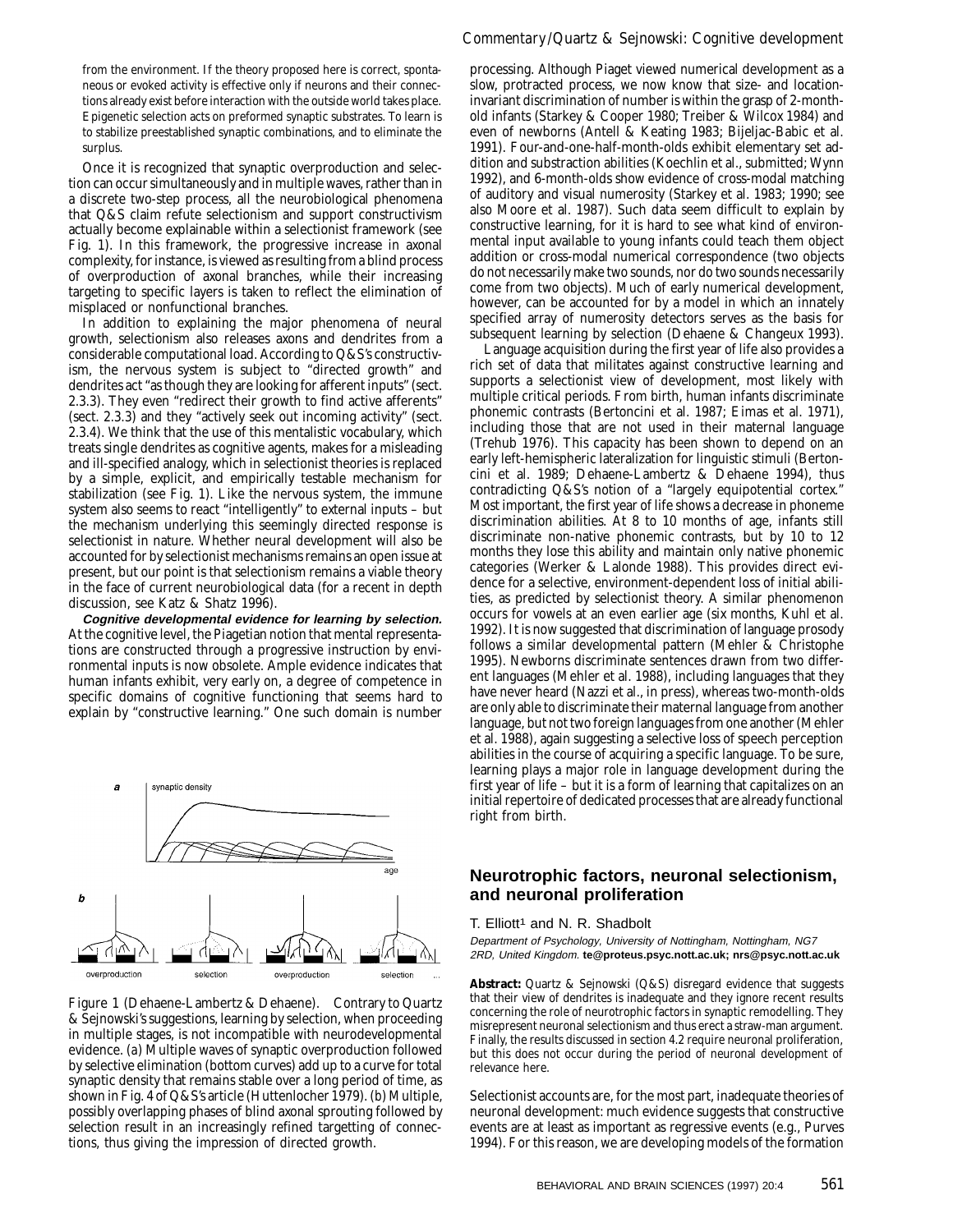from the environment. If the theory proposed here is correct, spontaneous or evoked activity is effective only if neurons and their connections already exist before interaction with the outside world takes place. Epigenetic selection acts on preformed synaptic substrates. To learn is to stabilize preestablished synaptic combinations, and to eliminate the surplus.

Once it is recognized that synaptic overproduction and selection can occur simultaneously and in multiple waves, rather than in a discrete two-step process, all the neurobiological phenomena that Q&S claim refute selectionism and support constructivism actually become explainable within a selectionist framework (see Fig. 1). In this framework, the progressive increase in axonal complexity, for instance, is viewed as resulting from a blind process of overproduction of axonal branches, while their increasing targeting to specific layers is taken to reflect the elimination of misplaced or nonfunctional branches.

In addition to explaining the major phenomena of neural growth, selectionism also releases axons and dendrites from a considerable computational load. According to Q&S's constructivism, the nervous system is subject to "directed growth" and dendrites act "as though they are looking for afferent inputs" (sect. 2.3.3). They even "redirect their growth to find active afferents" (sect. 2.3.3) and they "actively seek out incoming activity" (sect. 2.3.4). We think that the use of this mentalistic vocabulary, which treats single dendrites as cognitive agents, makes for a misleading and ill-specified analogy, which in selectionist theories is replaced by a simple, explicit, and empirically testable mechanism for stabilization (see Fig. 1). Like the nervous system, the immune system also seems to react "intelligently" to external inputs – but the mechanism underlying this seemingly directed response is selectionist in nature. Whether neural development will also be accounted for by selectionist mechanisms remains an open issue at present, but our point is that selectionism remains a viable theory in the face of current neurobiological data (for a recent in depth discussion, see Katz & Shatz 1996).

**Cognitive developmental evidence for learning by selection.** At the cognitive level, the Piagetian notion that mental representations are constructed through a progressive instruction by environmental inputs is now obsolete. Ample evidence indicates that human infants exhibit, very early on, a degree of competence in specific domains of cognitive functioning that seems hard to explain by "constructive learning." One such domain is number



Figure 1 (Dehaene-Lambertz & Dehaene). Contrary to Quartz & Sejnowski's suggestions, learning by selection, when proceeding in multiple stages, is not incompatible with neurodevelopmental evidence. (*a*) Multiple waves of synaptic overproduction followed by selective elimination (bottom curves) add up to a curve for total synaptic density that remains stable over a long period of time, as shown in Fig. 4 of Q&S's article (Huttenlocher 1979). (*b*) Multiple, possibly overlapping phases of blind axonal sprouting followed by selection result in an increasingly refined targetting of connections, thus giving the impression of directed growth.

processing. Although Piaget viewed numerical development as a slow, protracted process, we now know that size- and locationinvariant discrimination of number is within the grasp of 2-monthold infants (Starkey & Cooper 1980; Treiber & Wilcox 1984) and even of newborns (Antell & Keating 1983; Bijeljac-Babic et al. 1991). Four-and-one-half-month-olds exhibit elementary set addition and substraction abilities (Koechlin et al., submitted; Wynn 1992), and 6-month-olds show evidence of cross-modal matching of auditory and visual numerosity (Starkey et al. 1983; 1990; see also Moore et al. 1987). Such data seem difficult to explain by constructive learning, for it is hard to see what kind of environmental input available to young infants could teach them object addition or cross-modal numerical correspondence (two objects do not necessarily make two sounds, nor do two sounds necessarily come from two objects). Much of early numerical development, however, can be accounted for by a model in which an innately specified array of numerosity detectors serves as the basis for subsequent learning by selection (Dehaene & Changeux 1993).

Language acquisition during the first year of life also provides a rich set of data that militates against constructive learning and supports a selectionist view of development, most likely with multiple critical periods. From birth, human infants discriminate phonemic contrasts (Bertoncini et al. 1987; Eimas et al. 1971), including those that are not used in their maternal language (Trehub 1976). This capacity has been shown to depend on an early left-hemispheric lateralization for linguistic stimuli (Bertoncini et al. 1989; Dehaene-Lambertz & Dehaene 1994), thus contradicting Q&S's notion of a "largely equipotential cortex." Most important, the first year of life shows a decrease in phoneme discrimination abilities. At 8 to 10 months of age, infants still discriminate non-native phonemic contrasts, but by 10 to 12 months they lose this ability and maintain only native phonemic categories (Werker & Lalonde 1988). This provides direct evidence for a selective, environment-dependent loss of initial abilities, as predicted by selectionist theory. A similar phenomenon occurs for vowels at an even earlier age (six months, Kuhl et al. 1992). It is now suggested that discrimination of language prosody follows a similar developmental pattern (Mehler & Christophe 1995). Newborns discriminate sentences drawn from two different languages (Mehler et al. 1988), including languages that they have never heard (Nazzi et al., in press), whereas two-month-olds are only able to discriminate their maternal language from another language, but not two foreign languages from one another (Mehler et al. 1988), again suggesting a selective loss of speech perception abilities in the course of acquiring a specific language. To be sure, learning plays a major role in language development during the first year of life – but it is a form of learning that capitalizes on an initial repertoire of dedicated processes that are already functional right from birth.

# **Neurotrophic factors, neuronal selectionism, and neuronal proliferation**

### T. Elliott<sup>1</sup> and N. R. Shadbolt

Department of Psychology, University of Nottingham, Nottingham, NG7 2RD, United Kingdom. **te@proteus.psyc.nott.ac.uk; nrs@psyc.nott.ac.uk**

**Abstract:** Quartz & Sejnowski (Q&S) disregard evidence that suggests that their view of dendrites is inadequate and they ignore recent results concerning the role of neurotrophic factors in synaptic remodelling. They misrepresent neuronal selectionism and thus erect a straw-man argument. Finally, the results discussed in section 4.2 require neuronal proliferation, but this does not occur during the period of neuronal development of relevance here.

Selectionist accounts are, for the most part, inadequate theories of neuronal development: much evidence suggests that constructive events are at least as important as regressive events (e.g., Purves 1994). For this reason, we are developing models of the formation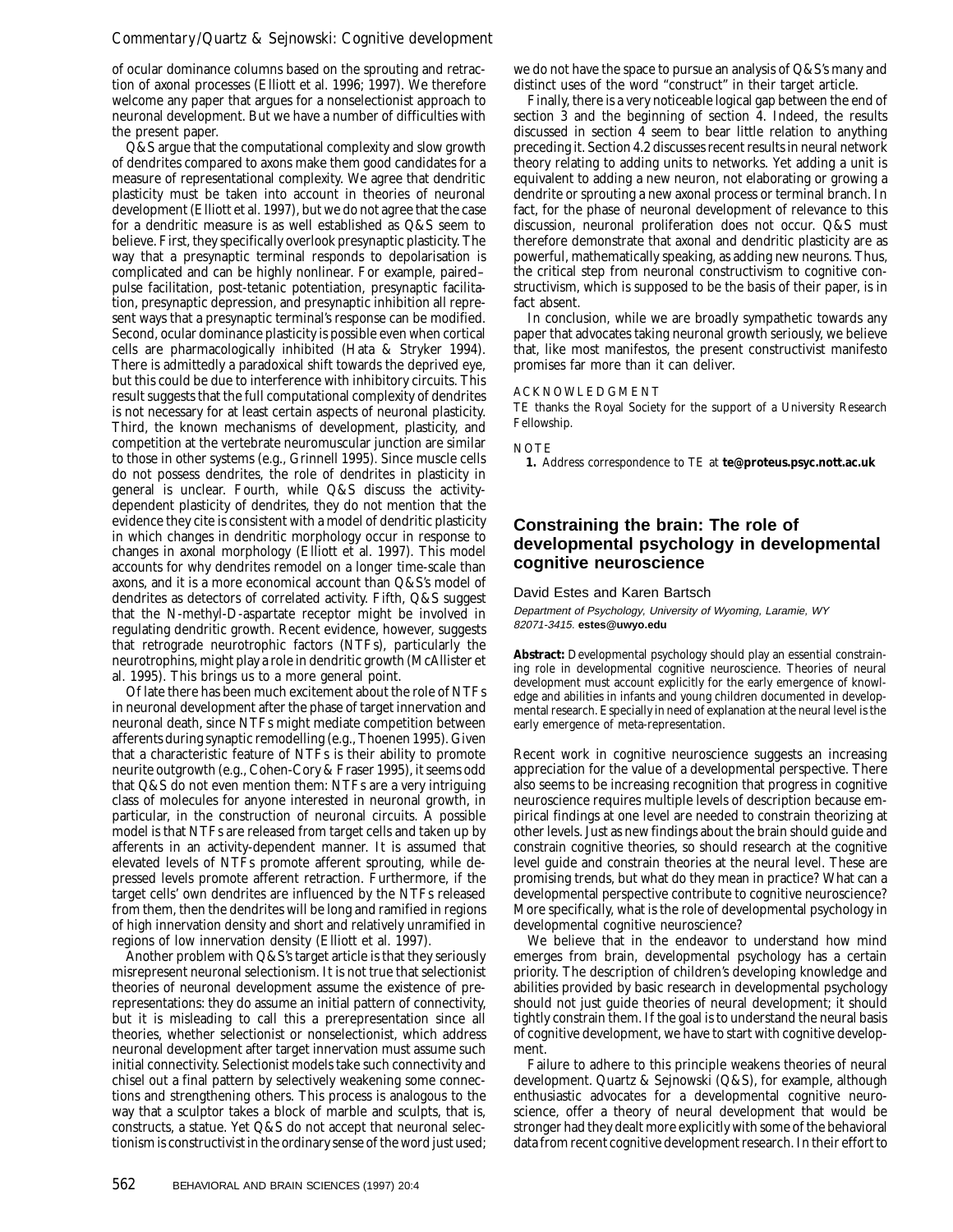### *Commentary/*Quartz & Sejnowski: Cognitive development

of ocular dominance columns based on the sprouting and retraction of axonal processes (Elliott et al. 1996; 1997). We therefore welcome any paper that argues for a nonselectionist approach to neuronal development. But we have a number of difficulties with the present paper.

Q&S argue that the computational complexity and slow growth of dendrites compared to axons make them good candidates for a measure of representational complexity. We agree that dendritic plasticity must be taken into account in theories of neuronal development (Elliott et al. 1997), but we do not agree that the case for a dendritic measure is as well established as Q&S seem to believe. First, they specifically overlook presynaptic plasticity. The way that a presynaptic terminal responds to depolarisation is complicated and can be highly nonlinear. For example, paired– pulse facilitation, post-tetanic potentiation, presynaptic facilitation, presynaptic depression, and presynaptic inhibition all represent ways that a presynaptic terminal's response can be modified. Second, ocular dominance plasticity is possible even when cortical cells are pharmacologically inhibited (Hata & Stryker 1994). There is admittedly a paradoxical shift towards the deprived eye, but this could be due to interference with inhibitory circuits. This result suggests that the full computational complexity of dendrites is not necessary for at least certain aspects of neuronal plasticity. Third, the known mechanisms of development, plasticity, and competition at the vertebrate neuromuscular junction are similar to those in other systems (e.g., Grinnell 1995). Since muscle cells do not possess dendrites, the role of dendrites in plasticity in general is unclear. Fourth, while Q&S discuss the activitydependent plasticity of dendrites, they do not mention that the evidence they cite is consistent with a model of dendritic plasticity in which changes in dendritic morphology occur in response to changes in axonal morphology (Elliott et al. 1997). This model accounts for why dendrites remodel on a longer time-scale than axons, and it is a more economical account than Q&S's model of dendrites as detectors of correlated activity. Fifth, Q&S suggest that the N-methyl-D-aspartate receptor might be involved in regulating dendritic growth. Recent evidence, however, suggests that retrograde neurotrophic factors (NTFs), particularly the neurotrophins, might play a role in dendritic growth (McAllister et al. 1995). This brings us to a more general point.

Of late there has been much excitement about the role of NTFs in neuronal development after the phase of target innervation and neuronal death, since NTFs might mediate competition between afferents during synaptic remodelling (e.g., Thoenen 1995). Given that a characteristic feature of NTFs is their ability to promote neurite outgrowth (e.g., Cohen-Cory & Fraser 1995), it seems odd that Q&S do not even mention them: NTFs are a very intriguing class of molecules for anyone interested in neuronal growth, in particular, in the construction of neuronal circuits. A possible model is that NTFs are released from target cells and taken up by afferents in an activity-dependent manner. It is assumed that elevated levels of NTFs promote afferent sprouting, while depressed levels promote afferent retraction. Furthermore, if the target cells' own dendrites are influenced by the NTFs released from them, then the dendrites will be long and ramified in regions of high innervation density and short and relatively unramified in regions of low innervation density (Elliott et al. 1997).

Another problem with Q&S's target article is that they seriously misrepresent neuronal selectionism. It is not true that selectionist theories of neuronal development assume the existence of prerepresentations: they do assume an initial pattern of connectivity, but it is misleading to call this a prerepresentation since all theories, whether selectionist or nonselectionist, which address neuronal development after target innervation must assume such initial connectivity. Selectionist models take such connectivity and chisel out a final pattern by selectively weakening some connections and strengthening others. This process is analogous to the way that a sculptor takes a block of marble and sculpts, that is, constructs, a statue. Yet Q&S do not accept that neuronal selectionism is constructivist in the ordinary sense of the word just used; we do not have the space to pursue an analysis of Q&S's many and distinct uses of the word "construct" in their target article.

Finally, there is a very noticeable logical gap between the end of section 3 and the beginning of section 4. Indeed, the results discussed in section 4 seem to bear little relation to anything preceding it. Section 4.2 discusses recent results in neural network theory relating to adding units to networks. Yet adding a unit is equivalent to adding a new neuron, not elaborating or growing a dendrite or sprouting a new axonal process or terminal branch. In fact, for the phase of neuronal development of relevance to this discussion, neuronal proliferation does not occur. Q&S must therefore demonstrate that axonal and dendritic plasticity are as powerful, mathematically speaking, as adding new neurons. Thus, the critical step from neuronal constructivism to cognitive constructivism, which is supposed to be the basis of their paper, is in fact absent.

In conclusion, while we are broadly sympathetic towards any paper that advocates taking neuronal growth seriously, we believe that, like most manifestos, the present constructivist manifesto promises far more than it can deliver.

### ACKNOWLEDGMENT

TE thanks the Royal Society for the support of a University Research Fellowship.

### **NOTE**

**1.** Address correspondence to TE at **te@proteus.psyc.nott.ac.uk**

# **Constraining the brain: The role of developmental psychology in developmental cognitive neuroscience**

### David Estes and Karen Bartsch

Department of Psychology, University of Wyoming, Laramie, WY 82071-3415. **estes@uwyo.edu**

**Abstract:** Developmental psychology should play an essential constraining role in developmental cognitive neuroscience. Theories of neural development must account explicitly for the early emergence of knowledge and abilities in infants and young children documented in developmental research. Especially in need of explanation at the neural level is the early emergence of meta-representation.

Recent work in cognitive neuroscience suggests an increasing appreciation for the value of a developmental perspective. There also seems to be increasing recognition that progress in cognitive neuroscience requires multiple levels of description because empirical findings at one level are needed to constrain theorizing at other levels. Just as new findings about the brain should guide and constrain cognitive theories, so should research at the cognitive level guide and constrain theories at the neural level. These are promising trends, but what do they mean in practice? What can a developmental perspective contribute to cognitive neuroscience? More specifically, what is the role of developmental psychology in developmental cognitive neuroscience?

We believe that in the endeavor to understand how mind emerges from brain, developmental psychology has a certain priority. The description of children's developing knowledge and abilities provided by basic research in developmental psychology should not just guide theories of neural development; it should tightly constrain them. If the goal is to understand the neural basis of cognitive development, we have to start with cognitive development.

Failure to adhere to this principle weakens theories of neural development. Quartz & Sejnowski (Q&S), for example, although enthusiastic advocates for a developmental cognitive neuroscience, offer a theory of neural development that would be stronger had they dealt more explicitly with some of the behavioral data from recent cognitive development research. In their effort to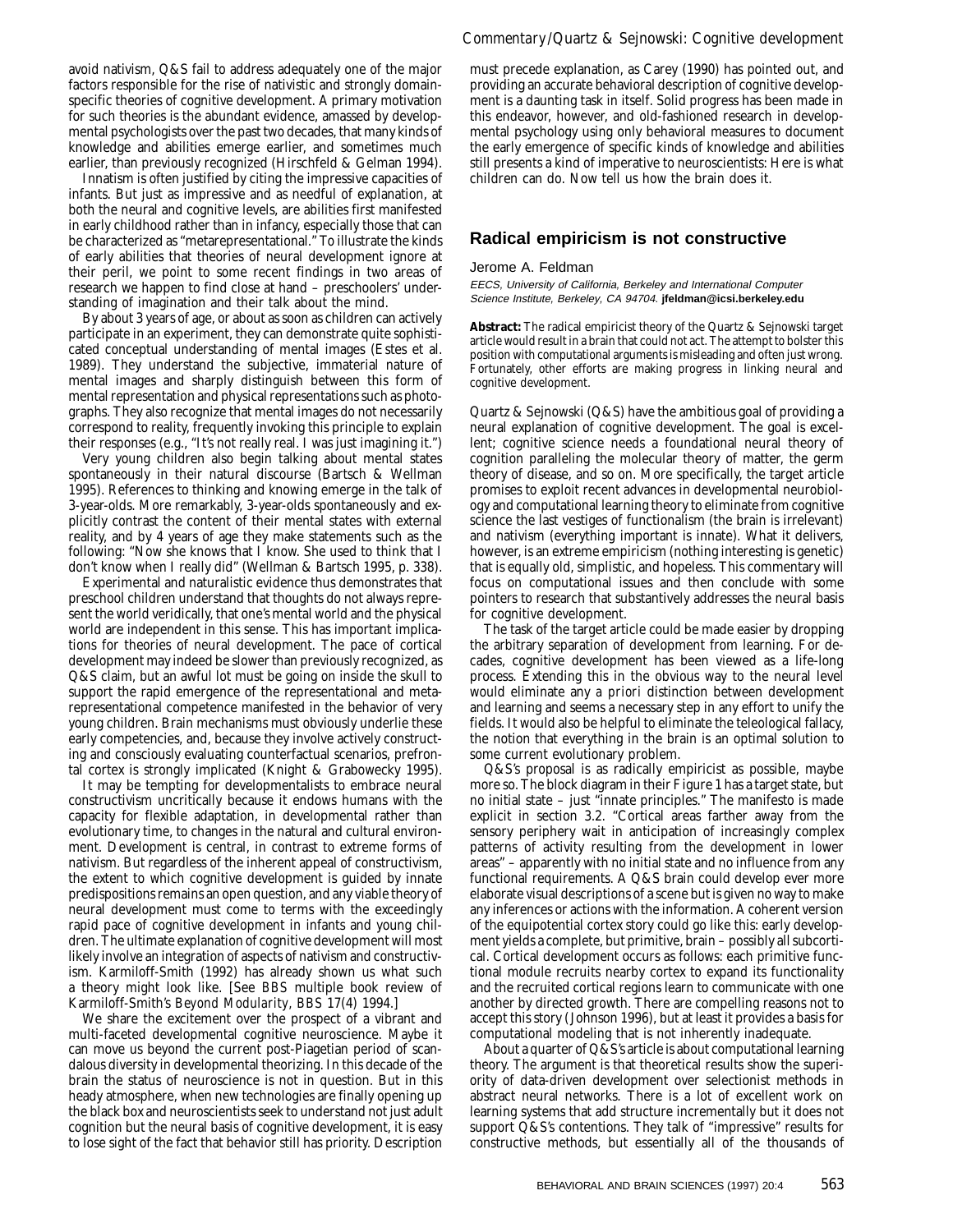avoid nativism, Q&S fail to address adequately one of the major factors responsible for the rise of nativistic and strongly domainspecific theories of cognitive development. A primary motivation for such theories is the abundant evidence, amassed by developmental psychologists over the past two decades, that many kinds of knowledge and abilities emerge earlier, and sometimes much earlier, than previously recognized (Hirschfeld & Gelman 1994).

Innatism is often justified by citing the impressive capacities of infants. But just as impressive and as needful of explanation, at both the neural and cognitive levels, are abilities first manifested in early childhood rather than in infancy, especially those that can be characterized as "metarepresentational." To illustrate the kinds of early abilities that theories of neural development ignore at their peril, we point to some recent findings in two areas of research we happen to find close at hand – preschoolers' understanding of imagination and their talk about the mind.

By about 3 years of age, or about as soon as children can actively participate in an experiment, they can demonstrate quite sophisticated conceptual understanding of mental images (Estes et al. 1989). They understand the subjective, immaterial nature of mental images and sharply distinguish between this form of mental representation and physical representations such as photographs. They also recognize that mental images do not necessarily correspond to reality, frequently invoking this principle to explain their responses (e.g., "It's not really real. I was just imagining it.")

Very young children also begin talking about mental states spontaneously in their natural discourse (Bartsch & Wellman 1995). References to thinking and knowing emerge in the talk of 3-year-olds. More remarkably, 3-year-olds spontaneously and explicitly contrast the content of their mental states with external reality, and by 4 years of age they make statements such as the following: "Now she knows that I know. She used to think that I don't know when I really did" (Wellman & Bartsch 1995, p. 338).

Experimental and naturalistic evidence thus demonstrates that preschool children understand that thoughts do not always represent the world veridically, that one's mental world and the physical world are independent in this sense. This has important implications for theories of neural development. The pace of cortical development may indeed be slower than previously recognized, as Q&S claim, but an awful lot must be going on inside the skull to support the rapid emergence of the representational and metarepresentational competence manifested in the behavior of very young children. Brain mechanisms must obviously underlie these early competencies, and, because they involve actively constructing and consciously evaluating counterfactual scenarios, prefrontal cortex is strongly implicated (Knight & Grabowecky 1995).

It may be tempting for developmentalists to embrace neural constructivism uncritically because it endows humans with the capacity for flexible adaptation, in developmental rather than evolutionary time, to changes in the natural and cultural environment. Development is central, in contrast to extreme forms of nativism. But regardless of the inherent appeal of constructivism, the extent to which cognitive development is guided by innate predispositions remains an open question, and any viable theory of neural development must come to terms with the exceedingly rapid pace of cognitive development in infants and young children. The ultimate explanation of cognitive development will most likely involve an integration of aspects of nativism and constructivism. Karmiloff-Smith (1992) has already shown us what such a theory might look like. [See *BBS* multiple book review of Karmiloff-Smith's *Beyond Modularity, BBS* 17(4) 1994.]

We share the excitement over the prospect of a vibrant and multi-faceted developmental cognitive neuroscience. Maybe it can move us beyond the current post-Piagetian period of scandalous diversity in developmental theorizing. In this decade of the brain the status of neuroscience is not in question. But in this heady atmosphere, when new technologies are finally opening up the black box and neuroscientists seek to understand not just adult cognition but the neural basis of cognitive development, it is easy to lose sight of the fact that behavior still has priority. Description

### *Commentary/*Quartz & Sejnowski: Cognitive development

must precede explanation, as Carey (1990) has pointed out, and providing an accurate behavioral description of cognitive development is a daunting task in itself. Solid progress has been made in this endeavor, however, and old-fashioned research in developmental psychology using only behavioral measures to document the early emergence of specific kinds of knowledge and abilities still presents a kind of imperative to neuroscientists: Here is what children can do. Now tell us how the brain does it.

# **Radical empiricism is not constructive**

### Jerome A. Feldman

EECS, University of California, Berkeley and International Computer Science Institute, Berkeley, CA 94704. **jfeldman@icsi.berkeley.edu**

**Abstract:** The radical empiricist theory of the Quartz & Sejnowski target article would result in a brain that could not act. The attempt to bolster this position with computational arguments is misleading and often just wrong. Fortunately, other efforts are making progress in linking neural and cognitive development.

Quartz & Sejnowski (Q&S) have the ambitious goal of providing a neural explanation of cognitive development. The goal is excellent; cognitive science needs a foundational neural theory of cognition paralleling the molecular theory of matter, the germ theory of disease, and so on. More specifically, the target article promises to exploit recent advances in developmental neurobiology and computational learning theory to eliminate from cognitive science the last vestiges of functionalism (the brain is irrelevant) and nativism (everything important is innate). What it delivers, however, is an extreme empiricism (nothing interesting is genetic) that is equally old, simplistic, and hopeless. This commentary will focus on computational issues and then conclude with some pointers to research that substantively addresses the neural basis for cognitive development.

The task of the target article could be made easier by dropping the arbitrary separation of development from learning. For decades, cognitive development has been viewed as a life-long process. Extending this in the obvious way to the neural level would eliminate any *a priori* distinction between development and learning and seems a necessary step in any effort to unify the fields. It would also be helpful to eliminate the teleological fallacy, the notion that everything in the brain is an optimal solution to some current evolutionary problem.

Q&S's proposal is as radically empiricist as possible, maybe more so. The block diagram in their Figure 1 has a target state, but no initial state – just "innate principles." The manifesto is made explicit in section 3.2. "Cortical areas farther away from the sensory periphery wait in anticipation of increasingly complex patterns of activity resulting from the development in lower areas" – apparently with no initial state and no influence from any functional requirements. A Q&S brain could develop ever more elaborate visual descriptions of a scene but is given no way to make any inferences or actions with the information. A coherent version of the equipotential cortex story could go like this: early development yields a complete, but primitive, brain – possibly all subcortical. Cortical development occurs as follows: each primitive functional module recruits nearby cortex to expand its functionality and the recruited cortical regions learn to communicate with one another by directed growth. There are compelling reasons not to accept this story (Johnson 1996), but at least it provides a basis for computational modeling that is not inherently inadequate.

About a quarter of Q&S's article is about computational learning theory. The argument is that theoretical results show the superiority of data-driven development over selectionist methods in abstract neural networks. There is a lot of excellent work on learning systems that add structure incrementally but it does not support Q&S's contentions. They talk of "impressive" results for constructive methods, but essentially all of the thousands of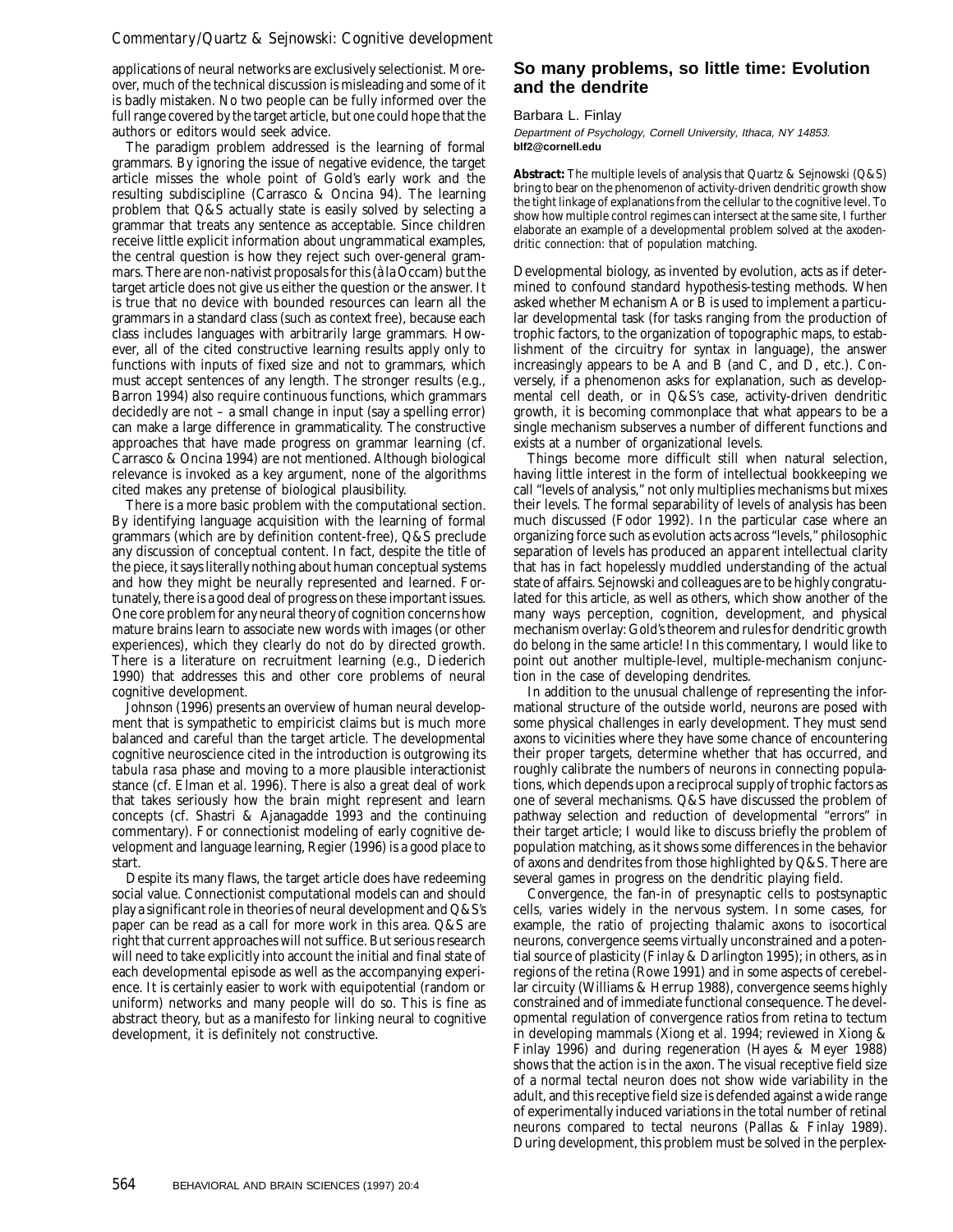### *Commentary/*Quartz & Sejnowski: Cognitive development

applications of neural networks are exclusively selectionist. Moreover, much of the technical discussion is misleading and some of it is badly mistaken. No two people can be fully informed over the full range covered by the target article, but one could hope that the authors or editors would seek advice.

The paradigm problem addressed is the learning of formal grammars. By ignoring the issue of negative evidence, the target article misses the whole point of Gold's early work and the resulting subdiscipline (Carrasco & Oncina 94). The learning problem that Q&S actually state is easily solved by selecting a grammar that treats any sentence as acceptable. Since children receive little explicit information about ungrammatical examples, the central question is how they reject such over-general grammars. There are non-nativist proposals for this (à la Occam) but the target article does not give us either the question or the answer. It is true that no device with bounded resources can learn all the grammars in a standard class (such as context free), because each class includes languages with arbitrarily large grammars. However, all of the cited constructive learning results apply only to functions with inputs of fixed size and not to grammars, which must accept sentences of any length. The stronger results (e.g., Barron 1994) also require continuous functions, which grammars decidedly are not – a small change in input (say a spelling error) can make a large difference in grammaticality. The constructive approaches that have made progress on grammar learning (cf. Carrasco & Oncina 1994) are not mentioned. Although biological relevance is invoked as a key argument, none of the algorithms cited makes any pretense of biological plausibility.

There is a more basic problem with the computational section. By identifying language acquisition with the learning of formal grammars (which are by definition content-free), Q&S preclude any discussion of conceptual content. In fact, despite the title of the piece, it says literally nothing about human conceptual systems and how they might be neurally represented and learned. Fortunately, there is a good deal of progress on these important issues. One core problem for any neural theory of cognition concerns how mature brains learn to associate new words with images (or other experiences), which they clearly do not do by directed growth. There is a literature on recruitment learning (e.g., Diederich 1990) that addresses this and other core problems of neural cognitive development.

Johnson (1996) presents an overview of human neural development that is sympathetic to empiricist claims but is much more balanced and careful than the target article. The developmental cognitive neuroscience cited in the introduction is outgrowing its *tabula rasa* phase and moving to a more plausible interactionist stance (cf. Elman et al. 1996). There is also a great deal of work that takes seriously how the brain might represent and learn concepts (cf. Shastri & Ajanagadde 1993 and the continuing commentary). For connectionist modeling of early cognitive development and language learning, Regier (1996) is a good place to start.

Despite its many flaws, the target article does have redeeming social value. Connectionist computational models can and should play a significant role in theories of neural development and Q&S's paper can be read as a call for more work in this area. Q&S are right that current approaches will not suffice. But serious research will need to take explicitly into account the initial and final state of each developmental episode as well as the accompanying experience. It is certainly easier to work with equipotential (random or uniform) networks and many people will do so. This is fine as abstract theory, but as a manifesto for linking neural to cognitive development, it is definitely not constructive.

# **So many problems, so little time: Evolution and the dendrite**

### Barbara L. Finlay

Department of Psychology, Cornell University, Ithaca, NY 14853. **blf2@cornell.edu**

**Abstract:** The multiple levels of analysis that Quartz & Sejnowski (Q&S) bring to bear on the phenomenon of activity-driven dendritic growth show the tight linkage of explanations from the cellular to the cognitive level. To show how multiple control regimes can intersect at the same site, I further elaborate an example of a developmental problem solved at the axodendritic connection: that of population matching.

Developmental biology, as invented by evolution, acts as if determined to confound standard hypothesis-testing methods. When asked whether Mechanism A or B is used to implement a particular developmental task (for tasks ranging from the production of trophic factors, to the organization of topographic maps, to establishment of the circuitry for syntax in language), the answer increasingly appears to be A and B (and C, and D, etc.). Conversely, if a phenomenon asks for explanation, such as developmental cell death, or in Q&S's case, activity-driven dendritic growth, it is becoming commonplace that what appears to be a single mechanism subserves a number of different functions and exists at a number of organizational levels.

Things become more difficult still when natural selection, having little interest in the form of intellectual bookkeeping we call "levels of analysis," not only multiplies mechanisms but mixes their levels. The formal separability of levels of analysis has been much discussed (Fodor 1992). In the particular case where an organizing force such as evolution acts across "levels," philosophic separation of levels has produced an *apparent* intellectual clarity that has in fact hopelessly muddled understanding of the actual state of affairs. Sejnowski and colleagues are to be highly congratulated for this article, as well as others, which show another of the many ways perception, cognition, development, and physical mechanism overlay: Gold's theorem and rules for dendritic growth do belong in the same article! In this commentary, I would like to point out another multiple-level, multiple-mechanism conjunction in the case of developing dendrites.

In addition to the unusual challenge of representing the informational structure of the outside world, neurons are posed with some physical challenges in early development. They must send axons to vicinities where they have some chance of encountering their proper targets, determine whether that has occurred, and roughly calibrate the numbers of neurons in connecting populations, which depends upon a reciprocal supply of trophic factors as one of several mechanisms. Q&S have discussed the problem of pathway selection and reduction of developmental "errors" in their target article; I would like to discuss briefly the problem of population matching, as it shows some differences in the behavior of axons and dendrites from those highlighted by Q&S. There are several games in progress on the dendritic playing field.

Convergence, the fan-in of presynaptic cells to postsynaptic cells, varies widely in the nervous system. In some cases, for example, the ratio of projecting thalamic axons to isocortical neurons, convergence seems virtually unconstrained and a potential source of plasticity (Finlay & Darlington 1995); in others, as in regions of the retina (Rowe 1991) and in some aspects of cerebellar circuity (Williams & Herrup 1988), convergence seems highly constrained and of immediate functional consequence. The developmental regulation of convergence ratios from retina to tectum in developing mammals (Xiong et al. 1994; reviewed in Xiong & Finlay 1996) and during regeneration (Hayes & Meyer 1988) shows that the action is in the axon. The visual receptive field size of a normal tectal neuron does not show wide variability in the adult, and this receptive field size is defended against a wide range of experimentally induced variations in the total number of retinal neurons compared to tectal neurons (Pallas & Finlay 1989). During development, this problem must be solved in the perplex-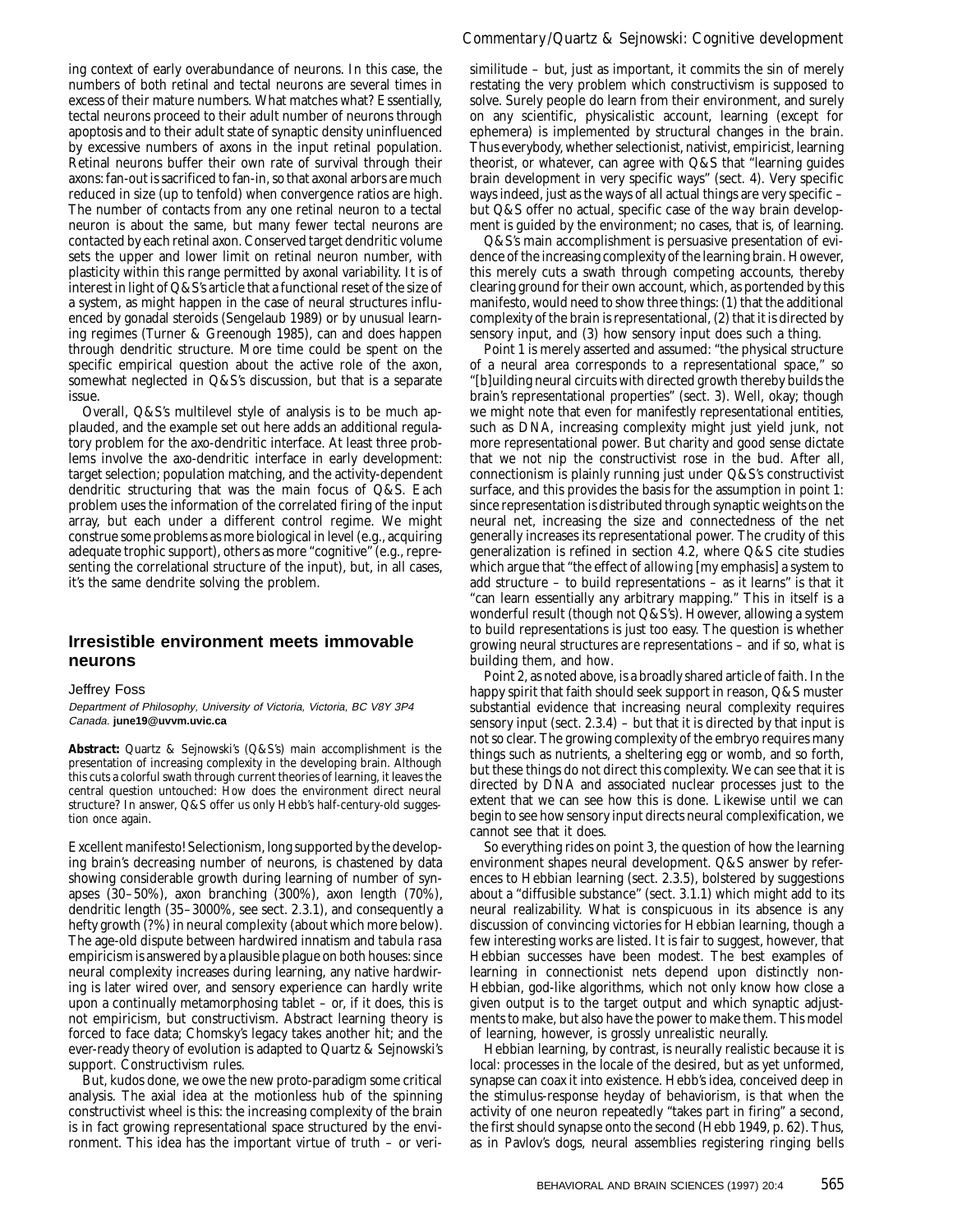ing context of early overabundance of neurons. In this case, the numbers of both retinal and tectal neurons are several times in excess of their mature numbers. What matches what? Essentially, tectal neurons proceed to their adult number of neurons through apoptosis and to their adult state of synaptic density uninfluenced by excessive numbers of axons in the input retinal population. Retinal neurons buffer their own rate of survival through their axons: fan-out is sacrificed to fan-in, so that axonal arbors are much reduced in size (up to tenfold) when convergence ratios are high. The number of contacts from any one retinal neuron to a tectal neuron is about the same, but many fewer tectal neurons are contacted by each retinal axon. Conserved target dendritic volume sets the upper and lower limit on retinal neuron number, with plasticity within this range permitted by axonal variability. It is of interest in light of Q&S's article that a functional reset of the size of a system, as might happen in the case of neural structures influenced by gonadal steroids (Sengelaub 1989) or by unusual learning regimes (Turner & Greenough 1985), can and does happen through dendritic structure. More time could be spent on the specific empirical question about the active role of the axon, somewhat neglected in Q&S's discussion, but that is a separate issue.

Overall, Q&S's multilevel style of analysis is to be much applauded, and the example set out here adds an additional regulatory problem for the axo-dendritic interface. At least three problems involve the axo-dendritic interface in early development: target selection; population matching, and the activity-dependent dendritic structuring that was the main focus of Q&S. Each problem uses the information of the correlated firing of the input array, but each under a different control regime. We might construe some problems as more biological in level (e.g., acquiring adequate trophic support), others as more "cognitive" (e.g., representing the correlational structure of the input), but, in all cases, it's the same dendrite solving the problem.

# **Irresistible environment meets immovable neurons**

### Jeffrey Foss

Department of Philosophy, University of Victoria, Victoria, BC V8Y 3P4 Canada. **june19@uvvm.uvic.ca**

**Abstract:** Quartz & Sejnowski's (Q&S's) main accomplishment is the presentation of increasing complexity in the developing brain. Although this cuts a colorful swath through current theories of learning, it leaves the central question untouched: *How* does the environment direct neural structure? In answer, Q&S offer us only Hebb's half-century-old suggestion once again.

Excellent manifesto! Selectionism, long supported by the developing brain's decreasing number of neurons, is chastened by data showing considerable growth during learning of number of synapses (30–50%), axon branching (300%), axon length (70%), dendritic length (35–3000%, see sect. 2.3.1), and consequently a hefty growth (?%) in neural *complexity* (about which more below). The age-old dispute between hardwired innatism and *tabula rasa* empiricism is answered by a plausible plague on both houses: since neural complexity increases during learning, any native hardwiring is later wired over, and sensory experience can hardly write upon a continually metamorphosing tablet – or, if it does, this is not empiricism, but constructivism. Abstract learning theory is forced to face data; Chomsky's legacy takes another hit; and the ever-ready theory of evolution is adapted to Quartz & Sejnowski's support. Constructivism rules.

But, kudos done, we owe the new proto-paradigm some critical analysis. The axial idea at the motionless hub of the spinning constructivist wheel is this: the increasing complexity of the brain is in fact growing representational space structured by the environment. This idea has the important virtue of truth – or verisimilitude – but, just as important, it commits the sin of merely restating the very problem which constructivism is supposed to solve. Surely people do learn from their environment, and surely on any scientific, physicalistic account, learning (except for ephemera) is implemented by structural changes in the brain. Thus everybody, whether selectionist, nativist, empiricist, learning theorist, or whatever, can agree with Q&S that "learning guides brain development in very specific ways" (sect. 4). Very specific ways indeed, just as the ways of all actual things are very specific – but Q&S offer no actual, specific case of *the way* brain development is guided by the environment; no cases, that is, of learning.

Q&S's main accomplishment is persuasive presentation of evidence of the increasing complexity of the learning brain. However, this merely cuts a swath through competing accounts, thereby clearing ground for their own account, which, as portended by this manifesto, would need to show three things: (1) that the additional complexity of the brain is representational, (2) that it is directed by sensory input, and (3) how sensory input does such a thing.

Point 1 is merely asserted and assumed: "the physical structure of a neural area corresponds to a representational space," so "[b]uilding neural circuits with directed growth thereby builds the brain's representational properties" (sect. 3). Well, okay; though we might note that even for manifestly representational entities, such as DNA, increasing complexity might just yield junk, not more representational power. But charity and good sense dictate that we not nip the constructivist rose in the bud. After all, connectionism is plainly running just under Q&S's constructivist surface, and this provides the basis for the assumption in point 1: since representation is distributed through synaptic weights on the neural net, increasing the size and connectedness of the net generally increases its representational power. The crudity of this generalization is refined in section 4.2, where Q&S cite studies which argue that "the effect of *allowing* [my emphasis] a system to add structure – to build representations – as it learns" is that it "can learn essentially any arbitrary mapping." This in itself is a wonderful result (though not Q&S's). However, allowing a system to build representations is just too easy. The question is whether growing neural structures *are* representations – and if so, *what* is building them, and *how.*

Point 2, as noted above, is a broadly shared article of faith. In the happy spirit that faith should seek support in reason, Q&S muster substantial evidence that increasing neural complexity requires sensory input (sect. 2.3.4) – but that it is directed by that input is not so clear. The growing complexity of the embryo requires many things such as nutrients, a sheltering egg or womb, and so forth, but these things do not direct this complexity. We can see that it is directed by DNA and associated nuclear processes just to the extent that we can see how this is done. Likewise until we can begin to see how sensory input directs neural complexification, we cannot see that it does.

So everything rides on point 3, the question of how the learning environment shapes neural development. Q&S answer by references to Hebbian learning (sect. 2.3.5), bolstered by suggestions about a "diffusible substance" (sect. 3.1.1) which might add to its neural realizability. What is conspicuous in its absence is any discussion of convincing victories for Hebbian learning, though a few interesting works are listed. It is fair to suggest, however, that Hebbian successes have been modest. The best examples of learning in connectionist nets depend upon distinctly non-Hebbian, god-like algorithms, which not only know how close a given output is to the target output and which synaptic adjustments to make, but also have the power to make them. This model of learning, however, is grossly unrealistic neurally.

Hebbian learning, by contrast, is neurally realistic because it is local: processes in the locale of the desired, but as yet unformed, synapse can coax it into existence. Hebb's idea, conceived deep in the stimulus-response heyday of behaviorism, is that when the activity of one neuron repeatedly "takes part in firing" a second, the first should synapse onto the second (Hebb 1949, p. 62). Thus, as in Pavlov's dogs, neural assemblies registering ringing bells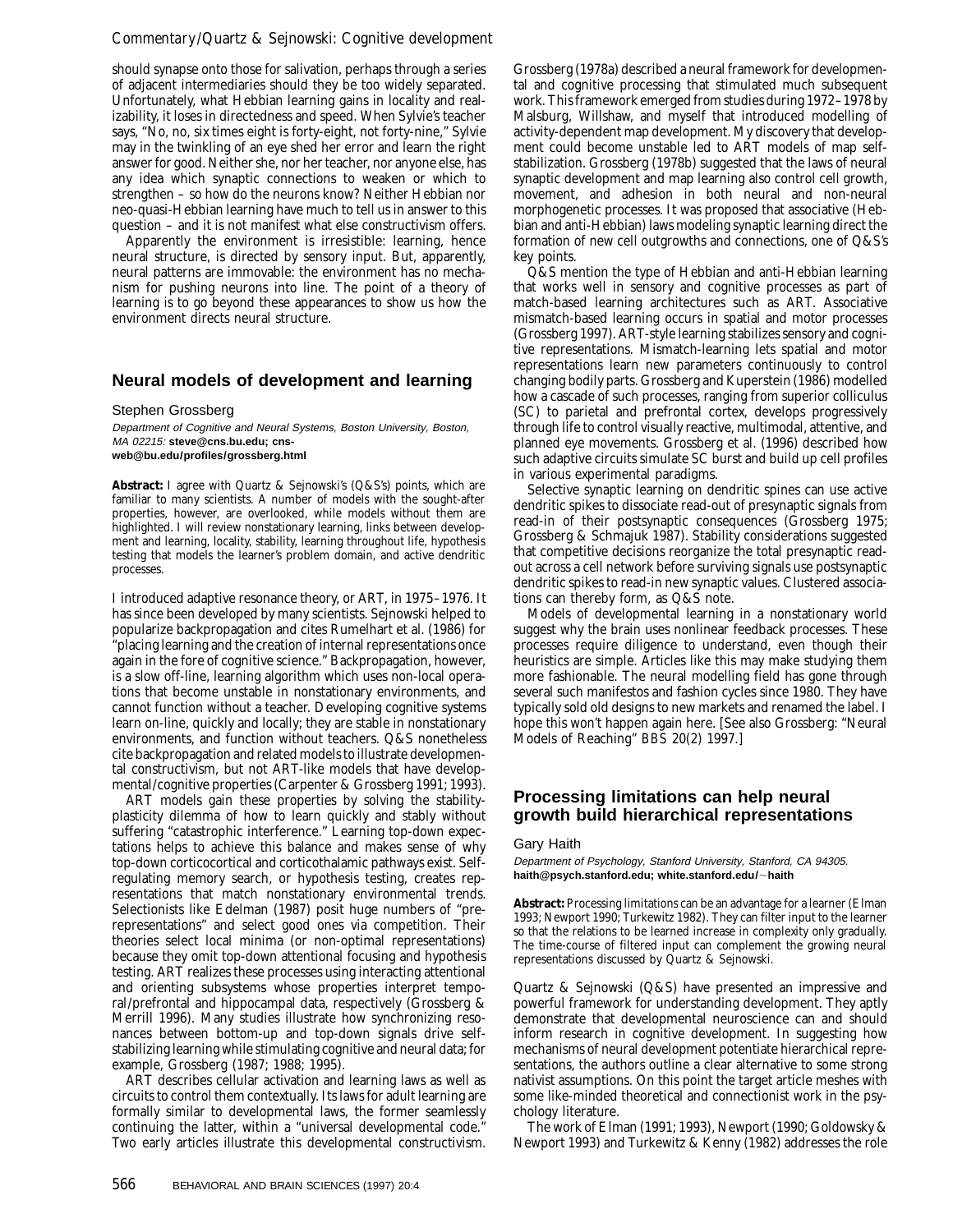### *Commentary/*Quartz & Sejnowski: Cognitive development

should synapse onto those for salivation, perhaps through a series of adjacent intermediaries should they be too widely separated. Unfortunately, what Hebbian learning gains in locality and realizability, it loses in directedness and speed. When Sylvie's teacher says, "No, no, six times eight is forty-eight, not forty-nine," Sylvie may in the twinkling of an eye shed her error and learn the right answer for good. Neither she, nor her teacher, nor anyone else, has any idea which synaptic connections to weaken or which to strengthen – so how do the neurons know? Neither Hebbian nor neo-quasi-Hebbian learning have much to tell us in answer to this question – and it is not manifest what else constructivism offers.

Apparently the environment is irresistible: learning, hence neural structure, is directed by sensory input. But, apparently, neural patterns are immovable: the environment has no mechanism for pushing neurons into line. The point of a theory of learning is to go beyond these appearances to show us *how* the environment directs neural structure.

# **Neural models of development and learning**

Stephen Grossberg

Department of Cognitive and Neural Systems, Boston University, Boston, MA 02215: **steve@cns.bu.edu; cnsweb@bu.edu/profiles/grossberg.html**

**Abstract:** I agree with Quartz & Sejnowski's (Q&S's) points, which are familiar to many scientists. A number of models with the sought-after properties, however, are overlooked, while models without them are highlighted. I will review nonstationary learning, links between development and learning, locality, stability, learning throughout life, hypothesis testing that models the learner's problem domain, and active dendritic processes.

I introduced adaptive resonance theory, or ART, in 1975–1976. It has since been developed by many scientists. Sejnowski helped to popularize backpropagation and cites Rumelhart et al. (1986) for "placing learning and the creation of internal representations once again in the fore of cognitive science." Backpropagation, however, is a slow off-line, learning algorithm which uses non-local operations that become unstable in nonstationary environments, and cannot function without a teacher. Developing cognitive systems learn on-line, quickly and locally; they are stable in nonstationary environments, and function without teachers. Q&S nonetheless cite backpropagation and related models to illustrate developmental constructivism, but not ART-like models that have developmental/cognitive properties (Carpenter & Grossberg 1991; 1993).

ART models gain these properties by solving the stabilityplasticity dilemma of how to learn quickly and stably without suffering "catastrophic interference." Learning top-down expectations helps to achieve this balance and makes sense of why top-down corticocortical and corticothalamic pathways exist. Selfregulating memory search, or hypothesis testing, creates representations that match nonstationary environmental trends. Selectionists like Edelman (1987) posit huge numbers of "prerepresentations" and select good ones via competition. Their theories select local minima (or non-optimal representations) because they omit top-down attentional focusing and hypothesis testing. ART realizes these processes using interacting attentional and orienting subsystems whose properties interpret temporal/prefrontal and hippocampal data, respectively (Grossberg & Merrill 1996). Many studies illustrate how synchronizing resonances between bottom-up and top-down signals drive selfstabilizing learning while stimulating cognitive and neural data; for example, Grossberg (1987; 1988; 1995).

ART describes cellular activation and learning laws as well as circuits to control them contextually. Its laws for adult learning are formally similar to developmental laws, the former seamlessly continuing the latter, within a "universal developmental code." Two early articles illustrate this developmental constructivism.

Grossberg (1978a) described a neural framework for developmental and cognitive processing that stimulated much subsequent work. This framework emerged from studies during 1972–1978 by Malsburg, Willshaw, and myself that introduced modelling of activity-dependent map development. My discovery that development could become unstable led to ART models of map selfstabilization. Grossberg (1978b) suggested that the laws of neural synaptic development and map learning also control cell growth, movement, and adhesion in both neural and non-neural morphogenetic processes. It was proposed that associative (Hebbian and anti-Hebbian) laws modeling synaptic learning direct the formation of new cell outgrowths and connections, one of Q&S's key points.

Q&S mention the type of Hebbian and anti-Hebbian learning that works well in sensory and cognitive processes as part of match-based learning architectures such as ART. Associative mismatch-based learning occurs in spatial and motor processes (Grossberg 1997). ART-style learning stabilizes sensory and cognitive representations. Mismatch-learning lets spatial and motor representations learn new parameters continuously to control changing bodily parts. Grossberg and Kuperstein (1986) modelled how a cascade of such processes, ranging from superior colliculus (SC) to parietal and prefrontal cortex, develops progressively through life to control visually reactive, multimodal, attentive, and planned eye movements. Grossberg et al. (1996) described how such adaptive circuits simulate SC burst and build up cell profiles in various experimental paradigms.

Selective synaptic learning on dendritic spines can use active dendritic spikes to dissociate read-out of presynaptic signals from read-in of their postsynaptic consequences (Grossberg 1975; Grossberg & Schmajuk 1987). Stability considerations suggested that competitive decisions reorganize the total presynaptic readout across a cell network before surviving signals use postsynaptic dendritic spikes to read-in new synaptic values. Clustered associations can thereby form, as Q&S note.

Models of developmental learning in a nonstationary world suggest why the brain uses nonlinear feedback processes. These processes require diligence to understand, even though their heuristics are simple. Articles like this may make studying them more fashionable. The neural modelling field has gone through several such manifestos and fashion cycles since 1980. They have typically sold old designs to new markets and renamed the label. I hope this won't happen again here. [See also Grossberg: "Neural Models of Reaching" *BBS* 20(2) 1997.]

# **Processing limitations can help neural growth build hierarchical representations**

### Gary Haith

Department of Psychology, Stanford University, Stanford, CA 94305. **haith@psych.stanford.edu; white.stanford.edu/**,**haith**

**Abstract:** Processing limitations can be an advantage for a learner (Elman 1993; Newport 1990; Turkewitz 1982). They can filter input to the learner so that the relations to be learned increase in complexity only gradually. The time-course of filtered input can complement the growing neural representations discussed by Quartz & Sejnowski.

Quartz & Sejnowski (Q&S) have presented an impressive and powerful framework for understanding development. They aptly demonstrate that developmental neuroscience can and should inform research in cognitive development. In suggesting how mechanisms of neural development potentiate hierarchical representations, the authors outline a clear alternative to some strong nativist assumptions. On this point the target article meshes with some like-minded theoretical and connectionist work in the psychology literature.

The work of Elman (1991; 1993), Newport (1990; Goldowsky & Newport 1993) and Turkewitz & Kenny (1982) addresses the role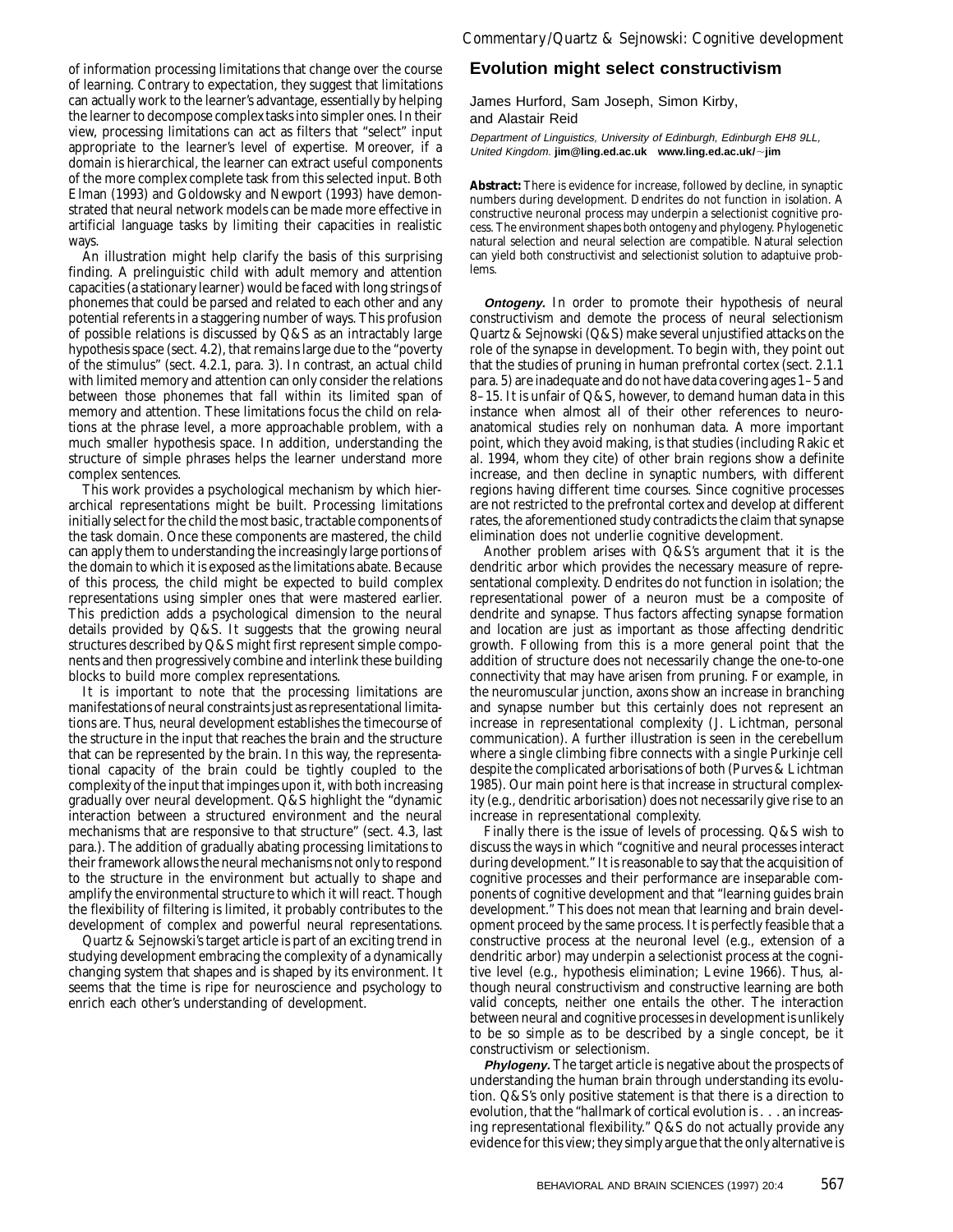of information processing limitations that change over the course of learning. Contrary to expectation, they suggest that limitations can actually work to the learner's advantage, essentially by helping the learner to decompose complex tasks into simpler ones. In their view, processing limitations can act as filters that "select" input appropriate to the learner's level of expertise. Moreover, if a domain is hierarchical, the learner can extract useful components of the more complex complete task from this selected input. Both Elman (1993) and Goldowsky and Newport (1993) have demonstrated that neural network models can be made more effective in artificial language tasks by *limiting* their capacities in realistic ways.

An illustration might help clarify the basis of this surprising finding. A prelinguistic child with adult memory and attention capacities (a stationary learner) would be faced with long strings of phonemes that could be parsed and related to each other and any potential referents in a staggering number of ways. This profusion of possible relations is discussed by Q&S as an intractably large hypothesis space (sect. 4.2), that remains large due to the "poverty of the stimulus" (sect. 4.2.1, para. 3). In contrast, an actual child with limited memory and attention can only consider the relations between those phonemes that fall within its limited span of memory and attention. These limitations focus the child on relations at the phrase level, a more approachable problem, with a much smaller hypothesis space. In addition, understanding the structure of simple phrases helps the learner understand more complex sentences.

This work provides a psychological mechanism by which hierarchical representations might be built. Processing limitations initially select for the child the most basic, tractable components of the task domain. Once these components are mastered, the child can apply them to understanding the increasingly large portions of the domain to which it is exposed as the limitations abate. Because of this process, the child might be expected to build complex representations using simpler ones that were mastered earlier. This prediction adds a psychological dimension to the neural details provided by Q&S. It suggests that the growing neural structures described by Q&S might first represent simple components and then progressively combine and interlink these building blocks to build more complex representations.

It is important to note that the processing limitations are manifestations of neural constraints just as representational limitations are. Thus, neural development establishes the timecourse of the structure in the input that reaches the brain and the structure that can be represented by the brain. In this way, the representational capacity of the brain could be tightly coupled to the complexity of the input that impinges upon it, with both increasing gradually over neural development. Q&S highlight the "dynamic interaction between a structured environment and the neural mechanisms that are responsive to that structure" (sect. 4.3, last para.). The addition of gradually abating processing limitations to their framework allows the neural mechanisms not only to respond to the structure in the environment but actually to shape and amplify the environmental structure to which it will react. Though the flexibility of filtering is limited, it probably contributes to the development of complex and powerful neural representations.

Quartz & Sejnowski's target article is part of an exciting trend in studying development embracing the complexity of a dynamically changing system that shapes and is shaped by its environment. It seems that the time is ripe for neuroscience and psychology to enrich each other's understanding of development.

# **Evolution might select constructivism**

James Hurford, Sam Joseph, Simon Kirby,

and Alastair Reid

Department of Linguistics, University of Edinburgh, Edinburgh EH8 9LL, United Kingdom. **jim@ling.ed.ac.uk www.ling.ed.ac.uk/**,**jim**

**Abstract:** There is evidence for increase, followed by decline, in synaptic numbers during development. Dendrites do not function in isolation. A constructive neuronal process may underpin a selectionist cognitive process. The environment shapes both ontogeny and phylogeny. Phylogenetic natural selection and neural selection are compatible. Natural selection can yield both constructivist and selectionist solution to adaptuive problems.

**Ontogeny.** In order to promote their hypothesis of neural constructivism and demote the process of neural selectionism Quartz & Sejnowski (Q&S) make several unjustified attacks on the role of the synapse in development. To begin with, they point out that the studies of pruning in human prefrontal cortex (sect. 2.1.1 para. 5) are inadequate and do not have data covering ages 1–5 and 8–15. It is unfair of Q&S, however, to demand human data in this instance when almost all of their other references to neuroanatomical studies rely on nonhuman data. A more important point, which they avoid making, is that studies (including Rakic et al. 1994, whom they cite) of other brain regions show a definite increase, and then decline in synaptic numbers, with different regions having different time courses. Since cognitive processes are not restricted to the prefrontal cortex and develop at different rates, the aforementioned study contradicts the claim that synapse elimination does not underlie cognitive development.

Another problem arises with Q&S's argument that it is the dendritic arbor which provides the necessary measure of representational complexity. Dendrites do not function in isolation; the representational power of a neuron must be a composite of dendrite and synapse. Thus factors affecting synapse formation and location are just as important as those affecting dendritic growth. Following from this is a more general point that the addition of structure does not necessarily change the one-to-one connectivity that may have arisen from pruning. For example, in the neuromuscular junction, axons show an increase in branching and synapse number but this certainly does not represent an increase in representational complexity (J. Lichtman, personal communication). A further illustration is seen in the cerebellum where a *single* climbing fibre connects with a *single* Purkinje cell despite the complicated arborisations of both (Purves & Lichtman 1985). Our main point here is that increase in structural complexity (e.g., dendritic arborisation) does not necessarily give rise to an increase in representational complexity.

Finally there is the issue of levels of processing. Q&S wish to discuss the ways in which "cognitive and neural processes interact during development." It is reasonable to say that the acquisition of cognitive processes and their performance are inseparable components of cognitive development and that "learning guides brain development." This does not mean that learning and brain development proceed by the same process. It is perfectly feasible that a constructive process at the neuronal level (e.g., extension of a dendritic arbor) may underpin a selectionist process at the cognitive level (e.g., hypothesis elimination; Levine 1966). Thus, although neural constructivism and constructive learning are both valid concepts, neither one entails the other. The interaction between neural and cognitive processes in development is unlikely to be so simple as to be described by a single concept, be it constructivism or selectionism.

**Phylogeny.** The target article is negative about the prospects of understanding the human brain through understanding its evolution. Q&S's only positive statement is that there is a direction to evolution, that the "hallmark of cortical evolution is . . . an increasing representational flexibility." Q&S do not actually provide any evidence for this view; they simply argue that the only alternative is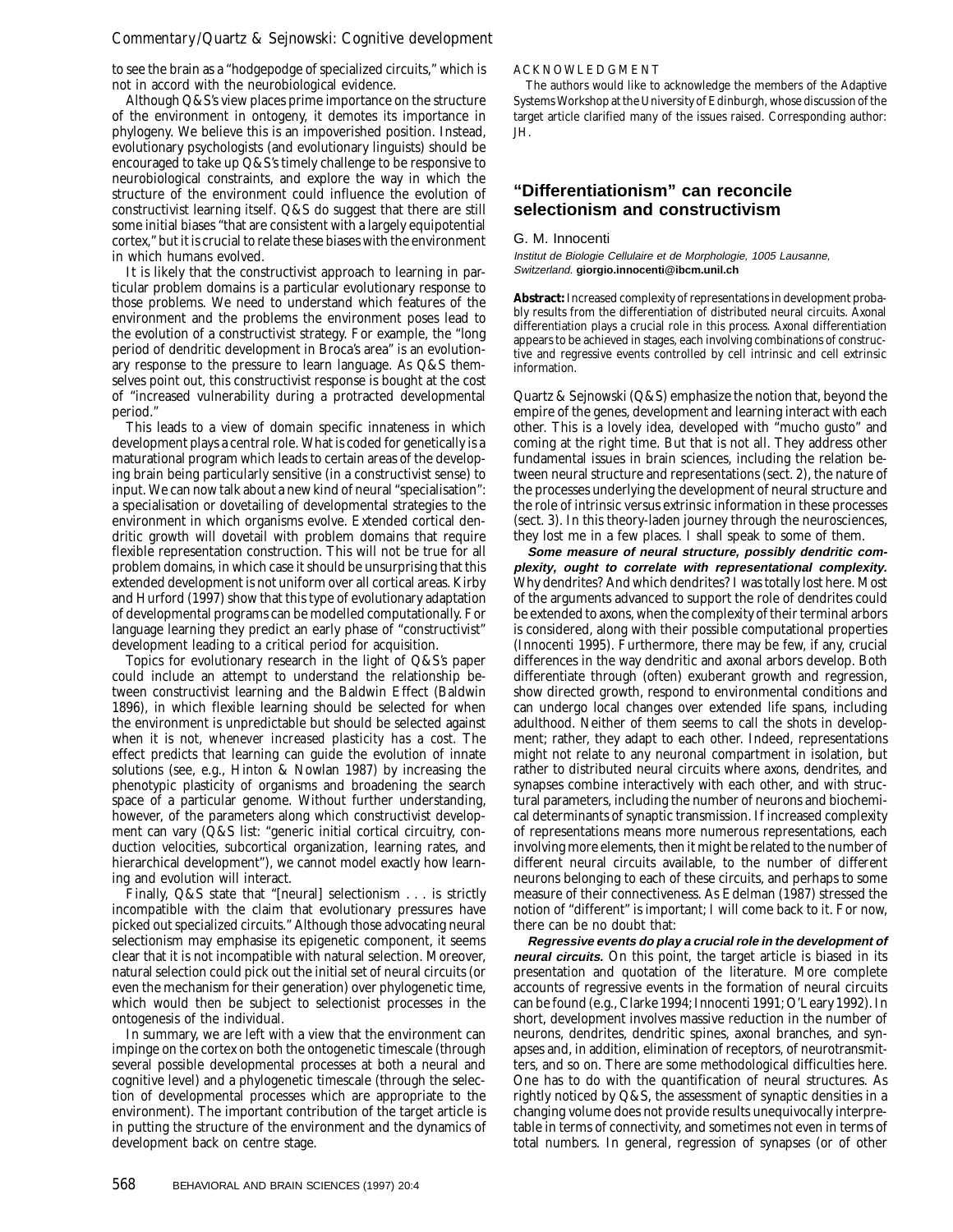### *Commentary/*Quartz & Sejnowski: Cognitive development

to see the brain as a "hodgepodge of specialized circuits," which is not in accord with the neurobiological evidence.

Although Q&S's view places prime importance on the structure of the environment in ontogeny, it demotes its importance in phylogeny. We believe this is an impoverished position. Instead, evolutionary psychologists (and evolutionary linguists) should be encouraged to take up Q&S's timely challenge to be responsive to neurobiological constraints, and explore the way in which the structure of the environment could influence the evolution of constructivist learning itself. Q&S do suggest that there are still some initial biases "that are consistent with a largely equipotential cortex," but it is crucial to relate these biases with the environment in which humans evolved.

It is likely that the constructivist approach to learning in particular problem domains is a particular evolutionary response to those problems. We need to understand which features of the environment and the problems the environment poses lead to the evolution of a constructivist strategy. For example, the "long period of dendritic development in Broca's area" is an evolutionary response to the pressure to learn language. As Q&S themselves point out, this constructivist response is bought at the cost of "increased vulnerability during a protracted developmental period."

This leads to a view of domain specific innateness in which development plays a central role. What is coded for genetically is a maturational program which leads to certain areas of the developing brain being particularly sensitive (in a constructivist sense) to input. We can now talk about a new kind of neural "specialisation": a specialisation or dovetailing of developmental strategies to the environment in which organisms evolve. Extended cortical dendritic growth will dovetail with problem domains that require flexible representation construction. This will not be true for all problem domains, in which case it should be unsurprising that this extended development is not uniform over all cortical areas. Kirby and Hurford (1997) show that this type of evolutionary adaptation of developmental programs can be modelled computationally. For language learning they predict an early phase of "constructivist" development leading to a critical period for acquisition.

Topics for evolutionary research in the light of Q&S's paper could include an attempt to understand the relationship between constructivist learning and the Baldwin Effect (Baldwin 1896), in which flexible learning should be selected for when the environment is unpredictable but should be selected against when it is not, *whenever increased plasticity has a cost.* The effect predicts that learning can guide the evolution of innate solutions (see, e.g., Hinton & Nowlan 1987) by increasing the phenotypic plasticity of organisms and broadening the search space of a particular genome. Without further understanding, however, of the parameters along which constructivist development can vary (Q&S list: "generic initial cortical circuitry, conduction velocities, subcortical organization, learning rates, and hierarchical development"), we cannot model exactly how learning and evolution will interact.

Finally, Q&S state that "[neural] selectionism . . . is strictly incompatible with the claim that evolutionary pressures have picked out specialized circuits." Although those advocating neural selectionism may emphasise its epigenetic component, it seems clear that it is not incompatible with natural selection. Moreover, natural selection could pick out the initial set of neural circuits (or even the mechanism for their generation) over phylogenetic time, which would then be subject to selectionist processes in the ontogenesis of the individual.

In summary, we are left with a view that the environment can impinge on the cortex on both the ontogenetic timescale (through several possible developmental processes at both a neural and cognitive level) and a phylogenetic timescale (through the selection of developmental processes which are appropriate to the environment). The important contribution of the target article is in putting the structure of the environment and the dynamics of development back on centre stage.

### ACKNOWLEDGMENT

The authors would like to acknowledge the members of the Adaptive Systems Workshop at the University of Edinburgh, whose discussion of the target article clarified many of the issues raised. Corresponding author: JH.

# **"Differentiationism" can reconcile selectionism and constructivism**

### G. M. Innocenti

Institut de Biologie Cellulaire et de Morphologie, 1005 Lausanne, Switzerland. **giorgio.innocenti@ibcm.unil.ch**

**Abstract:** Increased complexity of representations in development probably results from the differentiation of distributed neural circuits. Axonal differentiation plays a crucial role in this process. Axonal differentiation appears to be achieved in stages, each involving combinations of constructive and regressive events controlled by cell intrinsic and cell extrinsic information.

Quartz & Sejnowski (Q&S) emphasize the notion that, beyond the empire of the genes, development and learning interact with each other. This is a lovely idea, developed with "mucho gusto" and coming at the right time. But that is not all. They address other fundamental issues in brain sciences, including the relation between neural structure and representations (sect. 2), the nature of the processes underlying the development of neural structure and the role of intrinsic versus extrinsic information in these processes (sect. 3). In this theory-laden journey through the neurosciences, they lost me in a few places. I shall speak to some of them.

**Some measure of neural structure, possibly dendritic complexity, ought to correlate with representational complexity.** Why dendrites? And which dendrites? I was totally lost here. Most of the arguments advanced to support the role of dendrites could be extended to axons, when the complexity of their terminal arbors is considered, along with their possible computational properties (Innocenti 1995). Furthermore, there may be few, if any, crucial differences in the way dendritic and axonal arbors develop. Both differentiate through (often) exuberant growth and regression, show directed growth, respond to environmental conditions and can undergo local changes over extended life spans, including adulthood. Neither of them seems to call the shots in development; rather, they adapt to each other. Indeed, representations might not relate to any neuronal compartment in isolation, but rather to distributed neural circuits where axons, dendrites, and synapses combine interactively with each other, and with structural parameters, including the number of neurons and biochemical determinants of synaptic transmission. If increased complexity of representations means more numerous representations, each involving more elements, then it might be related to the number of *different* neural circuits available, to the number of *different* neurons belonging to each of these circuits, and perhaps to some measure of their connectiveness. As Edelman (1987) stressed the notion of "different" is important; I will come back to it. For now, there can be no doubt that:

**Regressive events do play a crucial role in the development of neural circuits.** On this point, the target article is biased in its presentation and quotation of the literature. More complete accounts of regressive events in the formation of neural circuits can be found (e.g., Clarke 1994; Innocenti 1991; O'Leary 1992). In short, development involves massive reduction in the number of neurons, dendrites, dendritic spines, axonal branches, and synapses and, in addition, elimination of receptors, of neurotransmitters, and so on. There are some methodological difficulties here. One has to do with the quantification of neural structures. As rightly noticed by Q&S, the assessment of synaptic densities in a changing volume does not provide results unequivocally interpretable in terms of connectivity, and sometimes not even in terms of total numbers. In general, regression of synapses (or of other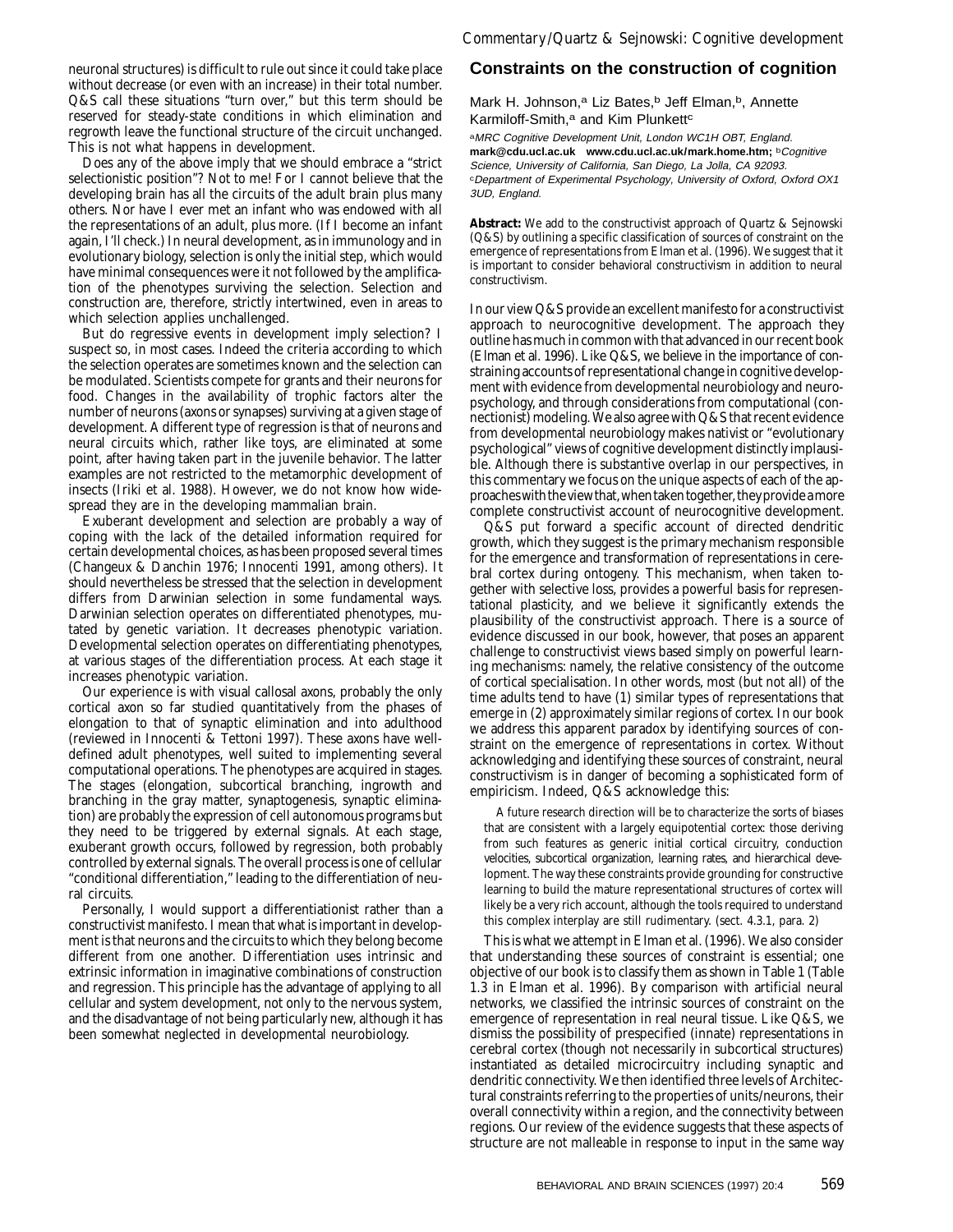Does any of the above imply that we should embrace a "strict selectionistic position"? Not to me! For I cannot believe that the developing brain has all the circuits of the adult brain plus many others. Nor have I ever met an infant who was endowed with all the representations of an adult, plus more. (If I become an infant again, I'll check.) In neural development, as in immunology and in evolutionary biology, selection is only the initial step, which would have minimal consequences were it not followed by the amplification of the phenotypes surviving the selection. Selection and construction are, therefore, strictly intertwined, even in areas to which selection applies unchallenged.

But do regressive events in development imply selection? I suspect so, in most cases. Indeed the criteria according to which the selection operates are sometimes known and the selection can be modulated. Scientists compete for grants and their neurons for food. Changes in the availability of trophic factors alter the number of neurons (axons or synapses) surviving at a given stage of development. A different type of regression is that of neurons and neural circuits which, rather like toys, are eliminated at some point, after having taken part in the juvenile behavior. The latter examples are not restricted to the metamorphic development of insects (Iriki et al. 1988). However, we do not know how widespread they are in the developing mammalian brain.

Exuberant development and selection are probably a way of coping with the lack of the detailed information required for certain developmental choices, as has been proposed several times (Changeux & Danchin 1976; Innocenti 1991, among others). It should nevertheless be stressed that the selection in development differs from Darwinian selection in some fundamental ways. Darwinian selection operates on differentiated phenotypes, mutated by genetic variation. It decreases phenotypic variation. Developmental selection operates on differentiating phenotypes, at various stages of the differentiation process. At each stage it increases phenotypic variation.

Our experience is with visual callosal axons, probably the only cortical axon so far studied quantitatively from the phases of elongation to that of synaptic elimination and into adulthood (reviewed in Innocenti & Tettoni 1997). These axons have welldefined adult phenotypes, well suited to implementing several computational operations. The phenotypes are acquired in stages. The stages (elongation, subcortical branching, ingrowth and branching in the gray matter, synaptogenesis, synaptic elimination) are probably the expression of cell autonomous programs but they need to be triggered by external signals. At each stage, exuberant growth occurs, followed by regression, both probably controlled by external signals. The overall process is one of cellular "conditional differentiation," leading to the differentiation of neural circuits.

Personally, I would support a differentiationist rather than a constructivist manifesto. I mean that what is important in development is that neurons and the circuits to which they belong become different from one another. Differentiation uses intrinsic and extrinsic information in imaginative combinations of construction and regression. This principle has the advantage of applying to all cellular and system development, not only to the nervous system, and the disadvantage of not being particularly new, although it has been somewhat neglected in developmental neurobiology.

# **Constraints on the construction of cognition**

Mark H. Johnson,<sup>a</sup> Liz Bates,<sup>b</sup> Jeff Elman,<sup>b</sup>, Annette Karmiloff-Smith,<sup>a</sup> and Kim Plunkett<sup>c</sup>

aMRC Cognitive Development Unit, London WC1H OBT, England. mark@cdu.ucl.ac.uk www.cdu.ucl.ac.uk/mark.home.htm; **bCognitive** Science, University of California, San Diego, La Jolla, CA 92093. cDepartment of Experimental Psychology, University of Oxford, Oxford OX1 3UD, England.

**Abstract:** We add to the constructivist approach of Quartz & Sejnowski (Q&S) by outlining a specific classification of sources of constraint on the emergence of representations from Elman et al. (1996). We suggest that it is important to consider behavioral constructivism in addition to neural constructivism.

In our view Q&S provide an excellent manifesto for a constructivist approach to neurocognitive development. The approach they outline has much in common with that advanced in our recent book (Elman et al. 1996). Like Q&S, we believe in the importance of constraining accounts of representational change in cognitive development with evidence from developmental neurobiology and neuropsychology, and through considerations from computational (connectionist) modeling. We also agree with Q&S that recent evidence from developmental neurobiology makes nativist or "evolutionary psychological" views of cognitive development distinctly implausible. Although there is substantive overlap in our perspectives, in this commentary we focus on the unique aspects of each of the approaches with the view that, when taken together, they provide a more complete constructivist account of neurocognitive development.

Q&S put forward a specific account of directed dendritic growth, which they suggest is the primary mechanism responsible for the emergence and transformation of representations in cerebral cortex during ontogeny. This mechanism, when taken together with selective loss, provides a powerful basis for representational plasticity, and we believe it significantly extends the plausibility of the constructivist approach. There is a source of evidence discussed in our book, however, that poses an apparent challenge to constructivist views based simply on powerful learning mechanisms: namely, the relative consistency of the outcome of cortical specialisation. In other words, most (but not all) of the time adults tend to have (1) similar types of representations that emerge in (2) approximately similar regions of cortex. In our book we address this apparent paradox by identifying sources of constraint on the emergence of representations in cortex. Without acknowledging and identifying these sources of constraint, neural constructivism is in danger of becoming a sophisticated form of empiricism. Indeed, Q&S acknowledge this:

A future research direction will be to characterize the sorts of biases that are consistent with a largely equipotential cortex: those deriving from such features as generic initial cortical circuitry, conduction velocities, subcortical organization, learning rates, and hierarchical development. The way these constraints provide grounding for constructive learning to build the mature representational structures of cortex will likely be a very rich account, although the tools required to understand this complex interplay are still rudimentary. (sect. 4.3.1, para. 2)

This is what we attempt in Elman et al. (1996). We also consider that understanding these sources of constraint is essential; one objective of our book is to classify them as shown in Table 1 (Table 1.3 in Elman et al. 1996). By comparison with artificial neural networks, we classified the intrinsic sources of constraint on the emergence of representation in real neural tissue. Like Q&S, we dismiss the possibility of prespecified (innate) representations in cerebral cortex (though not necessarily in subcortical structures) instantiated as detailed microcircuitry including synaptic and dendritic connectivity. We then identified three levels of Architectural constraints referring to the properties of units/neurons, their overall connectivity within a region, and the connectivity between regions. Our review of the evidence suggests that these aspects of structure are not malleable in response to input in the same way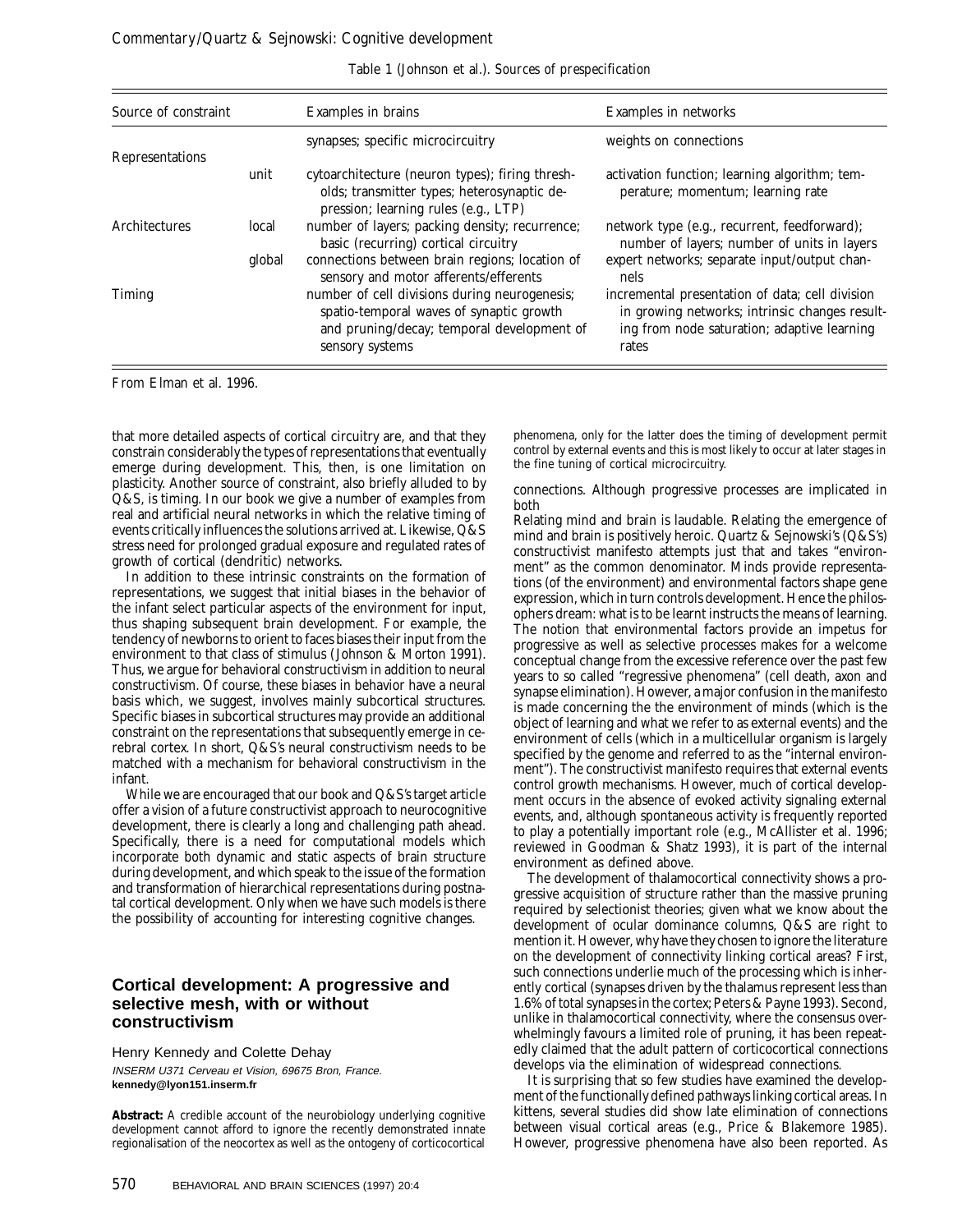### *Commentary/*Quartz & Sejnowski: Cognitive development

|  |  |  |  |  | Table 1 (Johnson et al.). Sources of prespecification |
|--|--|--|--|--|-------------------------------------------------------|
|--|--|--|--|--|-------------------------------------------------------|

| Source of constraint |        | Examples in brains                                                                                                                                         | Examples in networks                                                                                                                                      |
|----------------------|--------|------------------------------------------------------------------------------------------------------------------------------------------------------------|-----------------------------------------------------------------------------------------------------------------------------------------------------------|
| Representations      |        | synapses; specific microcircuitry                                                                                                                          | weights on connections                                                                                                                                    |
|                      | unit   | cytoarchitecture (neuron types); firing thresh-<br>olds; transmitter types; heterosynaptic de-<br>pression; learning rules (e.g., LTP)                     | activation function; learning algorithm; tem-<br>perature; momentum; learning rate                                                                        |
| Architectures        | local  | number of layers; packing density; recurrence;<br>basic (recurring) cortical circuitry                                                                     | network type (e.g., recurrent, feedforward);<br>number of layers; number of units in layers                                                               |
|                      | global | connections between brain regions; location of<br>sensory and motor afferents/efferents                                                                    | expert networks; separate input/output chan-<br>nels                                                                                                      |
| <b>Timing</b>        |        | number of cell divisions during neurogenesis;<br>spatio-temporal waves of synaptic growth<br>and pruning/decay; temporal development of<br>sensory systems | incremental presentation of data; cell division<br>in growing networks; intrinsic changes result-<br>ing from node saturation; adaptive learning<br>rates |

From Elman et al. 1996.

that more detailed aspects of cortical circuitry are, and that they constrain considerably the types of representations that eventually emerge during development. This, then, is one limitation on plasticity. Another source of constraint, also briefly alluded to by Q&S, is timing. In our book we give a number of examples from real and artificial neural networks in which the relative timing of events critically influences the solutions arrived at. Likewise, Q&S stress need for prolonged gradual exposure and regulated rates of growth of cortical (dendritic) networks.

In addition to these intrinsic constraints on the formation of representations, we suggest that initial biases in the behavior of the infant select particular aspects of the environment for input, thus shaping subsequent brain development. For example, the tendency of newborns to orient to faces biases their input from the environment to that class of stimulus (Johnson & Morton 1991). Thus, we argue for behavioral constructivism in addition to neural constructivism. Of course, these biases in behavior have a neural basis which, we suggest, involves mainly subcortical structures. Specific biases in subcortical structures may provide an additional constraint on the representations that subsequently emerge in cerebral cortex. In short, Q&S's neural constructivism needs to be matched with a mechanism for behavioral constructivism in the infant.

While we are encouraged that our book and Q&S's target article offer a vision of a future constructivist approach to neurocognitive development, there is clearly a long and challenging path ahead. Specifically, there is a need for computational models which incorporate both dynamic and static aspects of brain structure during development, and which speak to the issue of the formation and transformation of hierarchical representations during postnatal cortical development. Only when we have such models is there the possibility of accounting for interesting cognitive changes.

# **Cortical development: A progressive and selective mesh, with or without constructivism**

Henry Kennedy and Colette Dehay INSERM U371 Cerveau et Vision, 69675 Bron, France. **kennedy@lyon151.inserm.fr**

**Abstract:** A credible account of the neurobiology underlying cognitive development cannot afford to ignore the recently demonstrated innate regionalisation of the neocortex as well as the ontogeny of corticocortical

phenomena, only for the latter does the timing of development permit control by external events and this is most likely to occur at later stages in the fine tuning of cortical microcircuitry.

connections. Although progressive processes are implicated in both

Relating mind and brain is laudable. Relating the emergence of mind and brain is positively heroic. Quartz & Sejnowski's (Q&S's) constructivist manifesto attempts just that and takes "environment" as the common denominator. Minds provide representations (of the environment) and environmental factors shape gene expression, which in turn controls development. Hence the philosophers dream: what is to be learnt instructs the means of learning. The notion that environmental factors provide an impetus for progressive as well as selective processes makes for a welcome conceptual change from the excessive reference over the past few years to so called "regressive phenomena" (cell death, axon and synapse elimination). However, a major confusion in the manifesto is made concerning the the environment of minds (which is the object of learning and what we refer to as external events) and the environment of cells (which in a multicellular organism is largely specified by the genome and referred to as the "internal environment"). The constructivist manifesto requires that external events control growth mechanisms. However, much of cortical development occurs in the absence of evoked activity signaling external events, and, although spontaneous activity is frequently reported to play a potentially important role (e.g., McAllister et al. 1996; reviewed in Goodman & Shatz 1993), it is part of the internal environment as defined above.

The development of thalamocortical connectivity shows a progressive acquisition of structure rather than the massive pruning required by selectionist theories; given what we know about the development of ocular dominance columns, Q&S are right to mention it. However, why have they chosen to ignore the literature on the development of connectivity linking cortical areas? First, such connections underlie much of the processing which is *inherently* cortical (synapses driven by the thalamus represent less than 1.6% of total synapses in the cortex; Peters & Payne 1993). Second, unlike in thalamocortical connectivity, where the consensus overwhelmingly favours a limited role of pruning, it has been repeatedly claimed that the adult pattern of corticocortical connections develops via the elimination of widespread connections.

It is surprising that so few studies have examined the development of the functionally defined pathways linking cortical areas. In kittens, several studies did show late elimination of connections between visual cortical areas (e.g., Price & Blakemore 1985). However, progressive phenomena have also been reported. As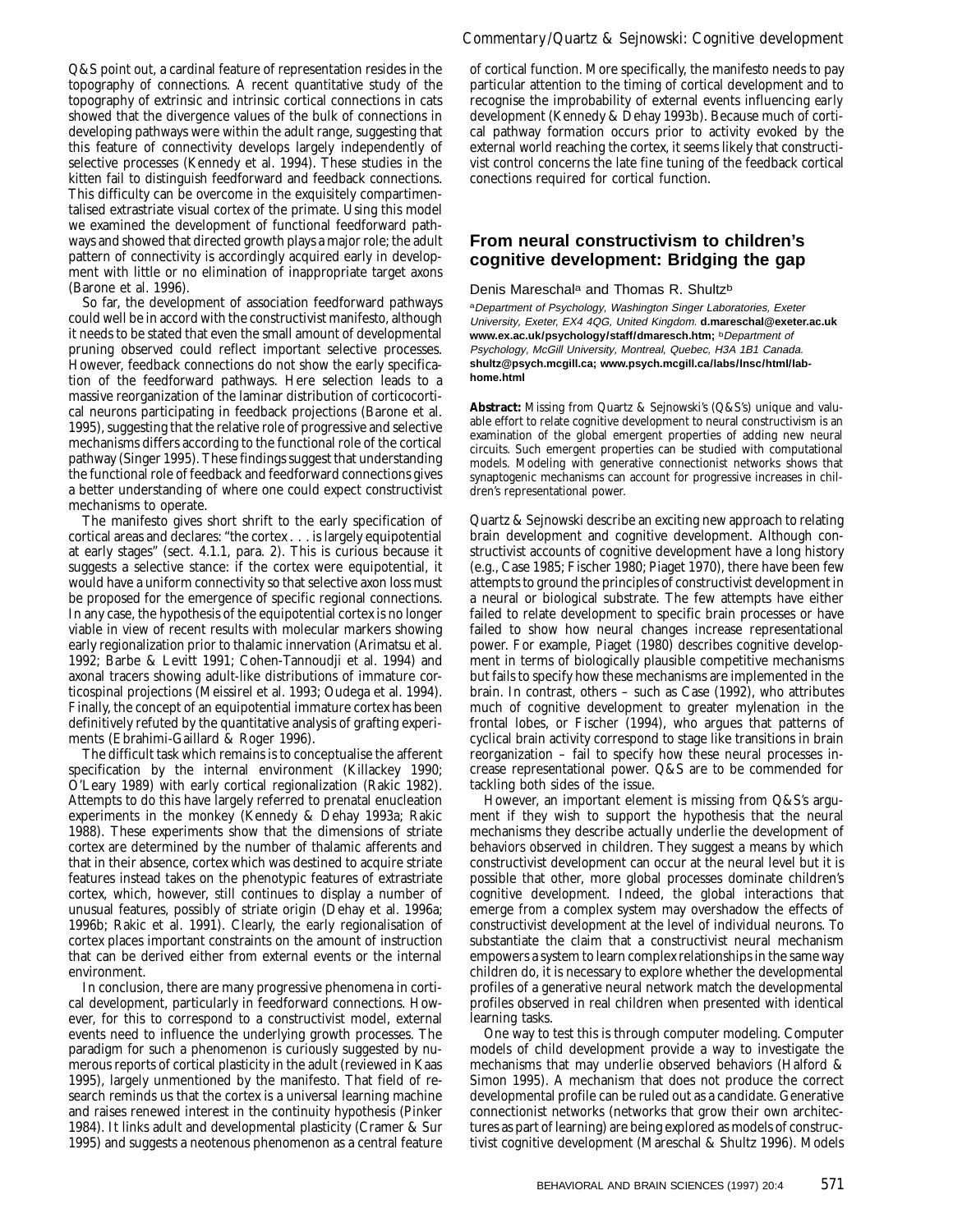Q&S point out, a cardinal feature of representation resides in the topography of connections. A recent quantitative study of the topography of extrinsic and intrinsic cortical connections in cats showed that the divergence values of the bulk of connections in developing pathways were within the adult range, suggesting that this feature of connectivity develops largely independently of selective processes (Kennedy et al. 1994). These studies in the kitten fail to distinguish feedforward and feedback connections. This difficulty can be overcome in the exquisitely compartimentalised extrastriate visual cortex of the primate. Using this model we examined the development of functional feedforward pathways and showed that directed growth plays a major role; the adult pattern of connectivity is accordingly acquired early in development with little or no elimination of inappropriate target axons (Barone et al. 1996).

So far, the development of association feedforward pathways could well be in accord with the constructivist manifesto, although it needs to be stated that even the small amount of developmental pruning observed could reflect important selective processes. However, feedback connections do not show the early specification of the feedforward pathways. Here selection leads to a massive reorganization of the laminar distribution of corticocortical neurons participating in feedback projections (Barone et al. 1995), suggesting that the relative role of progressive and selective mechanisms differs according to the functional role of the cortical pathway (Singer 1995). These findings suggest that understanding the functional role of feedback and feedforward connections gives a better understanding of where one could expect constructivist mechanisms to operate.

The manifesto gives short shrift to the early specification of cortical areas and declares: "the cortex . . . is largely equipotential at early stages" (sect. 4.1.1, para. 2). This is curious because it suggests a selective stance: if the cortex were equipotential, it would have a uniform connectivity so that selective axon loss must be proposed for the emergence of specific regional connections. In any case, the hypothesis of the equipotential cortex is no longer viable in view of recent results with molecular markers showing early regionalization prior to thalamic innervation (Arimatsu et al. 1992; Barbe & Levitt 1991; Cohen-Tannoudji et al. 1994) and axonal tracers showing adult-like distributions of immature corticospinal projections (Meissirel et al. 1993; Oudega et al. 1994). Finally, the concept of an equipotential immature cortex has been definitively refuted by the quantitative analysis of grafting experiments (Ebrahimi-Gaillard & Roger 1996).

The difficult task which remains is to conceptualise the afferent specification by the internal environment (Killackey 1990; O'Leary 1989) with early cortical regionalization (Rakic 1982). Attempts to do this have largely referred to prenatal enucleation experiments in the monkey (Kennedy & Dehay 1993a; Rakic 1988). These experiments show that the dimensions of striate cortex are determined by the number of thalamic afferents and that in their absence, cortex which was destined to acquire striate features instead takes on the phenotypic features of extrastriate cortex, which, however, still continues to display a number of unusual features, possibly of striate origin (Dehay et al. 1996a; 1996b; Rakic et al. 1991). Clearly, the early regionalisation of cortex places important constraints on the amount of instruction that can be derived either from external events or the internal environment.

In conclusion, there are many progressive phenomena in cortical development, particularly in feedforward connections. However, for this to correspond to a constructivist model, external events need to influence the underlying growth processes. The paradigm for such a phenomenon is curiously suggested by numerous reports of cortical plasticity in the adult (reviewed in Kaas 1995), largely unmentioned by the manifesto. That field of research reminds us that the cortex is a universal learning machine and raises renewed interest in the continuity hypothesis (Pinker 1984). It links adult and developmental plasticity (Cramer & Sur 1995) and suggests a neotenous phenomenon as a central feature

### *Commentary/*Quartz & Sejnowski: Cognitive development

of cortical function. More specifically, the manifesto needs to pay particular attention to the timing of cortical development and to recognise the improbability of external events influencing *early* development (Kennedy & Dehay 1993b). Because much of cortical pathway formation occurs prior to activity evoked by the external world reaching the cortex, it seems likely that constructivist control concerns the late fine tuning of the feedback cortical conections required for cortical function.

# **From neural constructivism to children's cognitive development: Bridging the gap**

Denis Mareschal<sup>a</sup> and Thomas R. Shultz<sup>b</sup>

aDepartment of Psychology, Washington Singer Laboratories, Exeter University, Exeter, EX4 4QG, United Kingdom. **d.mareschal@exeter.ac.uk www.ex.ac.uk/psychology/staff/dmaresch.htm;** bDepartment of Psychology, McGill University, Montreal, Quebec, H3A 1B1 Canada. **shultz@psych.mcgill.ca; www.psych.mcgill.ca/labs/lnsc/html/labhome.html**

**Abstract:** Missing from Quartz & Sejnowski's (Q&S's) unique and valuable effort to relate cognitive development to neural constructivism is an examination of the global emergent properties of adding new neural circuits. Such emergent properties can be studied with computational models. Modeling with generative connectionist networks shows that synaptogenic mechanisms can account for progressive increases in children's representational power.

Quartz & Sejnowski describe an exciting new approach to relating brain development and cognitive development. Although constructivist accounts of cognitive development have a long history (e.g., Case 1985; Fischer 1980; Piaget 1970), there have been few attempts to ground the principles of constructivist development in a neural or biological substrate. The few attempts have either failed to relate development to specific brain processes or have failed to show how neural changes increase representational power. For example, Piaget (1980) describes cognitive development in terms of biologically plausible competitive mechanisms but fails to specify how these mechanisms are implemented in the brain. In contrast, others – such as Case (1992), who attributes much of cognitive development to greater mylenation in the frontal lobes, or Fischer (1994), who argues that patterns of cyclical brain activity correspond to stage like transitions in brain reorganization – fail to specify how these neural processes increase representational power. Q&S are to be commended for tackling both sides of the issue.

However, an important element is missing from Q&S's argument if they wish to support the hypothesis that the neural mechanisms they describe actually underlie the development of behaviors observed in children. They suggest a means by which constructivist development can occur at the neural level but it is possible that other, more global processes dominate children's cognitive development. Indeed, the global interactions that emerge from a complex system may overshadow the effects of constructivist development at the level of individual neurons. To substantiate the claim that a constructivist neural mechanism empowers a system to learn complex relationships in the same way children do, it is necessary to explore whether the developmental profiles of a generative neural network match the developmental profiles observed in real children when presented with identical learning tasks.

One way to test this is through computer modeling. Computer models of child development provide a way to investigate the mechanisms that may underlie observed behaviors (Halford & Simon 1995). A mechanism that does not produce the correct developmental profile can be ruled out as a candidate. Generative connectionist networks (networks that grow their own architectures as part of learning) are being explored as models of constructivist cognitive development (Mareschal & Shultz 1996). Models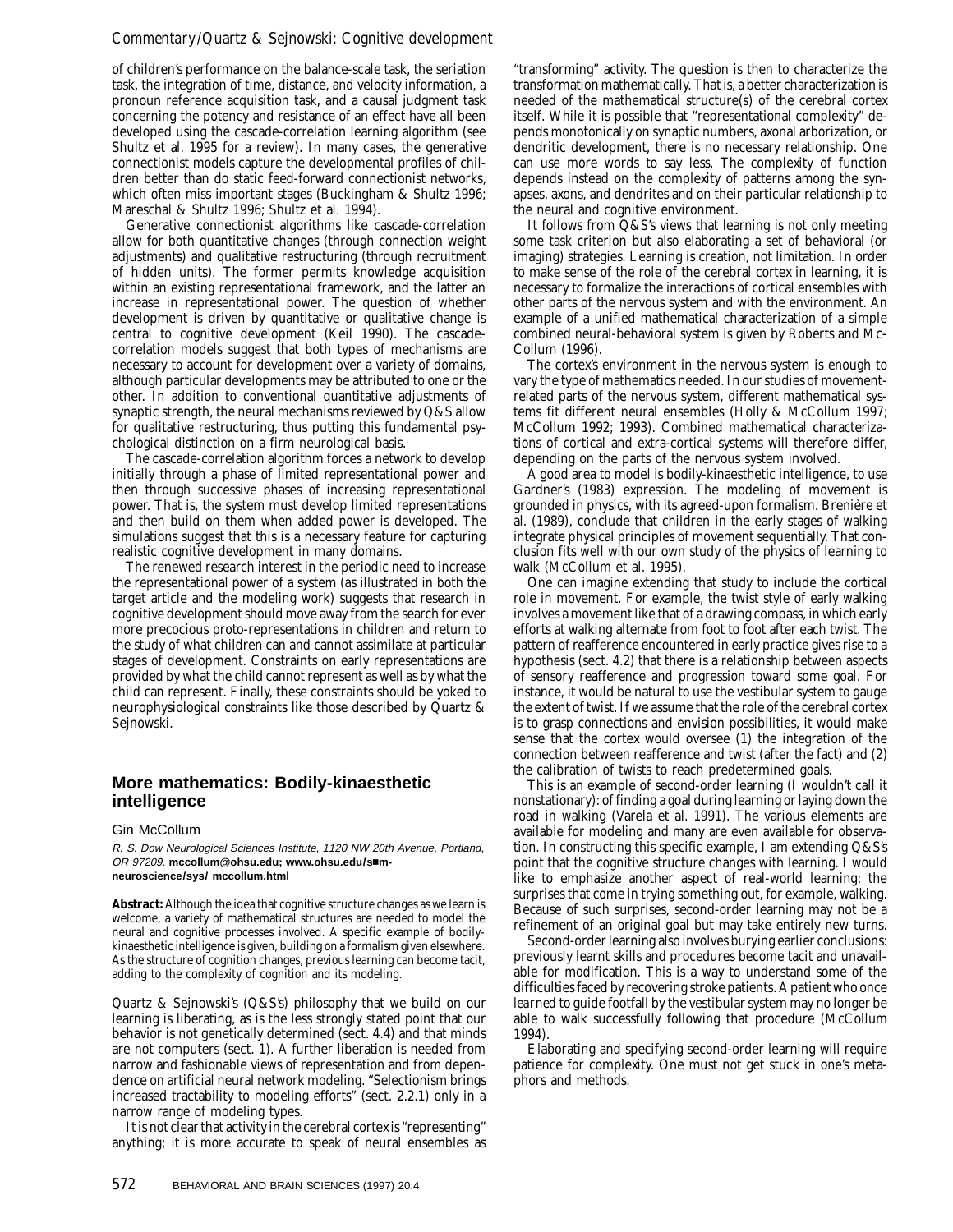### *Commentary/*Quartz & Sejnowski: Cognitive development

of children's performance on the balance-scale task, the seriation task, the integration of time, distance, and velocity information, a pronoun reference acquisition task, and a causal judgment task concerning the potency and resistance of an effect have all been developed using the cascade-correlation learning algorithm (see Shultz et al. 1995 for a review). In many cases, the generative connectionist models capture the developmental profiles of children better than do static feed-forward connectionist networks, which often miss important stages (Buckingham & Shultz 1996; Mareschal & Shultz 1996; Shultz et al. 1994).

Generative connectionist algorithms like cascade-correlation allow for both quantitative changes (through connection weight adjustments) and qualitative restructuring (through recruitment of hidden units). The former permits knowledge acquisition within an existing representational framework, and the latter an increase in representational power. The question of whether development is driven by quantitative or qualitative change is central to cognitive development (Keil 1990). The cascadecorrelation models suggest that both types of mechanisms are necessary to account for development over a variety of domains, although particular developments may be attributed to one or the other. In addition to conventional quantitative adjustments of synaptic strength, the neural mechanisms reviewed by Q&S allow for qualitative restructuring, thus putting this fundamental psychological distinction on a firm neurological basis.

The cascade-correlation algorithm forces a network to develop initially through a phase of limited representational power and then through successive phases of increasing representational power. That is, the system must develop limited representations and then build on them when added power is developed. The simulations suggest that this is a necessary feature for capturing realistic cognitive development in many domains.

The renewed research interest in the periodic need to increase the representational power of a system (as illustrated in both the target article and the modeling work) suggests that research in cognitive development should move away from the search for ever more precocious proto-representations in children and return to the study of what children can and cannot assimilate at particular stages of development. Constraints on early representations are provided by what the child cannot represent as well as by what the child can represent. Finally, these constraints should be yoked to neurophysiological constraints like those described by Quartz & Sejnowski.

# **More mathematics: Bodily-kinaesthetic intelligence**

### Gin McCollum

R. S. Dow Neurological Sciences Institute, 1120 NW 20th Avenue, Portland, OR 97209. **mccollum@ohsu.edu; www.ohsu.edu/s**n**mneuroscience/sys/ mccollum.html**

**Abstract:** Although the idea that cognitive structure changes as we learn is welcome, a variety of mathematical structures are needed to model the neural and cognitive processes involved. A specific example of bodilykinaesthetic intelligence is given, building on a formalism given elsewhere. As the structure of cognition changes, previous learning can become tacit, adding to the complexity of cognition and its modeling.

Quartz & Sejnowski's (Q&S's) philosophy that we build on our learning is liberating, as is the less strongly stated point that our behavior is not genetically determined (sect. 4.4) and that minds are not computers (sect. 1). A further liberation is needed from narrow and fashionable views of representation and from dependence on artificial neural network modeling. "Selectionism brings increased tractability to modeling efforts" (sect. 2.2.1) only in a narrow range of modeling types.

It is not clear that activity in the cerebral cortex is "representing" anything; it is more accurate to speak of neural ensembles as

"transforming" activity. The question is then to characterize the transformation mathematically. That is, a better characterization is needed of the mathematical structure(s) of the cerebral cortex itself. While it is possible that "representational complexity" depends monotonically on synaptic numbers, axonal arborization, or dendritic development, there is no necessary relationship. One can use more words to say less. The complexity of function depends instead on the complexity of patterns among the synapses, axons, and dendrites and on their particular relationship to the neural and cognitive environment.

It follows from Q&S's views that learning is not only meeting some task criterion but also elaborating a set of behavioral (or imaging) strategies. Learning is creation, not limitation. In order to make sense of the role of the cerebral cortex in learning, it is necessary to formalize the interactions of cortical ensembles with other parts of the nervous system and with the environment. An example of a unified mathematical characterization of a simple combined neural-behavioral system is given by Roberts and Mc-Collum (1996).

The cortex's environment in the nervous system is enough to vary the type of mathematics needed. In our studies of movementrelated parts of the nervous system, different mathematical systems fit different neural ensembles (Holly & McCollum 1997; McCollum 1992; 1993). Combined mathematical characterizations of cortical and extra-cortical systems will therefore differ, depending on the parts of the nervous system involved.

A good area to model is bodily-kinaesthetic intelligence, to use Gardner's (1983) expression. The modeling of movement is grounded in physics, with its agreed-upon formalism. Brenière et al. (1989), conclude that children in the early stages of walking integrate physical principles of movement sequentially. That conclusion fits well with our own study of the physics of learning to walk (McCollum et al. 1995).

One can imagine extending that study to include the cortical role in movement. For example, the twist style of early walking involves a movement like that of a drawing compass, in which early efforts at walking alternate from foot to foot after each twist. The pattern of reafference encountered in early practice gives rise to a hypothesis (sect. 4.2) that there is a relationship between aspects of sensory reafference and progression toward some goal. For instance, it would be natural to use the vestibular system to gauge the extent of twist. If we assume that the role of the cerebral cortex is to grasp connections and envision possibilities, it would make sense that the cortex would oversee (1) the integration of the connection between reafference and twist (after the fact) and (2) the calibration of twists to reach predetermined goals.

This is an example of second-order learning (I wouldn't call it nonstationary): of finding a goal during learning or laying down the road in walking (Varela et al. 1991). The various elements are available for modeling and many are even available for observation. In constructing this specific example, I am extending Q&S's point that the cognitive structure changes with learning. I would like to emphasize another aspect of real-world learning: the surprises that come in trying something out, for example, walking. Because of such surprises, second-order learning may not be a refinement of an original goal but may take entirely new turns.

Second-order learning also involves burying earlier conclusions: previously learnt skills and procedures become tacit and unavailable for modification. This is a way to understand some of the difficulties faced by recovering stroke patients. A patient who once *learned* to guide footfall by the vestibular system may no longer be able to walk successfully following that procedure (McCollum 1994).

Elaborating and specifying second-order learning will require patience for complexity. One must not get stuck in one's metaphors and methods.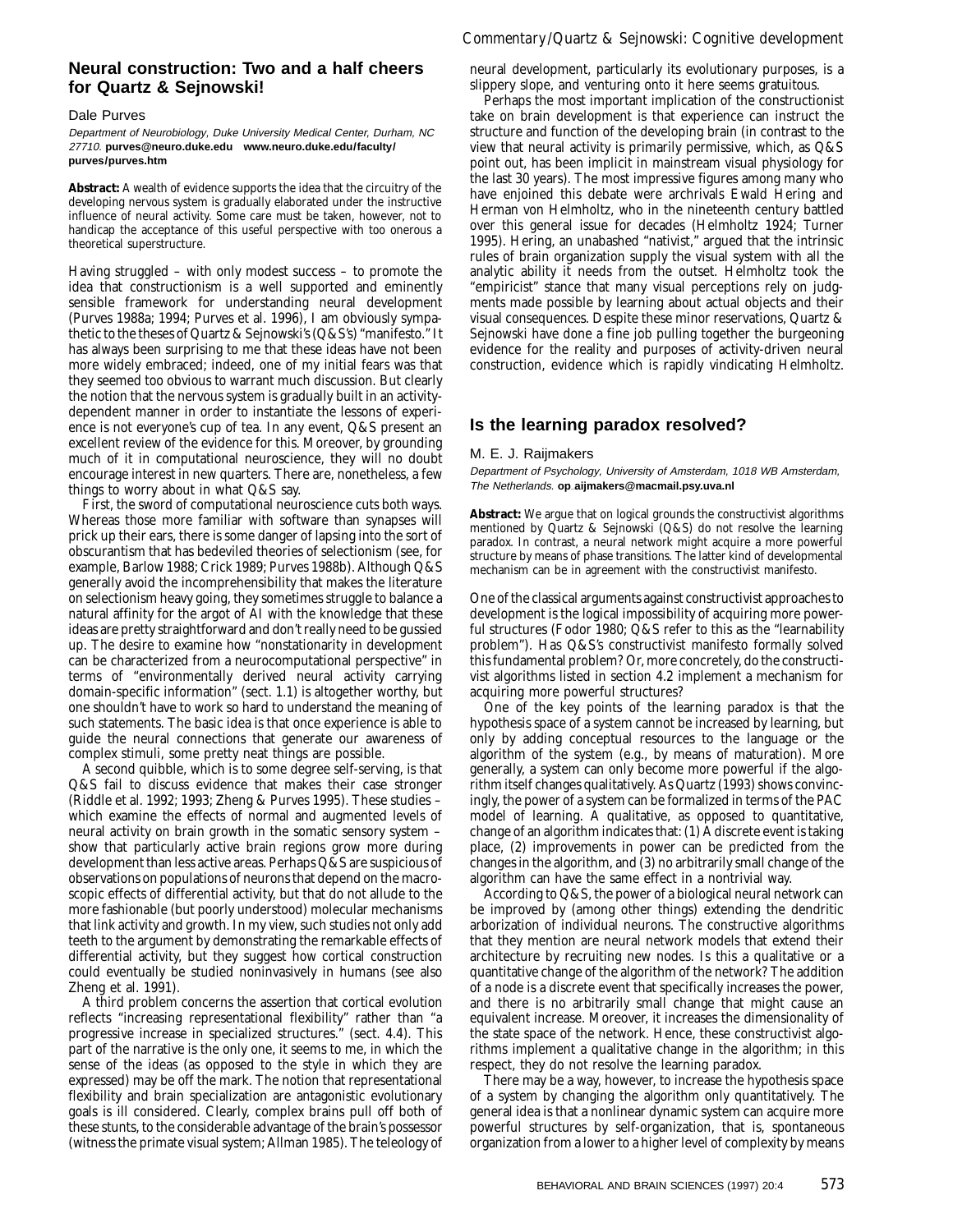# **Neural construction: Two and a half cheers for Quartz & Sejnowski!**

Dale Purves

Department of Neurobiology, Duke University Medical Center, Durham, NC 27710. **purves@neuro.duke.edu www.neuro.duke.edu/faculty/ purves/purves.htm**

**Abstract:** A wealth of evidence supports the idea that the circuitry of the developing nervous system is gradually elaborated under the instructive influence of neural activity. Some care must be taken, however, not to handicap the acceptance of this useful perspective with too onerous a theoretical superstructure.

Having struggled – with only modest success – to promote the idea that constructionism is a well supported and eminently sensible framework for understanding neural development (Purves 1988a; 1994; Purves et al. 1996), I am obviously sympathetic to the theses of Quartz & Sejnowski's (Q&S's) "manifesto." It has always been surprising to me that these ideas have not been more widely embraced; indeed, one of my initial fears was that they seemed too obvious to warrant much discussion. But clearly the notion that the nervous system is gradually built in an activitydependent manner in order to instantiate the lessons of experience is not everyone's cup of tea. In any event, Q&S present an excellent review of the evidence for this. Moreover, by grounding much of it in computational neuroscience, they will no doubt encourage interest in new quarters. There are, nonetheless, a few things to worry about in what Q&S say.

First, the sword of computational neuroscience cuts both ways. Whereas those more familiar with software than synapses will prick up their ears, there is some danger of lapsing into the sort of obscurantism that has bedeviled theories of selectionism (see, for example, Barlow 1988; Crick 1989; Purves 1988b). Although Q&S generally avoid the incomprehensibility that makes the literature on selectionism heavy going, they sometimes struggle to balance a natural affinity for the argot of AI with the knowledge that these ideas are pretty straightforward and don't really need to be gussied up. The desire to examine how "nonstationarity in development can be characterized from a neurocomputational perspective" in terms of "environmentally derived neural activity carrying domain-specific information" (sect. 1.1) is altogether worthy, but one shouldn't have to work so hard to understand the meaning of such statements. The basic idea is that once experience is able to guide the neural connections that generate our awareness of complex stimuli, some pretty neat things are possible.

A second quibble, which is to some degree self-serving, is that Q&S fail to discuss evidence that makes their case stronger (Riddle et al. 1992; 1993; Zheng & Purves 1995). These studies – which examine the effects of normal and augmented levels of neural activity on brain growth in the somatic sensory system – show that particularly active brain regions grow more during development than less active areas. Perhaps Q&S are suspicious of observations on populations of neurons that depend on the macroscopic effects of differential activity, but that do not allude to the more fashionable (but poorly understood) molecular mechanisms that link activity and growth. In my view, such studies not only add teeth to the argument by demonstrating the remarkable effects of differential activity, but they suggest how cortical construction could eventually be studied noninvasively in humans (see also Zheng et al. 1991).

A third problem concerns the assertion that cortical evolution reflects "increasing representational flexibility" rather than "a progressive increase in specialized structures." (sect. 4.4). This part of the narrative is the only one, it seems to me, in which the sense of the ideas (as opposed to the style in which they are expressed) may be off the mark. The notion that representational flexibility and brain specialization are antagonistic evolutionary goals is ill considered. Clearly, complex brains pull off both of these stunts, to the considerable advantage of the brain's possessor (witness the primate visual system; Allman 1985). The teleology of

# *Commentary/*Quartz & Sejnowski: Cognitive development

neural development, particularly its evolutionary purposes, is a slippery slope, and venturing onto it here seems gratuitous.

Perhaps the most important implication of the constructionist take on brain development is that experience can instruct the structure and function of the developing brain (in contrast to the view that neural activity is primarily permissive, which, as Q&S point out, has been implicit in mainstream visual physiology for the last 30 years). The most impressive figures among many who have enjoined this debate were archrivals Ewald Hering and Herman von Helmholtz, who in the nineteenth century battled over this general issue for decades (Helmholtz 1924; Turner 1995). Hering, an unabashed "nativist," argued that the intrinsic rules of brain organization supply the visual system with all the analytic ability it needs from the outset. Helmholtz took the "empiricist" stance that many visual perceptions rely on judgments made possible by learning about actual objects and their visual consequences. Despite these minor reservations, Quartz & Sejnowski have done a fine job pulling together the burgeoning evidence for the reality and purposes of activity-driven neural construction, evidence which is rapidly vindicating Helmholtz.

# **Is the learning paradox resolved?**

# M. E. J. Raijmakers

Department of Psychology, University of Amsterdam, 1018 WB Amsterdam, The Netherlands. **op**i**aijmakers@macmail.psy.uva.nl**

**Abstract:** We argue that on logical grounds the constructivist algorithms mentioned by Quartz & Sejnowski (Q&S) do not resolve the learning paradox. In contrast, a neural network might acquire a more powerful structure by means of phase transitions. The latter kind of developmental mechanism can be in agreement with the constructivist manifesto.

One of the classical arguments against constructivist approaches to development is the logical impossibility of acquiring more powerful structures (Fodor 1980; Q&S refer to this as the "learnability problem"). Has Q&S's constructivist manifesto formally solved this fundamental problem? Or, more concretely, do the constructivist algorithms listed in section 4.2 implement a mechanism for acquiring more powerful structures?

One of the key points of the learning paradox is that the hypothesis space of a system cannot be increased by learning, but only by adding conceptual resources to the language or the algorithm of the system (e.g., by means of maturation). More generally, a system can only become more powerful if the algorithm itself changes qualitatively. As Quartz (1993) shows convincingly, the power of a system can be formalized in terms of the PAC model of learning. A qualitative, as opposed to quantitative, change of an algorithm indicates that: (1) A discrete event is taking place, (2) improvements in power can be predicted from the changes in the algorithm, and (3) no arbitrarily small change of the algorithm can have the same effect in a nontrivial way.

According to Q&S, the power of a biological neural network can be improved by (among other things) extending the dendritic arborization of individual neurons. The constructive algorithms that they mention are neural network models that extend their architecture by recruiting new nodes. Is this a qualitative or a quantitative change of the algorithm of the network? The addition of a node is a discrete event that specifically increases the power, and there is no arbitrarily small change that might cause an equivalent increase. Moreover, it increases the dimensionality of the state space of the network. Hence, these constructivist algorithms implement a qualitative change in the algorithm; in this respect, they do not resolve the learning paradox.

There may be a way, however, to increase the hypothesis space of a system by changing the algorithm only quantitatively. The general idea is that a nonlinear dynamic system can acquire more powerful structures by self-organization, that is, spontaneous organization from a lower to a higher level of complexity by means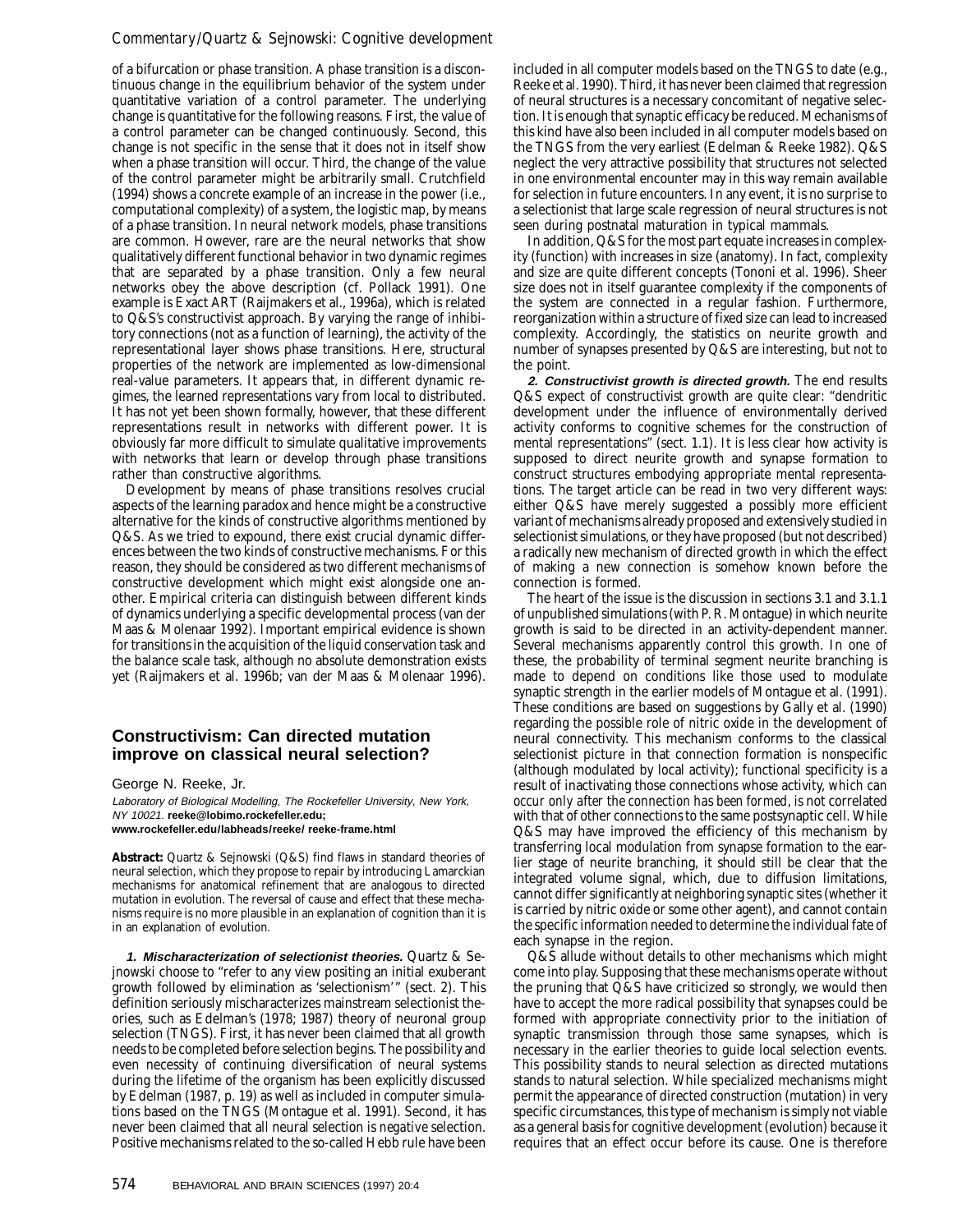### *Commentary/*Quartz & Sejnowski: Cognitive development

of a bifurcation or phase transition. A phase transition is a discontinuous change in the equilibrium behavior of the system under quantitative variation of a control parameter. The underlying change is quantitative for the following reasons. First, the value of a control parameter can be changed continuously. Second, this change is not specific in the sense that it does not in itself show when a phase transition will occur. Third, the change of the value of the control parameter might be arbitrarily small. Crutchfield (1994) shows a concrete example of an increase in the power (i.e., computational complexity) of a system, the logistic map, by means of a phase transition. In neural network models, phase transitions are common. However, rare are the neural networks that show qualitatively different functional behavior in two dynamic regimes that are separated by a phase transition. Only a few neural networks obey the above description (cf. Pollack 1991). One example is Exact ART (Raijmakers et al., 1996a), which is related to Q&S's constructivist approach. By varying the range of inhibitory connections (not as a function of learning), the activity of the representational layer shows phase transitions. Here, structural properties of the network are implemented as low-dimensional real-value parameters. It appears that, in different dynamic regimes, the learned representations vary from local to distributed. It has not yet been shown formally, however, that these different representations result in networks with different power. It is obviously far more difficult to simulate qualitative improvements with networks that learn or develop through phase transitions rather than constructive algorithms.

Development by means of phase transitions resolves crucial aspects of the learning paradox and hence might be a constructive alternative for the kinds of constructive algorithms mentioned by Q&S. As we tried to expound, there exist crucial dynamic differences between the two kinds of constructive mechanisms. For this reason, they should be considered as two different mechanisms of constructive development which might exist alongside one another. Empirical criteria can distinguish between different kinds of dynamics underlying a specific developmental process (van der Maas & Molenaar 1992). Important empirical evidence is shown for transitions in the acquisition of the liquid conservation task and the balance scale task, although no absolute demonstration exists yet (Raijmakers et al. 1996b; van der Maas & Molenaar 1996).

# **Constructivism: Can directed mutation improve on classical neural selection?**

George N. Reeke, Jr.

Laboratory of Biological Modelling, The Rockefeller University, New York, NY 10021. **reeke@lobimo.rockefeller.edu; www.rockefeller.edu/labheads/reeke/ reeke-frame.html**

**Abstract:** Quartz & Sejnowski (Q&S) find flaws in standard theories of neural selection, which they propose to repair by introducing Lamarckian mechanisms for anatomical refinement that are analogous to directed mutation in evolution. The reversal of cause and effect that these mechanisms require is no more plausible in an explanation of cognition than it is in an explanation of evolution.

**1. Mischaracterization of selectionist theories.** Quartz & Sejnowski choose to "refer to any view positing an initial exuberant growth followed by elimination as 'selectionism'" (sect. 2). This definition seriously mischaracterizes mainstream selectionist theories, such as Edelman's (1978; 1987) theory of neuronal group selection (TNGS). First, it has never been claimed that all growth needs to be completed before selection begins. The possibility and even necessity of continuing diversification of neural systems during the lifetime of the organism has been explicitly discussed by Edelman (1987, p. 19) as well as included in computer simulations based on the TNGS (Montague et al. 1991). Second, it has never been claimed that all neural selection is *negative* selection. Positive mechanisms related to the so-called Hebb rule have been

included in all computer models based on the TNGS to date (e.g., Reeke et al. 1990). Third, it has never been claimed that regression of neural structures is a necessary concomitant of negative selection. It is enough that synaptic efficacy be reduced. Mechanisms of this kind have also been included in all computer models based on the TNGS from the very earliest (Edelman & Reeke 1982). Q&S neglect the very attractive possibility that structures not selected in one environmental encounter may in this way remain available for selection in future encounters. In any event, it is no surprise to a selectionist that large scale regression of neural structures is not seen during postnatal maturation in typical mammals.

In addition, Q&S for the most part equate increases in complexity (function) with increases in size (anatomy). In fact, complexity and size are quite different concepts (Tononi et al. 1996). Sheer size does not in itself guarantee complexity if the components of the system are connected in a regular fashion. Furthermore, reorganization within a structure of fixed size can lead to increased complexity. Accordingly, the statistics on neurite growth and number of synapses presented by Q&S are interesting, but not to the point.

**2. Constructivist growth is directed growth.** The end results Q&S expect of constructivist growth are quite clear: "dendritic development under the influence of environmentally derived activity conforms to cognitive schemes for the construction of mental representations" (sect. 1.1). It is less clear how activity is supposed to direct neurite growth and synapse formation to construct structures embodying appropriate mental representations. The target article can be read in two very different ways: either Q&S have merely suggested a possibly more efficient variant of mechanisms already proposed and extensively studied in selectionist simulations, or they have proposed (but not described) a radically new mechanism of directed growth in which the effect of making a new connection is somehow known before the connection is formed.

The heart of the issue is the discussion in sections 3.1 and 3.1.1 of unpublished simulations (with P. R. Montague) in which neurite growth is said to be directed in an activity-dependent manner. Several mechanisms apparently control this growth. In one of these, the probability of terminal segment neurite branching is made to depend on conditions like those used to modulate synaptic strength in the earlier models of Montague et al. (1991). These conditions are based on suggestions by Gally et al. (1990) regarding the possible role of nitric oxide in the development of neural connectivity. This mechanism conforms to the classical selectionist picture in that connection formation is nonspecific (although modulated by local activity); functional specificity is a result of inactivating those connections whose activity, *which can occur only after the connection has been formed,* is not correlated with that of other connections to the same postsynaptic cell. While Q&S may have improved the efficiency of this mechanism by transferring local modulation from synapse formation to the earlier stage of neurite branching, it should still be clear that the integrated volume signal, which, due to diffusion limitations, cannot differ significantly at neighboring synaptic sites (whether it is carried by nitric oxide or some other agent), and cannot contain the specific information needed to determine the individual fate of each synapse in the region.

Q&S allude without details to other mechanisms which might come into play. Supposing that these mechanisms operate without the pruning that Q&S have criticized so strongly, we would then have to accept the more radical possibility that synapses could be formed with appropriate connectivity prior to the initiation of synaptic transmission through those same synapses, which is necessary in the earlier theories to guide local selection events. This possibility stands to neural selection as directed mutations stands to natural selection. While specialized mechanisms might permit the appearance of directed construction (mutation) in very specific circumstances, this type of mechanism is simply not viable as a general basis for cognitive development (evolution) because it requires that an effect occur before its cause. One is therefore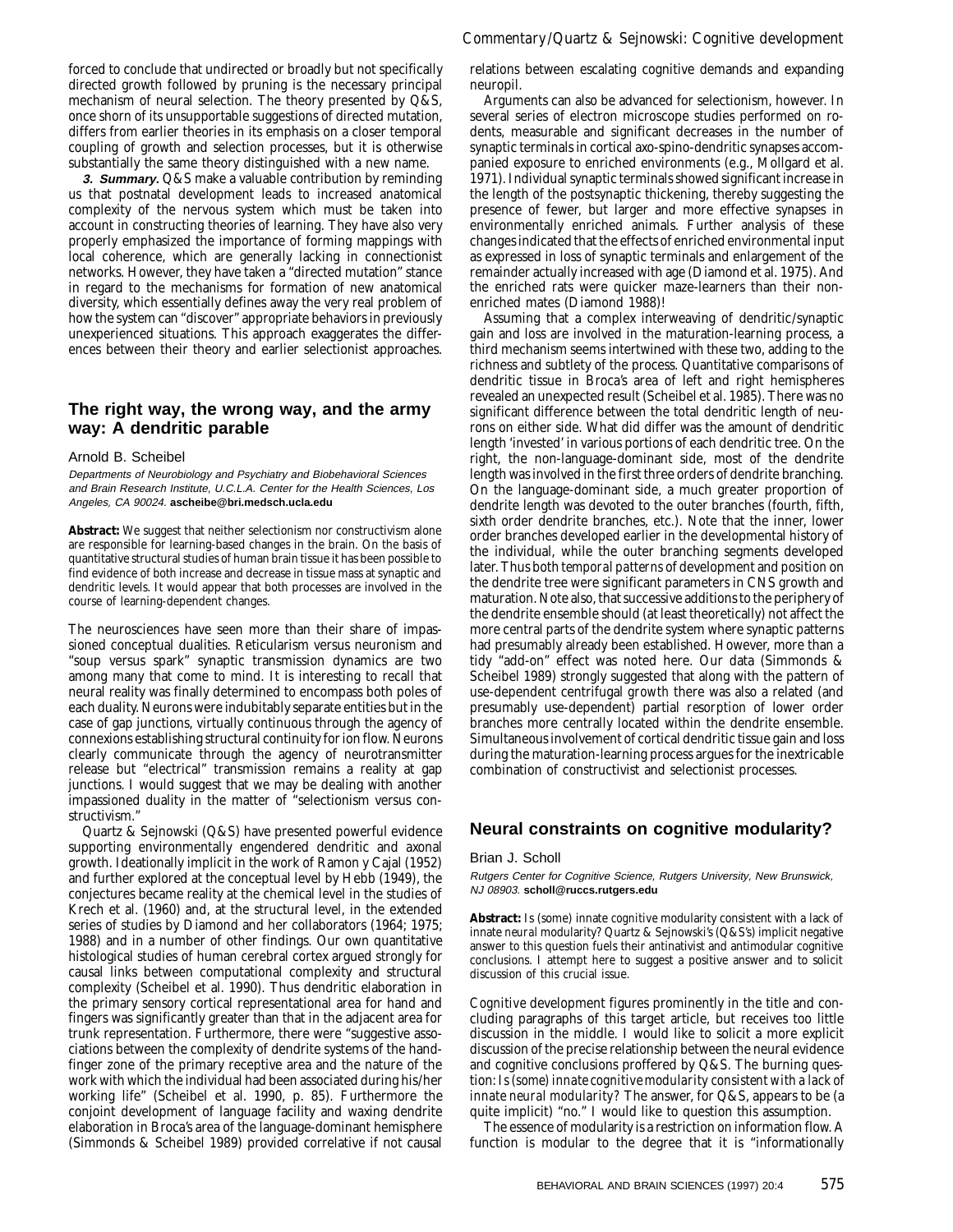forced to conclude that undirected or broadly but not specifically directed growth followed by pruning is the necessary principal mechanism of neural selection. The theory presented by Q&S, once shorn of its unsupportable suggestions of directed mutation, differs from earlier theories in its emphasis on a closer temporal coupling of growth and selection processes, but it is otherwise substantially the same theory distinguished with a new name.

**3. Summary.** Q&S make a valuable contribution by reminding us that postnatal development leads to increased anatomical complexity of the nervous system which must be taken into account in constructing theories of learning. They have also very properly emphasized the importance of forming mappings with local coherence, which are generally lacking in connectionist networks. However, they have taken a "directed mutation" stance in regard to the mechanisms for formation of new anatomical diversity, which essentially defines away the very real problem of how the system can "discover" appropriate behaviors in previously unexperienced situations. This approach exaggerates the differences between their theory and earlier selectionist approaches.

# **The right way, the wrong way, and the army way: A dendritic parable**

### Arnold B. Scheibel

Departments of Neurobiology and Psychiatry and Biobehavioral Sciences and Brain Research Institute, U.C.L.A. Center for the Health Sciences, Los Angeles, CA 90024. **ascheibe@bri.medsch.ucla.edu**

**Abstract:** We suggest that neither selectionism nor constructivism alone are responsible for learning-based changes in the brain. On the basis of quantitative structural studies of human brain tissue it has been possible to find evidence of both increase and decrease in tissue mass at synaptic and dendritic levels. It would appear that both processes are involved in the course of learning-dependent changes.

The neurosciences have seen more than their share of impassioned conceptual dualities. Reticularism versus neuronism and "soup versus spark" synaptic transmission dynamics are two among many that come to mind. It is interesting to recall that neural reality was finally determined to encompass both poles of each duality. Neurons were indubitably separate entities but in the case of gap junctions, virtually continuous through the agency of connexions establishing structural continuity for ion flow. Neurons clearly communicate through the agency of neurotransmitter release but "electrical" transmission remains a reality at gap junctions. I would suggest that we may be dealing with another impassioned duality in the matter of "selectionism versus constructivism."

Quartz & Sejnowski (Q&S) have presented powerful evidence supporting environmentally engendered dendritic and axonal growth. Ideationally implicit in the work of Ramon y Cajal (1952) and further explored at the conceptual level by Hebb (1949), the conjectures became reality at the chemical level in the studies of Krech et al. (1960) and, at the structural level, in the extended series of studies by Diamond and her collaborators (1964; 1975; 1988) and in a number of other findings. Our own quantitative histological studies of human cerebral cortex argued strongly for causal links between computational complexity and structural complexity (Scheibel et al. 1990). Thus dendritic elaboration in the primary sensory cortical representational area for hand and fingers was significantly greater than that in the adjacent area for trunk representation. Furthermore, there were "suggestive associations between the complexity of dendrite systems of the handfinger zone of the primary receptive area and the nature of the work with which the individual had been associated during his/her working life" (Scheibel et al. 1990, p. 85). Furthermore the conjoint development of language facility and waxing dendrite elaboration in Broca's area of the language-dominant hemisphere (Simmonds & Scheibel 1989) provided correlative if not causal relations between escalating cognitive demands and expanding neuropil.

Arguments can also be advanced for selectionism, however. In several series of electron microscope studies performed on rodents, measurable and significant decreases in the number of synaptic terminals in cortical axo-spino-dendritic synapses accompanied exposure to enriched environments (e.g., Mollgard et al. 1971). Individual synaptic terminals showed significant increase in the length of the postsynaptic thickening, thereby suggesting the presence of fewer, but larger and more effective synapses in environmentally enriched animals. Further analysis of these changes indicated that the effects of enriched environmental input as expressed in loss of synaptic terminals and enlargement of the remainder actually increased with age (Diamond et al. 1975). And the enriched rats were quicker maze-learners than their nonenriched mates (Diamond 1988)!

Assuming that a complex interweaving of dendritic/synaptic gain and loss are involved in the maturation-learning process, a third mechanism seems intertwined with these two, adding to the richness and subtlety of the process. Quantitative comparisons of dendritic tissue in Broca's area of left and right hemispheres revealed an unexpected result (Scheibel et al. 1985). There was no significant difference between the total dendritic length of neurons on either side. What did differ was the amount of dendritic length 'invested' in various portions of each dendritic tree. On the right, the non-language-dominant side, most of the dendrite length was involved in the first three orders of dendrite branching. On the language-dominant side, a much greater proportion of dendrite length was devoted to the outer branches (fourth, fifth, sixth order dendrite branches, etc.). Note that the inner, lower order branches developed earlier in the developmental history of the individual, while the outer branching segments developed later. Thus both *temporal patterns* of development and *position* on the dendrite tree were significant parameters in CNS growth and maturation. Note also, that successive additions to the periphery of the dendrite ensemble should (at least theoretically) not affect the more central parts of the dendrite system where synaptic patterns had presumably already been established. However, more than a tidy "add-on" effect was noted here. Our data (Simmonds & Scheibel 1989) strongly suggested that along with the pattern of use-dependent centrifugal *growth* there was also a related (and presumably use-dependent) partial *resorption* of lower order branches more centrally located within the dendrite ensemble. Simultaneous involvement of cortical dendritic tissue gain and loss during the maturation-learning process argues for the inextricable combination of constructivist and selectionist processes.

# **Neural constraints on cognitive modularity?**

### Brian J. Scholl

Rutgers Center for Cognitive Science, Rutgers University, New Brunswick, NJ 08903. **scholl@ruccs.rutgers.edu**

**Abstract:** Is (some) innate *cognitive* modularity consistent with a lack of innate *neural* modularity? Quartz & Sejnowski's (Q&S's) implicit negative answer to this question fuels their antinativist and antimodular cognitive conclusions. I attempt here to suggest a positive answer and to solicit discussion of this crucial issue.

*Cognitive* development figures prominently in the title and concluding paragraphs of this target article, but receives too little discussion in the middle. I would like to solicit a more explicit discussion of the precise relationship between the neural evidence and cognitive conclusions proffered by Q&S. The burning question: *Is (some) innate cognitive modularity consistent with a lack of innate neural modularity?* The answer, for Q&S, appears to be (a quite implicit) "no." I would like to question this assumption.

The essence of modularity is a restriction on information flow. A function is modular to the degree that it is "informationally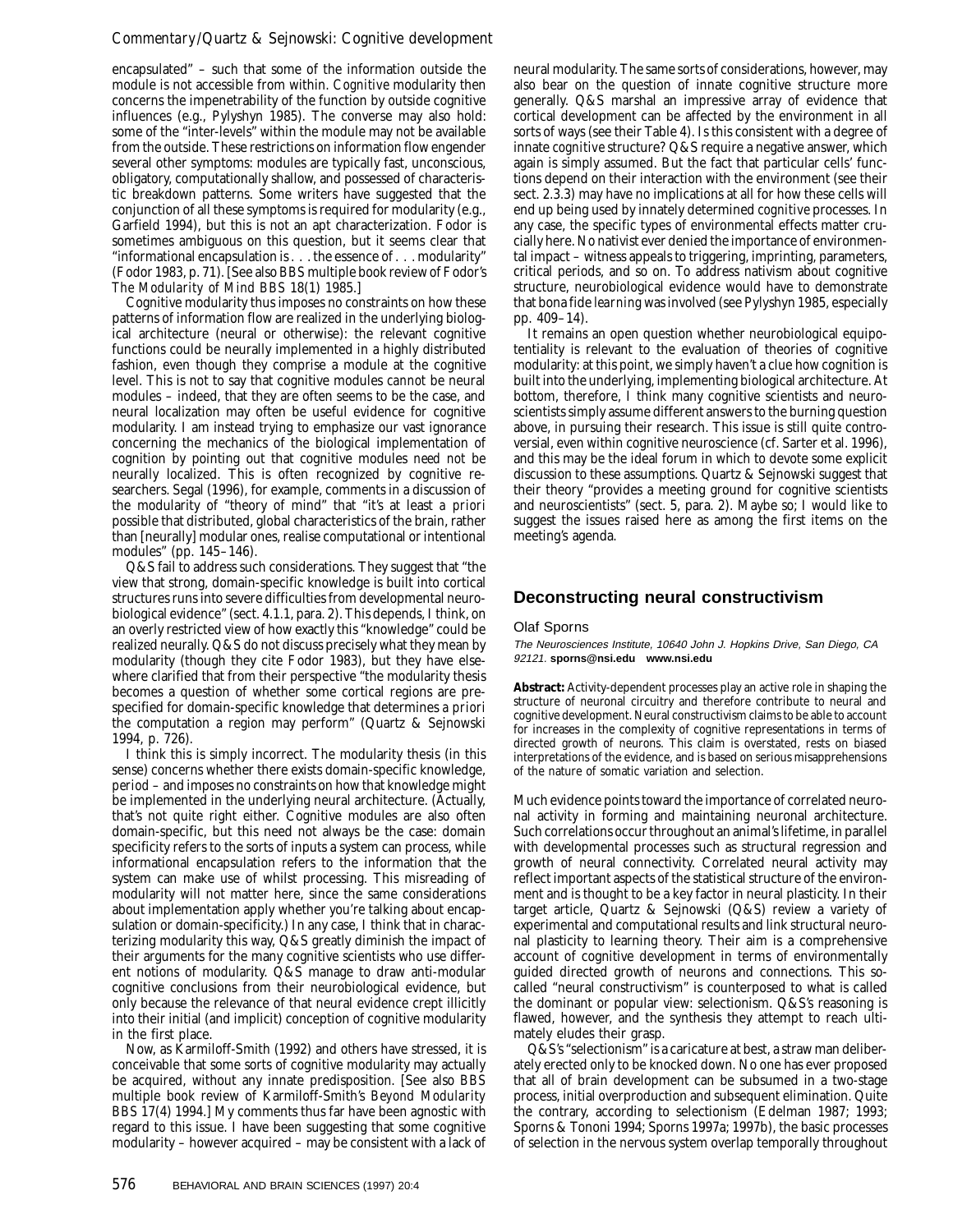### *Commentary/*Quartz & Sejnowski: Cognitive development

encapsulated" – such that some of the information outside the module is not accessible from within. *Cognitive* modularity then concerns the impenetrability of the function by outside cognitive influences (e.g., Pylyshyn 1985). The converse may also hold: some of the "inter-levels" within the module may not be available from the outside. These restrictions on information flow engender several other symptoms: modules are typically fast, unconscious, obligatory, computationally shallow, and possessed of characteristic breakdown patterns. Some writers have suggested that the conjunction of all these symptoms is required for modularity (e.g., Garfield 1994), but this is not an apt characterization. Fodor is sometimes ambiguous on this question, but it seems clear that "informational encapsulation is . . . the essence of . . . modularity" (Fodor 1983, p. 71). [See also *BBS* multiple book review of Fodor's *The Modularity of Mind BBS* 18(1) 1985.]

Cognitive modularity thus imposes no constraints on how these patterns of information flow are realized in the underlying biological architecture (neural or otherwise): the relevant cognitive functions could be neurally implemented in a highly distributed fashion, even though they comprise a module at the cognitive level. This is not to say that cognitive modules *cannot* be neural modules – indeed, that they are often seems to be the case, and neural localization may often be useful evidence *for* cognitive modularity. I am instead trying to emphasize our vast ignorance concerning the mechanics of the biological implementation of cognition by pointing out that cognitive modules *need not* be neurally localized. This is often recognized by cognitive researchers. Segal (1996), for example, comments in a discussion of the modularity of "theory of mind" that "it's at least *a priori* possible that distributed, global characteristics of the brain, rather than [neurally] modular ones, realise computational or intentional modules" (pp. 145–146).

Q&S fail to address such considerations. They suggest that "the view that strong, domain-specific knowledge is built into cortical structures runs into severe difficulties from developmental neurobiological evidence" (sect. 4.1.1, para. 2). This depends, I think, on an overly restricted view of how exactly this "knowledge" could be realized neurally. Q&S do not discuss precisely what they mean by modularity (though they cite Fodor 1983), but they have elsewhere clarified that from their perspective "the modularity thesis becomes a question of whether some cortical regions are prespecified for domain-specific knowledge that determines *a priori* the computation a region may perform" (Quartz & Sejnowski 1994, p. 726).

I think this is simply incorrect. The modularity thesis (in this sense) concerns whether there exists domain-specific knowledge, *period* – and imposes no constraints on how that knowledge might be implemented in the underlying neural architecture. (Actually, that's not quite right either. Cognitive modules are also often domain-specific, but this need not always be the case: domain specificity refers to the sorts of inputs a system can process, while informational encapsulation refers to the information that the system can make use of whilst processing. This misreading of modularity will not matter here, since the same considerations about implementation apply whether you're talking about encapsulation or domain-specificity.) In any case, I think that in characterizing modularity this way, Q&S greatly diminish the impact of their arguments for the many cognitive scientists who use different notions of modularity. Q&S manage to draw anti-modular cognitive conclusions from their neurobiological evidence, but only because the relevance of that neural evidence crept illicitly into their initial (and implicit) conception of cognitive modularity in the first place.

Now, as Karmiloff-Smith (1992) and others have stressed, it is conceivable that some sorts of cognitive modularity may actually be acquired, without any innate predisposition. [See also *BBS* multiple book review of Karmiloff-Smith's *Beyond Modularity BBS* 17(4) 1994.] My comments thus far have been agnostic with regard to this issue. I have been suggesting that some cognitive modularity – however acquired – may be consistent with a lack of

neural modularity. The same sorts of considerations, however, may also bear on the question of innate cognitive structure more generally. Q&S marshal an impressive array of evidence that cortical development can be affected by the environment in all sorts of ways (see their Table 4). Is this consistent with a degree of innate *cognitive* structure? Q&S require a negative answer, which again is simply assumed. But the fact that particular cells' functions depend on their interaction with the environment (see their sect. 2.3.3) may have no implications at all for how these cells will end up being used by innately determined *cognitive* processes. In any case, the specific types of environmental effects matter crucially here. No nativist ever denied the importance of environmental impact – witness appeals to triggering, imprinting, parameters, critical periods, and so on. To address nativism about cognitive structure, neurobiological evidence would have to demonstrate that bona fide *learning* was involved (see Pylyshyn 1985, especially pp. 409–14).

It remains an open question whether neurobiological equipotentiality is relevant to the evaluation of theories of cognitive modularity: at this point, we simply haven't a clue how cognition is built into the underlying, implementing biological architecture. At bottom, therefore, I think many cognitive scientists and neuroscientists simply assume different answers to the burning question above, in pursuing their research. This issue is still quite controversial, even within cognitive neuroscience (cf. Sarter et al. 1996), and this may be the ideal forum in which to devote some explicit discussion to these assumptions. Quartz & Sejnowski suggest that their theory "provides a meeting ground for cognitive scientists and neuroscientists" (sect. 5, para. 2). Maybe so; I would like to suggest the issues raised here as among the first items on the meeting's agenda.

# **Deconstructing neural constructivism**

### Olaf Sporns

The Neurosciences Institute, 10640 John J. Hopkins Drive, San Diego, CA 92121. **sporns@nsi.edu www.nsi.edu**

**Abstract:** Activity-dependent processes play an active role in shaping the structure of neuronal circuitry and therefore contribute to neural and cognitive development. Neural constructivism claims to be able to account for increases in the complexity of cognitive representations in terms of directed growth of neurons. This claim is overstated, rests on biased interpretations of the evidence, and is based on serious misapprehensions of the nature of somatic variation and selection.

Much evidence points toward the importance of correlated neuronal activity in forming and maintaining neuronal architecture. Such correlations occur throughout an animal's lifetime, in parallel with developmental processes such as structural regression and growth of neural connectivity. Correlated neural activity may reflect important aspects of the statistical structure of the environment and is thought to be a key factor in neural plasticity. In their target article, Quartz & Sejnowski (Q&S) review a variety of experimental and computational results and link structural neuronal plasticity to learning theory. Their aim is a comprehensive account of cognitive development in terms of environmentally guided directed growth of neurons and connections. This socalled "neural constructivism" is counterposed to what is called the dominant or popular view: selectionism. Q&S's reasoning is flawed, however, and the synthesis they attempt to reach ultimately eludes their grasp.

Q&S's "selectionism" is a caricature at best, a straw man deliberately erected only to be knocked down. No one has ever proposed that all of brain development can be subsumed in a two-stage process, initial overproduction and subsequent elimination. Quite the contrary, according to selectionism (Edelman 1987; 1993; Sporns & Tononi 1994; Sporns 1997a; 1997b), the basic processes of selection in the nervous system overlap temporally throughout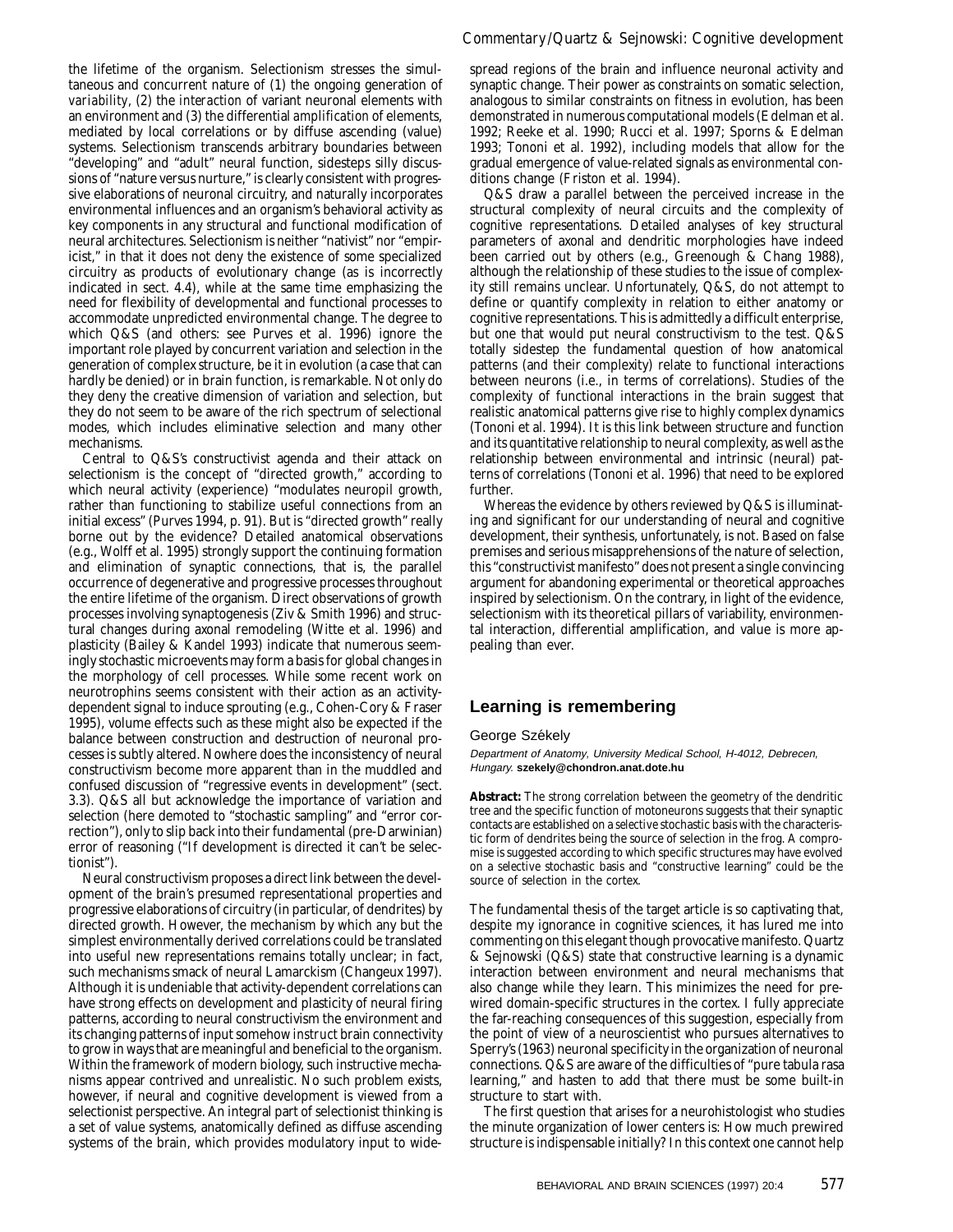the lifetime of the organism. Selectionism stresses the simultaneous and concurrent nature of (1) the ongoing generation of *variability,* (2) the *interaction* of variant neuronal elements with an environment and (3) the differential *amplification* of elements, mediated by local correlations or by diffuse ascending (value) systems. Selectionism transcends arbitrary boundaries between "developing" and "adult" neural function, sidesteps silly discussions of "nature versus nurture," is clearly consistent with progressive elaborations of neuronal circuitry, and naturally incorporates environmental influences and an organism's behavioral activity as key components in any structural and functional modification of neural architectures. Selectionism is neither "nativist" nor "empiricist," in that it does not deny the existence of some specialized circuitry as products of evolutionary change (as is incorrectly indicated in sect. 4.4), while at the same time emphasizing the need for flexibility of developmental and functional processes to accommodate unpredicted environmental change. The degree to which Q&S (and others: see Purves et al. 1996) ignore the important role played by concurrent variation and selection in the generation of complex structure, be it in evolution (a case that can hardly be denied) or in brain function, is remarkable. Not only do they deny the creative dimension of variation and selection, but they do not seem to be aware of the rich spectrum of selectional modes, which includes eliminative selection and many other mechanisms.

Central to Q&S's constructivist agenda and their attack on selectionism is the concept of "directed growth," according to which neural activity (experience) "modulates neuropil growth, rather than functioning to stabilize useful connections from an initial excess" (Purves 1994, p. 91). But is "directed growth" really borne out by the evidence? Detailed anatomical observations (e.g., Wolff et al. 1995) strongly support the continuing formation and elimination of synaptic connections, that is, the parallel occurrence of degenerative and progressive processes throughout the entire lifetime of the organism. Direct observations of growth processes involving synaptogenesis (Ziv & Smith 1996) and structural changes during axonal remodeling (Witte et al. 1996) and plasticity (Bailey & Kandel 1993) indicate that numerous seemingly stochastic microevents may form a basis for global changes in the morphology of cell processes. While some recent work on neurotrophins seems consistent with their action as an activitydependent signal to induce sprouting (e.g., Cohen-Cory & Fraser 1995), volume effects such as these might also be expected if the balance between construction and destruction of neuronal processes is subtly altered. Nowhere does the inconsistency of neural constructivism become more apparent than in the muddled and confused discussion of "regressive events in development" (sect. 3.3). Q&S all but acknowledge the importance of variation and selection (here demoted to "stochastic sampling" and "error correction"), only to slip back into their fundamental (pre-Darwinian) error of reasoning ("If development is directed it can't be selectionist").

Neural constructivism proposes a direct link between the development of the brain's presumed representational properties and progressive elaborations of circuitry (in particular, of dendrites) by directed growth. However, the mechanism by which any but the simplest environmentally derived correlations could be translated into useful new representations remains totally unclear; in fact, such mechanisms smack of neural Lamarckism (Changeux 1997). Although it is undeniable that activity-dependent correlations can have strong effects on development and plasticity of neural firing patterns, according to neural constructivism the environment and its changing patterns of input somehow *instruct* brain connectivity to grow in ways that are meaningful and beneficial to the organism. Within the framework of modern biology, such instructive mechanisms appear contrived and unrealistic. No such problem exists, however, if neural and cognitive development is viewed from a selectionist perspective. An integral part of selectionist thinking is a set of value systems, anatomically defined as diffuse ascending systems of the brain, which provides modulatory input to widespread regions of the brain and influence neuronal activity and synaptic change. Their power as constraints on somatic selection, analogous to similar constraints on fitness in evolution, has been demonstrated in numerous computational models (Edelman et al. 1992; Reeke et al. 1990; Rucci et al. 1997; Sporns & Edelman 1993; Tononi et al. 1992), including models that allow for the gradual emergence of value-related signals as environmental conditions change (Friston et al. 1994).

Q&S draw a parallel between the perceived increase in the structural complexity of neural circuits and the complexity of cognitive representations. Detailed analyses of key structural parameters of axonal and dendritic morphologies have indeed been carried out by others (e.g., Greenough & Chang 1988), although the relationship of these studies to the issue of complexity still remains unclear. Unfortunately, Q&S, do not attempt to define or quantify complexity in relation to either anatomy or cognitive representations. This is admittedly a difficult enterprise, but one that would put neural constructivism to the test. Q&S totally sidestep the fundamental question of how anatomical patterns (and their complexity) relate to functional interactions between neurons (i.e., in terms of correlations). Studies of the complexity of functional interactions in the brain suggest that realistic anatomical patterns give rise to highly complex dynamics (Tononi et al. 1994). It is this link between structure and function and its quantitative relationship to neural complexity, as well as the relationship between environmental and intrinsic (neural) patterns of correlations (Tononi et al. 1996) that need to be explored further.

Whereas the evidence by others reviewed by Q&S is illuminating and significant for our understanding of neural and cognitive development, their synthesis, unfortunately, is not. Based on false premises and serious misapprehensions of the nature of selection, this "constructivist manifesto" does not present a single convincing argument for abandoning experimental or theoretical approaches inspired by selectionism. On the contrary, in light of the evidence, selectionism with its theoretical pillars of variability, environmental interaction, differential amplification, and value is more appealing than ever.

# **Learning is remembering**

# George Székely

Department of Anatomy, University Medical School, H-4012, Debrecen, Hungary. **szekely@chondron.anat.dote.hu**

**Abstract:** The strong correlation between the geometry of the dendritic tree and the specific function of motoneurons suggests that their synaptic contacts are established on a *selective* stochastic basis with the characteristic form of dendrites being the source of selection in the frog. A compromise is suggested according to which specific structures may have evolved on a *selective* stochastic basis and "constructive learning" could be the source of selection in the cortex.

The fundamental thesis of the target article is so captivating that, despite my ignorance in cognitive sciences, it has lured me into commenting on this elegant though provocative manifesto. Quartz & Sejnowski (Q&S) state that constructive learning is a dynamic interaction between environment and neural mechanisms that also change while they learn. This minimizes the need for prewired domain-specific structures in the cortex. I fully appreciate the far-reaching consequences of this suggestion, especially from the point of view of a neuroscientist who pursues alternatives to Sperry's (1963) neuronal specificity in the organization of neuronal connections. Q&S are aware of the difficulties of "pure tabula rasa learning," and hasten to add that there must be some built-in structure to start with.

The first question that arises for a neurohistologist who studies the minute organization of lower centers is: How much prewired structure is indispensable initially? In this context one cannot help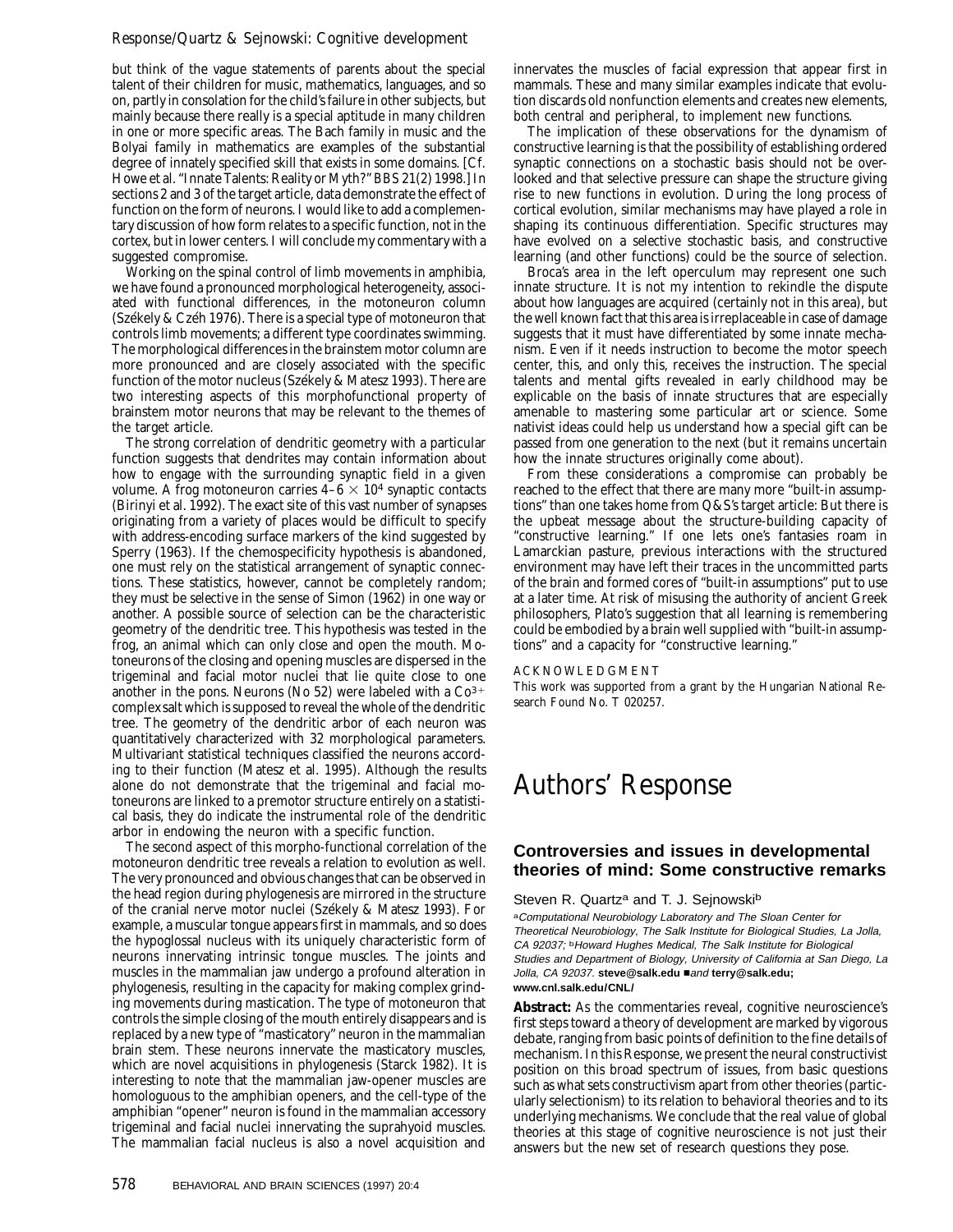but think of the vague statements of parents about the special talent of their children for music, mathematics, languages, and so on, partly in consolation for the child's failure in other subjects, but mainly because there really is a special aptitude in many children in one or more specific areas. The Bach family in music and the Bolyai family in mathematics are examples of the substantial degree of innately specified skill that exists in some domains. [Cf. Howe et al. "Innate Talents: Reality or Myth?" *BBS* 21(2) 1998.] In sections 2 and 3 of the target article, data demonstrate the effect of function on the form of neurons. I would like to add a complementary discussion of how form relates to a specific function, not in the cortex, but in lower centers. I will conclude my commentary with a suggested compromise.

Working on the spinal control of limb movements in amphibia, we have found a pronounced morphological heterogeneity, associated with functional differences, in the motoneuron column (Székely & Czéh 1976). There is a special type of motoneuron that controls limb movements; a different type coordinates swimming. The morphological differences in the brainstem motor column are more pronounced and are closely associated with the specific function of the motor nucleus (Székely & Matesz 1993). There are two interesting aspects of this morphofunctional property of brainstem motor neurons that may be relevant to the themes of the target article.

The strong correlation of dendritic geometry with a particular function suggests that dendrites may contain information about how to engage with the surrounding synaptic field in a given volume. A frog motoneuron carries  $4-6 \times 10^4$  synaptic contacts (Birinyi et al. 1992). The exact site of this vast number of synapses originating from a variety of places would be difficult to specify with address-encoding surface markers of the kind suggested by Sperry (1963). If the chemospecificity hypothesis is abandoned, one must rely on the statistical arrangement of synaptic connections. These statistics, however, cannot be completely random; they must be *selective* in the sense of Simon (1962) in one way or another. A possible source of selection can be the characteristic geometry of the dendritic tree. This hypothesis was tested in the frog, an animal which can only close and open the mouth. Motoneurons of the closing and opening muscles are dispersed in the trigeminal and facial motor nuclei that lie quite close to one another in the pons. Neurons (No 52) were labeled with a  $Co<sup>3+</sup>$ complex salt which is supposed to reveal the whole of the dendritic tree. The geometry of the dendritic arbor of each neuron was quantitatively characterized with 32 morphological parameters. Multivariant statistical techniques classified the neurons according to their function (Matesz et al. 1995). Although the results alone do not demonstrate that the trigeminal and facial motoneurons are linked to a premotor structure entirely on a statistical basis, they do indicate the instrumental role of the dendritic arbor in endowing the neuron with a specific function.

The second aspect of this morpho-functional correlation of the motoneuron dendritic tree reveals a relation to evolution as well. The very pronounced and obvious changes that can be observed in the head region during phylogenesis are mirrored in the structure of the cranial nerve motor nuclei (Székely & Matesz 1993). For example, a muscular tongue appears first in mammals, and so does the hypoglossal nucleus with its uniquely characteristic form of neurons innervating intrinsic tongue muscles. The joints and muscles in the mammalian jaw undergo a profound alteration in phylogenesis, resulting in the capacity for making complex grinding movements during mastication. The type of motoneuron that controls the simple closing of the mouth entirely disappears and is replaced by a new type of "masticatory" neuron in the mammalian brain stem. These neurons innervate the masticatory muscles, which are novel acquisitions in phylogenesis (Starck 1982). It is interesting to note that the mammalian jaw-opener muscles are homologuous to the amphibian openers, and the cell-type of the amphibian "opener" neuron is found in the mammalian accessory trigeminal and facial nuclei innervating the suprahyoid muscles. The mammalian facial nucleus is also a novel acquisition and innervates the muscles of facial expression that appear first in mammals. These and many similar examples indicate that evolution discards old nonfunction elements and creates new elements, both central and peripheral, to implement new functions.

The implication of these observations for the dynamism of constructive learning is that the possibility of establishing ordered synaptic connections on a stochastic basis should not be overlooked and that selective pressure can shape the structure giving rise to new functions in evolution. During the long process of cortical evolution, similar mechanisms may have played a role in shaping its continuous differentiation. Specific structures may have evolved on a *selective* stochastic basis, and constructive learning (and other functions) could be the source of selection.

Broca's area in the left operculum may represent one such innate structure. It is not my intention to rekindle the dispute about how languages are acquired (certainly not in this area), but the well known fact that this area is irreplaceable in case of damage suggests that it must have differentiated by some innate mechanism. Even if it needs instruction to become the motor speech center, this, and only this, receives the instruction. The special talents and mental gifts revealed in early childhood may be explicable on the basis of innate structures that are especially amenable to mastering some particular art or science. Some nativist ideas could help us understand how a special gift can be passed from one generation to the next (but it remains uncertain how the innate structures originally come about).

From these considerations a compromise can probably be reached to the effect that there are many more "built-in assumptions" than one takes home from Q&S's target article: But there is the upbeat message about the structure-building capacity of "constructive learning." If one lets one's fantasies roam in Lamarckian pasture, previous interactions with the structured environment may have left their traces in the uncommitted parts of the brain and formed cores of "built-in assumptions" put to use at a later time. At risk of misusing the authority of ancient Greek philosophers, Plato's suggestion that all learning is remembering could be embodied by a brain well supplied with "built-in assumptions" and a capacity for "constructive learning."

### ACKNOWLEDGMENT

This work was supported from a grant by the Hungarian National Research Found No. T 020257.

# Authors' Response

# **Controversies and issues in developmental theories of mind: Some constructive remarks**

Steven R. Quartz<sup>a</sup> and T. J. Sejnowski<sup>b</sup>

aComputational Neurobiology Laboratory and The Sloan Center for Theoretical Neurobiology, The Salk Institute for Biological Studies, La Jolla, CA 92037; bHoward Hughes Medical, The Salk Institute for Biological Studies and Department of Biology, University of California at San Diego, La Jolla, CA 92037. steve@salk.edu ■and terry@salk.edu; **www.cnl.salk.edu/CNL/**

Abstract: As the commentaries reveal, cognitive neuroscience's first steps toward a theory of development are marked by vigorous debate, ranging from basic points of definition to the fine details of mechanism. In this Response, we present the neural constructivist position on this broad spectrum of issues, from basic questions such as what sets constructivism apart from other theories (particularly selectionism) to its relation to behavioral theories and to its underlying mechanisms. We conclude that the real value of global theories at this stage of cognitive neuroscience is not just their answers but the new set of research questions they pose.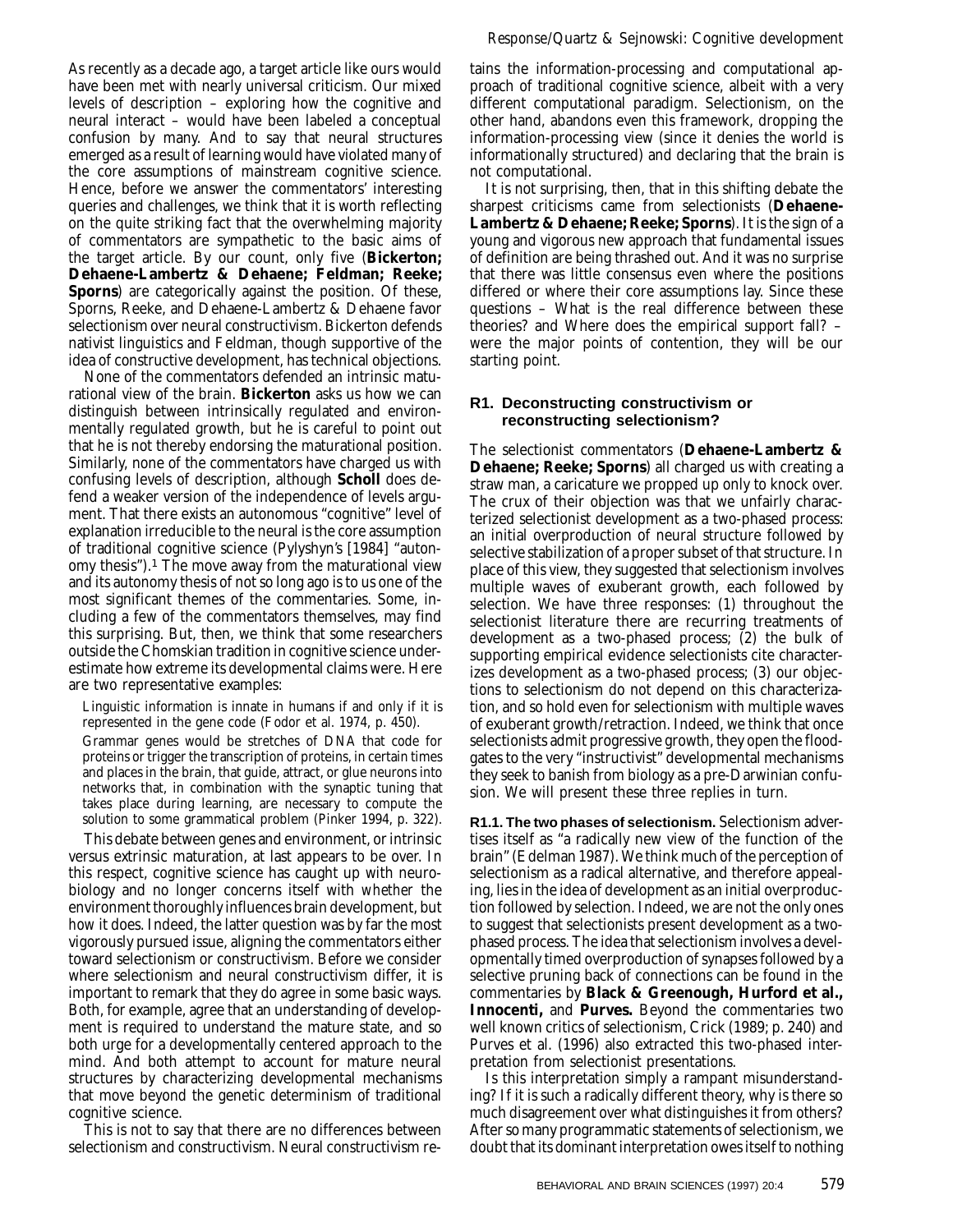As recently as a decade ago, a target article like ours would have been met with nearly universal criticism. Our mixed levels of description – exploring how the cognitive and neural interact – would have been labeled a conceptual confusion by many. And to say that neural structures emerged as a result of learning would have violated many of the core assumptions of mainstream cognitive science. Hence, before we answer the commentators' interesting queries and challenges, we think that it is worth reflecting on the quite striking fact that the overwhelming majority of commentators are sympathetic to the basic aims of the target article. By our count, only five (**Bickerton; Dehaene-Lambertz & Dehaene; Feldman; Reeke; Sporns**) are categorically against the position. Of these, Sporns, Reeke, and Dehaene-Lambertz & Dehaene favor selectionism over neural constructivism. Bickerton defends nativist linguistics and Feldman, though supportive of the idea of constructive development, has technical objections.

None of the commentators defended an intrinsic maturational view of the brain. **Bickerton** asks us how we can distinguish between intrinsically regulated and environmentally regulated growth, but he is careful to point out that he is not thereby endorsing the maturational position. Similarly, none of the commentators have charged us with confusing levels of description, although **Scholl** does defend a weaker version of the independence of levels argument. That there exists an autonomous "cognitive" level of explanation irreducible to the neural is the core assumption of traditional cognitive science (Pylyshyn's [1984] "autonomy thesis"). $<sup>1</sup>$  The move away from the maturational view</sup> and its autonomy thesis of not so long ago is to us one of the most significant themes of the commentaries. Some, including a few of the commentators themselves, may find this surprising. But, then, we think that some researchers outside the Chomskian tradition in cognitive science underestimate how extreme its developmental claims were. Here are two representative examples:

Linguistic information is innate in humans if and only if it is represented in the gene code (Fodor et al. 1974, p. 450).

Grammar genes would be stretches of DNA that code for proteins or trigger the transcription of proteins, in certain times and places in the brain, that guide, attract, or glue neurons into networks that, in combination with the synaptic tuning that takes place during learning, are necessary to compute the solution to some grammatical problem (Pinker 1994, p. 322).

This debate between genes and environment, or intrinsic versus extrinsic maturation, at last appears to be over. In this respect, cognitive science has caught up with neurobiology and no longer concerns itself with *whether* the environment thoroughly influences brain development, but *how* it does. Indeed, the latter question was by far the most vigorously pursued issue, aligning the commentators either toward selectionism or constructivism. Before we consider where selectionism and neural constructivism differ, it is important to remark that they do agree in some basic ways. Both, for example, agree that an understanding of development is required to understand the mature state, and so both urge for a developmentally centered approach to the mind. And both attempt to account for mature neural structures by characterizing developmental mechanisms that move beyond the genetic determinism of traditional cognitive science.

This is not to say that there are no differences between selectionism and constructivism. Neural constructivism retains the information-processing and computational approach of traditional cognitive science, albeit with a very different computational paradigm. Selectionism, on the other hand, abandons even this framework, dropping the information-processing view (since it denies the world is informationally structured) and declaring that the brain is not computational.

It is not surprising, then, that in this shifting debate the sharpest criticisms came from selectionists (**Dehaene-Lambertz & Dehaene; Reeke; Sporns**). It is the sign of a young and vigorous new approach that fundamental issues of definition are being thrashed out. And it was no surprise that there was little consensus even where the positions differed or where their core assumptions lay. Since these questions – What is the real difference between these theories? and Where does the empirical support fall? – were the major points of contention, they will be our starting point.

# **R1. Deconstructing constructivism or reconstructing selectionism?**

The selectionist commentators (**Dehaene-Lambertz & Dehaene; Reeke; Sporns**) all charged us with creating a straw man, a caricature we propped up only to knock over. The crux of their objection was that we unfairly characterized selectionist development as a two-phased process: an initial overproduction of neural structure followed by selective stabilization of a proper subset of that structure. In place of this view, they suggested that selectionism involves multiple waves of exuberant growth, each followed by selection. We have three responses: (1) throughout the selectionist literature there are recurring treatments of development as a two-phased process; (2) the bulk of supporting empirical evidence selectionists cite characterizes development as a two-phased process; (3) our objections to selectionism do not depend on this characterization, and so hold even for selectionism with multiple waves of exuberant growth/retraction. Indeed, we think that once selectionists admit progressive growth, they open the floodgates to the very "instructivist" developmental mechanisms they seek to banish from biology as a pre-Darwinian confusion. We will present these three replies in turn.

**R1.1. The two phases of selectionism.** Selectionism advertises itself as "a radically new view of the function of the brain" (Edelman 1987). We think much of the perception of selectionism as a radical alternative, and therefore appealing, lies in the idea of development as an initial overproduction followed by selection. Indeed, we are not the only ones to suggest that selectionists present development as a twophased process. The idea that selectionism involves a developmentally timed overproduction of synapses followed by a selective pruning back of connections can be found in the commentaries by **Black & Greenough, Hurford et al., Innocenti,** and **Purves.** Beyond the commentaries two well known critics of selectionism, Crick (1989; p. 240) and Purves et al. (1996) also extracted this two-phased interpretation from selectionist presentations.

Is this interpretation simply a rampant misunderstanding? If it is such a radically different theory, why is there so much disagreement over what distinguishes it from others? After so many programmatic statements of selectionism, we doubt that its dominant interpretation owes itself to nothing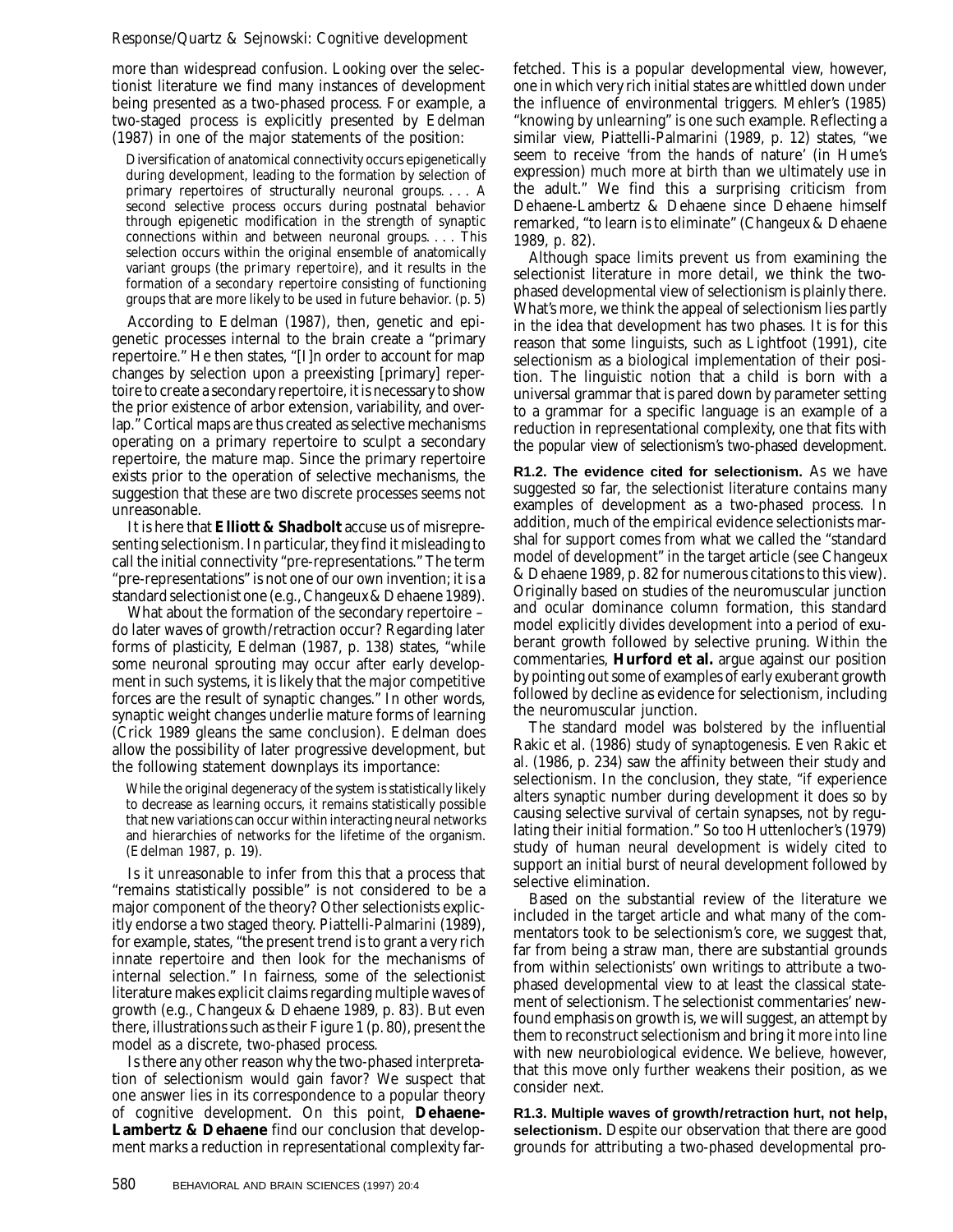more than widespread confusion. Looking over the selectionist literature we find many instances of development being presented as a two-phased process. For example, a two-staged process is explicitly presented by Edelman (1987) in one of the major statements of the position:

Diversification of anatomical connectivity occurs epigenetically during development, leading to the formation by selection of primary repertoires of structurally neuronal groups. . . . A second selective process occurs during postnatal behavior through epigenetic modification in the strength of synaptic connections within and between neuronal groups. . . . This selection occurs within the original ensemble of anatomically variant groups (the *primary repertoire*), and it results in the formation of a *secondary repertoire* consisting of functioning groups that are more likely to be used in future behavior. (p. 5)

According to Edelman (1987), then, genetic and epigenetic processes internal to the brain create a "primary repertoire." He then states, "[I]n order to account for map changes by selection upon a preexisting [primary] repertoire to create a secondary repertoire, it is necessary to show the prior existence of arbor extension, variability, and overlap." Cortical maps are thus created as selective mechanisms operating on a primary repertoire to sculpt a secondary repertoire, the mature map. Since the primary repertoire exists prior to the operation of selective mechanisms, the suggestion that these are two discrete processes seems not unreasonable.

It is here that **Elliott & Shadbolt** accuse us of misrepresenting selectionism. In particular, they find it misleading to call the initial connectivity "pre-representations." The term "pre-representations" is not one of our own invention; it is a standard selectionist one (e.g., Changeux & Dehaene 1989).

What about the formation of the secondary repertoire – do later waves of growth/retraction occur? Regarding later forms of plasticity, Edelman (1987, p. 138) states, "while some neuronal sprouting may occur after early development in such systems, it is likely that the major competitive forces are the result of synaptic changes." In other words, synaptic weight changes underlie mature forms of learning (Crick 1989 gleans the same conclusion). Edelman does allow the possibility of later progressive development, but the following statement downplays its importance:

While the original degeneracy of the system is statistically likely to decrease as learning occurs, it remains statistically possible that new variations can occur within interacting neural networks and hierarchies of networks for the lifetime of the organism. (Edelman 1987, p. 19).

Is it unreasonable to infer from this that a process that "remains statistically possible" is not considered to be a major component of the theory? Other selectionists explicitly endorse a two staged theory. Piattelli-Palmarini (1989), for example, states, "the present trend is to grant a very rich innate repertoire and then look for the mechanisms of internal selection." In fairness, some of the selectionist literature makes explicit claims regarding multiple waves of growth (e.g., Changeux & Dehaene 1989, p. 83). But even there, illustrations such as their Figure 1 (p. 80), present the model as a discrete, two-phased process.

Is there any other reason why the two-phased interpretation of selectionism would gain favor? We suspect that one answer lies in its correspondence to a popular theory of cognitive development. On this point, **Dehaene-Lambertz & Dehaene** find our conclusion that development marks a reduction in representational complexity farfetched. This is a popular developmental view, however, one in which very rich initial states are whittled down under the influence of environmental triggers. Mehler's (1985) "knowing by unlearning" is one such example. Reflecting a similar view, Piattelli-Palmarini (1989, p. 12) states, "we seem to receive 'from the hands of nature' (in Hume's expression) much more at birth than we ultimately use in the adult." We find this a surprising criticism from Dehaene-Lambertz & Dehaene since Dehaene himself remarked, "to learn is to eliminate" (Changeux & Dehaene 1989, p. 82).

Although space limits prevent us from examining the selectionist literature in more detail, we think the twophased developmental view of selectionism is plainly there. What's more, we think the appeal of selectionism lies partly in the idea that development has two phases. It is for this reason that some linguists, such as Lightfoot (1991), cite selectionism as a biological implementation of their position. The linguistic notion that a child is born with a universal grammar that is pared down by parameter setting to a grammar for a specific language is an example of a reduction in representational complexity, one that fits with the popular view of selectionism's two-phased development.

**R1.2. The evidence cited for selectionism.** As we have suggested so far, the selectionist literature contains many examples of development as a two-phased process. In addition, much of the empirical evidence selectionists marshal for support comes from what we called the "standard model of development" in the target article (see Changeux & Dehaene 1989, p. 82 for numerous citations to this view). Originally based on studies of the neuromuscular junction and ocular dominance column formation, this standard model explicitly divides development into a period of exuberant growth followed by selective pruning. Within the commentaries, **Hurford et al.** argue against our position by pointing out some of examples of early exuberant growth followed by decline as evidence for selectionism, including the neuromuscular junction.

The standard model was bolstered by the influential Rakic et al. (1986) study of synaptogenesis. Even Rakic et al. (1986, p. 234) saw the affinity between their study and selectionism. In the conclusion, they state, "if experience alters synaptic number during development it does so by causing selective survival of certain synapses, not by regulating their initial formation." So too Huttenlocher's (1979) study of human neural development is widely cited to support an initial burst of neural development followed by selective elimination.

Based on the substantial review of the literature we included in the target article and what many of the commentators took to be selectionism's core, we suggest that, far from being a straw man, there are substantial grounds from within selectionists' own writings to attribute a twophased developmental view to at least the classical statement of selectionism. The selectionist commentaries' newfound emphasis on growth is, we will suggest, an attempt by them to reconstruct selectionism and bring it more into line with new neurobiological evidence. We believe, however, that this move only further weakens their position, as we consider next.

**R1.3. Multiple waves of growth/retraction hurt, not help, selectionism.** Despite our observation that there are good grounds for attributing a two-phased developmental pro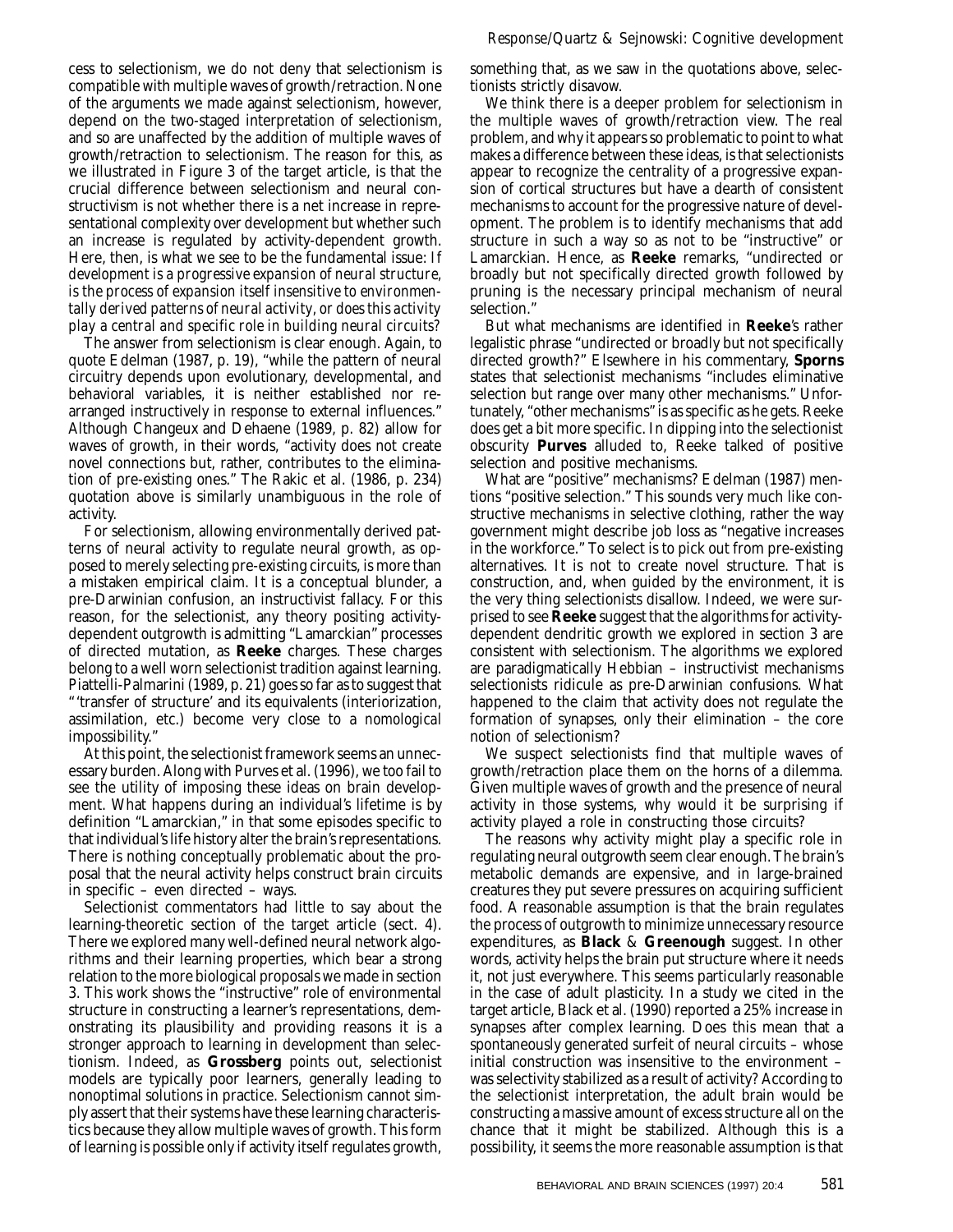cess to selectionism, we do not deny that selectionism is compatible with multiple waves of growth/retraction. None of the arguments we made against selectionism, however, depend on the two-staged interpretation of selectionism, and so are unaffected by the addition of multiple waves of growth/retraction to selectionism. The reason for this, as we illustrated in Figure 3 of the target article, is that the crucial difference between selectionism and neural constructivism is not whether there is a net increase in representational complexity over development but whether such an increase is regulated by activity-dependent growth. Here, then, is what we see to be the fundamental issue: *If development is a progressive expansion of neural structure, is the process of expansion itself insensitive to environmentally derived patterns of neural activity, or does this activity play a central and specific role in building neural circuits?*

The answer from selectionism is clear enough. Again, to quote Edelman (1987, p. 19), "while the pattern of neural circuitry depends upon evolutionary, developmental, and behavioral variables, it is neither established nor rearranged instructively in response to external influences." Although Changeux and Dehaene (1989, p. 82) allow for waves of growth, in their words, "activity does not create novel connections but, rather, contributes to the elimination of pre-existing ones." The Rakic et al. (1986, p. 234) quotation above is similarly unambiguous in the role of activity.

For selectionism, allowing environmentally derived patterns of neural activity to regulate neural growth, as opposed to merely selecting pre-existing circuits, is more than a mistaken empirical claim. It is a conceptual blunder, a pre-Darwinian confusion, an instructivist fallacy. For this reason, for the selectionist, any theory positing activitydependent outgrowth is admitting "Lamarckian" processes of directed mutation, as **Reeke** charges. These charges belong to a well worn selectionist tradition against learning. Piattelli-Palmarini (1989, p. 21) goes so far as to suggest that "'transfer of structure' and its equivalents (interiorization, assimilation, etc.) become very close to a *nomological* impossibility."

At this point, the selectionist framework seems an unnecessary burden. Along with Purves et al. (1996), we too fail to see the utility of imposing these ideas on brain development. What happens during an individual's lifetime is by definition "Lamarckian," in that some episodes specific to that individual's life history alter the brain's representations. There is nothing conceptually problematic about the proposal that the neural activity helps construct brain circuits in specific – even directed – ways.

Selectionist commentators had little to say about the learning-theoretic section of the target article (sect. 4). There we explored many well-defined neural network algorithms and their learning properties, which bear a strong relation to the more biological proposals we made in section 3. This work shows the "instructive" role of environmental structure in constructing a learner's representations, demonstrating its plausibility and providing reasons it is a stronger approach to learning in development than selectionism. Indeed, as **Grossberg** points out, selectionist models are typically poor learners, generally leading to nonoptimal solutions in practice. Selectionism cannot simply assert that their systems have these learning characteristics because they allow multiple waves of growth. This form of learning is possible only if activity itself regulates growth, something that, as we saw in the quotations above, selectionists strictly disavow.

We think there is a deeper problem for selectionism in the multiple waves of growth/retraction view. The real problem, and why it appears so problematic to point to what makes a difference between these ideas, is that selectionists appear to recognize the centrality of a progressive expansion of cortical structures but have a dearth of consistent mechanisms to account for the progressive nature of development. The problem is to identify mechanisms that add structure in such a way so as not to be "instructive" or Lamarckian. Hence, as **Reeke** remarks, "undirected or broadly but not specifically directed growth followed by pruning is the necessary principal mechanism of neural selection."

But what mechanisms are identified in **Reeke**'s rather legalistic phrase "undirected or broadly but not specifically directed growth?" Elsewhere in his commentary, **Sporns** states that selectionist mechanisms "includes eliminative selection but range over many other mechanisms." Unfortunately, "other mechanisms" is as specific as he gets. Reeke does get a bit more specific. In dipping into the selectionist obscurity **Purves** alluded to, Reeke talked of positive selection and positive mechanisms.

What are "positive" mechanisms? Edelman (1987) mentions "positive selection." This sounds very much like constructive mechanisms in selective clothing, rather the way government might describe job loss as "negative increases in the workforce." To select is to pick out from pre-existing alternatives. It is not to create novel structure. That is construction, and, when guided by the environment, it is the very thing selectionists disallow. Indeed, we were surprised to see **Reeke** suggest that the algorithms for activitydependent dendritic growth we explored in section 3 are consistent with selectionism. The algorithms we explored are paradigmatically Hebbian – instructivist mechanisms selectionists ridicule as pre-Darwinian confusions. What happened to the claim that activity does not regulate the formation of synapses, only their elimination – the core notion of selectionism?

We suspect selectionists find that multiple waves of growth/retraction place them on the horns of a dilemma. Given multiple waves of growth and the presence of neural activity in those systems, why would it be surprising if activity played a role in constructing those circuits?

The reasons why activity might play a specific role in regulating neural outgrowth seem clear enough. The brain's metabolic demands are expensive, and in large-brained creatures they put severe pressures on acquiring sufficient food. A reasonable assumption is that the brain regulates the process of outgrowth to minimize unnecessary resource expenditures, as **Black** & **Greenough** suggest. In other words, activity helps the brain put structure where it needs it, not just everywhere. This seems particularly reasonable in the case of adult plasticity. In a study we cited in the target article, Black et al. (1990) reported a 25% increase in synapses after complex learning. Does this mean that a spontaneously generated surfeit of neural circuits – whose initial construction was insensitive to the environment – was selectivity stabilized as a result of activity? According to the selectionist interpretation, the adult brain would be constructing a massive amount of excess structure all on the chance that it might be stabilized. Although this is a possibility, it seems the more reasonable assumption is that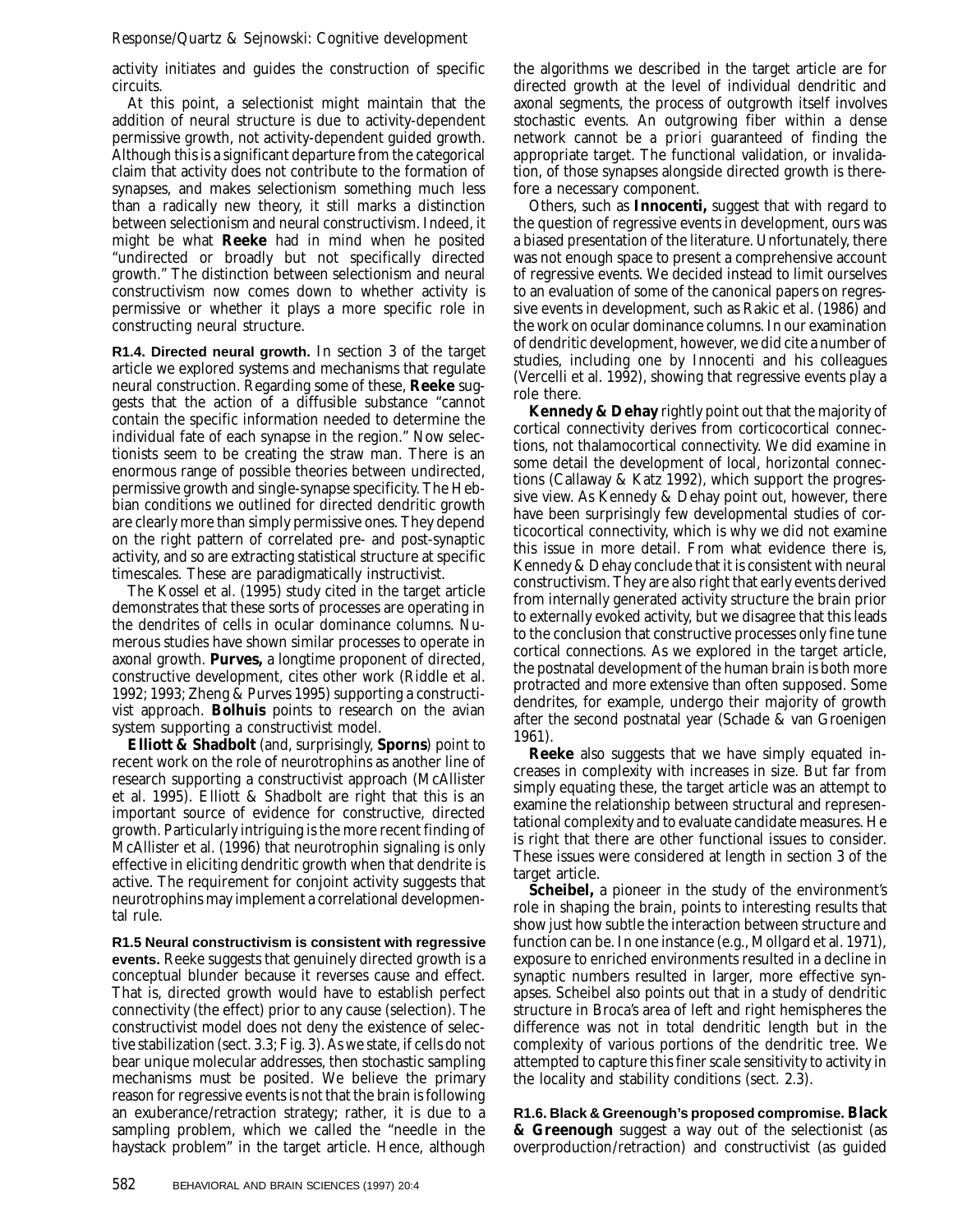activity initiates and guides the construction of specific circuits.

At this point, a selectionist might maintain that the addition of neural structure is due to activity-dependent permissive growth, not activity-dependent guided growth. Although this is a significant departure from the categorical claim that activity does not contribute to the formation of synapses, and makes selectionism something much less than a radically new theory, it still marks a distinction between selectionism and neural constructivism. Indeed, it might be what **Reeke** had in mind when he posited "undirected or broadly but not specifically directed growth." The distinction between selectionism and neural constructivism now comes down to whether activity is permissive or whether it plays a more specific role in constructing neural structure.

**R1.4. Directed neural growth.** In section 3 of the target article we explored systems and mechanisms that regulate neural construction. Regarding some of these, **Reeke** suggests that the action of a diffusible substance "cannot contain the specific information needed to determine the individual fate of each synapse in the region." Now selectionists seem to be creating the straw man. There is an enormous range of possible theories between undirected, permissive growth and single-synapse specificity. The Hebbian conditions we outlined for directed dendritic growth are clearly more than simply permissive ones. They depend on the right pattern of correlated pre- and post-synaptic activity, and so are extracting statistical structure at specific timescales. These are paradigmatically instructivist.

The Kossel et al. (1995) study cited in the target article demonstrates that these sorts of processes are operating in the dendrites of cells in ocular dominance columns. Numerous studies have shown similar processes to operate in axonal growth. **Purves,** a longtime proponent of directed, constructive development, cites other work (Riddle et al. 1992; 1993; Zheng & Purves 1995) supporting a constructivist approach. **Bolhuis** points to research on the avian system supporting a constructivist model.

**Elliott & Shadbolt** (and, surprisingly, **Sporns**) point to recent work on the role of neurotrophins as another line of research supporting a constructivist approach (McAllister et al. 1995). Elliott & Shadbolt are right that this is an important source of evidence for constructive, directed growth. Particularly intriguing is the more recent finding of McAllister et al. (1996) that neurotrophin signaling is only effective in eliciting dendritic growth when that dendrite is active. The requirement for conjoint activity suggests that neurotrophins may implement a correlational developmental rule.

**R1.5 Neural constructivism is consistent with regressive events.** Reeke suggests that genuinely directed growth is a conceptual blunder because it reverses cause and effect. That is, directed growth would have to establish perfect connectivity (the effect) prior to any cause (selection). The constructivist model does not deny the existence of selective stabilization (sect. 3.3; Fig. 3). As we state, if cells do not bear unique molecular addresses, then stochastic sampling mechanisms must be posited. We believe the primary reason for regressive events is not that the brain is following an exuberance/retraction strategy; rather, it is due to a sampling problem, which we called the "needle in the haystack problem" in the target article. Hence, although

the algorithms we described in the target article are for directed growth at the level of individual dendritic and axonal segments, the process of outgrowth itself involves stochastic events. An outgrowing fiber within a dense network cannot be *a priori* guaranteed of finding the appropriate target. The functional validation, or invalidation, of those synapses alongside directed growth is therefore a necessary component.

Others, such as **Innocenti,** suggest that with regard to the question of regressive events in development, ours was a biased presentation of the literature. Unfortunately, there was not enough space to present a comprehensive account of regressive events. We decided instead to limit ourselves to an evaluation of some of the canonical papers on regressive events in development, such as Rakic et al. (1986) and the work on ocular dominance columns. In our examination of dendritic development, however, we did cite a number of studies, including one by Innocenti and his colleagues (Vercelli et al. 1992), showing that regressive events play a role there.

**Kennedy & Dehay** rightly point out that the majority of cortical connectivity derives from corticocortical connections, not thalamocortical connectivity. We did examine in some detail the development of local, horizontal connections (Callaway & Katz 1992), which support the progressive view. As Kennedy & Dehay point out, however, there have been surprisingly few developmental studies of corticocortical connectivity, which is why we did not examine this issue in more detail. From what evidence there is, Kennedy & Dehay conclude that it is consistent with neural constructivism. They are also right that early events derived from internally generated activity structure the brain prior to externally evoked activity, but we disagree that this leads to the conclusion that constructive processes only fine tune cortical connections. As we explored in the target article, the postnatal development of the human brain is both more protracted and more extensive than often supposed. Some dendrites, for example, undergo their majority of growth after the second postnatal year (Schade & van Groenigen 1961).

**Reeke** also suggests that we have simply equated increases in complexity with increases in size. But far from simply equating these, the target article was an attempt to examine the relationship between structural and representational complexity and to evaluate candidate measures. He is right that there are other functional issues to consider. These issues were considered at length in section 3 of the target article.

**Scheibel,** a pioneer in the study of the environment's role in shaping the brain, points to interesting results that show just how subtle the interaction between structure and function can be. In one instance (e.g., Mollgard et al. 1971), exposure to enriched environments resulted in a decline in synaptic numbers resulted in larger, more effective synapses. Scheibel also points out that in a study of dendritic structure in Broca's area of left and right hemispheres the difference was not in total dendritic length but in the complexity of various portions of the dendritic tree. We attempted to capture this finer scale sensitivity to activity in the locality and stability conditions (sect. 2.3).

**R1.6. Black & Greenough's proposed compromise. Black & Greenough** suggest a way out of the selectionist (as overproduction/retraction) and constructivist (as guided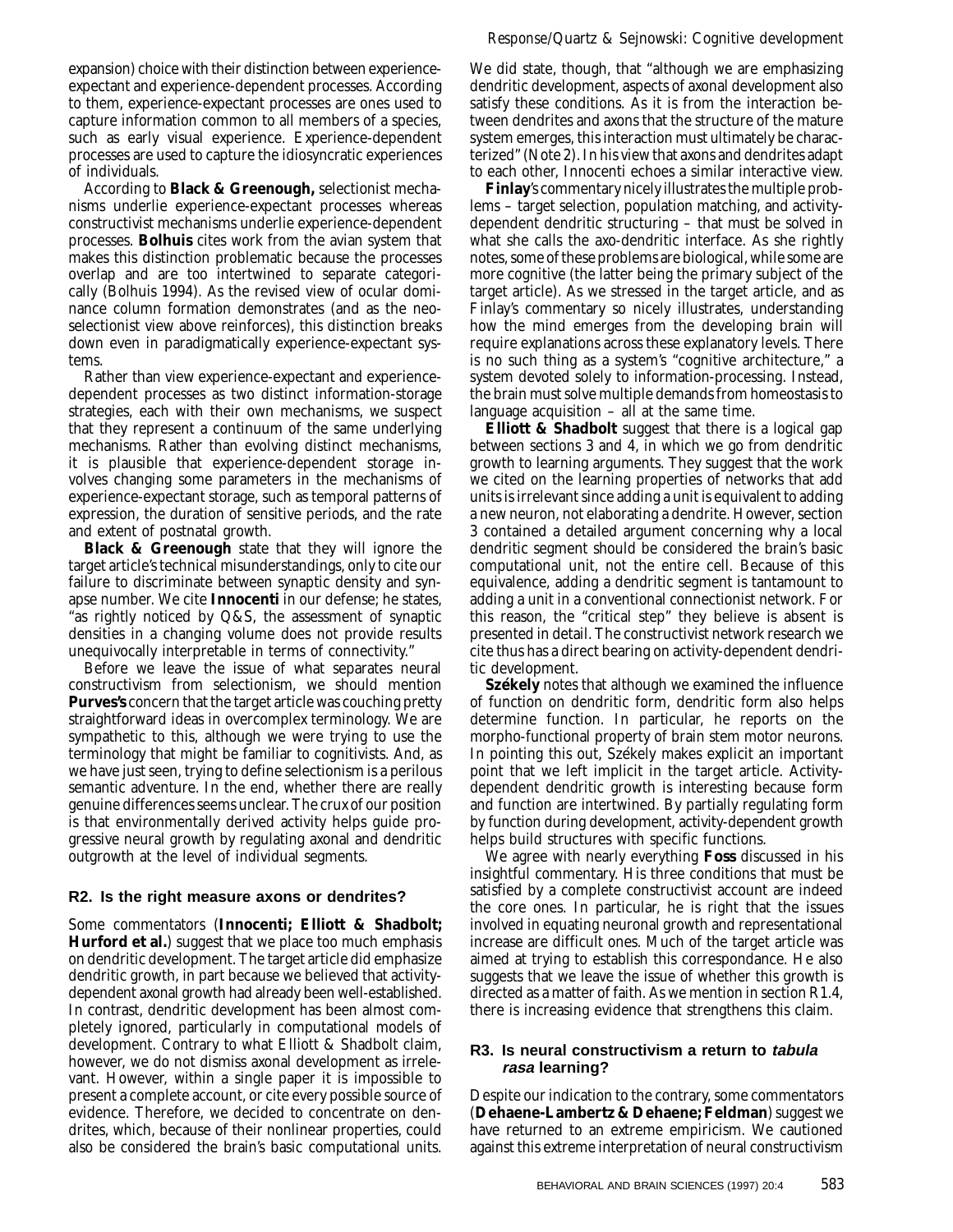expansion) choice with their distinction between experienceexpectant and experience-dependent processes. According to them, experience-expectant processes are ones used to capture information common to all members of a species, such as early visual experience. Experience-dependent processes are used to capture the idiosyncratic experiences of individuals.

According to **Black & Greenough,** selectionist mechanisms underlie experience-expectant processes whereas constructivist mechanisms underlie experience-dependent processes. **Bolhuis** cites work from the avian system that makes this distinction problematic because the processes overlap and are too intertwined to separate categorically (Bolhuis 1994). As the revised view of ocular dominance column formation demonstrates (and as the neoselectionist view above reinforces), this distinction breaks down even in paradigmatically experience-expectant systems.

Rather than view experience-expectant and experiencedependent processes as two distinct information-storage strategies, each with their own mechanisms, we suspect that they represent a continuum of the same underlying mechanisms. Rather than evolving distinct mechanisms, it is plausible that experience-dependent storage involves changing some parameters in the mechanisms of experience-expectant storage, such as temporal patterns of expression, the duration of sensitive periods, and the rate and extent of postnatal growth.

**Black & Greenough** state that they will ignore the target article's technical misunderstandings, only to cite our failure to discriminate between synaptic density and synapse number. We cite **Innocenti** in our defense; he states, "as rightly noticed by Q&S, the assessment of synaptic densities in a changing volume does not provide results unequivocally interpretable in terms of connectivity."

Before we leave the issue of what separates neural constructivism from selectionism, we should mention **Purves's** concern that the target article was couching pretty straightforward ideas in overcomplex terminology. We are sympathetic to this, although we were trying to use the terminology that might be familiar to cognitivists. And, as we have just seen, trying to define selectionism is a perilous semantic adventure. In the end, whether there are really genuine differences seems unclear. The crux of our position is that environmentally derived activity helps guide progressive neural growth by regulating axonal and dendritic outgrowth at the level of individual segments.

# **R2. Is the right measure axons or dendrites?**

Some commentators (**Innocenti; Elliott & Shadbolt; Hurford et al.**) suggest that we place too much emphasis on dendritic development. The target article did emphasize dendritic growth, in part because we believed that activitydependent axonal growth had already been well-established. In contrast, dendritic development has been almost completely ignored, particularly in computational models of development. Contrary to what Elliott & Shadbolt claim, however, we do not dismiss axonal development as irrelevant. However, within a single paper it is impossible to present a complete account, or cite every possible source of evidence. Therefore, we decided to concentrate on dendrites, which, because of their nonlinear properties, could also be considered the brain's basic computational units. We did state, though, that "although we are emphasizing dendritic development, aspects of axonal development also satisfy these conditions. As it is from the interaction between dendrites and axons that the structure of the mature system emerges, this interaction must ultimately be characterized" (Note 2). In his view that axons and dendrites adapt to each other, Innocenti echoes a similar interactive view.

**Finlay**'s commentary nicely illustrates the multiple problems – target selection, population matching, and activitydependent dendritic structuring – that must be solved in what she calls the axo-dendritic interface. As she rightly notes, some of these problems are biological, while some are more cognitive (the latter being the primary subject of the target article). As we stressed in the target article, and as Finlay's commentary so nicely illustrates, understanding how the mind emerges from the developing brain will require explanations across these explanatory levels. There is no such thing as a system's "cognitive architecture," a system devoted solely to information-processing. Instead, the brain must solve multiple demands from homeostasis to language acquisition – all at the same time.

**Elliott & Shadbolt** suggest that there is a logical gap between sections 3 and 4, in which we go from dendritic growth to learning arguments. They suggest that the work we cited on the learning properties of networks that add units is irrelevant since adding a unit is equivalent to adding a new neuron, not elaborating a dendrite. However, section 3 contained a detailed argument concerning why a local dendritic segment should be considered the brain's basic computational unit, not the entire cell. Because of this equivalence, adding a dendritic segment is tantamount to adding a unit in a conventional connectionist network. For this reason, the "critical step" they believe is absent is presented in detail. The constructivist network research we cite thus has a direct bearing on activity-dependent dendritic development.

**Székely** notes that although we examined the influence of function on dendritic form, dendritic form also helps determine function. In particular, he reports on the morpho-functional property of brain stem motor neurons. In pointing this out, Székely makes explicit an important point that we left implicit in the target article. Activitydependent dendritic growth is interesting because form and function are intertwined. By partially regulating form by function during development, activity-dependent growth helps build structures with specific functions.

We agree with nearly everything **Foss** discussed in his insightful commentary. His three conditions that must be satisfied by a complete constructivist account are indeed the core ones. In particular, he is right that the issues involved in equating neuronal growth and representational increase are difficult ones. Much of the target article was aimed at trying to establish this correspondance. He also suggests that we leave the issue of whether this growth is directed as a matter of faith. As we mention in section R1.4, there is increasing evidence that strengthens this claim.

# **R3. Is neural constructivism a return to tabula rasa learning?**

Despite our indication to the contrary, some commentators (**Dehaene-Lambertz & Dehaene; Feldman**) suggest we have returned to an extreme empiricism. We cautioned against this extreme interpretation of neural constructivism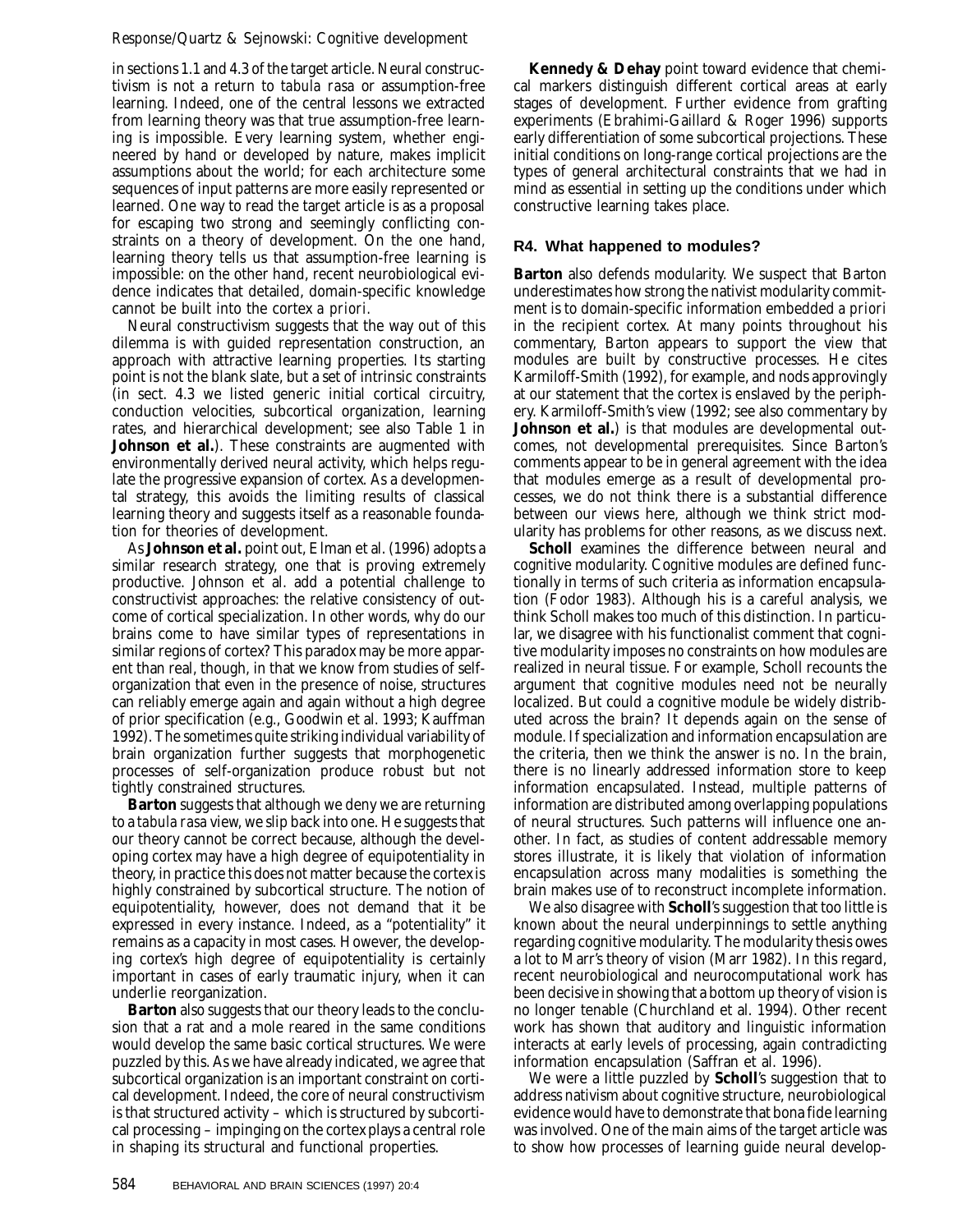in sections 1.1 and 4.3 of the target article. Neural constructivism is not a return to *tabula rasa* or assumption-free learning. Indeed, one of the central lessons we extracted from learning theory was that true assumption-free learning is impossible. Every learning system, whether engineered by hand or developed by nature, makes implicit assumptions about the world; for each architecture some sequences of input patterns are more easily represented or learned. One way to read the target article is as a proposal for escaping two strong and seemingly conflicting constraints on a theory of development. On the one hand, learning theory tells us that assumption-free learning is impossible: on the other hand, recent neurobiological evidence indicates that detailed, domain-specific knowledge cannot be built into the cortex *a priori.*

Neural constructivism suggests that the way out of this dilemma is with guided representation construction, an approach with attractive learning properties. Its starting point is not the blank slate, but a set of intrinsic constraints (in sect. 4.3 we listed generic initial cortical circuitry, conduction velocities, subcortical organization, learning rates, and hierarchical development; see also Table 1 in Johnson et al.). These constraints are augmented with environmentally derived neural activity, which helps regulate the progressive expansion of cortex. As a developmental strategy, this avoids the limiting results of classical learning theory and suggests itself as a reasonable foundation for theories of development.

As **Johnson et al.** point out, Elman et al. (1996) adopts a similar research strategy, one that is proving extremely productive. Johnson et al. add a potential challenge to constructivist approaches: the relative consistency of outcome of cortical specialization. In other words, why do our brains come to have similar types of representations in similar regions of cortex? This paradox may be more apparent than real, though, in that we know from studies of selforganization that even in the presence of noise, structures can reliably emerge again and again without a high degree of prior specification (e.g., Goodwin et al. 1993; Kauffman 1992). The sometimes quite striking individual variability of brain organization further suggests that morphogenetic processes of self-organization produce robust but not tightly constrained structures.

**Barton** suggests that although we deny we are returning to a *tabula rasa* view, we slip back into one. He suggests that our theory cannot be correct because, although the developing cortex may have a high degree of equipotentiality in theory, in practice this does not matter because the cortex is highly constrained by subcortical structure. The notion of equipotentiality, however, does not demand that it be expressed in every instance. Indeed, as a "potentiality" it remains as a capacity in most cases. However, the developing cortex's high degree of equipotentiality is certainly important in cases of early traumatic injury, when it can underlie reorganization.

**Barton** also suggests that our theory leads to the conclusion that a rat and a mole reared in the same conditions would develop the same basic cortical structures. We were puzzled by this. As we have already indicated, we agree that subcortical organization is an important constraint on cortical development. Indeed, the core of neural constructivism is that structured activity – which is structured by subcortical processing – impinging on the cortex plays a central role in shaping its structural and functional properties.

**Kennedy & Dehay** point toward evidence that chemical markers distinguish different cortical areas at early stages of development. Further evidence from grafting experiments (Ebrahimi-Gaillard & Roger 1996) supports early differentiation of some subcortical projections. These initial conditions on long-range cortical projections are the types of general architectural constraints that we had in mind as essential in setting up the conditions under which constructive learning takes place.

# **R4. What happened to modules?**

**Barton** also defends modularity. We suspect that Barton underestimates how strong the nativist modularity commitment is to domain-specific information embedded *a priori* in the recipient cortex. At many points throughout his commentary, Barton appears to support the view that modules are built by constructive processes. He cites Karmiloff-Smith (1992), for example, and nods approvingly at our statement that the cortex is enslaved by the periphery. Karmiloff-Smith's view (1992; see also commentary by **Johnson et al.**) is that modules are developmental outcomes, not developmental prerequisites. Since Barton's comments appear to be in general agreement with the idea that modules emerge as a result of developmental processes, we do not think there is a substantial difference between our views here, although we think strict modularity has problems for other reasons, as we discuss next.

**Scholl** examines the difference between neural and cognitive modularity. Cognitive modules are defined functionally in terms of such criteria as information encapsulation (Fodor 1983). Although his is a careful analysis, we think Scholl makes too much of this distinction. In particular, we disagree with his functionalist comment that cognitive modularity imposes no constraints on how modules are realized in neural tissue. For example, Scholl recounts the argument that cognitive modules need not be neurally localized. But could a cognitive module be widely distributed across the brain? It depends again on the sense of module. If specialization and information encapsulation are the criteria, then we think the answer is no. In the brain, there is no linearly addressed information store to keep information encapsulated. Instead, multiple patterns of information are distributed among overlapping populations of neural structures. Such patterns will influence one another. In fact, as studies of content addressable memory stores illustrate, it is likely that violation of information encapsulation across many modalities is something the brain makes use of to reconstruct incomplete information.

We also disagree with **Scholl**'s suggestion that too little is known about the neural underpinnings to settle anything regarding cognitive modularity. The modularity thesis owes a lot to Marr's theory of vision (Marr 1982). In this regard, recent neurobiological and neurocomputational work has been decisive in showing that a bottom up theory of vision is no longer tenable (Churchland et al. 1994). Other recent work has shown that auditory and linguistic information interacts at early levels of processing, again contradicting information encapsulation (Saffran et al. 1996).

We were a little puzzled by **Scholl**'s suggestion that to address nativism about cognitive structure, neurobiological evidence would have to demonstrate that bona fide learning was involved. One of the main aims of the target article was to show how processes of learning guide neural develop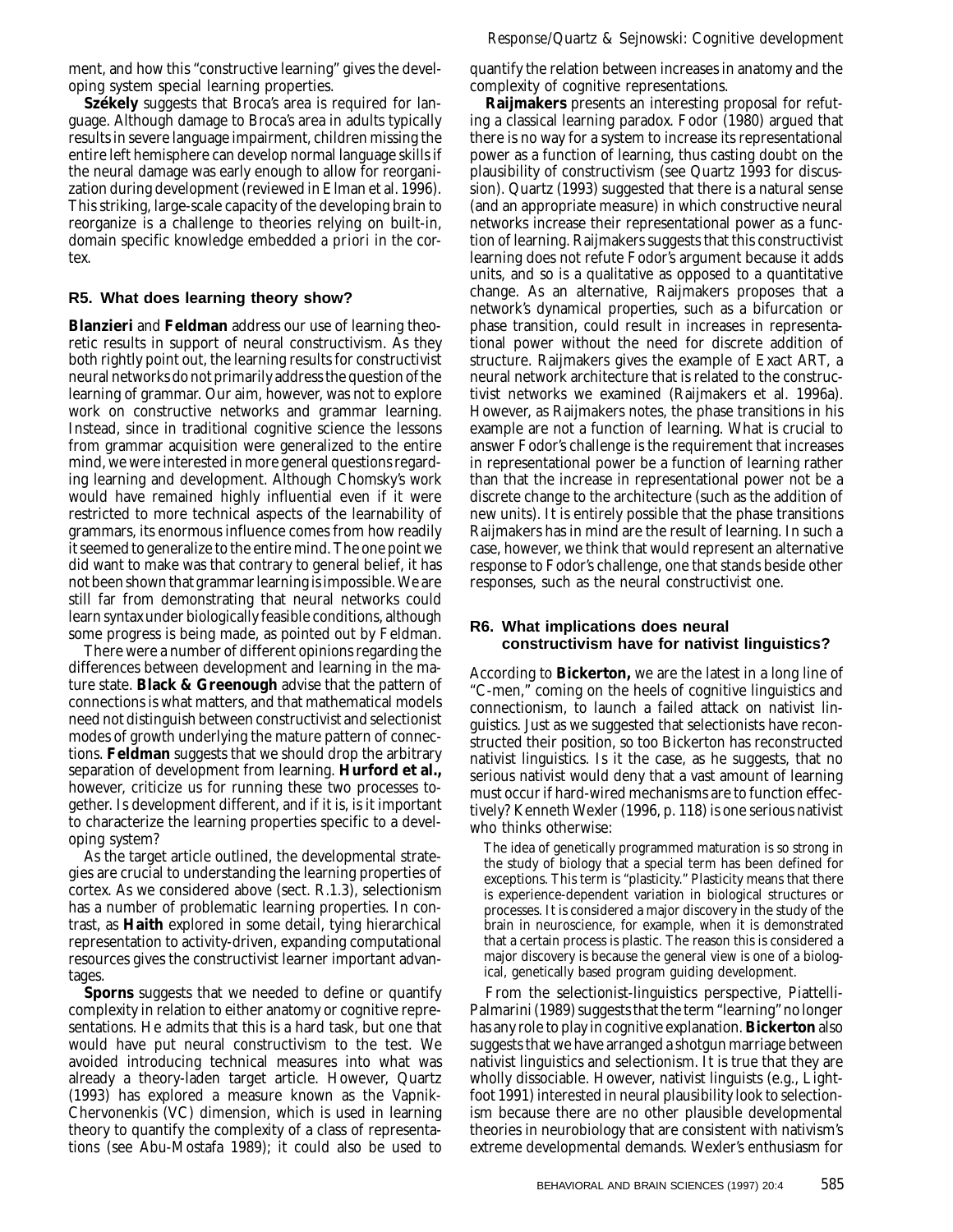ment, and how this "constructive learning" gives the developing system special learning properties.

**Székely** suggests that Broca's area is required for language. Although damage to Broca's area in adults typically results in severe language impairment, children missing the entire left hemisphere can develop normal language skills if the neural damage was early enough to allow for reorganization during development (reviewed in Elman et al. 1996). This striking, large-scale capacity of the developing brain to reorganize is a challenge to theories relying on built-in, domain specific knowledge embedded *a priori* in the cortex.

# **R5. What does learning theory show?**

**Blanzieri** and **Feldman** address our use of learning theoretic results in support of neural constructivism. As they both rightly point out, the learning results for constructivist neural networks do not primarily address the question of the learning of grammar. Our aim, however, was not to explore work on constructive networks and grammar learning. Instead, since in traditional cognitive science the lessons from grammar acquisition were generalized to the entire mind, we were interested in more general questions regarding learning and development. Although Chomsky's work would have remained highly influential even if it were restricted to more technical aspects of the learnability of grammars, its enormous influence comes from how readily it seemed to generalize to the entire mind. The one point we did want to make was that contrary to general belief, it has not been shown that grammar learning is impossible. We are still far from demonstrating that neural networks could learn syntax under biologically feasible conditions, although some progress is being made, as pointed out by Feldman.

There were a number of different opinions regarding the differences between development and learning in the mature state. **Black & Greenough** advise that the pattern of connections is what matters, and that mathematical models need not distinguish between constructivist and selectionist modes of growth underlying the mature pattern of connections. **Feldman** suggests that we should drop the arbitrary separation of development from learning. **Hurford et al.,** however, criticize us for running these two processes together. Is development different, and if it is, is it important to characterize the learning properties specific to a developing system?

As the target article outlined, the developmental strategies are crucial to understanding the learning properties of cortex. As we considered above (sect. R.1.3), selectionism has a number of problematic learning properties. In contrast, as **Haith** explored in some detail, tying hierarchical representation to activity-driven, expanding computational resources gives the constructivist learner important advantages.

**Sporns** suggests that we needed to define or quantify complexity in relation to either anatomy or cognitive representations. He admits that this is a hard task, but one that would have put neural constructivism to the test. We avoided introducing technical measures into what was already a theory-laden target article. However, Quartz (1993) has explored a measure known as the Vapnik-Chervonenkis (VC) dimension, which is used in learning theory to quantify the complexity of a class of representations (see Abu-Mostafa 1989); it could also be used to quantify the relation between increases in anatomy and the complexity of cognitive representations.

**Raijmakers** presents an interesting proposal for refuting a classical learning paradox. Fodor (1980) argued that there is no way for a system to increase its representational power as a function of learning, thus casting doubt on the plausibility of constructivism (see Quartz 1993 for discussion). Quartz (1993) suggested that there is a natural sense (and an appropriate measure) in which constructive neural networks increase their representational power as a function of learning. Raijmakers suggests that this constructivist learning does not refute Fodor's argument because it adds units, and so is a qualitative as opposed to a quantitative change. As an alternative, Raijmakers proposes that a network's dynamical properties, such as a bifurcation or phase transition, could result in increases in representational power without the need for discrete addition of structure. Raijmakers gives the example of Exact ART, a neural network architecture that is related to the constructivist networks we examined (Raijmakers et al. 1996a). However, as Raijmakers notes, the phase transitions in his example are not a function of learning. What is crucial to answer Fodor's challenge is the requirement that increases in representational power be a function of learning rather than that the increase in representational power not be a discrete change to the architecture (such as the addition of new units). It is entirely possible that the phase transitions Raijmakers has in mind are the result of learning. In such a case, however, we think that would represent an alternative response to Fodor's challenge, one that stands beside other responses, such as the neural constructivist one.

# **R6. What implications does neural constructivism have for nativist linguistics?**

According to **Bickerton,** we are the latest in a long line of "C-men," coming on the heels of cognitive linguistics and connectionism, to launch a failed attack on nativist linguistics. Just as we suggested that selectionists have reconstructed their position, so too Bickerton has reconstructed nativist linguistics. Is it the case, as he suggests, that no serious nativist would deny that a vast amount of learning must occur if hard-wired mechanisms are to function effectively? Kenneth Wexler (1996, p. 118) is one serious nativist who thinks otherwise:

The idea of genetically programmed maturation is so strong in the study of biology that a special term has been defined for exceptions. This term is "plasticity." Plasticity means that there is experience-dependent variation in biological structures or processes. It is considered a major discovery in the study of the brain in neuroscience, for example, when it is demonstrated that a certain process is plastic. The reason this is considered a major discovery is because the general view is one of a biological, genetically based program guiding development.

From the selectionist-linguistics perspective, Piattelli-Palmarini (1989) suggests that the term "learning" no longer has any role to play in cognitive explanation. **Bickerton** also suggests that we have arranged a shotgun marriage between nativist linguistics and selectionism. It is true that they are wholly dissociable. However, nativist linguists (e.g., Lightfoot 1991) interested in neural plausibility look to selectionism because there are no other plausible developmental theories in neurobiology that are consistent with nativism's extreme developmental demands. Wexler's enthusiasm for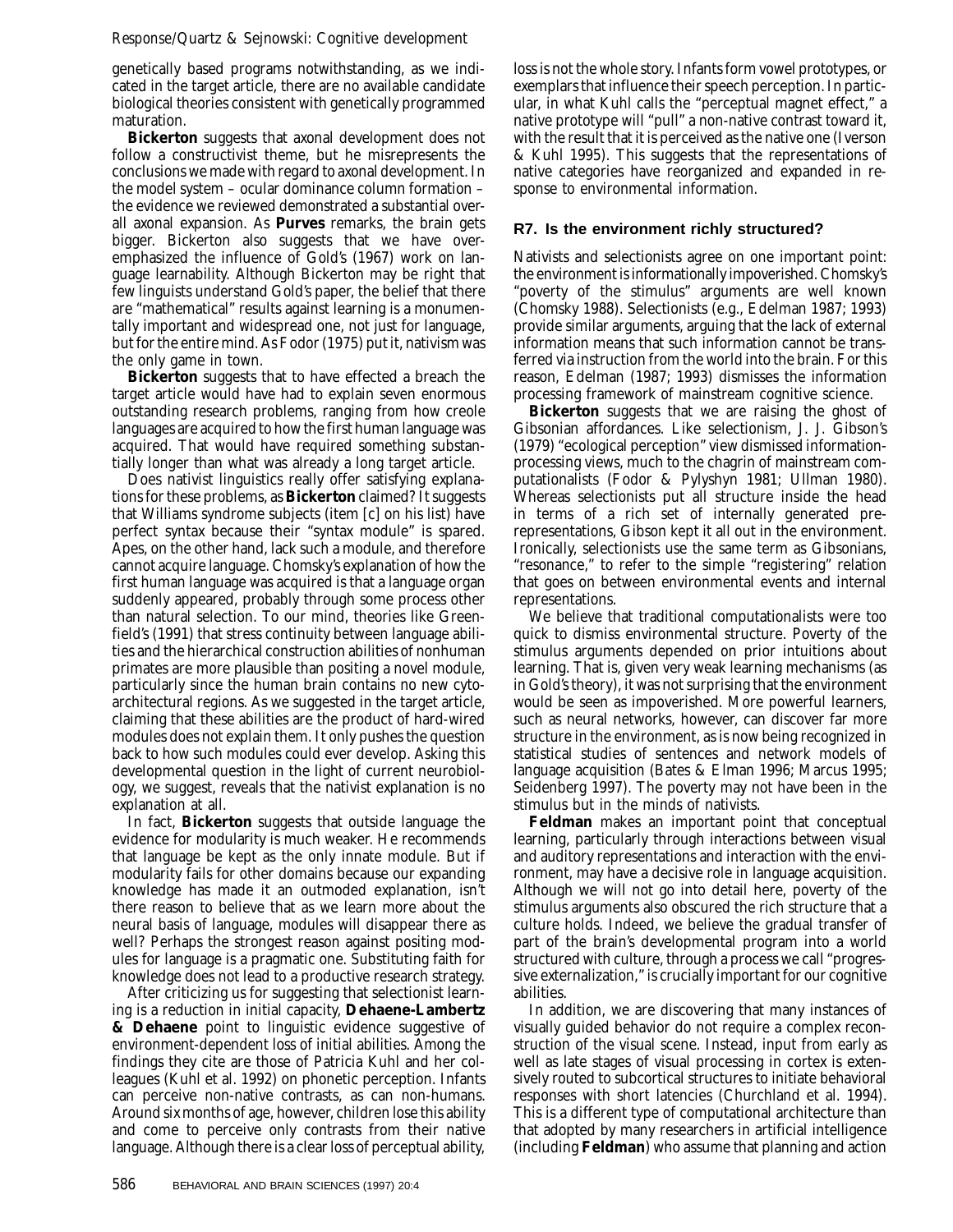genetically based programs notwithstanding, as we indicated in the target article, there are no available candidate biological theories consistent with genetically programmed maturation.

**Bickerton** suggests that axonal development does not follow a constructivist theme, but he misrepresents the conclusions we made with regard to axonal development. In the model system – ocular dominance column formation – the evidence we reviewed demonstrated a substantial overall axonal expansion. As **Purves** remarks, the brain gets bigger. Bickerton also suggests that we have overemphasized the influence of Gold's (1967) work on language learnability. Although Bickerton may be right that few linguists understand Gold's paper, the belief that there are "mathematical" results against learning is a monumentally important and widespread one, not just for language, but for the entire mind. As Fodor (1975) put it, nativism was the only game in town.

**Bickerton** suggests that to have effected a breach the target article would have had to explain seven enormous outstanding research problems, ranging from how creole languages are acquired to how the first human language was acquired. That would have required something substantially longer than what was already a long target article.

Does nativist linguistics really offer satisfying explanations for these problems, as **Bickerton** claimed? It suggests that Williams syndrome subjects (item [c] on his list) have perfect syntax because their "syntax module" is spared. Apes, on the other hand, lack such a module, and therefore cannot acquire language. Chomsky's explanation of how the first human language was acquired is that a language organ suddenly appeared, probably through some process other than natural selection. To our mind, theories like Greenfield's (1991) that stress continuity between language abilities and the hierarchical construction abilities of nonhuman primates are more plausible than positing a novel module, particularly since the human brain contains no new cytoarchitectural regions. As we suggested in the target article, claiming that these abilities are the product of hard-wired modules does not explain them. It only pushes the question back to how such modules could ever develop. Asking this developmental question in the light of current neurobiology, we suggest, reveals that the nativist explanation is no explanation at all.

In fact, **Bickerton** suggests that outside language the evidence for modularity is much weaker. He recommends that language be kept as the only innate module. But if modularity fails for other domains because our expanding knowledge has made it an outmoded explanation, isn't there reason to believe that as we learn more about the neural basis of language, modules will disappear there as well? Perhaps the strongest reason against positing modules for language is a pragmatic one. Substituting faith for knowledge does not lead to a productive research strategy.

After criticizing us for suggesting that selectionist learning is a reduction in initial capacity, **Dehaene-Lambertz & Dehaene** point to linguistic evidence suggestive of environment-dependent loss of initial abilities. Among the findings they cite are those of Patricia Kuhl and her colleagues (Kuhl et al. 1992) on phonetic perception. Infants can perceive non-native contrasts, as can non-humans. Around six months of age, however, children lose this ability and come to perceive only contrasts from their native language. Although there is a clear loss of perceptual ability,

loss is not the whole story. Infants form vowel prototypes, or exemplars that influence their speech perception. In particular, in what Kuhl calls the "perceptual magnet effect," a native prototype will "pull" a non-native contrast toward it, with the result that it is perceived as the native one (Iverson & Kuhl 1995). This suggests that the representations of native categories have reorganized and expanded in response to environmental information.

# **R7. Is the environment richly structured?**

Nativists and selectionists agree on one important point: the environment is informationally impoverished. Chomsky's "poverty of the stimulus" arguments are well known (Chomsky 1988). Selectionists (e.g., Edelman 1987; 1993) provide similar arguments, arguing that the lack of external information means that such information cannot be transferred via instruction from the world into the brain. For this reason, Edelman (1987; 1993) dismisses the information processing framework of mainstream cognitive science.

**Bickerton** suggests that we are raising the ghost of Gibsonian affordances. Like selectionism, J. J. Gibson's (1979) "ecological perception" view dismissed informationprocessing views, much to the chagrin of mainstream computationalists (Fodor & Pylyshyn 1981; Ullman 1980). Whereas selectionists put all structure inside the head in terms of a rich set of internally generated prerepresentations, Gibson kept it all out in the environment. Ironically, selectionists use the same term as Gibsonians, "resonance," to refer to the simple "registering" relation that goes on between environmental events and internal representations.

We believe that traditional computationalists were too quick to dismiss environmental structure. Poverty of the stimulus arguments depended on prior intuitions about learning. That is, given very weak learning mechanisms (as in Gold's theory), it was not surprising that the environment would be seen as impoverished. More powerful learners, such as neural networks, however, can discover far more structure in the environment, as is now being recognized in statistical studies of sentences and network models of language acquisition (Bates & Elman 1996; Marcus 1995; Seidenberg 1997). The poverty may not have been in the stimulus but in the minds of nativists.

**Feldman** makes an important point that conceptual learning, particularly through interactions between visual and auditory representations and interaction with the environment, may have a decisive role in language acquisition. Although we will not go into detail here, poverty of the stimulus arguments also obscured the rich structure that a culture holds. Indeed, we believe the gradual transfer of part of the brain's developmental program into a world structured with culture, through a process we call "progressive externalization," is crucially important for our cognitive abilities.

In addition, we are discovering that many instances of visually guided behavior do not require a complex reconstruction of the visual scene. Instead, input from early as well as late stages of visual processing in cortex is extensively routed to subcortical structures to initiate behavioral responses with short latencies (Churchland et al. 1994). This is a different type of computational architecture than that adopted by many researchers in artificial intelligence (including **Feldman**) who assume that planning and action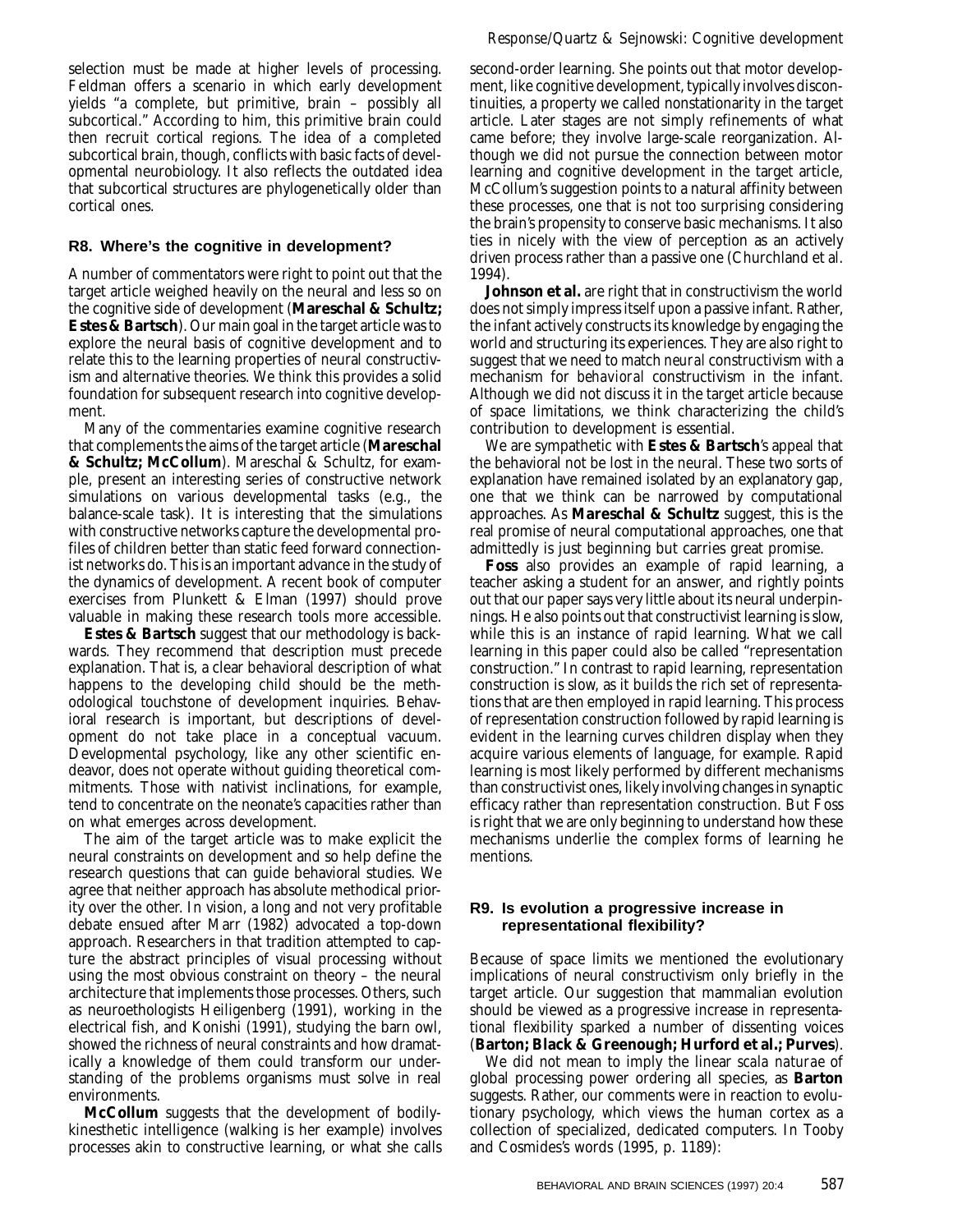selection must be made at higher levels of processing. Feldman offers a scenario in which early development yields "a complete, but primitive, brain – possibly all subcortical." According to him, this primitive brain could then recruit cortical regions. The idea of a completed subcortical brain, though, conflicts with basic facts of developmental neurobiology. It also reflects the outdated idea that subcortical structures are phylogenetically older than cortical ones.

# **R8. Where's the cognitive in development?**

A number of commentators were right to point out that the target article weighed heavily on the neural and less so on the cognitive side of development (**Mareschal & Schultz; Estes & Bartsch**). Our main goal in the target article was to explore the neural basis of cognitive development and to relate this to the learning properties of neural constructivism and alternative theories. We think this provides a solid foundation for subsequent research into cognitive development.

Many of the commentaries examine cognitive research that complements the aims of the target article (**Mareschal & Schultz; McCollum**). Mareschal & Schultz, for example, present an interesting series of constructive network simulations on various developmental tasks (e.g., the balance-scale task). It is interesting that the simulations with constructive networks capture the developmental profiles of children better than static feed forward connectionist networks do. This is an important advance in the study of the dynamics of development. A recent book of computer exercises from Plunkett & Elman (1997) should prove valuable in making these research tools more accessible.

**Estes & Bartsch** suggest that our methodology is backwards. They recommend that description must precede explanation. That is, a clear behavioral description of what happens to the developing child should be the methodological touchstone of development inquiries. Behavioral research is important, but descriptions of development do not take place in a conceptual vacuum. Developmental psychology, like any other scientific endeavor, does not operate without guiding theoretical commitments. Those with nativist inclinations, for example, tend to concentrate on the neonate's capacities rather than on what emerges across development.

The aim of the target article was to make explicit the neural constraints on development and so help define the research questions that can guide behavioral studies. We agree that neither approach has absolute methodical priority over the other. In vision, a long and not very profitable debate ensued after Marr (1982) advocated a top-down approach. Researchers in that tradition attempted to capture the abstract principles of visual processing without using the most obvious constraint on theory – the neural architecture that implements those processes. Others, such as neuroethologists Heiligenberg (1991), working in the electrical fish, and Konishi (1991), studying the barn owl, showed the richness of neural constraints and how dramatically a knowledge of them could transform our understanding of the problems organisms must solve in real environments.

**McCollum** suggests that the development of bodilykinesthetic intelligence (walking is her example) involves processes akin to constructive learning, or what she calls second-order learning. She points out that motor development, like cognitive development, typically involves discontinuities, a property we called nonstationarity in the target article. Later stages are not simply refinements of what came before; they involve large-scale reorganization. Although we did not pursue the connection between motor learning and cognitive development in the target article, McCollum's suggestion points to a natural affinity between these processes, one that is not too surprising considering the brain's propensity to conserve basic mechanisms. It also ties in nicely with the view of perception as an actively driven process rather than a passive one (Churchland et al. 1994).

**Johnson et al.** are right that in constructivism the world does not simply impress itself upon a passive infant. Rather, the infant actively constructs its knowledge by engaging the world and structuring its experiences. They are also right to suggest that we need to match *neural* constructivism with a mechanism for *behavioral* constructivism in the infant. Although we did not discuss it in the target article because of space limitations, we think characterizing the child's contribution to development is essential.

We are sympathetic with **Estes & Bartsch**'s appeal that the behavioral not be lost in the neural. These two sorts of explanation have remained isolated by an explanatory gap, one that we think can be narrowed by computational approaches. As **Mareschal & Schultz** suggest, this is the real promise of neural computational approaches, one that admittedly is just beginning but carries great promise.

**Foss** also provides an example of rapid learning, a teacher asking a student for an answer, and rightly points out that our paper says very little about its neural underpinnings. He also points out that constructivist learning is slow, while this is an instance of rapid learning. What we call learning in this paper could also be called "representation construction." In contrast to rapid learning, representation construction is slow, as it builds the rich set of representations that are then employed in rapid learning. This process of representation construction followed by rapid learning is evident in the learning curves children display when they acquire various elements of language, for example. Rapid learning is most likely performed by different mechanisms than constructivist ones, likely involving changes in synaptic efficacy rather than representation construction. But Foss is right that we are only beginning to understand how these mechanisms underlie the complex forms of learning he mentions.

# **R9. Is evolution a progressive increase in representational flexibility?**

Because of space limits we mentioned the evolutionary implications of neural constructivism only briefly in the target article. Our suggestion that mammalian evolution should be viewed as a progressive increase in representational flexibility sparked a number of dissenting voices (**Barton; Black & Greenough; Hurford et al.; Purves**).

We did not mean to imply the linear *scala naturae* of global processing power ordering all species, as **Barton** suggests. Rather, our comments were in reaction to evolutionary psychology, which views the human cortex as a collection of specialized, dedicated computers. In Tooby and Cosmides's words (1995, p. 1189):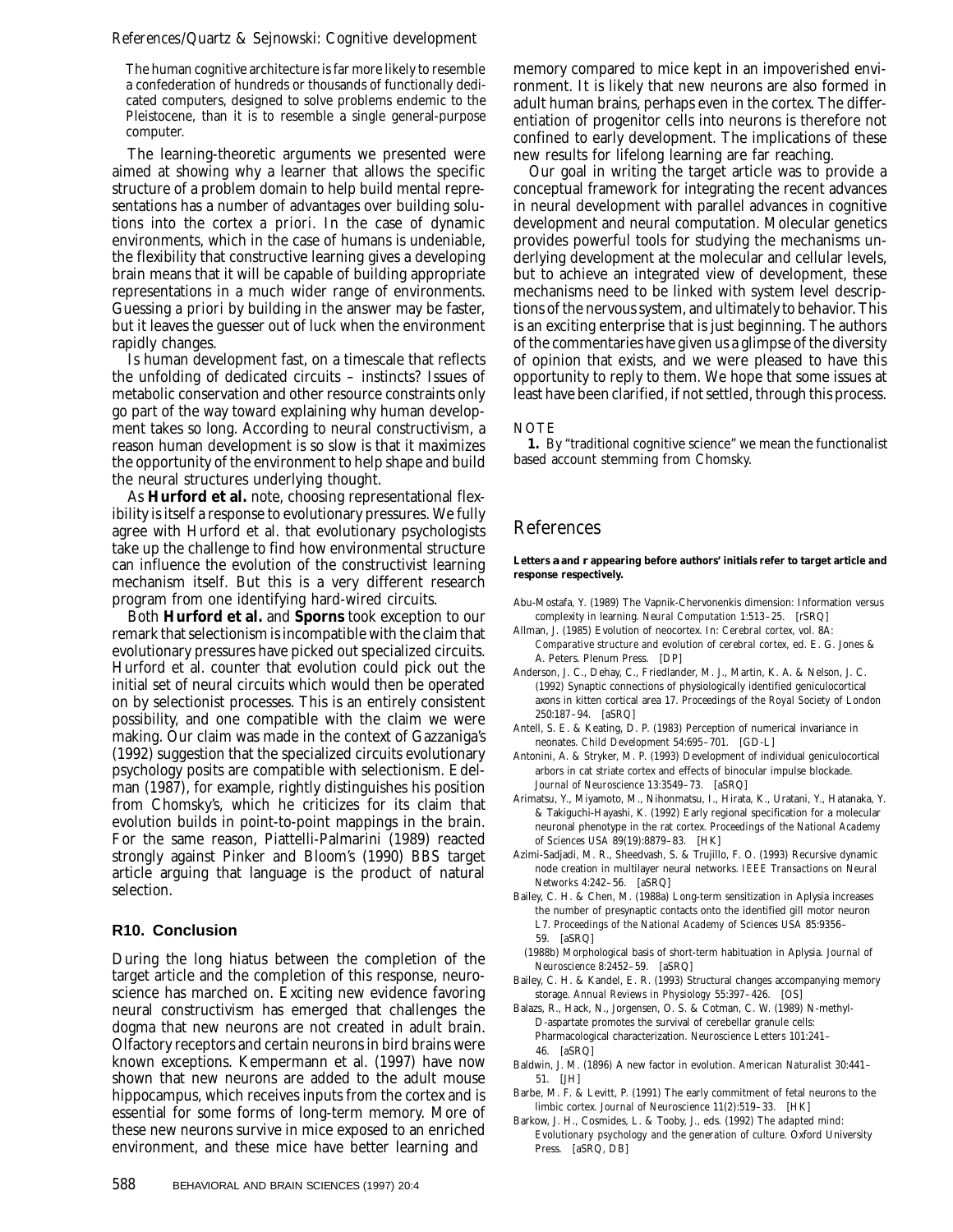The human cognitive architecture is far more likely to resemble a confederation of hundreds or thousands of functionally dedicated computers, designed to solve problems endemic to the Pleistocene, than it is to resemble a single general-purpose computer.

The learning-theoretic arguments we presented were aimed at showing why a learner that allows the specific structure of a problem domain to help build mental representations has a number of advantages over building solutions into the cortex *a priori.* In the case of dynamic environments, which in the case of humans is undeniable, the flexibility that constructive learning gives a developing brain means that it will be capable of building appropriate representations in a much wider range of environments. Guessing *a priori* by building in the answer may be faster, but it leaves the guesser out of luck when the environment rapidly changes.

Is human development fast, on a timescale that reflects the unfolding of dedicated circuits – instincts? Issues of metabolic conservation and other resource constraints only go part of the way toward explaining why human development takes so long. According to neural constructivism, a reason human development is so slow is that it maximizes the opportunity of the environment to help shape and build the neural structures underlying thought.

As **Hurford et al.** note, choosing representational flexibility is itself a response to evolutionary pressures. We fully agree with Hurford et al. that evolutionary psychologists take up the challenge to find how environmental structure can influence the evolution of the constructivist learning mechanism itself. But this is a very different research program from one identifying hard-wired circuits.

Both **Hurford et al.** and **Sporns** took exception to our remark that selectionism is incompatible with the claim that evolutionary pressures have picked out specialized circuits. Hurford et al. counter that evolution could pick out the initial set of neural circuits which would then be operated on by selectionist processes. This is an entirely consistent possibility, and one compatible with the claim we were making. Our claim was made in the context of Gazzaniga's (1992) suggestion that the specialized circuits evolutionary psychology posits are compatible with selectionism. Edelman (1987), for example, rightly distinguishes his position from Chomsky's, which he criticizes for its claim that evolution builds in point-to-point mappings in the brain. For the same reason, Piattelli-Palmarini (1989) reacted strongly against Pinker and Bloom's (1990) *BBS* target article arguing that language is the product of natural selection.

### **R10. Conclusion**

During the long hiatus between the completion of the target article and the completion of this response, neuroscience has marched on. Exciting new evidence favoring neural constructivism has emerged that challenges the dogma that new neurons are not created in adult brain. Olfactory receptors and certain neurons in bird brains were known exceptions. Kempermann et al. (1997) have now shown that new neurons are added to the adult mouse hippocampus, which receives inputs from the cortex and is essential for some forms of long-term memory. More of these new neurons survive in mice exposed to an enriched environment, and these mice have better learning and

memory compared to mice kept in an impoverished environment. It is likely that new neurons are also formed in adult human brains, perhaps even in the cortex. The differentiation of progenitor cells into neurons is therefore not confined to early development. The implications of these new results for lifelong learning are far reaching.

Our goal in writing the target article was to provide a conceptual framework for integrating the recent advances in neural development with parallel advances in cognitive development and neural computation. Molecular genetics provides powerful tools for studying the mechanisms underlying development at the molecular and cellular levels, but to achieve an integrated view of development, these mechanisms need to be linked with system level descriptions of the nervous system, and ultimately to behavior. This is an exciting enterprise that is just beginning. The authors of the commentaries have given us a glimpse of the diversity of opinion that exists, and we were pleased to have this opportunity to reply to them. We hope that some issues at least have been clarified, if not settled, through this process.

### **NOTE**

**1.** By "traditional cognitive science" we mean the functionalist based account stemming from Chomsky.

# References

### **Letters** *a* **and** *r* **appearing before authors' initials refer to target article and response respectively.**

- Abu-Mostafa, Y. (1989) The Vapnik-Chervonenkis dimension: Information versus complexity in learning. *Neural Computation* 1:513–25. [rSRQ]
- Allman, J. (1985) Evolution of neocortex. In: *Cerebral cortex,* vol. 8A: *Comparative structure and evolution of cerebral cortex,* ed. E. G. Jones & A. Peters. Plenum Press. [DP]
- Anderson, J. C., Dehay, C., Friedlander, M. J., Martin, K. A. & Nelson, J. C. (1992) Synaptic connections of physiologically identified geniculocortical axons in kitten cortical area 17. *Proceedings of the Royal Society of London* 250:187–94. [aSRQ]
- Antell, S. E. & Keating, D. P. (1983) Perception of numerical invariance in neonates. *Child Development* 54:695–701. [GD-L]
- Antonini, A. & Stryker, M. P. (1993) Development of individual geniculocortical arbors in cat striate cortex and effects of binocular impulse blockade. *Journal of Neuroscience* 13:3549–73. [aSRQ]
- Arimatsu, Y., Miyamoto, M., Nihonmatsu, I., Hirata, K., Uratani, Y., Hatanaka, Y. & Takiguchi-Hayashi, K. (1992) Early regional specification for a molecular neuronal phenotype in the rat cortex. *Proceedings of the National Academy of Sciences USA* 89(19):8879–83. [HK]
- Azimi-Sadjadi, M. R., Sheedvash, S. & Trujillo, F. O. (1993) Recursive dynamic node creation in multilayer neural networks. *IEEE Transactions on Neural Networks* 4:242–56. [aSRQ]
- Bailey, C. H. & Chen, M. (1988a) Long-term sensitization in Aplysia increases the number of presynaptic contacts onto the identified gill motor neuron L7. *Proceedings of the National Academy of Sciences USA* 85:9356– 59. [aSRQ]
- (1988b) Morphological basis of short-term habituation in Aplysia. *Journal of Neuroscience* 8:2452–59. [aSRQ]
- Bailey, C. H. & Kandel, E. R. (1993) Structural changes accompanying memory storage. *Annual Reviews in Physiology* 55:397–426. [OS]
- Balazs, R., Hack, N., Jorgensen, O. S. & Cotman, C. W. (1989) N-methyl-D-aspartate promotes the survival of cerebellar granule cells: Pharmacological characterization. *Neuroscience Letters* 101:241– 46. [aSRQ]
- Baldwin, J. M. (1896) A new factor in evolution. *American Naturalist* 30:441– 51. [JH]
- Barbe, M. F. & Levitt, P. (1991) The early commitment of fetal neurons to the limbic cortex. *Journal of Neuroscience* 11(2):519–33. [HK]
- Barkow, J. H., Cosmides, L. & Tooby, J., eds. (1992) *The adapted mind: Evolutionary psychology and the generation of culture*. Oxford University Press. [aSRQ, DB]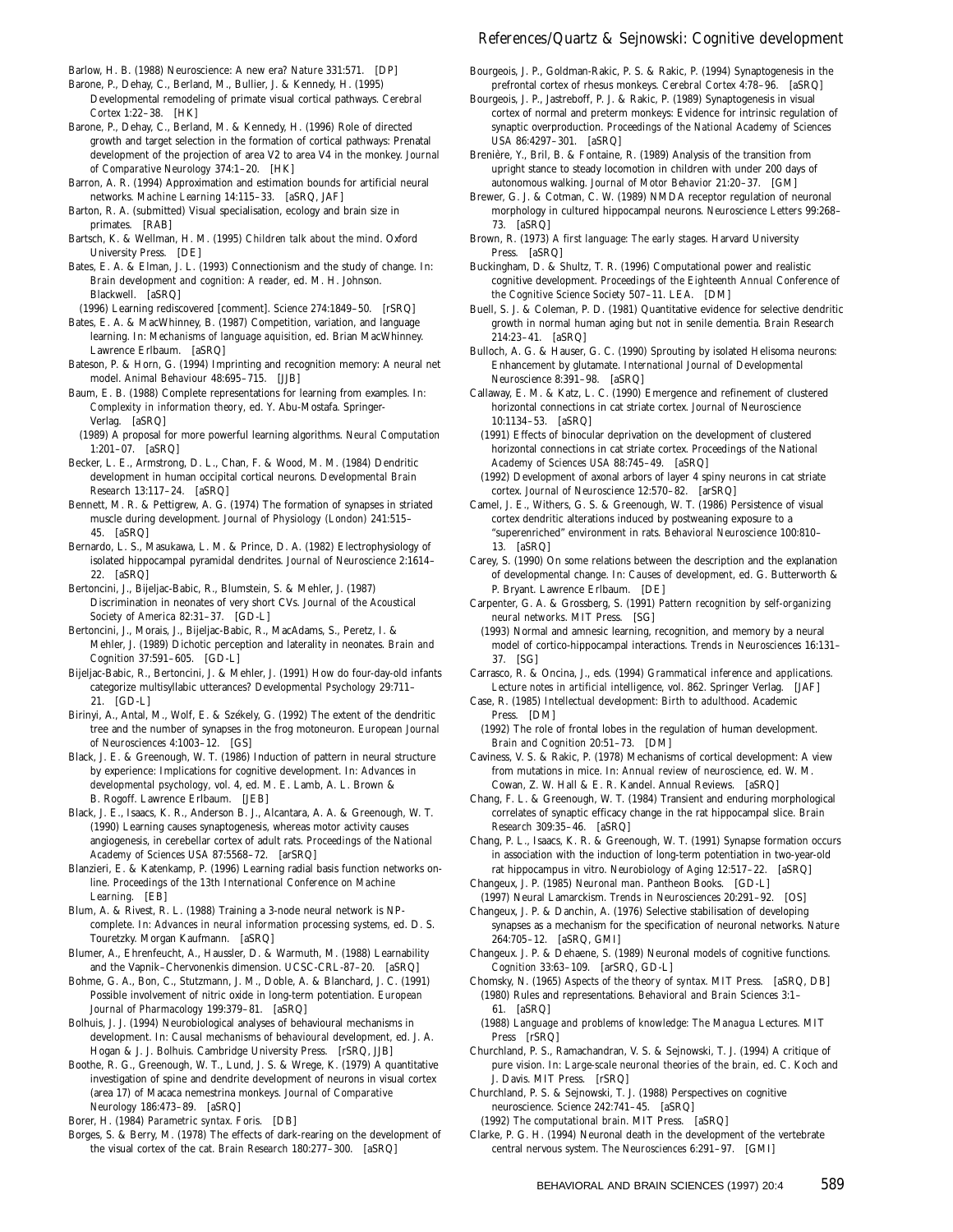Barlow, H. B. (1988) Neuroscience: A new era? *Nature* 331:571. [DP]

Barone, P., Dehay, C., Berland, M., Bullier, J. & Kennedy, H. (1995) Developmental remodeling of primate visual cortical pathways. *Cerebral Cortex* 1:22–38. [HK]

Barone, P., Dehay, C., Berland, M. & Kennedy, H. (1996) Role of directed growth and target selection in the formation of cortical pathways: Prenatal development of the projection of area V2 to area V4 in the monkey. *Journal of Comparative Neurology* 374:1–20. [HK]

Barron, A. R. (1994) Approximation and estimation bounds for artificial neural networks. *Machine Learning* 14:115–33. [aSRQ, JAF]

Barton, R. A. (submitted) Visual specialisation, ecology and brain size in primates. [RAB]

Bartsch, K. & Wellman, H. M. (1995) *Children talk about the mind*. Oxford University Press. [DE]

Bates, E. A. & Elman, J. L. (1993) Connectionism and the study of change. In: *Brain development and cognition: A reader,* ed. M. H. Johnson. Blackwell. [aSRQ]

(1996) Learning rediscovered [comment]. *Science* 274:1849–50. [rSRQ]

Bates, E. A. & MacWhinney, B. (1987) Competition, variation, and language learning. In: *Mechanisms of language aquisition,* ed. Brian MacWhinney. Lawrence Erlbaum. [aSRQ]

Bateson, P. & Horn, G. (1994) Imprinting and recognition memory: A neural net model. *Animal Behaviour* 48:695–715. [JJB]

Baum, E. B. (1988) Complete representations for learning from examples. In: *Complexity in information theory,* ed. Y. Abu-Mostafa. Springer-Verlag. [aSRQ]

(1989) A proposal for more powerful learning algorithms. *Neural Computation* 1:201–07. [aSRQ]

Becker, L. E., Armstrong, D. L., Chan, F. & Wood, M. M. (1984) Dendritic development in human occipital cortical neurons. *Developmental Brain Research* 13:117–24. [aSRQ]

Bennett, M. R. & Pettigrew, A. G. (1974) The formation of synapses in striated muscle during development. *Journal of Physiology (London)* 241:515– 45. [aSRQ]

Bernardo, L. S., Masukawa, L. M. & Prince, D. A. (1982) Electrophysiology of isolated hippocampal pyramidal dendrites. *Journal of Neuroscience* 2:1614– 22. [aSRQ]

Bertoncini, J., Bijeljac-Babic, R., Blumstein, S. & Mehler, J. (1987) Discrimination in neonates of very short CVs. *Journal of the Acoustical Society of America* 82:31–37. [GD-L]

Bertoncini, J., Morais, J., Bijeljac-Babic, R., MacAdams, S., Peretz, I. & Mehler, J. (1989) Dichotic perception and laterality in neonates. *Brain and Cognition* 37:591–605. [GD-L]

Bijeljac-Babic, R., Bertoncini, J. & Mehler, J. (1991) How do four-day-old infants categorize multisyllabic utterances? *Developmental Psychology* 29:711– 21. [GD-L]

Birinyi, A., Antal, M., Wolf, E. & Székely, G. (1992) The extent of the dendritic tree and the number of synapses in the frog motoneuron. *European Journal of Neurosciences* 4:1003–12. [GS]

Black, J. E. & Greenough, W. T. (1986) Induction of pattern in neural structure by experience: Implications for cognitive development. In: *Advances in developmental psychology,* vol. 4, ed. M. E. Lamb, A. L. Brown & B. Rogoff. Lawrence Erlbaum. [JEB]

Black, J. E., Isaacs, K. R., Anderson B. J., Alcantara, A. A. & Greenough, W. T. (1990) Learning causes synaptogenesis, whereas motor activity causes angiogenesis, in cerebellar cortex of adult rats. *Proceedings of the National Academy of Sciences USA* 87:5568–72. [arSRQ]

Blanzieri, E. & Katenkamp, P. (1996) Learning radial basis function networks online. *Proceedings of the 13th International Conference on Machine Learning.* [EB]

Blum, A. & Rivest, R. L. (1988) Training a 3-node neural network is NPcomplete. In: *Advances in neural information processing systems,* ed. D. S. Touretzky. Morgan Kaufmann. [aSRQ]

Blumer, A., Ehrenfeucht, A., Haussler, D. & Warmuth, M. (1988) Learnability and the Vapnik–Chervonenkis dimension. UCSC-CRL-87–20. [aSRQ]

Bohme, G. A., Bon, C., Stutzmann, J. M., Doble, A. & Blanchard, J. C. (1991) Possible involvement of nitric oxide in long-term potentiation. *European Journal of Pharmacology* 199:379–81. [aSRQ]

Bolhuis, J. J. (1994) Neurobiological analyses of behavioural mechanisms in development. In: *Causal mechanisms of behavioural development,* ed. J. A. Hogan & J. J. Bolhuis. Cambridge University Press. [rSRQ, JJB]

Boothe, R. G., Greenough, W. T., Lund, J. S. & Wrege, K. (1979) A quantitative investigation of spine and dendrite development of neurons in visual cortex (area 17) of Macaca nemestrina monkeys. *Journal of Comparative Neurology* 186:473–89. [aSRQ]

Borer, H. (1984) *Parametric syntax*. Foris. [DB]

Borges, S. & Berry, M. (1978) The effects of dark-rearing on the development of the visual cortex of the cat. *Brain Research* 180:277–300. [aSRQ]

# *References*/Quartz & Sejnowski: Cognitive development

Bourgeois, J. P., Goldman-Rakic, P. S. & Rakic, P. (1994) Synaptogenesis in the prefrontal cortex of rhesus monkeys. *Cerebral Cortex* 4:78–96. [aSRQ]

Bourgeois, J. P., Jastreboff, P. J. & Rakic, P. (1989) Synaptogenesis in visual cortex of normal and preterm monkeys: Evidence for intrinsic regulation of synaptic overproduction. *Proceedings of the National Academy of Sciences USA* 86:4297–301. [aSRQ]

Brenière, Y., Bril, B. & Fontaine, R. (1989) Analysis of the transition from upright stance to steady locomotion in children with under 200 days of autonomous walking. *Journal of Motor Behavior* 21:20–37. [GM]

Brewer, G. J. & Cotman, C. W. (1989) NMDA receptor regulation of neuronal morphology in cultured hippocampal neurons. *Neuroscience Letters* 99:268– 73. [aSRQ]

Brown, R. (1973) *A first language: The early stages*. Harvard University Press. [aSRQ]

Buckingham, D. & Shultz, T. R. (1996) Computational power and realistic cognitive development. *Proceedings of the Eighteenth Annual Conference of the Cognitive Science Society* 507–11. LEA. [DM]

Buell, S. J. & Coleman, P. D. (1981) Quantitative evidence for selective dendritic growth in normal human aging but not in senile dementia. *Brain Research* 214:23–41. [aSRQ]

Bulloch, A. G. & Hauser, G. C. (1990) Sprouting by isolated Helisoma neurons: Enhancement by glutamate. *International Journal of Developmental Neuroscience* 8:391–98. [aSRQ]

Callaway, E. M. & Katz, L. C. (1990) Emergence and refinement of clustered horizontal connections in cat striate cortex. *Journal of Neuroscience* 10:1134–53. [aSRQ]

(1991) Effects of binocular deprivation on the development of clustered horizontal connections in cat striate cortex. *Proceedings of the National Academy of Sciences USA* 88:745–49. [aSRQ]

(1992) Development of axonal arbors of layer 4 spiny neurons in cat striate cortex. *Journal of Neuroscience* 12:570–82. [arSRQ]

Camel, J. E., Withers, G. S. & Greenough, W. T. (1986) Persistence of visual cortex dendritic alterations induced by postweaning exposure to a "superenriched" environment in rats. *Behavioral Neuroscience* 100:810– 13. [aSRQ]

Carey, S. (1990) On some relations between the description and the explanation of developmental change. In: *Causes of development,* ed. G. Butterworth & P. Bryant. Lawrence Erlbaum. [DE]

Carpenter, G. A. & Grossberg, S. (1991) *Pattern recognition by self-organizing neural networks*. MIT Press. [SG]

(1993) Normal and amnesic learning, recognition, and memory by a neural model of cortico-hippocampal interactions. *Trends in Neurosciences* 16:131– 37. [SG]

Carrasco, R. & Oncina, J., eds. (1994) *Grammatical inference and applications*. *Lecture notes in artificial intelligence,* vol. 862. Springer Verlag. [JAF]

Case, R. (1985) *Intellectual development: Birth to adulthood.* Academic Press. [DM]

(1992) The role of frontal lobes in the regulation of human development. *Brain and Cognition* 20:51–73. [DM]

Caviness, V. S. & Rakic, P. (1978) Mechanisms of cortical development: A view from mutations in mice. In: *Annual review of neuroscience,* ed. W. M. Cowan, Z. W. Hall & E. R. Kandel. Annual Reviews. [aSRQ]

Chang, F. L. & Greenough, W. T. (1984) Transient and enduring morphological correlates of synaptic efficacy change in the rat hippocampal slice. *Brain Research* 309:35–46. [aSRQ]

Chang, P. L., Isaacs, K. R. & Greenough, W. T. (1991) Synapse formation occurs in association with the induction of long-term potentiation in two-year-old rat hippocampus in vitro. *Neurobiology of Aging* 12:517–22. [aSRQ]

Changeux, J. P. (1985) *Neuronal man*. Pantheon Books. [GD-L]

(1997) Neural Lamarckism. *Trends in Neurosciences* 20:291–92. [OS] Changeux, J. P. & Danchin, A. (1976) Selective stabilisation of developing

synapses as a mechanism for the specification of neuronal networks. *Nature* 264:705–12. [aSRQ, GMI]

Changeux. J. P. & Dehaene, S. (1989) Neuronal models of cognitive functions. *Cognition* 33:63–109. [arSRQ, GD-L]

Chomsky, N. (1965) *Aspects of the theory of syntax*. MIT Press. [aSRQ, DB] (1980) Rules and representations. *Behavioral and Brain Sciences* 3:1– 61. [aSRQ]

(1988) *Language and problems of knowledge: The Managua Lectures.* MIT Press [rSRQ]

Churchland, P. S., Ramachandran, V. S. & Sejnowski, T. J. (1994) A critique of pure vision. In: *Large-scale neuronal theories of the brain,* ed. C. Koch and J. Davis. MIT Press. [rSRQ]

Churchland, P. S. & Sejnowski, T. J. (1988) Perspectives on cognitive neuroscience. *Science* 242:741–45. [aSRQ]

(1992) *The computational brain*. MIT Press. [aSRQ]

Clarke, P. G. H. (1994) Neuronal death in the development of the vertebrate central nervous system. *The Neurosciences* 6:291–97. [GMI]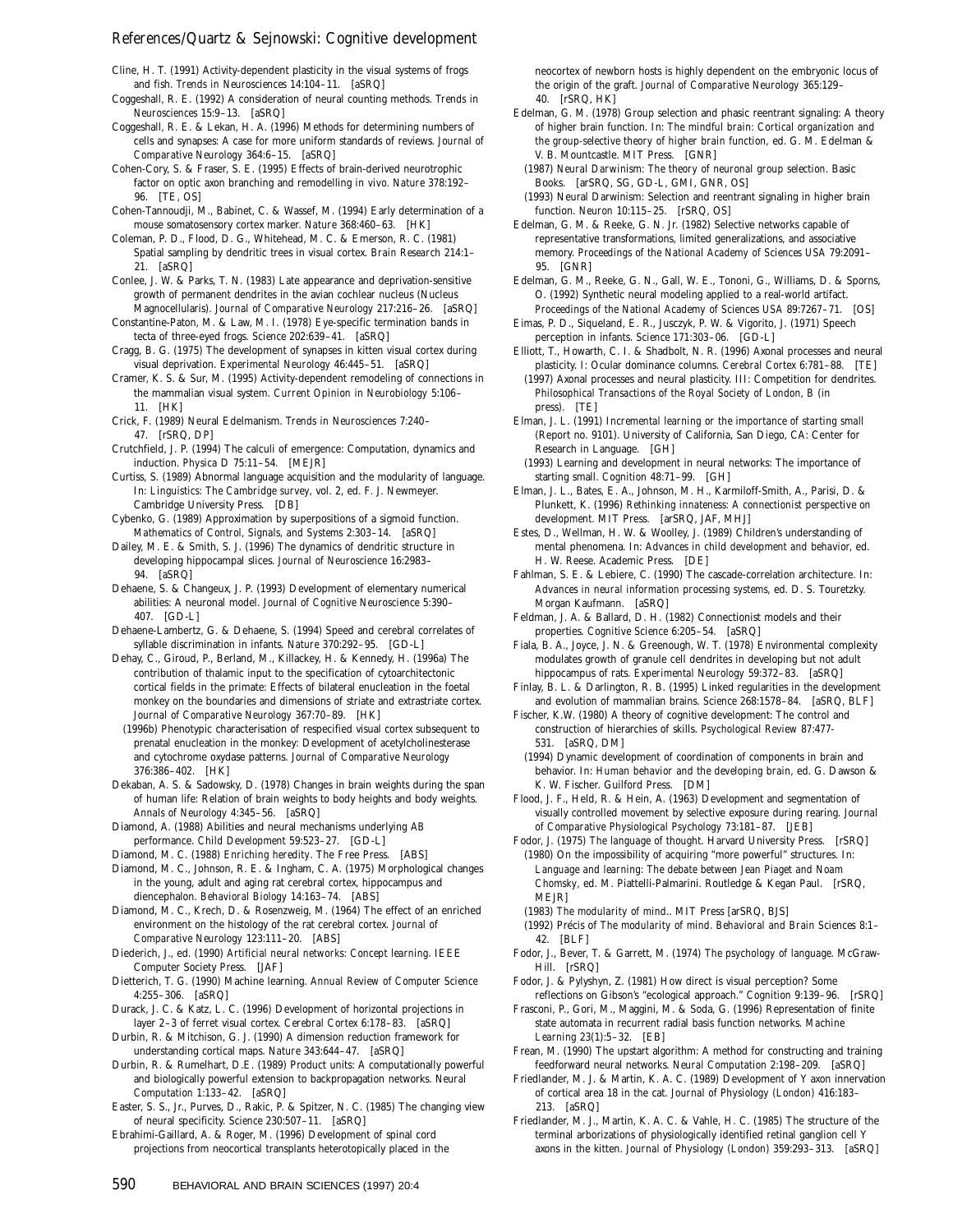- Cline, H. T. (1991) Activity-dependent plasticity in the visual systems of frogs and fish. *Trends in Neurosciences* 14:104–11. [aSRQ]
- Coggeshall, R. E. (1992) A consideration of neural counting methods. *Trends in Neurosciences* 15:9–13. [aSRQ]
- Coggeshall, R. E. & Lekan, H. A. (1996) Methods for determining numbers of cells and synapses: A case for more uniform standards of reviews. *Journal of Comparative Neurology* 364:6–15. [aSRQ]
- Cohen-Cory, S. & Fraser, S. E. (1995) Effects of brain-derived neurotrophic factor on optic axon branching and remodelling *in vivo. Nature* 378:192– 96. [TE, OS]
- Cohen-Tannoudji, M., Babinet, C. & Wassef, M. (1994) Early determination of a mouse somatosensory cortex marker. *Nature* 368:460–63. [HK]
- Coleman, P. D., Flood, D. G., Whitehead, M. C. & Emerson, R. C. (1981) Spatial sampling by dendritic trees in visual cortex. *Brain Research* 214:1– 21. [aSRQ]
- Conlee, J. W. & Parks, T. N. (1983) Late appearance and deprivation-sensitive growth of permanent dendrites in the avian cochlear nucleus (Nucleus
- Magnocellularis). *Journal of Comparative Neurology* 217:216–26. [aSRQ] Constantine-Paton, M. & Law, M. I. (1978) Eye-specific termination bands in tecta of three-eyed frogs. *Science* 202:639–41. [aSRQ]
- Cragg, B. G. (1975) The development of synapses in kitten visual cortex during visual deprivation. *Experimental Neurology* 46:445–51. [aSRQ]
- Cramer, K. S. & Sur, M. (1995) Activity-dependent remodeling of connections in the mammalian visual system. *Current Opinion in Neurobiology* 5:106– 11. [HK]
- Crick, F. (1989) Neural Edelmanism. *Trends in Neurosciences* 7:240– 47. [rSRQ, DP]
- Crutchfield, J. P. (1994) The calculi of emergence: Computation, dynamics and induction. *Physica* D 75:11–54. [MEJR]
- Curtiss, S. (1989) Abnormal language acquisition and the modularity of language. In: *Linguistics: The Cambridge survey,* vol. 2, ed. F. J. Newmeyer. Cambridge University Press. [DB]
- Cybenko, G. (1989) Approximation by superpositions of a sigmoid function. *Mathematics of Control, Signals, and Systems* 2:303–14. [aSRQ]
- Dailey, M. E. & Smith, S. J. (1996) The dynamics of dendritic structure in developing hippocampal slices. *Journal of Neuroscience* 16:2983– 94. [aSRQ]
- Dehaene, S. & Changeux, J. P. (1993) Development of elementary numerical abilities: A neuronal model. *Journal of Cognitive Neuroscience* 5:390– 407. [GD-L]
- Dehaene-Lambertz, G. & Dehaene, S. (1994) Speed and cerebral correlates of syllable discrimination in infants. *Nature* 370:292–95. [GD-L]
- Dehay, C., Giroud, P., Berland, M., Killackey, H. & Kennedy, H. (1996a) The contribution of thalamic input to the specification of cytoarchitectonic cortical fields in the primate: Effects of bilateral enucleation in the foetal monkey on the boundaries and dimensions of striate and extrastriate cortex. *Journal of Comparative Neurology* 367:70–89. [HK]
- (1996b) Phenotypic characterisation of respecified visual cortex subsequent to prenatal enucleation in the monkey: Development of acetylcholinesterase and cytochrome oxydase patterns. *Journal of Comparative Neurology* 376:386–402. [HK]
- Dekaban, A. S. & Sadowsky, D. (1978) Changes in brain weights during the span of human life: Relation of brain weights to body heights and body weights. *Annals of Neurology* 4:345–56. [aSRQ]
- Diamond, A. (1988) Abilities and neural mechanisms underlying A*B* performance. *Child Development* 59:523–27. [GD-L]
- Diamond, M. C. (1988) *Enriching heredity*. The Free Press. [ABS]
- Diamond, M. C., Johnson, R. E. & Ingham, C. A. (1975) Morphological changes in the young, adult and aging rat cerebral cortex, hippocampus and diencephalon. *Behavioral Biology* 14:163–74. [ABS]
- Diamond, M. C., Krech, D. & Rosenzweig, M. (1964) The effect of an enriched environment on the histology of the rat cerebral cortex. *Journal of Comparative Neurology* 123:111–20. [ABS]
- Diederich, J., ed. (1990) *Artificial neural networks: Concept learning*. IEEE Computer Society Press. [JAF]
- Dietterich, T. G. (1990) Machine learning. *Annual Review of Computer Science* 4:255–306. [aSRQ]
- Durack, J. C. & Katz, L. C. (1996) Development of horizontal projections in layer 2–3 of ferret visual cortex. *Cerebral Cortex* 6:178–83. [aSRQ]
- Durbin, R. & Mitchison, G. J. (1990) A dimension reduction framework for understanding cortical maps. *Nature* 343:644–47. [aSRQ]
- Durbin, R. & Rumelhart, D.E. (1989) Product units: A computationally powerful and biologically powerful extension to backpropagation networks. *Neural Computation* 1:133–42. [aSRQ]
- Easter, S. S., Jr., Purves, D., Rakic, P. & Spitzer, N. C. (1985) The changing view of neural specificity. *Science* 230:507–11. [aSRQ]
- Ebrahimi-Gaillard, A. & Roger, M. (1996) Development of spinal cord projections from neocortical transplants heterotopically placed in the

neocortex of newborn hosts is highly dependent on the embryonic locus of the origin of the graft. *Journal of Comparative Neurology* 365:129– 40. [rSRQ, HK]

- Edelman, G. M. (1978) Group selection and phasic reentrant signaling: A theory of higher brain function. In: *The mindful brain: Cortical organization and the group-selective theory of higher brain function,* ed. G. M. Edelman & V. B. Mountcastle. MIT Press. [GNR]
	- (1987) *Neural Darwinism: The theory of neuronal group selection*. Basic Books. [arSRQ, SG, GD-L, GMI, GNR, OS]
- (1993) Neural Darwinism: Selection and reentrant signaling in higher brain function. *Neuron* 10:115–25. [rSRQ, OS]
- Edelman, G. M. & Reeke, G. N. Jr. (1982) Selective networks capable of representative transformations, limited generalizations, and associative memory. *Proceedings of the National Academy of Sciences USA* 79:2091– 95. [GNR]
- Edelman, G. M., Reeke, G. N., Gall, W. E., Tononi, G., Williams, D. & Sporns, O. (1992) Synthetic neural modeling applied to a real-world artifact. *Proceedings of the National Academy of Sciences USA* 89:7267–71. [OS]
- Eimas, P. D., Siqueland, E. R., Jusczyk, P. W. & Vigorito, J. (1971) Speech perception in infants. *Science* 171:303–06. [GD-L]
- Elliott, T., Howarth, C. I. & Shadbolt, N. R. (1996) Axonal processes and neural plasticity. I: Ocular dominance columns. *Cerebral Cortex* 6:781–88. [TE] (1997) Axonal processes and neural plasticity. III: Competition for dendrites. *Philosophical Transactions of the Royal Society of London, B* (in
	- press). [TE]
- Elman, J. L. (1991) *Incremental learning or the importance of starting small* (Report no. 9101). University of California, San Diego, CA: Center for Research in Language. [GH]
- (1993) Learning and development in neural networks: The importance of starting small. *Cognition* 48:71-99. [GH]
- Elman, J. L., Bates, E. A., Johnson, M. H., Karmiloff-Smith, A., Parisi, D. & Plunkett, K. (1996) *Rethinking innateness: A connectionist perspective on development*. MIT Press. [arSRQ, JAF, MHJ]
- Estes, D., Wellman, H. W. & Woolley, J. (1989) Children's understanding of mental phenomena. In: *Advances in child development and behavior,* ed. H. W. Reese. Academic Press. [DE]
- Fahlman, S. E. & Lebiere, C. (1990) The cascade-correlation architecture. In: *Advances in neural information processing systems,* ed. D. S. Touretzky. Morgan Kaufmann. [aSRQ]
- Feldman, J. A. & Ballard, D. H. (1982) Connectionist models and their properties. *Cognitive Science* 6:205–54. [aSRQ]
- Fiala, B. A., Joyce, J. N. & Greenough, W. T. (1978) Environmental complexity modulates growth of granule cell dendrites in developing but not adult hippocampus of rats. *Experimental Neurology* 59:372–83. [aSRQ]
- Finlay, B. L. & Darlington, R. B. (1995) Linked regularities in the development and evolution of mammalian brains. *Science* 268:1578–84. [aSRQ, BLF]
- Fischer, K.W. (1980) A theory of cognitive development: The control and construction of hierarchies of skills. *Psychological Review* 87:477- 531. [aSRQ, DM]
- (1994) Dynamic development of coordination of components in brain and behavior. In: *Human behavior and the developing brain,* ed. G. Dawson & K. W. Fischer. Guilford Press. [DM]
- Flood, J. F., Held, R. & Hein, A. (1963) Development and segmentation of visually controlled movement by selective exposure during rearing. *Journal of Comparative Physiological Psychology* 73:181–87. [JEB]
- Fodor, J. (1975) *The language of thought*. Harvard University Press. [rSRQ] (1980) On the impossibility of acquiring "more powerful" structures. In: *Language and learning: The debate between Jean Piaget and Noam Chomsky,* ed. M. Piattelli-Palmarini. Routledge & Kegan Paul. [rSRQ, ME<sub>IR</sub>]
- (1983) *The modularity of mind*.. MIT Press [arSRQ, BJS]
- (1992) Précis of *The modularity of mind. Behavioral and Brain Sciences* 8:1-42. [BLF]
- Fodor, J., Bever, T. & Garrett, M. (1974) *The psychology of language*. McGraw-Hill. [rSRQ]
- Fodor, J. & Pylyshyn, Z. (1981) How direct is visual perception? Some reflections on Gibson's "ecological approach." *Cognition* 9:139–96. [rSRQ]
- Frasconi, P., Gori, M., Maggini, M. & Soda, G. (1996) Representation of finite state automata in recurrent radial basis function networks. *Machine Learning* 23(1):5–32. [EB]
- Frean, M. (1990) The upstart algorithm: A method for constructing and training feedforward neural networks. *Neural Computation* 2:198–209. [aSRQ]
- Friedlander, M. J. & Martin, K. A. C. (1989) Development of Y axon innervation of cortical area 18 in the cat. *Journal of Physiology (London)* 416:183– 213. [aSRQ]
- Friedlander, M. J., Martin, K. A. C. & Vahle, H. C. (1985) The structure of the terminal arborizations of physiologically identified retinal ganglion cell Y axons in the kitten. *Journal of Physiology (London)* 359:293–313. [aSRQ]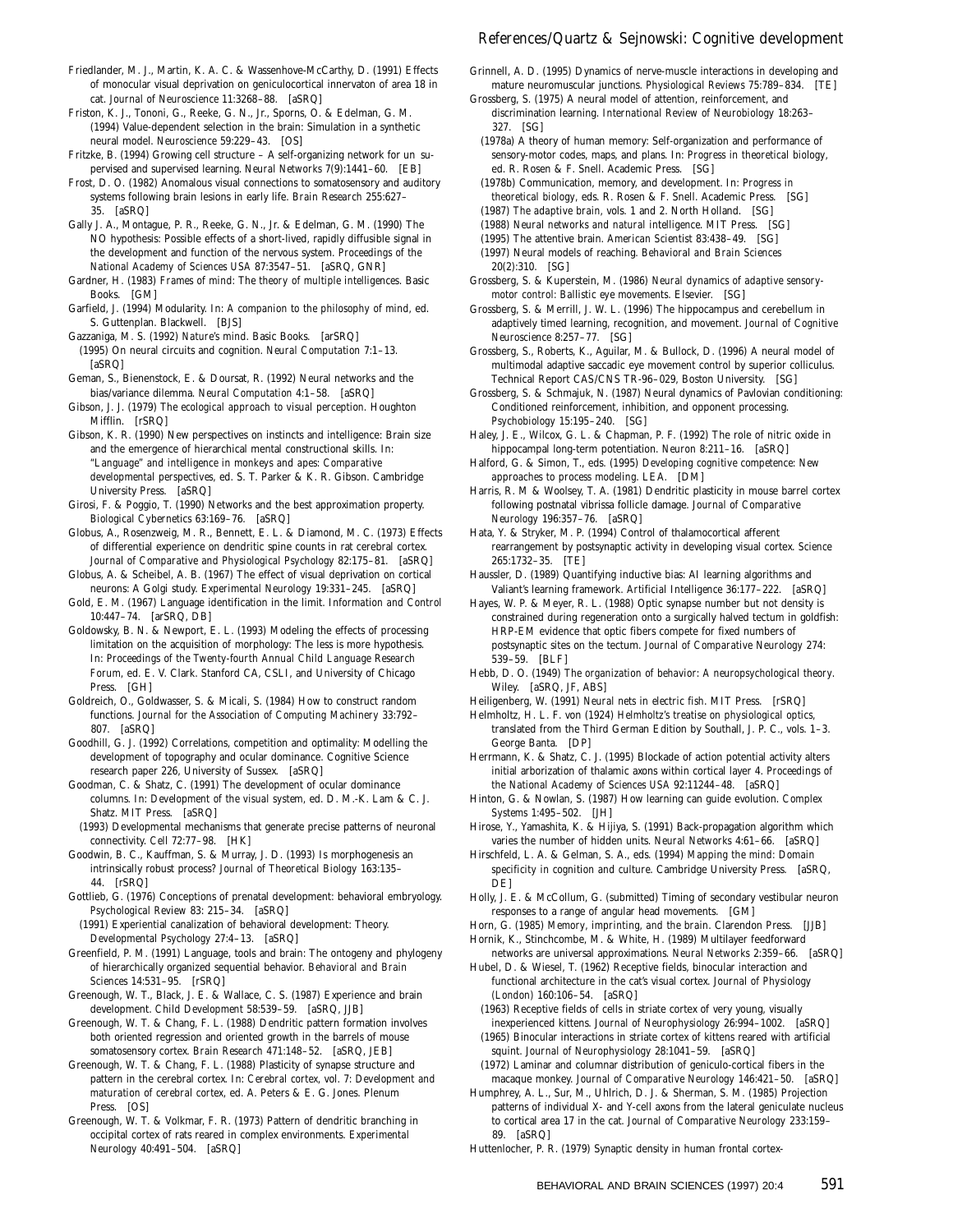- Friedlander, M. J., Martin, K. A. C. & Wassenhove-McCarthy, D. (1991) Effects of monocular visual deprivation on geniculocortical innervaton of area 18 in cat. *Journal of Neuroscience* 11:3268–88. [aSRQ]
- Friston, K. J., Tononi, G., Reeke, G. N., Jr., Sporns, O. & Edelman, G. M. (1994) Value-dependent selection in the brain: Simulation in a synthetic neural model. *Neuroscience* 59:229–43. [OS]
- Fritzke, B. (1994) Growing cell structure A self-organizing network for un supervised and supervised learning. *Neural Networks* 7(9):1441–60. [EB]
- Frost, D. O. (1982) Anomalous visual connections to somatosensory and auditory systems following brain lesions in early life. *Brain Research* 255:627– 35. [aSRQ]
- Gally J. A., Montague, P. R., Reeke, G. N., Jr. & Edelman, G. M. (1990) The NO hypothesis: Possible effects of a short-lived, rapidly diffusible signal in the development and function of the nervous system. *Proceedings of the National Academy of Sciences USA* 87:3547–51. [aSRQ, GNR]
- Gardner, H. (1983) *Frames of mind: The theory of multiple intelligences*. Basic Books. [GM]
- Garfield, J. (1994) Modularity. In: *A companion to the philosophy of mind,* ed. S. Guttenplan. Blackwell. [BJS]
- Gazzaniga, M. S. (1992) *Nature's mind*. Basic Books. [arSRQ] (1995) On neural circuits and cognition. *Neural Computation* 7:1–13. [aSRQ]
- Geman, S., Bienenstock, E. & Doursat, R. (1992) Neural networks and the bias/variance dilemma. *Neural Computation* 4:1–58. [aSRQ]
- Gibson, J. J. (1979) *The ecological approach to visual perception.* Houghton Mifflin. [rSRQ]
- Gibson, K. R. (1990) New perspectives on instincts and intelligence: Brain size and the emergence of hierarchical mental constructional skills. In: *"Language" and intelligence in monkeys and apes: Comparative developmental perspectives,* ed. S. T. Parker & K. R. Gibson. Cambridge University Press. [aSRQ]
- Girosi, F. & Poggio, T. (1990) Networks and the best approximation property. *Biological Cybernetics* 63:169–76. [aSRQ]
- Globus, A., Rosenzweig, M. R., Bennett, E. L. & Diamond, M. C. (1973) Effects of differential experience on dendritic spine counts in rat cerebral cortex. *Journal of Comparative and Physiological Psychology* 82:175–81. [aSRQ]
- Globus, A. & Scheibel, A. B. (1967) The effect of visual deprivation on cortical neurons: A Golgi study. *Experimental Neurology* 19:331–245. [aSRQ]
- Gold, E. M. (1967) Language identification in the limit. *Information and Control* 10:447–74. [arSRQ, DB]
- Goldowsky, B. N. & Newport, E. L. (1993) Modeling the effects of processing limitation on the acquisition of morphology: The less is more hypothesis. In: *Proceedings of the Twenty-fourth Annual Child Language Research Forum,* ed. E. V. Clark. Stanford CA, CSLI, and University of Chicago Press. [GH]
- Goldreich, O., Goldwasser, S. & Micali, S. (1984) How to construct random functions. *Journal for the Association of Computing Machinery* 33:792– 807. [aSRQ]
- Goodhill, G. J. (1992) Correlations, competition and optimality: Modelling the development of topography and ocular dominance. Cognitive Science research paper 226, University of Sussex. [aSRQ]
- Goodman, C. & Shatz, C. (1991) The development of ocular dominance columns. In: *Development of the visual system,* ed. D. M.-K. Lam & C. J. Shatz. MIT Press. [aSRQ]
- (1993) Developmental mechanisms that generate precise patterns of neuronal connectivity. *Cell* 72:77–98. [HK]
- Goodwin, B. C., Kauffman, S. & Murray, J. D. (1993) Is morphogenesis an intrinsically robust process? *Journal of Theoretical Biology* 163:135– 44. [rSRQ]
- Gottlieb, G. (1976) Conceptions of prenatal development: behavioral embryology. *Psychological Review* 83: 215–34. [aSRQ]
- (1991) Experiential canalization of behavioral development: Theory. *Developmental Psychology* 27:4–13. [aSRQ]
- Greenfield, P. M. (1991) Language, tools and brain: The ontogeny and phylogeny of hierarchically organized sequential behavior. *Behavioral and Brain Sciences* 14:531–95. [rSRQ]
- Greenough, W. T., Black, J. E. & Wallace, C. S. (1987) Experience and brain development. *Child Development* 58:539–59. [aSRQ, JJB]
- Greenough, W. T. & Chang, F. L. (1988) Dendritic pattern formation involves both oriented regression and oriented growth in the barrels of mouse somatosensory cortex. *Brain Research* 471:148–52. [aSRQ, JEB]
- Greenough, W. T. & Chang, F. L. (1988) Plasticity of synapse structure and pattern in the cerebral cortex. In: *Cerebral cortex,* vol. 7: *Development and maturation of cerebral cortex,* ed. A. Peters & E. G. Jones. Plenum Press. [OS]
- Greenough, W. T. & Volkmar, F. R. (1973) Pattern of dendritic branching in occipital cortex of rats reared in complex environments. *Experimental Neurology* 40:491–504. [aSRQ]

Grinnell, A. D. (1995) Dynamics of nerve-muscle interactions in developing and mature neuromuscular junctions. *Physiological Reviews* 75:789–834. [TE]

- Grossberg, S. (1975) A neural model of attention, reinforcement, and discrimination learning. *International Review of Neurobiology* 18:263– 327. [SG]
	- (1978a) A theory of human memory: Self-organization and performance of sensory-motor codes, maps, and plans. In: *Progress in theoretical biology,* ed. R. Rosen & F. Snell. Academic Press. [SG]
	- (1978b) Communication, memory, and development. In: *Progress in theoretical biology,* eds. R. Rosen & F. Snell. Academic Press. [SG]
- (1987) *The adaptive brain,* vols. 1 and 2. North Holland. [SG]
- (1988) *Neural networks and natural intelligence*. MIT Press. [SG]
- (1995) The attentive brain. *American Scientist* 83:438–49. [SG]
- (1997) Neural models of reaching. *Behavioral and Brain Sciences* 20(2):310. [SG]
- Grossberg, S. & Kuperstein, M. (1986) *Neural dynamics of adaptive sensorymotor control: Ballistic eye movements*. Elsevier. [SG]
- Grossberg, S. & Merrill, J. W. L. (1996) The hippocampus and cerebellum in adaptively timed learning, recognition, and movement. *Journal of Cognitive Neuroscience* 8:257–77. [SG]
- Grossberg, S., Roberts, K., Aguilar, M. & Bullock, D. (1996) A neural model of multimodal adaptive saccadic eye movement control by superior colliculus. Technical Report CAS/CNS TR-96–029, Boston University. [SG]
- Grossberg, S. & Schmajuk, N. (1987) Neural dynamics of Pavlovian conditioning: Conditioned reinforcement, inhibition, and opponent processing. *Psychobiology* 15:195–240. [SG]
- Haley, J. E., Wilcox, G. L. & Chapman, P. F. (1992) The role of nitric oxide in hippocampal long-term potentiation. *Neuron* 8:211–16. [aSRQ]
- Halford, G. & Simon, T., eds. (1995) *Developing cognitive competence: New approaches to process modeling*. LEA. [DM]
- Harris, R. M & Woolsey, T. A. (1981) Dendritic plasticity in mouse barrel cortex following postnatal vibrissa follicle damage. *Journal of Comparative Neurology* 196:357–76. [aSRQ]
- Hata, Y. & Stryker, M. P. (1994) Control of thalamocortical afferent rearrangement by postsynaptic activity in developing visual cortex. *Science* 265:1732–35. [TE]
- Haussler, D. (1989) Quantifying inductive bias: AI learning algorithms and Valiant's learning framework. *Artificial Intelligence* 36:177–222. [aSRQ]
- Hayes, W. P. & Meyer, R. L. (1988) Optic synapse number but not density is constrained during regeneration onto a surgically halved tectum in goldfish: HRP-EM evidence that optic fibers compete for fixed numbers of postsynaptic sites on the tectum. *Journal of Comparative Neurology* 274: 539–59. [BLF]
- Hebb, D. O. (1949) *The organization of behavior: A neuropsychological theory.* Wiley. [aSRQ, JF, ABS]
- Heiligenberg, W. (1991) *Neural nets in electric fish*. MIT Press. [rSRQ]
- Helmholtz, H. L. F. von (1924) *Helmholtz's treatise on physiological optics,* translated from the Third German Edition by Southall, J. P. C., vols. 1–3. George Banta. [DP]
- Herrmann, K. & Shatz, C. J. (1995) Blockade of action potential activity alters initial arborization of thalamic axons within cortical layer 4. *Proceedings of the National Academy of Sciences USA* 92:11244–48. [aSRQ]
- Hinton, G. & Nowlan, S. (1987) How learning can guide evolution. *Complex Systems* 1:495–502. [JH]
- Hirose, Y., Yamashita, K. & Hijiya, S. (1991) Back-propagation algorithm which varies the number of hidden units. *Neural Networks* 4:61–66. [aSRQ]
- Hirschfeld, L. A. & Gelman, S. A., eds. (1994) *Mapping the mind: Domain specificity in cognition and culture*. Cambridge University Press. [aSRQ, DE]
- Holly, J. E. & McCollum, G. (submitted) Timing of secondary vestibular neuron responses to a range of angular head movements. [GM]
- Horn, G. (1985) *Memory, imprinting, and the brain*. Clarendon Press. [JJB]
- Hornik, K., Stinchcombe, M. & White, H. (1989) Multilayer feedforward
- networks are universal approximations. *Neural Networks* 2:359–66. [aSRQ] Hubel, D. & Wiesel, T. (1962) Receptive fields, binocular interaction and functional architecture in the cat's visual cortex. *Journal of Physiology (London)* 160:106–54. [aSRQ]
	- (1963) Receptive fields of cells in striate cortex of very young, visually inexperienced kittens. *Journal of Neurophysiology* 26:994–1002. [aSRQ]
- (1965) Binocular interactions in striate cortex of kittens reared with artificial squint. *Journal of Neurophysiology* 28:1041–59. [aSRQ]
- (1972) Laminar and columnar distribution of geniculo-cortical fibers in the macaque monkey. *Journal of Comparative Neurology* 146:421–50. [aSRQ]
- Humphrey, A. L., Sur, M., Uhlrich, D. J. & Sherman, S. M. (1985) Projection patterns of individual X- and Y-cell axons from the lateral geniculate nucleus to cortical area 17 in the cat. *Journal of Comparative Neurology* 233:159– 89. [aSRQ]
- Huttenlocher, P. R. (1979) Synaptic density in human frontal cortex-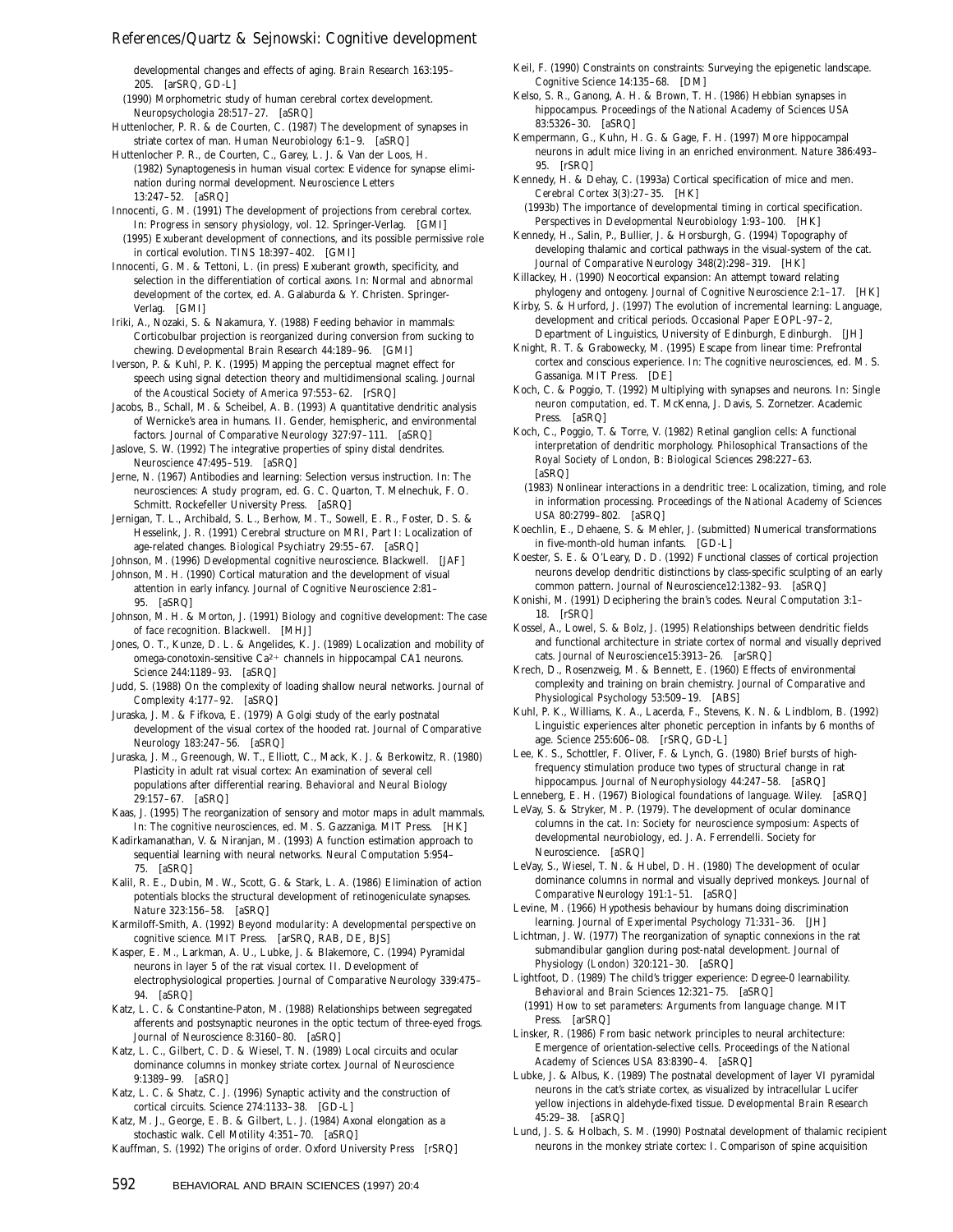developmental changes and effects of aging. *Brain Research* 163:195– 205. [arSRQ, GD-L]

- (1990) Morphometric study of human cerebral cortex development. *Neuropsychologia* 28:517–27. [aSRQ]
- Huttenlocher, P. R. & de Courten, C. (1987) The development of synapses in striate cortex of man. *Human Neurobiology* 6:1–9. [aSRQ]

Huttenlocher P. R., de Courten, C., Garey, L. J. & Van der Loos, H. (1982) Synaptogenesis in human visual cortex: Evidence for synapse elimination during normal development. *Neuroscience Letters* 13:247–52. [aSRQ]

- Innocenti, G. M. (1991) The development of projections from cerebral cortex. In: *Progress in sensory physiology,* vol. 12. Springer-Verlag. [GMI] (1995) Exuberant development of connections, and its possible permissive role
- in cortical evolution. *TINS* 18:397–402. [GMI] Innocenti, G. M. & Tettoni, L. (in press) Exuberant growth, specificity, and selection in the differentiation of cortical axons. In: *Normal and abnormal development of the cortex,* ed. A. Galaburda & Y. Christen. Springer-Verlag. [GMI]

Iriki, A., Nozaki, S. & Nakamura, Y. (1988) Feeding behavior in mammals: Corticobulbar projection is reorganized during conversion from sucking to chewing. *Developmental Brain Research* 44:189–96. [GMI]

Iverson, P. & Kuhl, P. K. (1995) Mapping the perceptual magnet effect for speech using signal detection theory and multidimensional scaling. *Journal of the Acoustical Society of America* 97:553–62. [rSRQ]

Jacobs, B., Schall, M. & Scheibel, A. B. (1993) A quantitative dendritic analysis of Wernicke's area in humans. II. Gender, hemispheric, and environmental factors. *Journal of Comparative Neurology* 327:97–111. [aSRQ]

Jaslove, S. W. (1992) The integrative properties of spiny distal dendrites. *Neuroscience* 47:495–519. [aSRQ]

- Jerne, N. (1967) Antibodies and learning: Selection versus instruction. In: *The neurosciences: A study program,* ed. G. C. Quarton, T. Melnechuk, F. O. Schmitt. Rockefeller University Press. [aSRQ]
- Jernigan, T. L., Archibald, S. L., Berhow, M. T., Sowell, E. R., Foster, D. S. & Hesselink, J. R. (1991) Cerebral structure on MRI, Part I: Localization of age-related changes. *Biological Psychiatry* 29:55–67. [aSRQ]

Johnson, M. (1996) *Developmental cognitive neuroscience*. Blackwell. [JAF]

- Johnson, M. H. (1990) Cortical maturation and the development of visual attention in early infancy. *Journal of Cognitive Neuroscience* 2:81– 95. [aSRQ]
- Johnson, M. H. & Morton, J. (1991) *Biology and cognitive development: The case of face recognition*. Blackwell. [MHJ]
- Jones, O. T., Kunze, D. L. & Angelides, K. J. (1989) Localization and mobility of omega-conotoxin-sensitive  $Ca^{2+}$  channels in hippocampal CA1 neurons. *Science* 244:1189–93. [aSRQ]
- Judd, S. (1988) On the complexity of loading shallow neural networks. *Journal of Complexity* 4:177–92. [aSRQ]

Juraska, J. M. & Fifkova, E. (1979) A Golgi study of the early postnatal development of the visual cortex of the hooded rat. *Journal of Comparative Neurology* 183:247–56. [aSRQ]

- Juraska, J. M., Greenough, W. T., Elliott, C., Mack, K. J. & Berkowitz, R. (1980) Plasticity in adult rat visual cortex: An examination of several cell populations after differential rearing. *Behavioral and Neural Biology* 29:157–67. [aSRQ]
- Kaas, J. (1995) The reorganization of sensory and motor maps in adult mammals. In: *The cognitive neurosciences,* ed. M. S. Gazzaniga. MIT Press. [HK]
- Kadirkamanathan, V. & Niranjan, M. (1993) A function estimation approach to sequential learning with neural networks. *Neural Computation* 5:954– 75. [aSRQ]

Kalil, R. E., Dubin, M. W., Scott, G. & Stark, L. A. (1986) Elimination of action potentials blocks the structural development of retinogeniculate synapses. *Nature* 323:156–58. [aSRQ]

- Karmiloff-Smith, A. (1992) *Beyond modularity: A developmental perspective on cognitive science*. MIT Press. [arSRQ, RAB, DE, BJS]
- Kasper, E. M., Larkman, A. U., Lubke, J. & Blakemore, C. (1994) Pyramidal neurons in layer 5 of the rat visual cortex. II. Development of electrophysiological properties. *Journal of Comparative Neurology* 339:475– 94. [aSRQ]
- Katz, L. C. & Constantine-Paton, M. (1988) Relationships between segregated afferents and postsynaptic neurones in the optic tectum of three-eyed frogs. *Journal of Neuroscience* 8:3160–80. [aSRQ]

Katz, L. C., Gilbert, C. D. & Wiesel, T. N. (1989) Local circuits and ocular dominance columns in monkey striate cortex. *Journal of Neuroscience* 9:1389–99. [aSRQ]

- Katz, L. C. & Shatz, C. J. (1996) Synaptic activity and the construction of cortical circuits. *Science* 274:1133–38. [GD-L]
- Katz, M. J., George, E. B. & Gilbert, L. J. (1984) Axonal elongation as a stochastic walk. *Cell Motility* 4:351–70. [aSRQ]

Kauffman, S. (1992) *The origins of order.* Oxford University Press [rSRQ]

Kelso, S. R., Ganong, A. H. & Brown, T. H. (1986) Hebbian synapses in hippocampus. *Proceedings of the National Academy of Sciences USA* 83:5326–30. [aSRQ]

- Kempermann, G., Kuhn, H. G. & Gage, F. H. (1997) More hippocampal neurons in adult mice living in an enriched environment. *Nature* 386:493– 95. [rSRQ]
- Kennedy, H. & Dehay, C. (1993a) Cortical specification of mice and men. *Cerebral Cortex* 3(3):27–35. [HK]
- (1993b) The importance of developmental timing in cortical specification. *Perspectives in Developmental Neurobiology* 1:93–100. [HK]

Kennedy, H., Salin, P., Bullier, J. & Horsburgh, G. (1994) Topography of developing thalamic and cortical pathways in the visual-system of the cat. *Journal of Comparative Neurology* 348(2):298–319. [HK]

- Killackey, H. (1990) Neocortical expansion: An attempt toward relating phylogeny and ontogeny. *Journal of Cognitive Neuroscience* 2:1–17. [HK]
- Kirby, S. & Hurford, J. (1997) The evolution of incremental learning: Language, development and critical periods. Occasional Paper EOPL-97–2, Department of Linguistics, University of Edinburgh, Edinburgh. [JH]
- Knight, R. T. & Grabowecky, M. (1995) Escape from linear time: Prefrontal cortex and conscious experience. In: *The cognitive neurosciences,* ed. M. S. Gassaniga. MIT Press. [DE]
- Koch, C. & Poggio, T. (1992) Multiplying with synapses and neurons. In: *Single neuron computation,* ed. T. McKenna, J. Davis, S. Zornetzer. Academic Press. [aSRQ]
- Koch, C., Poggio, T. & Torre, V. (1982) Retinal ganglion cells: A functional interpretation of dendritic morphology. *Philosophical Transactions of the Royal Society of London, B: Biological Sciences* 298:227–63. [aSRQ]
	- (1983) Nonlinear interactions in a dendritic tree: Localization, timing, and role in information processing. *Proceedings of the National Academy of Sciences USA* 80:2799–802. [aSRQ]
- Koechlin, E., Dehaene, S. & Mehler, J. (submitted) Numerical transformations in five-month-old human infants. [GD-L]
- Koester, S. E. & O'Leary, D. D. (1992) Functional classes of cortical projection neurons develop dendritic distinctions by class-specific sculpting of an early common pattern. *Journal of Neuroscience*12:1382–93. [aSRQ]
- Konishi, M. (1991) Deciphering the brain's codes. *Neural Computation* 3:1– 18. [rSRQ]
- Kossel, A., Lowel, S. & Bolz, J. (1995) Relationships between dendritic fields and functional architecture in striate cortex of normal and visually deprived cats. *Journal of Neuroscience*15:3913–26. [arSRQ]

Krech, D., Rosenzweig, M. & Bennett, E. (1960) Effects of environmental complexity and training on brain chemistry. *Journal of Comparative and Physiological Psychology* 53:509–19. [ABS]

Kuhl, P. K., Williams, K. A., Lacerda, F., Stevens, K. N. & Lindblom, B. (1992) Linguistic experiences alter phonetic perception in infants by 6 months of age. *Science* 255:606–08. [rSRQ, GD-L]

Lee, K. S., Schottler, F. Oliver, F. & Lynch, G. (1980) Brief bursts of highfrequency stimulation produce two types of structural change in rat hippocampus. *Journal of Neurophysiology* 44:247–58. [aSRQ]

- Lenneberg, E. H. (1967) *Biological foundations of language*. Wiley. [aSRQ]
- LeVay, S. & Stryker, M. P. (1979). The development of ocular dominance columns in the cat. In: *Society for neuroscience symposium: Aspects of developmental neurobiology,* ed. J. A. Ferrendelli. Society for Neuroscience. [aSRQ]
- LeVay, S., Wiesel, T. N. & Hubel, D. H. (1980) The development of ocular dominance columns in normal and visually deprived monkeys. *Journal of Comparative Neurology* 191:1–51. [aSRQ]
- Levine, M. (1966) Hypothesis behaviour by humans doing discrimination learning. *Journal of Experimental Psychology* 71:331–36. [JH]
- Lichtman, J. W. (1977) The reorganization of synaptic connexions in the rat submandibular ganglion during post-natal development. *Journal of Physiology (London)* 320:121–30. [aSRQ]
- Lightfoot, D. (1989) The child's trigger experience: Degree-0 learnability. *Behavioral and Brain Sciences* 12:321–75. [aSRQ]
- (1991) *How to set parameters: Arguments from language change*. MIT Press. [arSRQ]
- Linsker, R. (1986) From basic network principles to neural architecture: Emergence of orientation-selective cells. *Proceedings of the National Academy of Sciences USA* 83:8390–4. [aSRQ]
- Lubke, J. & Albus, K. (1989) The postnatal development of layer VI pyramidal neurons in the cat's striate cortex, as visualized by intracellular Lucifer yellow injections in aldehyde-fixed tissue. *Developmental Brain Research* 45:29–38. [aSRQ]
- Lund, J. S. & Holbach, S. M. (1990) Postnatal development of thalamic recipient neurons in the monkey striate cortex: I. Comparison of spine acquisition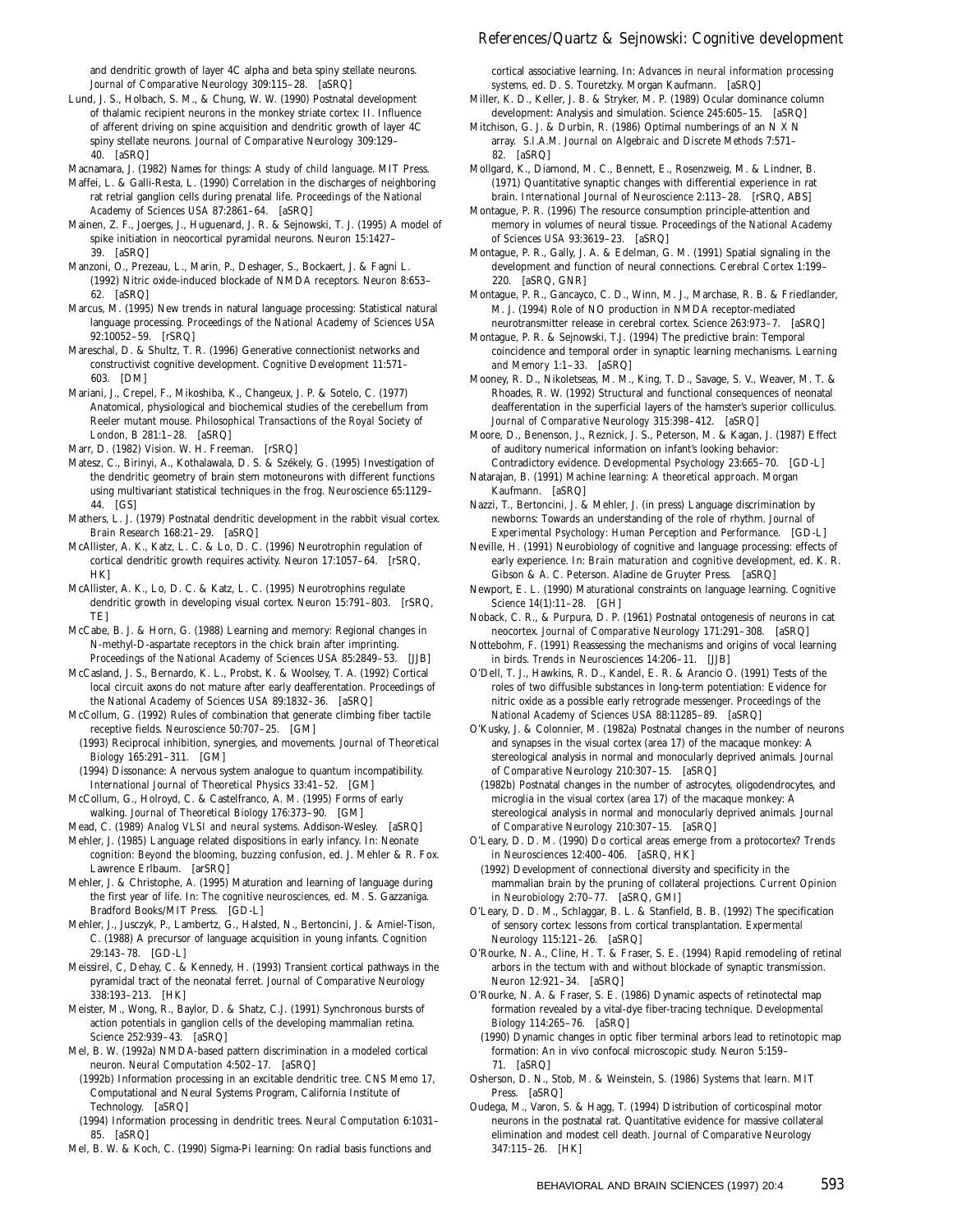and dendritic growth of layer 4C alpha and beta spiny stellate neurons. *Journal of Comparative Neurology* 309:115–28. [aSRQ]

- Lund, J. S., Holbach, S. M., & Chung, W. W. (1990) Postnatal development of thalamic recipient neurons in the monkey striate cortex: II. Influence of afferent driving on spine acquisition and dendritic growth of layer 4C spiny stellate neurons. *Journal of Comparative Neurology* 309:129– 40. [aSRQ]
- Macnamara, J. (1982) *Names for things: A study of child language*. MIT Press.
- Maffei, L. & Galli-Resta, L. (1990) Correlation in the discharges of neighboring rat retrial ganglion cells during prenatal life. *Proceedings of the National Academy of Sciences USA* 87:2861–64. [aSRQ]
- Mainen, Z. F., Joerges, J., Huguenard, J. R. & Sejnowski, T. J. (1995) A model of spike initiation in neocortical pyramidal neurons. *Neuron* 15:1427– 39. [aSRQ]
- Manzoni, O., Prezeau, L., Marin, P., Deshager, S., Bockaert, J. & Fagni L. (1992) Nitric oxide-induced blockade of NMDA receptors. *Neuron* 8:653– 62. [aSRQ]
- Marcus, M. (1995) New trends in natural language processing: Statistical natural language processing. *Proceedings of the National Academy of Sciences USA* 92:10052–59. [rSRQ]
- Mareschal, D. & Shultz, T. R. (1996) Generative connectionist networks and constructivist cognitive development. *Cognitive Development* 11:571– 603. [DM]
- Mariani, J., Crepel, F., Mikoshiba, K., Changeux, J. P. & Sotelo, C. (1977) Anatomical, physiological and biochemical studies of the cerebellum from Reeler mutant mouse. *Philosophical Transactions of the Royal Society of London, B* 281:1–28. [aSRQ]
- Marr, D. (1982) *Vision*. W. H. Freeman. [rSRQ]
- Matesz, C., Birinyi, A., Kothalawala, D. S. & Székely, G. (1995) Investigation of the dendritic geometry of brain stem motoneurons with different functions using multivariant statistical techniques in the frog. *Neuroscience* 65:1129– 44. [GS]
- Mathers, L. J. (1979) Postnatal dendritic development in the rabbit visual cortex. *Brain Research* 168:21–29. [aSRQ]
- McAllister, A. K., Katz, L. C. & Lo, D. C. (1996) Neurotrophin regulation of cortical dendritic growth requires activity. *Neuron* 17:1057–64. [rSRQ, HK]
- McAllister, A. K., Lo, D. C. & Katz, L. C. (1995) Neurotrophins regulate dendritic growth in developing visual cortex. *Neuron* 15:791–803. [rSRQ, TE]
- McCabe, B. J. & Horn, G. (1988) Learning and memory: Regional changes in N-methyl-D-aspartate receptors in the chick brain after imprinting. *Proceedings of the National Academy of Sciences USA* 85:2849–53. [JJB]
- McCasland, J. S., Bernardo, K. L., Probst, K. & Woolsey, T. A. (1992) Cortical local circuit axons do not mature after early deafferentation. *Proceedings of the National Academy of Sciences USA* 89:1832–36. [aSRQ]
- McCollum, G. (1992) Rules of combination that generate climbing fiber tactile receptive fields. *Neuroscience* 50:707–25. [GM]
- (1993) Reciprocal inhibition, synergies, and movements. *Journal of Theoretical Biology* 165:291–311. [GM]
- (1994) Dissonance: A nervous system analogue to quantum incompatibility. *International Journal of Theoretical Physics* 33:41–52. [GM]
- McCollum, G., Holroyd, C. & Castelfranco, A. M. (1995) Forms of early walking. *Journal of Theoretical Biolog*y 176:373–90. [GM]
- Mead, C. (1989) *Analog VLSI and neural systems*. Addison-Wesley. [aSRQ]
- Mehler, J. (1985) Language related dispositions in early infancy. In: *Neonate cognition: Beyond the blooming, buzzing confusion,* ed. J. Mehler & R. Fox. Lawrence Erlbaum. [arSRQ]
- Mehler, J. & Christophe, A. (1995) Maturation and learning of language during the first year of life. In: *The cognitive neurosciences,* ed. M. S. Gazzaniga. Bradford Books/MIT Press. [GD-L]
- Mehler, J., Jusczyk, P., Lambertz, G., Halsted, N., Bertoncini, J. & Amiel-Tison, C. (1988) A precursor of language acquisition in young infants. *Cognition* 29:143–78. [GD-L]
- Meissirel, C, Dehay, C. & Kennedy, H. (1993) Transient cortical pathways in the pyramidal tract of the neonatal ferret. *Journal of Comparative Neurology* 338:193–213. [HK]
- Meister, M., Wong, R., Baylor, D. & Shatz, C.J. (1991) Synchronous bursts of action potentials in ganglion cells of the developing mammalian retina. *Science* 252:939–43. [aSRQ]
- Mel, B. W. (1992a) NMDA-based pattern discrimination in a modeled cortical neuron. *Neural Computation* 4:502–17. [aSRQ]
- (1992b) Information processing in an excitable dendritic tree. *CNS Memo 17,* Computational and Neural Systems Program, California Institute of Technology. [aSRQ]
- (1994) Information processing in dendritic trees. *Neural Computation* 6:1031– 85. [aSRQ]
- Mel, B. W. & Koch, C. (1990) Sigma-Pi learning: On radial basis functions and

### *References*/Quartz & Sejnowski: Cognitive development

cortical associative learning. In: *Advances in neural information processing systems,* ed. D. S. Touretzky. Morgan Kaufmann. [aSRQ]

- Miller, K. D., Keller, J. B. & Stryker, M. P. (1989) Ocular dominance column development: Analysis and simulation. *Science* 245:605–15. [aSRQ]
- Mitchison, G. J. & Durbin, R. (1986) Optimal numberings of an N X N array. *S.I.A.M. Journal on Algebraic and Discrete Methods* 7:571– 82. [aSRQ]
- Mollgard, K., Diamond, M. C., Bennett, E., Rosenzweig, M. & Lindner, B. (1971) Quantitative synaptic changes with differential experience in rat brain. *International Journal of Neuroscience* 2:113–28. [rSRQ, ABS]
- Montague, P. R. (1996) The resource consumption principle-attention and memory in volumes of neural tissue. *Proceedings of the National Academy of Sciences USA* 93:3619–23. [aSRQ]
- Montague, P. R., Gally, J. A. & Edelman, G. M. (1991) Spatial signaling in the development and function of neural connections. *Cerebral Cortex* 1:199– 220. [aSRQ, GNR]
- Montague, P. R., Gancayco, C. D., Winn, M. J., Marchase, R. B. & Friedlander, M. J. (1994) Role of NO production in NMDA receptor-mediated neurotransmitter release in cerebral cortex. *Science* 263:973–7. [aSRQ]
- Montague, P. R. & Sejnowski, T.J. (1994) The predictive brain: Temporal coincidence and temporal order in synaptic learning mechanisms. *Learning and Memory* 1:1–33. [aSRQ]
- Mooney, R. D., Nikoletseas, M. M., King, T. D., Savage, S. V., Weaver, M. T. & Rhoades, R. W. (1992) Structural and functional consequences of neonatal deafferentation in the superficial layers of the hamster's superior colliculus. *Journal of Comparative Neurology* 315:398–412. [aSRQ]
- Moore, D., Benenson, J., Reznick, J. S., Peterson, M. & Kagan, J. (1987) Effect of auditory numerical information on infant's looking behavior:
- Contradictory evidence. *Developmental Psychology* 23:665–70. [GD-L] Natarajan, B. (1991) *Machine learning: A theoretical approach*. Morgan Kaufmann. [aSRQ]
- Nazzi, T., Bertoncini, J. & Mehler, J. (in press) Language discrimination by newborns: Towards an understanding of the role of rhythm. *Journal of Experimental Psychology: Human Perception and Performance*. [GD-L]
- Neville, H. (1991) Neurobiology of cognitive and language processing: effects of early experience. In: *Brain maturation and cognitive development,* ed. K. R. Gibson & A. C. Peterson. Aladine de Gruyter Press. [aSRQ]
- Newport, E. L. (1990) Maturational constraints on language learning. *Cognitive Science* 14(1):11–28. [GH]
- Noback, C. R., & Purpura, D. P. (1961) Postnatal ontogenesis of neurons in cat neocortex. *Journal of Comparative Neurology* 171:291–308. [aSRQ]
- Nottebohm, F. (1991) Reassessing the mechanisms and origins of vocal learning in birds. *Trends in Neurosciences* 14:206–11. [JJB]
- O'Dell, T. J., Hawkins, R. D., Kandel, E. R. & Arancio O. (1991) Tests of the roles of two diffusible substances in long-term potentiation: Evidence for nitric oxide as a possible early retrograde messenger. *Proceedings of the National Academy of Sciences USA* 88:11285–89. [aSRQ]
- O'Kusky, J. & Colonnier, M. (1982a) Postnatal changes in the number of neurons and synapses in the visual cortex (area 17) of the macaque monkey: A stereological analysis in normal and monocularly deprived animals. *Journal of Comparative Neurology* 210:307–15. [aSRQ]
- (1982b) Postnatal changes in the number of astrocytes, oligodendrocytes, and microglia in the visual cortex (area 17) of the macaque monkey: A stereological analysis in normal and monocularly deprived animals. *Journal of Comparative Neurology* 210:307–15. [aSRQ]
- O'Leary, D. D. M. (1990) Do cortical areas emerge from a protocortex? *Trends in Neurosciences* 12:400–406. [aSRQ, HK]
- (1992) Development of connectional diversity and specificity in the mammalian brain by the pruning of collateral projections. *Current Opinion in Neurobiology* 2:70–77. [aSRQ, GMI]
- O'Leary, D. D. M., Schlaggar, B. L. & Stanfield, B. B. (1992) The specification of sensory cortex: lessons from cortical transplantation. *Expermental Neurology* 115:121–26. [aSRQ]
- O'Rourke, N. A., Cline, H. T. & Fraser, S. E. (1994) Rapid remodeling of retinal arbors in the tectum with and without blockade of synaptic transmission. *Neuron* 12:921–34. [aSRQ]
- O'Rourke, N. A. & Fraser, S. E. (1986) Dynamic aspects of retinotectal map formation revealed by a vital-dye fiber-tracing technique. *Developmental Biology* 114:265–76. [aSRQ]
- (1990) Dynamic changes in optic fiber terminal arbors lead to retinotopic map formation: An in vivo confocal microscopic study. *Neuron* 5:159– 71. [aSRQ]
- Osherson, D. N., Stob, M. & Weinstein, S. (1986) *Systems that learn*. MIT Press. [aSRQ]
- Oudega, M., Varon, S. & Hagg, T. (1994) Distribution of corticospinal motor neurons in the postnatal rat. Quantitative evidence for massive collateral elimination and modest cell death. *Journal of Comparative Neurology* 347:115–26. [HK]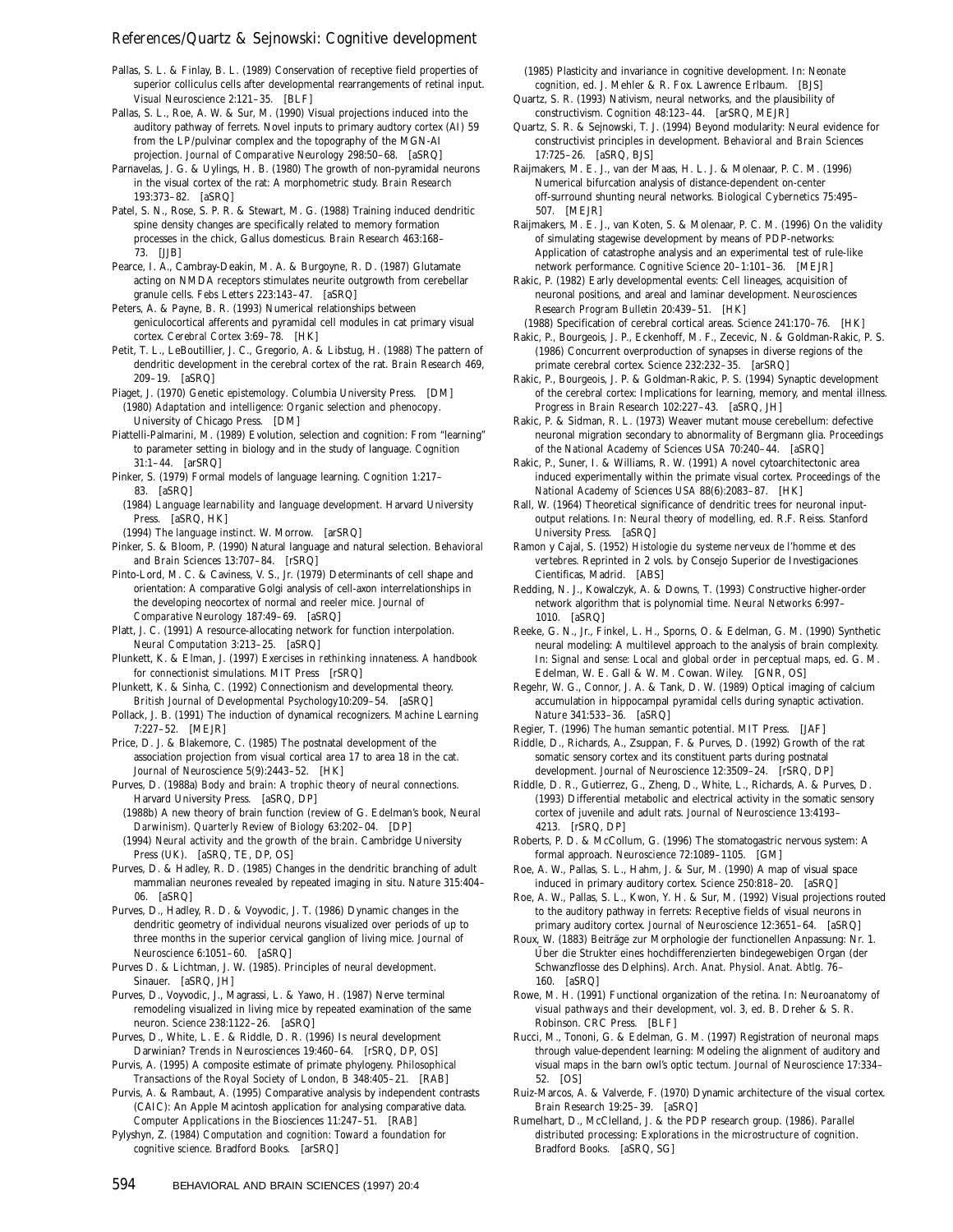Pallas, S. L. & Finlay, B. L. (1989) Conservation of receptive field properties of superior colliculus cells after developmental rearrangements of retinal input. *Visual Neuroscience* 2:121–35. [BLF]

Pallas, S. L., Roe, A. W. & Sur, M. (1990) Visual projections induced into the auditory pathway of ferrets. Novel inputs to primary audtory cortex (AI) 59 from the LP/pulvinar complex and the topography of the MGN-AI projection. *Journal of Comparative Neurology* 298:50–68. [aSRQ]

Parnavelas, J. G. & Uylings, H. B. (1980) The growth of non-pyramidal neurons in the visual cortex of the rat: A morphometric study. *Brain Research* 193:373–82. [aSRQ]

Patel, S. N., Rose, S. P. R. & Stewart, M. G. (1988) Training induced dendritic spine density changes are specifically related to memory formation processes in the chick, Gallus domesticus. *Brain Research* 463:168– 73. [JJB]

Pearce, I. A., Cambray-Deakin, M. A. & Burgoyne, R. D. (1987) Glutamate acting on NMDA receptors stimulates neurite outgrowth from cerebellar granule cells. *Febs Letters* 223:143–47. [aSRQ]

Peters, A. & Payne, B. R. (1993) Numerical relationships between geniculocortical afferents and pyramidal cell modules in cat primary visual cortex. *Cerebral Cortex* 3:69–78. [HK]

Petit, T. L., LeBoutillier, J. C., Gregorio, A. & Libstug, H. (1988) The pattern of dendritic development in the cerebral cortex of the rat. *Brain Research* 469, 209–19. [aSRQ]

Piaget, J. (1970) *Genetic epistemology*. Columbia University Press. [DM] (1980) *Adaptation and intelligence: Organic selection and phenocopy*. University of Chicago Press. [DM]

Piattelli-Palmarini, M. (1989) Evolution, selection and cognition: From "learning" to parameter setting in biology and in the study of language. *Cognition* 31:1–44. [arSRQ]

Pinker, S. (1979) Formal models of language learning. *Cognition* 1:217– 83. [aSRQ]

(1984) *Language learnability and language development*. Harvard University Press. [aSRQ, HK]

(1994) *The language instinct*. W. Morrow. [arSRQ]

Pinker, S. & Bloom, P. (1990) Natural language and natural selection. *Behavioral and Brain Sciences* 13:707–84. [rSRQ]

Pinto-Lord, M. C. & Caviness, V. S., Jr. (1979) Determinants of cell shape and orientation: A comparative Golgi analysis of cell-axon interrelationships in the developing neocortex of normal and reeler mice. *Journal of Comparative Neurology* 187:49–69. [aSRQ]

Platt, J. C. (1991) A resource-allocating network for function interpolation. *Neural Computation* 3:213–25. [aSRQ]

Plunkett, K. & Elman, J. (1997) *Exercises in rethinking innateness. A handbook for connectionist simulations.* MIT Press [rSRQ]

Plunkett, K. & Sinha, C. (1992) Connectionism and developmental theory. *British Journal of Developmental Psychology*10:209–54. [aSRQ]

Pollack, J. B. (1991) The induction of dynamical recognizers. *Machine Learning* 7:227–52. [MEJR]

Price, D. J. & Blakemore, C. (1985) The postnatal development of the association projection from visual cortical area 17 to area 18 in the cat. *Journal of Neuroscience* 5(9):2443–52. [HK]

Purves, D. (1988a) *Body and brain: A trophic theory of neural connections*. Harvard University Press. [aSRQ, DP]

(1988b) A new theory of brain function (review of G. Edelman's book, *Neural Darwinism*). *Quarterly Review of Biology* 63:202–04. [DP]

(1994) *Neural activity and the growth of the brain*. Cambridge University Press (UK). [aSRQ, TE, DP, OS]

Purves, D. & Hadley, R. D. (1985) Changes in the dendritic branching of adult mammalian neurones revealed by repeated imaging in situ. *Nature* 315:404– 06. [aSRQ]

Purves, D., Hadley, R. D. & Voyvodic, J. T. (1986) Dynamic changes in the dendritic geometry of individual neurons visualized over periods of up to three months in the superior cervical ganglion of living mice. *Journal of Neuroscience* 6:1051–60. [aSRQ]

Purves D. & Lichtman, J. W. (1985). *Principles of neural development*. Sinauer. [aSRQ, JH]

Purves, D., Voyvodic, J., Magrassi, L. & Yawo, H. (1987) Nerve terminal remodeling visualized in living mice by repeated examination of the same neuron. *Science* 238:1122–26. [aSRQ]

Purves, D., White, L. E. & Riddle, D. R. (1996) Is neural development Darwinian? *Trends in Neurosciences* 19:460–64. [rSRQ, DP, OS]

Purvis, A. (1995) A composite estimate of primate phylogeny. *Philosophical Transactions of the Royal Society of London, B* 348:405–21. [RAB]

Purvis, A. & Rambaut, A. (1995) Comparative analysis by independent contrasts (CAIC): An Apple Macintosh application for analysing comparative data. *Computer Applications in the Biosciences* 11:247–51. [RAB]

Pylyshyn, Z. (1984) *Computation and cognition: Toward a foundation for cognitive science*. Bradford Books. [arSRQ]

(1985) Plasticity and invariance in cognitive development. In: *Neonate cognition,* ed. J. Mehler & R. Fox. Lawrence Erlbaum. [BJS]

Quartz, S. R. (1993) Nativism, neural networks, and the plausibility of constructivism. *Cognition* 48:123–44. [arSRQ, MEJR]

Quartz, S. R. & Sejnowski, T. J. (1994) Beyond modularity: Neural evidence for constructivist principles in development. *Behavioral and Brain Sciences* 17:725–26. [aSRQ, BJS]

Raijmakers, M. E. J., van der Maas, H. L. J. & Molenaar, P. C. M. (1996) Numerical bifurcation analysis of distance-dependent on-center off-surround shunting neural networks. *Biological Cybernetics* 75:495– 507. [MEJR]

Raijmakers, M. E. J., van Koten, S. & Molenaar, P. C. M. (1996) On the validity of simulating stagewise development by means of PDP-networks: Application of catastrophe analysis and an experimental test of rule-like network performance. *Cognitive Science* 20–1:101–36. [MEJR]

Rakic, P. (1982) Early developmental events: Cell lineages, acquisition of neuronal positions, and areal and laminar development. *Neurosciences Research Program Bulletin* 20:439–51. [HK]

(1988) Specification of cerebral cortical areas. *Science* 241:170–76. [HK]

Rakic, P., Bourgeois, J. P., Eckenhoff, M. F., Zecevic, N. & Goldman-Rakic, P. S. (1986) Concurrent overproduction of synapses in diverse regions of the primate cerebral cortex. *Science* 232:232–35. [arSRQ]

- Rakic, P., Bourgeois, J. P. & Goldman-Rakic, P. S. (1994) Synaptic development of the cerebral cortex: Implications for learning, memory, and mental illness. *Progress in Brain Research* 102:227–43. [aSRQ, JH]
- Rakic, P. & Sidman, R. L. (1973) Weaver mutant mouse cerebellum: defective neuronal migration secondary to abnormality of Bergmann glia. *Proceedings of the National Academy of Sciences USA* 70:240–44. [aSRQ]

Rakic, P., Suner, I. & Williams, R. W. (1991) A novel cytoarchitectonic area induced experimentally within the primate visual cortex. *Proceedings of the National Academy of Sciences USA* 88(6):2083–87. [HK]

Rall, W. (1964) Theoretical significance of dendritic trees for neuronal inputoutput relations. In: *Neural theory of modelling,* ed. R.F. Reiss. Stanford University Press. [aSRQ]

Ramon y Cajal, S. (1952) *Histologie du systeme nerveux de l'homme et des vertebres*. Reprinted in 2 vols. by Consejo Superior de Investigaciones Cientificas, Madrid. [ABS]

Redding, N. J., Kowalczyk, A. & Downs, T. (1993) Constructive higher-order network algorithm that is polynomial time. *Neural Networks* 6:997– 1010. [aSRQ]

Reeke, G. N., Jr., Finkel, L. H., Sporns, O. & Edelman, G. M. (1990) Synthetic neural modeling: A multilevel approach to the analysis of brain complexity. In: *Signal and sense: Local and global order in perceptual maps,* ed. G. M. Edelman, W. E. Gall & W. M. Cowan. Wiley. [GNR, OS]

Regehr, W. G., Connor, J. A. & Tank, D. W. (1989) Optical imaging of calcium accumulation in hippocampal pyramidal cells during synaptic activation. *Nature* 341:533–36. [aSRQ]

Regier, T. (1996) *The human semantic potential*. MIT Press. [JAF]

Riddle, D., Richards, A., Zsuppan, F. & Purves, D. (1992) Growth of the rat somatic sensory cortex and its constituent parts during postnatal development. *Journal of Neuroscience* 12:3509–24. [rSRQ, DP]

Riddle, D. R., Gutierrez, G., Zheng, D., White, L., Richards, A. & Purves, D. (1993) Differential metabolic and electrical activity in the somatic sensory cortex of juvenile and adult rats. *Journal of Neuroscience* 13:4193– 4213. [rSRQ, DP]

Roberts, P. D. & McCollum, G. (1996) The stomatogastric nervous system: A formal approach. *Neuroscience* 72:1089–1105. [GM]

Roe, A. W., Pallas, S. L., Hahm, J. & Sur, M. (1990) A map of visual space induced in primary auditory cortex. *Science* 250:818–20. [aSRQ]

Roe, A. W., Pallas, S. L., Kwon, Y. H. & Sur, M. (1992) Visual projections routed to the auditory pathway in ferrets: Receptive fields of visual neurons in primary auditory cortex. *Journal of Neuroscience* 12:3651–64. [aSRQ]

Roux, W. (1883) Beiträge zur Morphologie der functionellen Anpassung: Nr. 1. Uber die Strukter eines hochdifferenzierten bindegewebigen Organ (der ¨ Schwanzflosse des Delphins). *Arch. Anat. Physiol. Anat. Abtlg*. 76– 160. [aSRQ]

Rowe, M. H. (1991) Functional organization of the retina. In: *Neuroanatomy of visual pathways and their development,* vol. 3, ed. B. Dreher & S. R. Robinson. CRC Press. [BLF]

Rucci, M., Tononi, G. & Edelman, G. M. (1997) Registration of neuronal maps through value-dependent learning: Modeling the alignment of auditory and visual maps in the barn owl's optic tectum. *Journal of Neuroscience* 17:334– 52. [OS]

Ruiz-Marcos, A. & Valverde, F. (1970) Dynamic architecture of the visual cortex. *Brain Research* 19:25–39. [aSRQ]

Rumelhart, D., McClelland, J. & the PDP research group. (1986). *Parallel distributed processing: Explorations in the microstructure of cognition*. Bradford Books. [aSRQ, SG]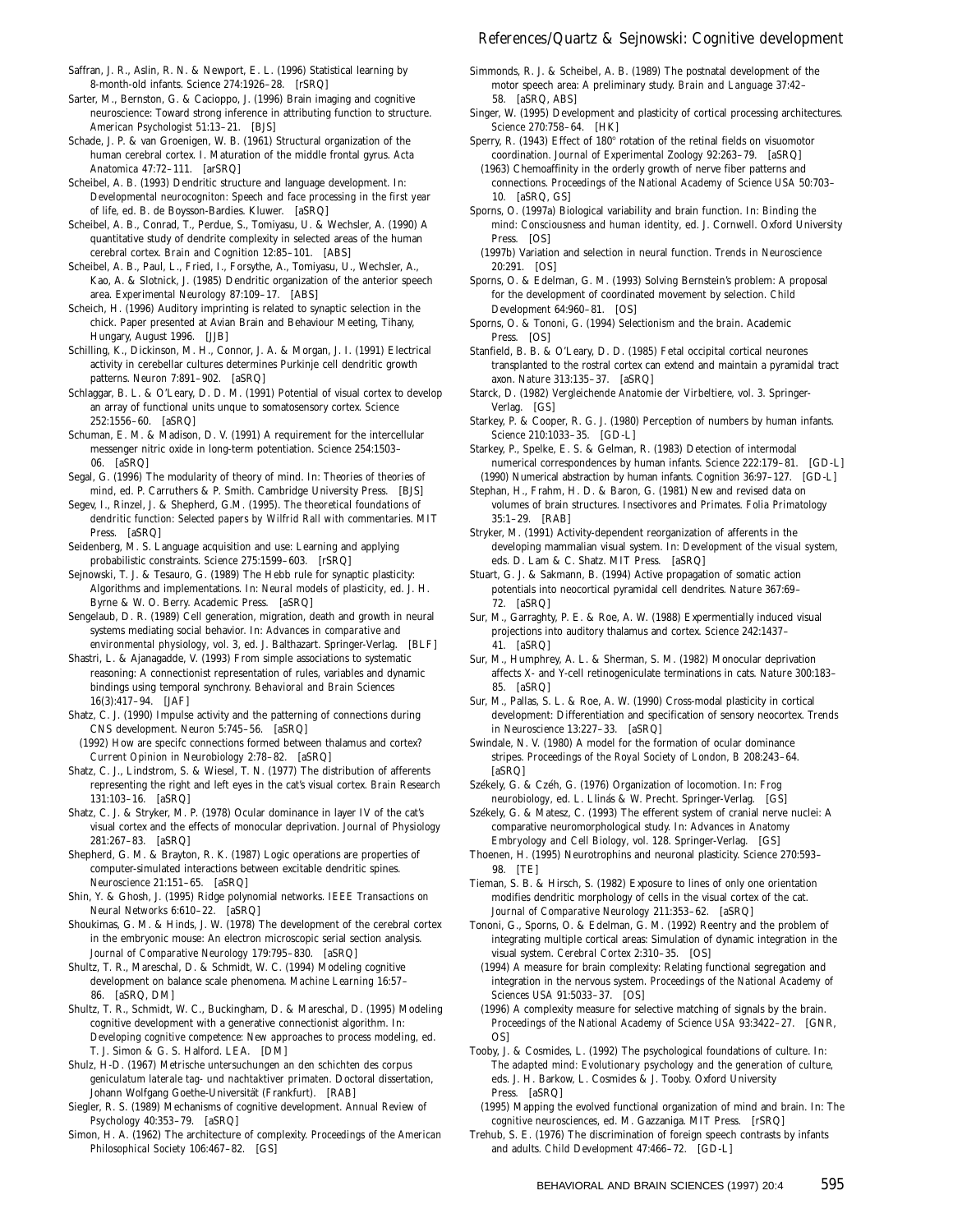- Saffran, J. R., Aslin, R. N. & Newport, E. L. (1996) Statistical learning by 8-month-old infants. *Science* 274:1926–28. [rSRQ]
- Sarter, M., Bernston, G. & Cacioppo, J. (1996) Brain imaging and cognitive neuroscience: Toward strong inference in attributing function to structure. *American Psychologist* 51:13–21. [BJS]
- Schade, J. P. & van Groenigen, W. B. (1961) Structural organization of the human cerebral cortex. I. Maturation of the middle frontal gyrus. *Acta Anatomica* 47:72–111. [arSRQ]
- Scheibel, A. B. (1993) Dendritic structure and language development. In: *Developmental neurocogniton: Speech and face processing in the first year of life,* ed. B. de Boysson-Bardies. Kluwer. [aSRQ]
- Scheibel, A. B., Conrad, T., Perdue, S., Tomiyasu, U. & Wechsler, A. (1990) A quantitative study of dendrite complexity in selected areas of the human cerebral cortex. *Brain and Cognition* 12:85–101. [ABS]
- Scheibel, A. B., Paul, L., Fried, I., Forsythe, A., Tomiyasu, U., Wechsler, A., Kao, A. & Slotnick, J. (1985) Dendritic organization of the anterior speech area. *Experimental Neurology* 87:109–17. [ABS]
- Scheich, H. (1996) Auditory imprinting is related to synaptic selection in the chick. Paper presented at Avian Brain and Behaviour Meeting, Tihany, Hungary, August 1996. [JJB]
- Schilling, K., Dickinson, M. H., Connor, J. A. & Morgan, J. I. (1991) Electrical activity in cerebellar cultures determines Purkinje cell dendritic growth patterns. *Neuron* 7:891–902. [aSRQ]
- Schlaggar, B. L. & O'Leary, D. D. M. (1991) Potential of visual cortex to develop an array of functional units unque to somatosensory cortex. *Science* 252:1556–60. [aSRQ]
- Schuman, E. M. & Madison, D. V. (1991) A requirement for the intercellular messenger nitric oxide in long-term potentiation. *Science* 254:1503– 06. [aSRQ]
- Segal, G. (1996) The modularity of theory of mind. In: *Theories of theories of mind,* ed. P. Carruthers & P. Smith. Cambridge University Press. [BJS]
- Segev, I., Rinzel, J. & Shepherd, G.M. (1995). *The theoretical foundations of dendritic function: Selected papers by Wilfrid Rall with commentaries*. MIT Press. [aSRQ]
- Seidenberg, M. S. Language acquisition and use: Learning and applying probabilistic constraints. *Science* 275:1599–603. [rSRQ]
- Sejnowski, T. J. & Tesauro, G. (1989) The Hebb rule for synaptic plasticity: Algorithms and implementations. In: *Neural models of plasticity,* ed. J. H. Byrne & W. O. Berry. Academic Press. [aSRQ]
- Sengelaub, D. R. (1989) Cell generation, migration, death and growth in neural systems mediating social behavior. In: *Advances in comparative and environmental physiology,* vol. 3, ed. J. Balthazart. Springer-Verlag. [BLF]
- Shastri, L. & Ajanagadde, V. (1993) From simple associations to systematic reasoning: A connectionist representation of rules, variables and dynamic bindings using temporal synchrony. *Behavioral and Brain Sciences* 16(3):417–94. [JAF]
- Shatz, C. J. (1990) Impulse activity and the patterning of connections during CNS development. *Neuron* 5:745–56. [aSRQ]
- (1992) How are specifc connections formed between thalamus and cortex? *Current Opinion in Neurobiology* 2:78–82. [aSRQ]
- Shatz, C. J., Lindstrom, S. & Wiesel, T. N. (1977) The distribution of afferents representing the right and left eyes in the cat's visual cortex. *Brain Research* 131:103–16. [aSRQ]
- Shatz, C. J. & Stryker, M. P. (1978) Ocular dominance in layer IV of the cat's visual cortex and the effects of monocular deprivation. *Journal of Physiology* 281:267–83. [aSRQ]
- Shepherd, G. M. & Brayton, R. K. (1987) Logic operations are properties of computer-simulated interactions between excitable dendritic spines. *Neuroscience* 21:151–65. [aSRQ]
- Shin, Y. & Ghosh, J. (1995) Ridge polynomial networks. *IEEE Transactions on Neural Networks* 6:610–22. [aSRQ]
- Shoukimas, G. M. & Hinds, J. W. (1978) The development of the cerebral cortex in the embryonic mouse: An electron microscopic serial section analysis. *Journal of Comparative Neurology* 179:795–830. [aSRQ]
- Shultz, T. R., Mareschal, D. & Schmidt, W. C. (1994) Modeling cognitive development on balance scale phenomena. *Machine Learning* 16:57– 86. [aSRQ, DM]
- Shultz, T. R., Schmidt, W. C., Buckingham, D. & Mareschal, D. (1995) Modeling cognitive development with a generative connectionist algorithm. In: *Developing cognitive competence: New approaches to process modeling,* ed. T. J. Simon & G. S. Halford. LEA. [DM]
- Shulz, H-D. (1967) *Metrische untersuchungen an den schichten des corpus geniculatum laterale tag- und nachtaktiver primaten*. Doctoral dissertation, Johann Wolfgang Goethe-Universität (Frankfurt). [RAB]
- Siegler, R. S. (1989) Mechanisms of cognitive development. *Annual Review of Psychology* 40:353–79. [aSRQ]
- Simon, H. A. (1962) The architecture of complexity. *Proceedings of the American Philosophical Society* 106:467–82. [GS]

- Simmonds, R. J. & Scheibel, A. B. (1989) The postnatal development of the motor speech area: A preliminary study. *Brain and Language* 37:42– 58. [aSRQ, ABS]
- Singer, W. (1995) Development and plasticity of cortical processing architectures. *Science* 270:758–64. [HK]
- Sperry, R. (1943) Effect of  $180^\circ$  rotation of the retinal fields on visuomotor coordination. *Journal of Experimental Zoology* 92:263–79. [aSRQ] (1963) Chemoaffinity in the orderly growth of nerve fiber patterns and
- connections. *Proceedings of the National Academy of Science USA* 50:703– 10. [aSRQ, GS]
- Sporns, O. (1997a) Biological variability and brain function. In: *Binding the mind: Consciousness and human identity,* ed. J. Cornwell. Oxford University Press. [OS]
- (1997b) Variation and selection in neural function. *Trends in Neuroscience* 20:291. [OS]
- Sporns, O. & Edelman, G. M. (1993) Solving Bernstein's problem: A proposal for the development of coordinated movement by selection. *Child Development* 64:960–81. [OS]
- Sporns, O. & Tononi, G. (1994) *Selectionism and the brain*. Academic Press. [OS]
- Stanfield, B. B. & O'Leary, D. D. (1985) Fetal occipital cortical neurones transplanted to the rostral cortex can extend and maintain a pyramidal tract axon. *Nature* 313:135–37. [aSRQ]
- Starck, D. (1982) *Vergleichende Anatomie der Virbeltiere,* vol. 3. Springer-Verlag. [GS]
- Starkey, P. & Cooper, R. G. J. (1980) Perception of numbers by human infants. *Science* 210:1033–35. [GD-L]
- Starkey, P., Spelke, E. S. & Gelman, R. (1983) Detection of intermodal numerical correspondences by human infants. *Science* 222:179–81. [GD-L] (1990) Numerical abstraction by human infants. *Cognition* 36:97–127. [GD-L]
- Stephan, H., Frahm, H. D. & Baron, G. (1981) New and revised data on volumes of brain structures. *Insectivores and Primates. Folia Primatology* 35:1–29. [RAB]
- Stryker, M. (1991) Activity-dependent reorganization of afferents in the developing mammalian visual system. In: *Development of the visual system,* eds. D. Lam & C. Shatz. MIT Press. [aSRQ]
- Stuart, G. J. & Sakmann, B. (1994) Active propagation of somatic action potentials into neocortical pyramidal cell dendrites. *Nature* 367:69– 72. [aSRQ]
- Sur, M., Garraghty, P. E. & Roe, A. W. (1988) Expermentially induced visual projections into auditory thalamus and cortex. *Science* 242:1437– 41. [aSRQ]
- Sur, M., Humphrey, A. L. & Sherman, S. M. (1982) Monocular deprivation affects X- and Y-cell retinogeniculate terminations in cats. *Nature* 300:183– 85. [aSRQ]
- Sur, M., Pallas, S. L. & Roe, A. W. (1990) Cross-modal plasticity in cortical development: Differentiation and specification of sensory neocortex. *Trends in Neuroscience* 13:227–33. [aSRQ]
- Swindale, N. V. (1980) A model for the formation of ocular dominance stripes. *Proceedings of the Royal Society of London, B* 208:243–64. [aSRQ]
- Székely, G. & Czéh, G. (1976) Organization of locomotion. In: *Frog neurobiology, ed. L. Llinás & W. Precht. Springer-Verlag.* [GS]
- Székely, G. & Matesz, C. (1993) The efferent system of cranial nerve nuclei: A comparative neuromorphological study. In: *Advances in Anatomy Embryology and Cell Biology,* vol. 128. Springer-Verlag. [GS]
- Thoenen, H. (1995) Neurotrophins and neuronal plasticity. *Science* 270:593– 98. [TE]
- Tieman, S. B. & Hirsch, S. (1982) Exposure to lines of only one orientation modifies dendritic morphology of cells in the visual cortex of the cat. *Journal of Comparative Neurology* 211:353–62. [aSRQ]
- Tononi, G., Sporns, O. & Edelman, G. M. (1992) Reentry and the problem of integrating multiple cortical areas: Simulation of dynamic integration in the visual system. *Cerebral Cortex* 2:310–35. [OS]
- (1994) A measure for brain complexity: Relating functional segregation and integration in the nervous system. *Proceedings of the National Academy of Sciences USA* 91:5033–37. [OS]
- (1996) A complexity measure for selective matching of signals by the brain. *Proceedings of the National Academy of Science USA* 93:3422–27. [GNR, OS]
- Tooby, J. & Cosmides, L. (1992) The psychological foundations of culture. In: *The adapted mind: Evolutionary psychology and the generation of culture,* eds. J. H. Barkow, L. Cosmides & J. Tooby. Oxford University Press. [aSRQ]
- (1995) Mapping the evolved functional organization of mind and brain. In: *The cognitive neurosciences,* ed. M. Gazzaniga. MIT Press. [rSRQ]
- Trehub, S. E. (1976) The discrimination of foreign speech contrasts by infants and adults. *Child Development* 47:466–72. [GD-L]